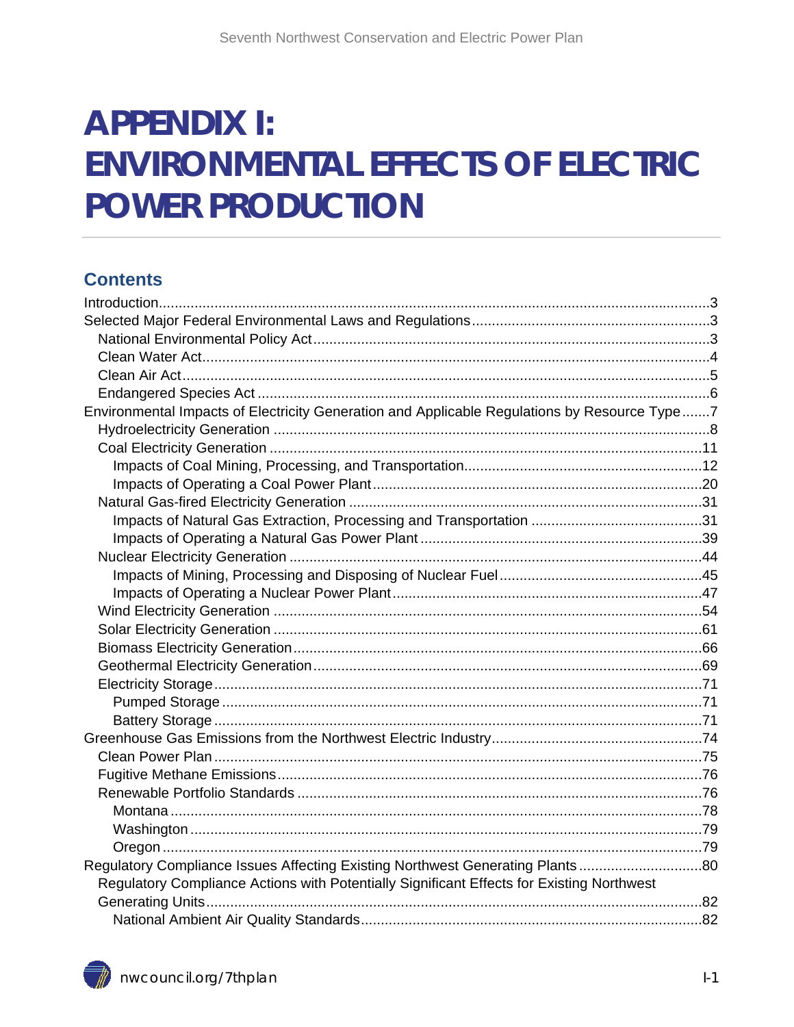# **APPENDIX I: ENVIRONMENTAL EFFECTS OF ELECTRIC POWER PRODUCTION**

#### **Contents**

| Environmental Impacts of Electricity Generation and Applicable Regulations by Resource Type7 |  |
|----------------------------------------------------------------------------------------------|--|
|                                                                                              |  |
|                                                                                              |  |
|                                                                                              |  |
|                                                                                              |  |
|                                                                                              |  |
|                                                                                              |  |
|                                                                                              |  |
|                                                                                              |  |
|                                                                                              |  |
|                                                                                              |  |
|                                                                                              |  |
|                                                                                              |  |
|                                                                                              |  |
|                                                                                              |  |
|                                                                                              |  |
|                                                                                              |  |
|                                                                                              |  |
|                                                                                              |  |
|                                                                                              |  |
|                                                                                              |  |
|                                                                                              |  |
|                                                                                              |  |
|                                                                                              |  |
|                                                                                              |  |
| Regulatory Compliance Issues Affecting Existing Northwest Generating Plants80                |  |
| Regulatory Compliance Actions with Potentially Significant Effects for Existing Northwest    |  |
|                                                                                              |  |
|                                                                                              |  |
|                                                                                              |  |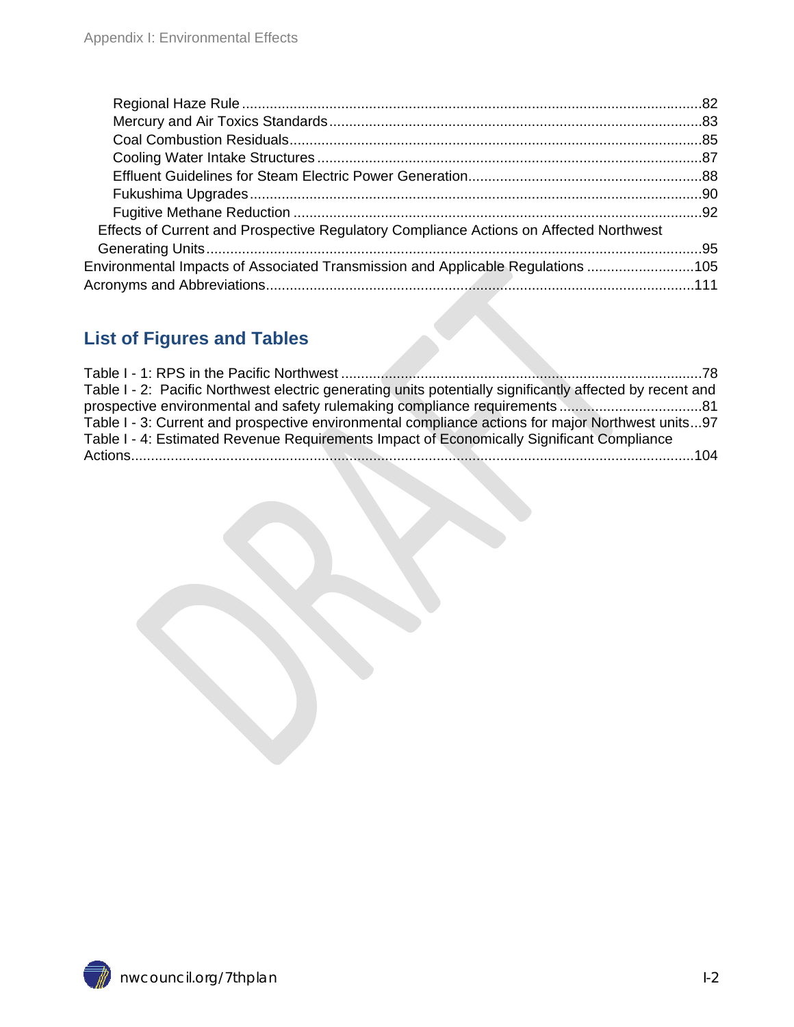| Effects of Current and Prospective Regulatory Compliance Actions on Affected Northwest |  |
|----------------------------------------------------------------------------------------|--|
|                                                                                        |  |
| Environmental Impacts of Associated Transmission and Applicable Regulations 105        |  |
|                                                                                        |  |
|                                                                                        |  |

#### **List of Figures and Tables**

| Table I - 2: Pacific Northwest electric generating units potentially significantly affected by recent and |  |
|-----------------------------------------------------------------------------------------------------------|--|
|                                                                                                           |  |
| Table I - 3: Current and prospective environmental compliance actions for major Northwest units97         |  |
| Table I - 4: Estimated Revenue Requirements Impact of Economically Significant Compliance                 |  |
|                                                                                                           |  |
|                                                                                                           |  |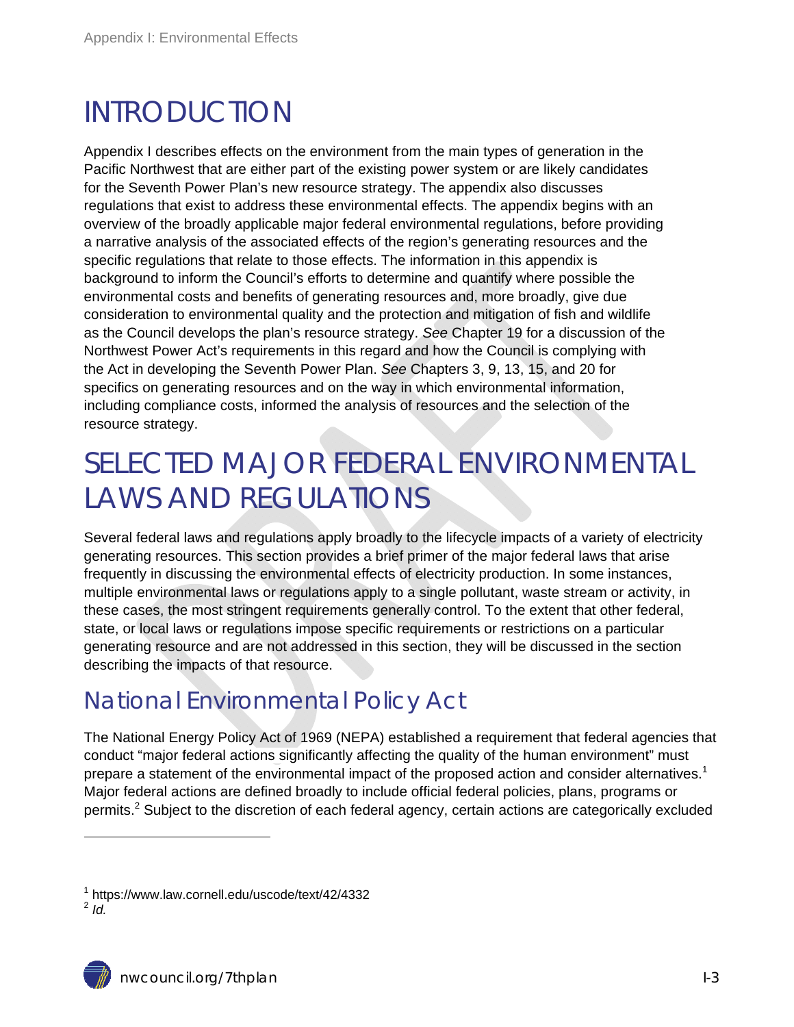## INTRODUCTION

Appendix I describes effects on the environment from the main types of generation in the Pacific Northwest that are either part of the existing power system or are likely candidates for the Seventh Power Plan's new resource strategy. The appendix also discusses regulations that exist to address these environmental effects. The appendix begins with an overview of the broadly applicable major federal environmental regulations, before providing a narrative analysis of the associated effects of the region's generating resources and the specific regulations that relate to those effects. The information in this appendix is background to inform the Council's efforts to determine and quantify where possible the environmental costs and benefits of generating resources and, more broadly, give due consideration to environmental quality and the protection and mitigation of fish and wildlife as the Council develops the plan's resource strategy. *See* Chapter 19 for a discussion of the Northwest Power Act's requirements in this regard and how the Council is complying with the Act in developing the Seventh Power Plan. *See* Chapters 3, 9, 13, 15, and 20 for specifics on generating resources and on the way in which environmental information, including compliance costs, informed the analysis of resources and the selection of the resource strategy.

## SELECTED MAJOR FEDERAL ENVIRONMENTAL LAWS AND REGULATIONS

Several federal laws and regulations apply broadly to the lifecycle impacts of a variety of electricity generating resources. This section provides a brief primer of the major federal laws that arise frequently in discussing the environmental effects of electricity production. In some instances, multiple environmental laws or regulations apply to a single pollutant, waste stream or activity, in these cases, the most stringent requirements generally control. To the extent that other federal, state, or local laws or regulations impose specific requirements or restrictions on a particular generating resource and are not addressed in this section, they will be discussed in the section describing the impacts of that resource.

### National Environmental Policy Act

The National Energy Policy Act of 1969 (NEPA) established a requirement that federal agencies that conduct "major federal actions significantly affecting the quality of the human environment" must prepare a statement of the environmental impact of the proposed action and consider alternatives.<sup>1</sup> Major federal actions are defined broadly to include official federal policies, plans, programs or permits.<sup>2</sup> Subject to the discretion of each federal agency, certain actions are categorically excluded

<sup>1</sup> https://www.law.cornell.edu/uscode/text/42/4332 <sup>2</sup> *Id.*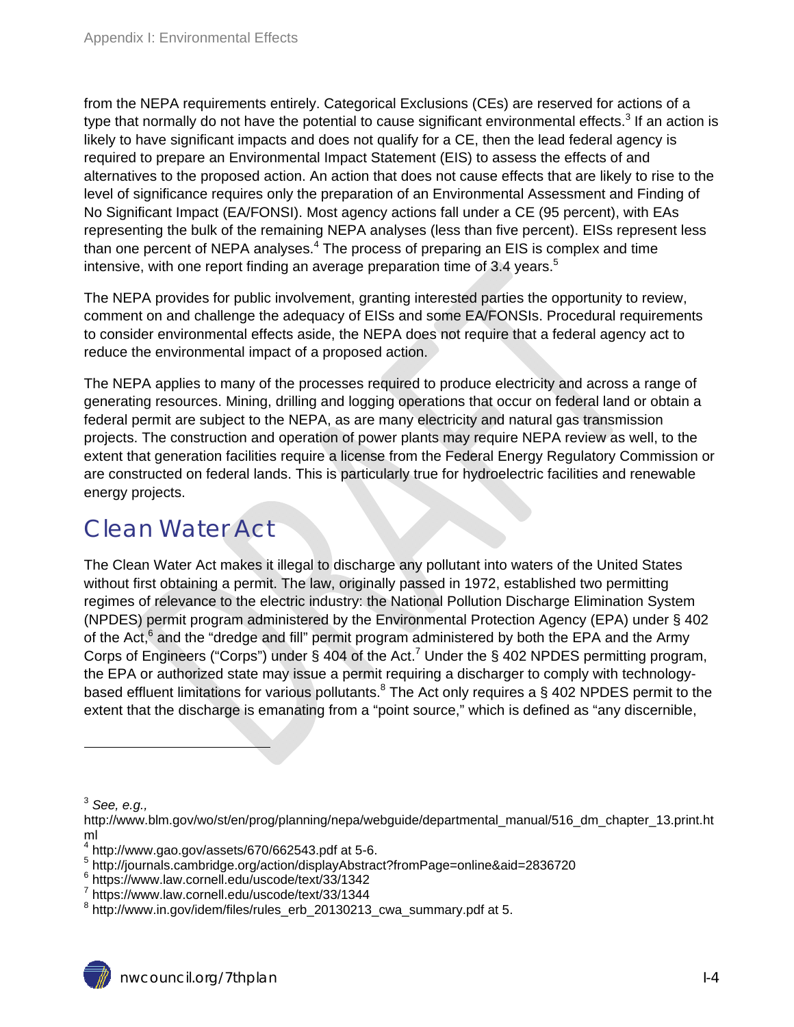from the NEPA requirements entirely. Categorical Exclusions (CEs) are reserved for actions of a type that normally do not have the potential to cause significant environmental effects.<sup>3</sup> If an action is likely to have significant impacts and does not qualify for a CE, then the lead federal agency is required to prepare an Environmental Impact Statement (EIS) to assess the effects of and alternatives to the proposed action. An action that does not cause effects that are likely to rise to the level of significance requires only the preparation of an Environmental Assessment and Finding of No Significant Impact (EA/FONSI). Most agency actions fall under a CE (95 percent), with EAs representing the bulk of the remaining NEPA analyses (less than five percent). EISs represent less than one percent of NEPA analyses. $4$  The process of preparing an EIS is complex and time intensive, with one report finding an average preparation time of 3.4 years.<sup>5</sup>

The NEPA provides for public involvement, granting interested parties the opportunity to review, comment on and challenge the adequacy of EISs and some EA/FONSIs. Procedural requirements to consider environmental effects aside, the NEPA does not require that a federal agency act to reduce the environmental impact of a proposed action.

The NEPA applies to many of the processes required to produce electricity and across a range of generating resources. Mining, drilling and logging operations that occur on federal land or obtain a federal permit are subject to the NEPA, as are many electricity and natural gas transmission projects. The construction and operation of power plants may require NEPA review as well, to the extent that generation facilities require a license from the Federal Energy Regulatory Commission or are constructed on federal lands. This is particularly true for hydroelectric facilities and renewable energy projects.

### Clean Water Act

The Clean Water Act makes it illegal to discharge any pollutant into waters of the United States without first obtaining a permit. The law, originally passed in 1972, established two permitting regimes of relevance to the electric industry: the National Pollution Discharge Elimination System (NPDES) permit program administered by the Environmental Protection Agency (EPA) under § 402 of the Act,<sup>6</sup> and the "dredge and fill" permit program administered by both the EPA and the Army Corps of Engineers ("Corps") under § 404 of the Act.<sup>7</sup> Under the § 402 NPDES permitting program, the EPA or authorized state may issue a permit requiring a discharger to comply with technologybased effluent limitations for various pollutants.<sup>8</sup> The Act only requires a § 402 NPDES permit to the extent that the discharge is emanating from a "point source," which is defined as "any discernible,

<sup>3</sup> *See, e.g.,* 

http://www.blm.gov/wo/st/en/prog/planning/nepa/webguide/departmental\_manual/516\_dm\_chapter\_13.print.ht

ml<br><sup>4</sup> http://www.gao.gov/assets/670/662543.pdf at 5-6.

<sup>5</sup> http://journals.cambridge.org/action/displayAbstract?fromPage=online&aid=2836720

<sup>&</sup>lt;sup>6</sup> https://www.law.cornell.edu/uscode/text/33/1342

 $7$  https://www.law.cornell.edu/uscode/text/33/1344

<sup>&</sup>lt;sup>8</sup> http://www.in.gov/idem/files/rules\_erb\_20130213\_cwa\_summary.pdf at 5.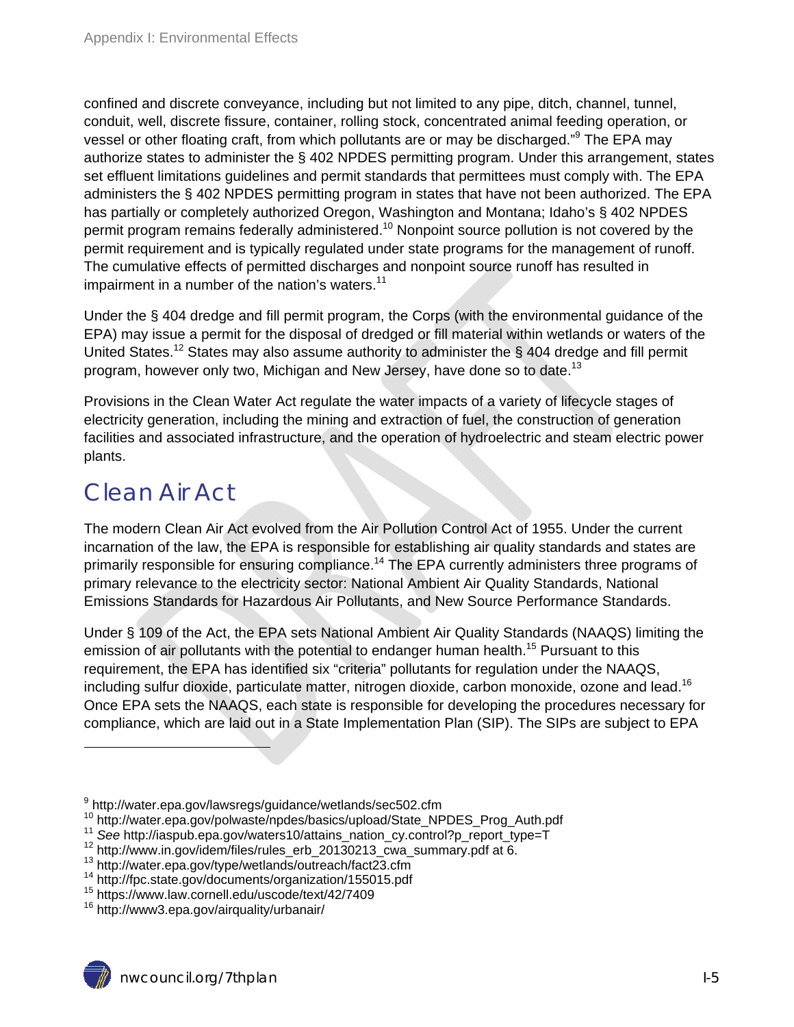confined and discrete conveyance, including but not limited to any pipe, ditch, channel, tunnel, conduit, well, discrete fissure, container, rolling stock, concentrated animal feeding operation, or vessel or other floating craft, from which pollutants are or may be discharged."<sup>9</sup> The EPA may authorize states to administer the § 402 NPDES permitting program. Under this arrangement, states set effluent limitations guidelines and permit standards that permittees must comply with. The EPA administers the § 402 NPDES permitting program in states that have not been authorized. The EPA has partially or completely authorized Oregon, Washington and Montana; Idaho's § 402 NPDES permit program remains federally administered.<sup>10</sup> Nonpoint source pollution is not covered by the permit requirement and is typically regulated under state programs for the management of runoff. The cumulative effects of permitted discharges and nonpoint source runoff has resulted in impairment in a number of the nation's waters. $11$ 

Under the § 404 dredge and fill permit program, the Corps (with the environmental guidance of the EPA) may issue a permit for the disposal of dredged or fill material within wetlands or waters of the United States.<sup>12</sup> States may also assume authority to administer the § 404 dredge and fill permit program, however only two, Michigan and New Jersey, have done so to date.<sup>13</sup>

Provisions in the Clean Water Act regulate the water impacts of a variety of lifecycle stages of electricity generation, including the mining and extraction of fuel, the construction of generation facilities and associated infrastructure, and the operation of hydroelectric and steam electric power plants.

#### Clean Air Act

The modern Clean Air Act evolved from the Air Pollution Control Act of 1955. Under the current incarnation of the law, the EPA is responsible for establishing air quality standards and states are primarily responsible for ensuring compliance.<sup>14</sup> The EPA currently administers three programs of primary relevance to the electricity sector: National Ambient Air Quality Standards, National Emissions Standards for Hazardous Air Pollutants, and New Source Performance Standards.

Under § 109 of the Act, the EPA sets National Ambient Air Quality Standards (NAAQS) limiting the emission of air pollutants with the potential to endanger human health.<sup>15</sup> Pursuant to this requirement, the EPA has identified six "criteria" pollutants for regulation under the NAAQS, including sulfur dioxide, particulate matter, nitrogen dioxide, carbon monoxide, ozone and lead.<sup>16</sup> Once EPA sets the NAAQS, each state is responsible for developing the procedures necessary for compliance, which are laid out in a State Implementation Plan (SIP). The SIPs are subject to EPA

<sup>&</sup>lt;sup>9</sup> http://water.epa.gov/lawsregs/guidance/wetlands/sec502.cfm

<sup>&</sup>lt;sup>10</sup> http://water.epa.gov/polwaste/npdes/basics/upload/State\_NPDES\_Prog\_Auth.pdf<br><sup>11</sup> See http://iaspub.epa.gov/waters10/attains\_nation\_cy.control?p\_report\_type=T<br><sup>12</sup> http://www.in.gov/idem/files/rules\_erb\_20130213\_cwa\_s

<sup>&</sup>lt;sup>14</sup> http://fpc.state.gov/documents/organization/155015.pdf<br><sup>15</sup> https://www.law.cornell.edu/uscode/text/42/7409

<sup>16</sup> http://www3.epa.gov/airquality/urbanair/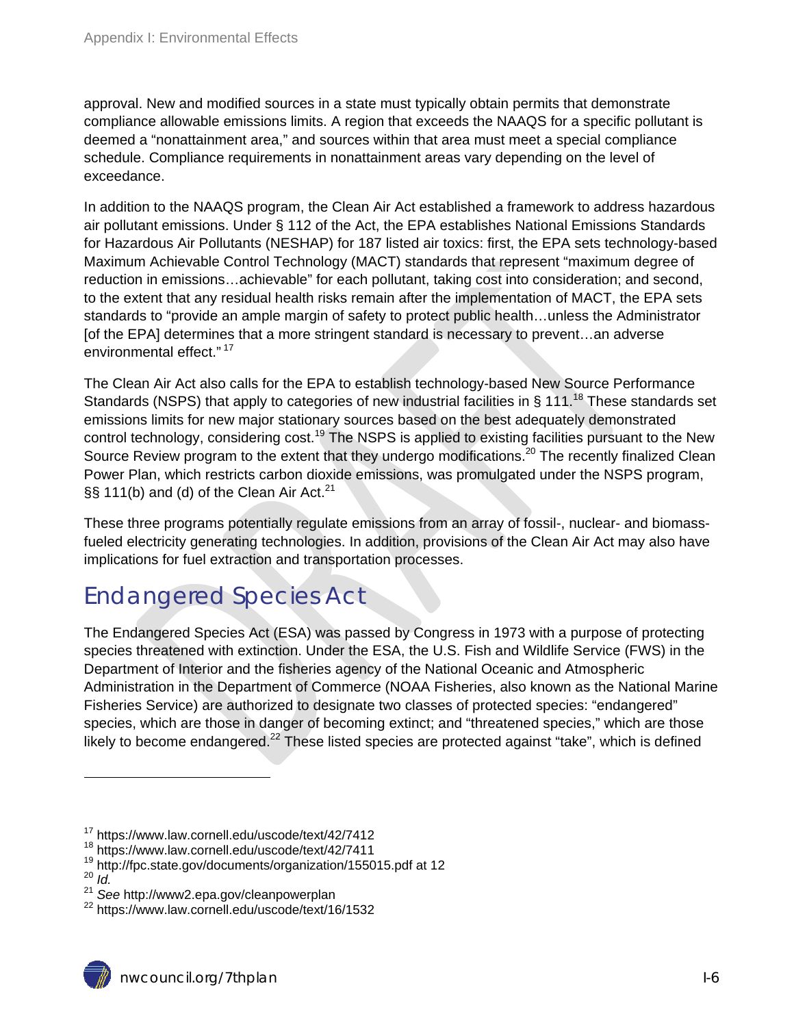approval. New and modified sources in a state must typically obtain permits that demonstrate compliance allowable emissions limits. A region that exceeds the NAAQS for a specific pollutant is deemed a "nonattainment area," and sources within that area must meet a special compliance schedule. Compliance requirements in nonattainment areas vary depending on the level of exceedance.

In addition to the NAAQS program, the Clean Air Act established a framework to address hazardous air pollutant emissions. Under § 112 of the Act, the EPA establishes National Emissions Standards for Hazardous Air Pollutants (NESHAP) for 187 listed air toxics: first, the EPA sets technology-based Maximum Achievable Control Technology (MACT) standards that represent "maximum degree of reduction in emissions…achievable" for each pollutant, taking cost into consideration; and second, to the extent that any residual health risks remain after the implementation of MACT, the EPA sets standards to "provide an ample margin of safety to protect public health…unless the Administrator [of the EPA] determines that a more stringent standard is necessary to prevent…an adverse environmental effect." 17

The Clean Air Act also calls for the EPA to establish technology-based New Source Performance Standards (NSPS) that apply to categories of new industrial facilities in § 111.<sup>18</sup> These standards set emissions limits for new major stationary sources based on the best adequately demonstrated control technology, considering cost.<sup>19</sup> The NSPS is applied to existing facilities pursuant to the New Source Review program to the extent that they undergo modifications.<sup>20</sup> The recently finalized Clean Power Plan, which restricts carbon dioxide emissions, was promulgated under the NSPS program, §§ 111(b) and (d) of the Clean Air Act. $21$ 

These three programs potentially regulate emissions from an array of fossil-, nuclear- and biomassfueled electricity generating technologies. In addition, provisions of the Clean Air Act may also have implications for fuel extraction and transportation processes.

### Endangered Species Act

The Endangered Species Act (ESA) was passed by Congress in 1973 with a purpose of protecting species threatened with extinction. Under the ESA, the U.S. Fish and Wildlife Service (FWS) in the Department of Interior and the fisheries agency of the National Oceanic and Atmospheric Administration in the Department of Commerce (NOAA Fisheries, also known as the National Marine Fisheries Service) are authorized to designate two classes of protected species: "endangered" species, which are those in danger of becoming extinct; and "threatened species," which are those likely to become endangered. $^{22}$  These listed species are protected against "take", which is defined

<sup>17</sup> https://www.law.cornell.edu/uscode/text/42/7412

<sup>18</sup> https://www.law.cornell.edu/uscode/text/42/7411

<sup>19</sup> http://fpc.state.gov/documents/organization/155015.pdf at 12<br><sup>20</sup> *Id* 

<sup>21&</sup>lt;br>
<sup>21</sup> See http://www2.epa.gov/cleanpowerplan<br>
<sup>22</sup> https://www.law.cornell.edu/uscode/text/16/1532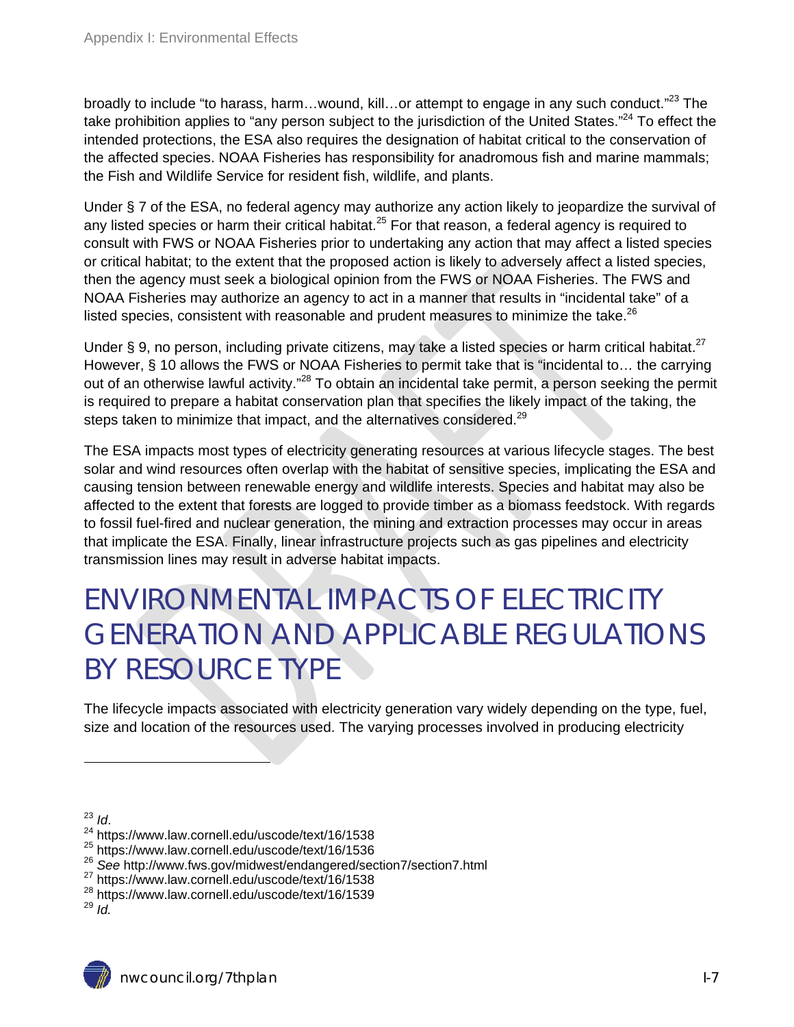broadly to include "to harass, harm...wound, kill...or attempt to engage in any such conduct."<sup>23</sup> The take prohibition applies to "any person subject to the jurisdiction of the United States."<sup>24</sup> To effect the intended protections, the ESA also requires the designation of habitat critical to the conservation of the affected species. NOAA Fisheries has responsibility for anadromous fish and marine mammals; the Fish and Wildlife Service for resident fish, wildlife, and plants.

Under § 7 of the ESA, no federal agency may authorize any action likely to jeopardize the survival of any listed species or harm their critical habitat.<sup>25</sup> For that reason, a federal agency is required to consult with FWS or NOAA Fisheries prior to undertaking any action that may affect a listed species or critical habitat; to the extent that the proposed action is likely to adversely affect a listed species, then the agency must seek a biological opinion from the FWS or NOAA Fisheries. The FWS and NOAA Fisheries may authorize an agency to act in a manner that results in "incidental take" of a listed species, consistent with reasonable and prudent measures to minimize the take. $^{26}$ 

Under § 9, no person, including private citizens, may take a listed species or harm critical habitat.<sup>27</sup> However, § 10 allows the FWS or NOAA Fisheries to permit take that is "incidental to… the carrying out of an otherwise lawful activity."<sup>28</sup> To obtain an incidental take permit, a person seeking the permit is required to prepare a habitat conservation plan that specifies the likely impact of the taking, the steps taken to minimize that impact, and the alternatives considered.<sup>29</sup>

The ESA impacts most types of electricity generating resources at various lifecycle stages. The best solar and wind resources often overlap with the habitat of sensitive species, implicating the ESA and causing tension between renewable energy and wildlife interests. Species and habitat may also be affected to the extent that forests are logged to provide timber as a biomass feedstock. With regards to fossil fuel-fired and nuclear generation, the mining and extraction processes may occur in areas that implicate the ESA. Finally, linear infrastructure projects such as gas pipelines and electricity transmission lines may result in adverse habitat impacts.

## ENVIRONMENTAL IMPACTS OF ELECTRICITY GENERATION AND APPLICABLE REGULATIONS BY RESOURCE TYPE

The lifecycle impacts associated with electricity generation vary widely depending on the type, fuel, size and location of the resources used. The varying processes involved in producing electricity

 $\overline{a}$ 

<sup>&</sup>lt;sup>23</sup> *Id.*<br><sup>24</sup> https://www.law.cornell.edu/uscode/text/16/1538

<sup>25</sup> https://www.law.cornell.edu/uscode/text/16/1536

<sup>26</sup> *See* http://www.fws.gov/midwest/endangered/section7/section7.html

<sup>27</sup> https://www.law.cornell.edu/uscode/text/16/1538

<sup>28</sup> https://www.law.cornell.edu/uscode/text/16/1539

 $29$  *Id.*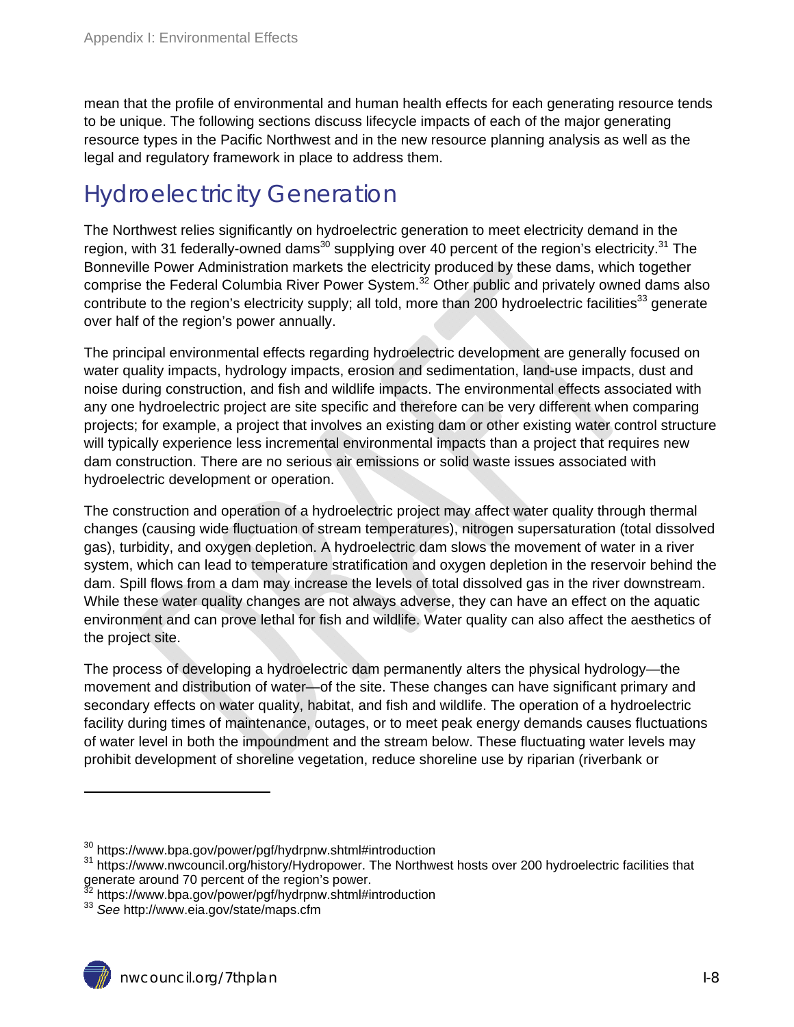mean that the profile of environmental and human health effects for each generating resource tends to be unique. The following sections discuss lifecycle impacts of each of the major generating resource types in the Pacific Northwest and in the new resource planning analysis as well as the legal and regulatory framework in place to address them.

### Hydroelectricity Generation

The Northwest relies significantly on hydroelectric generation to meet electricity demand in the region, with 31 federally-owned dams<sup>30</sup> supplying over 40 percent of the region's electricity.<sup>31</sup> The Bonneville Power Administration markets the electricity produced by these dams, which together comprise the Federal Columbia River Power System.<sup>32</sup> Other public and privately owned dams also contribute to the region's electricity supply; all told, more than 200 hydroelectric facilities<sup>33</sup> generate over half of the region's power annually.

The principal environmental effects regarding hydroelectric development are generally focused on water quality impacts, hydrology impacts, erosion and sedimentation, land-use impacts, dust and noise during construction, and fish and wildlife impacts. The environmental effects associated with any one hydroelectric project are site specific and therefore can be very different when comparing projects; for example, a project that involves an existing dam or other existing water control structure will typically experience less incremental environmental impacts than a project that requires new dam construction. There are no serious air emissions or solid waste issues associated with hydroelectric development or operation.

The construction and operation of a hydroelectric project may affect water quality through thermal changes (causing wide fluctuation of stream temperatures), nitrogen supersaturation (total dissolved gas), turbidity, and oxygen depletion. A hydroelectric dam slows the movement of water in a river system, which can lead to temperature stratification and oxygen depletion in the reservoir behind the dam. Spill flows from a dam may increase the levels of total dissolved gas in the river downstream. While these water quality changes are not always adverse, they can have an effect on the aquatic environment and can prove lethal for fish and wildlife. Water quality can also affect the aesthetics of the project site.

The process of developing a hydroelectric dam permanently alters the physical hydrology—the movement and distribution of water—of the site. These changes can have significant primary and secondary effects on water quality, habitat, and fish and wildlife. The operation of a hydroelectric facility during times of maintenance, outages, or to meet peak energy demands causes fluctuations of water level in both the impoundment and the stream below. These fluctuating water levels may prohibit development of shoreline vegetation, reduce shoreline use by riparian (riverbank or

<sup>&</sup>lt;sup>30</sup> https://www.bpa.gov/power/pgf/hydrpnw.shtml#introduction<br><sup>31</sup> https://www.nwcouncil.org/history/Hydropower. The Northwest hosts over 200 hydroelectric facilities that generate around 70 percent of the region's power.

<sup>32</sup> https://www.bpa.gov/power/pgf/hydrpnw.shtml#introduction 33 *See* http://www.eia.gov/state/maps.cfm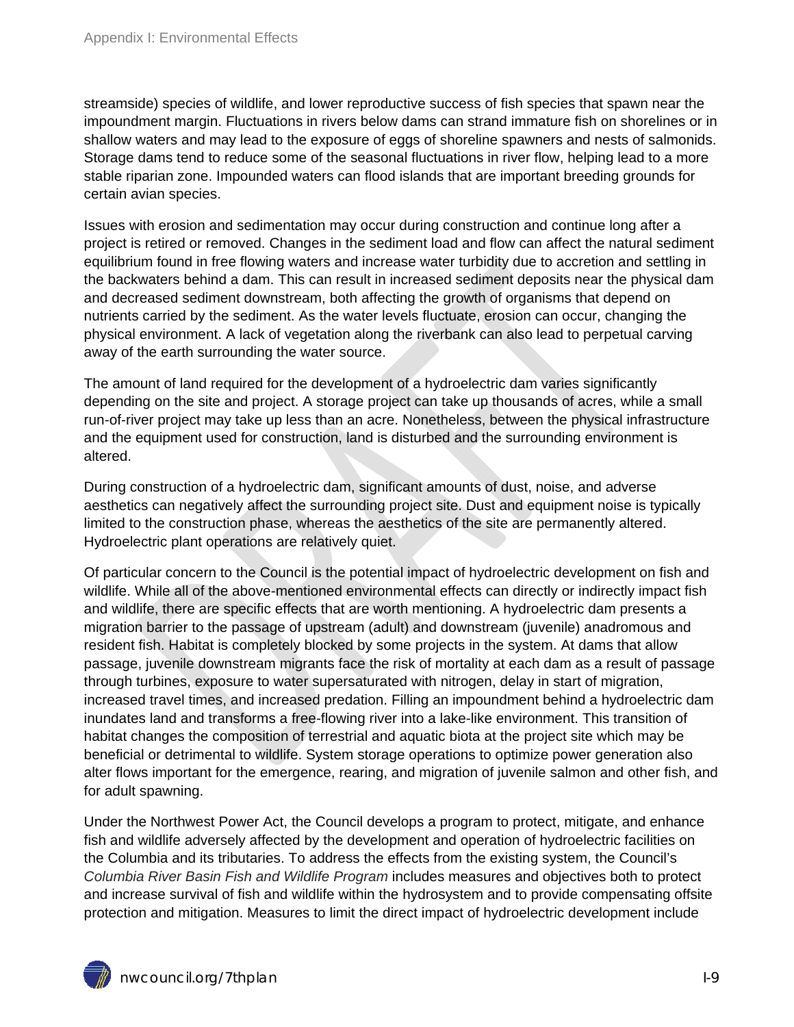streamside) species of wildlife, and lower reproductive success of fish species that spawn near the impoundment margin. Fluctuations in rivers below dams can strand immature fish on shorelines or in shallow waters and may lead to the exposure of eggs of shoreline spawners and nests of salmonids. Storage dams tend to reduce some of the seasonal fluctuations in river flow, helping lead to a more stable riparian zone. Impounded waters can flood islands that are important breeding grounds for certain avian species.

Issues with erosion and sedimentation may occur during construction and continue long after a project is retired or removed. Changes in the sediment load and flow can affect the natural sediment equilibrium found in free flowing waters and increase water turbidity due to accretion and settling in the backwaters behind a dam. This can result in increased sediment deposits near the physical dam and decreased sediment downstream, both affecting the growth of organisms that depend on nutrients carried by the sediment. As the water levels fluctuate, erosion can occur, changing the physical environment. A lack of vegetation along the riverbank can also lead to perpetual carving away of the earth surrounding the water source.

The amount of land required for the development of a hydroelectric dam varies significantly depending on the site and project. A storage project can take up thousands of acres, while a small run-of-river project may take up less than an acre. Nonetheless, between the physical infrastructure and the equipment used for construction, land is disturbed and the surrounding environment is altered.

During construction of a hydroelectric dam, significant amounts of dust, noise, and adverse aesthetics can negatively affect the surrounding project site. Dust and equipment noise is typically limited to the construction phase, whereas the aesthetics of the site are permanently altered. Hydroelectric plant operations are relatively quiet.

Of particular concern to the Council is the potential impact of hydroelectric development on fish and wildlife. While all of the above-mentioned environmental effects can directly or indirectly impact fish and wildlife, there are specific effects that are worth mentioning. A hydroelectric dam presents a migration barrier to the passage of upstream (adult) and downstream (juvenile) anadromous and resident fish. Habitat is completely blocked by some projects in the system. At dams that allow passage, juvenile downstream migrants face the risk of mortality at each dam as a result of passage through turbines, exposure to water supersaturated with nitrogen, delay in start of migration, increased travel times, and increased predation. Filling an impoundment behind a hydroelectric dam inundates land and transforms a free-flowing river into a lake-like environment. This transition of habitat changes the composition of terrestrial and aquatic biota at the project site which may be beneficial or detrimental to wildlife. System storage operations to optimize power generation also alter flows important for the emergence, rearing, and migration of juvenile salmon and other fish, and for adult spawning.

Under the Northwest Power Act, the Council develops a program to protect, mitigate, and enhance fish and wildlife adversely affected by the development and operation of hydroelectric facilities on the Columbia and its tributaries. To address the effects from the existing system, the Council's *Columbia River Basin Fish and Wildlife Program* includes measures and objectives both to protect and increase survival of fish and wildlife within the hydrosystem and to provide compensating offsite protection and mitigation. Measures to limit the direct impact of hydroelectric development include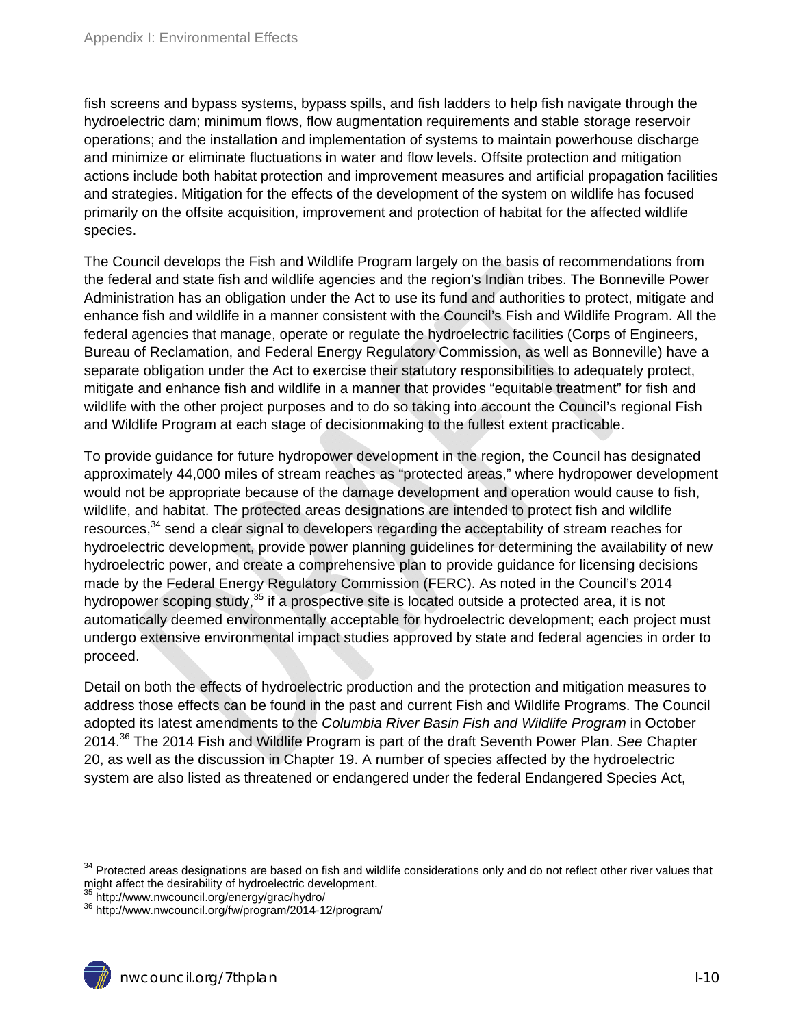fish screens and bypass systems, bypass spills, and fish ladders to help fish navigate through the hydroelectric dam; minimum flows, flow augmentation requirements and stable storage reservoir operations; and the installation and implementation of systems to maintain powerhouse discharge and minimize or eliminate fluctuations in water and flow levels. Offsite protection and mitigation actions include both habitat protection and improvement measures and artificial propagation facilities and strategies. Mitigation for the effects of the development of the system on wildlife has focused primarily on the offsite acquisition, improvement and protection of habitat for the affected wildlife species.

The Council develops the Fish and Wildlife Program largely on the basis of recommendations from the federal and state fish and wildlife agencies and the region's Indian tribes. The Bonneville Power Administration has an obligation under the Act to use its fund and authorities to protect, mitigate and enhance fish and wildlife in a manner consistent with the Council's Fish and Wildlife Program. All the federal agencies that manage, operate or regulate the hydroelectric facilities (Corps of Engineers, Bureau of Reclamation, and Federal Energy Regulatory Commission, as well as Bonneville) have a separate obligation under the Act to exercise their statutory responsibilities to adequately protect, mitigate and enhance fish and wildlife in a manner that provides "equitable treatment" for fish and wildlife with the other project purposes and to do so taking into account the Council's regional Fish and Wildlife Program at each stage of decisionmaking to the fullest extent practicable.

To provide guidance for future hydropower development in the region, the Council has designated approximately 44,000 miles of stream reaches as "protected areas," where hydropower development would not be appropriate because of the damage development and operation would cause to fish, wildlife, and habitat. The protected areas designations are intended to protect fish and wildlife resources.<sup>34</sup> send a clear signal to developers regarding the acceptability of stream reaches for hydroelectric development, provide power planning guidelines for determining the availability of new hydroelectric power, and create a comprehensive plan to provide guidance for licensing decisions made by the Federal Energy Regulatory Commission (FERC). As noted in the Council's 2014 hydropower scoping study,<sup>35</sup> if a prospective site is located outside a protected area, it is not automatically deemed environmentally acceptable for hydroelectric development; each project must undergo extensive environmental impact studies approved by state and federal agencies in order to proceed.

Detail on both the effects of hydroelectric production and the protection and mitigation measures to address those effects can be found in the past and current Fish and Wildlife Programs. The Council adopted its latest amendments to the *Columbia River Basin Fish and Wildlife Program* in October 2014.36 The 2014 Fish and Wildlife Program is part of the draft Seventh Power Plan. *See* Chapter 20, as well as the discussion in Chapter 19. A number of species affected by the hydroelectric system are also listed as threatened or endangered under the federal Endangered Species Act,

<sup>&</sup>lt;sup>34</sup> Protected areas designations are based on fish and wildlife considerations only and do not reflect other river values that might affect the desirability of hydroelectric development.

<sup>&</sup>lt;sup>35</sup> http://www.nwcouncil.org/energy/grac/hydro/<br><sup>36</sup> http://www.nwcouncil.org/fw/program/2014-12/program/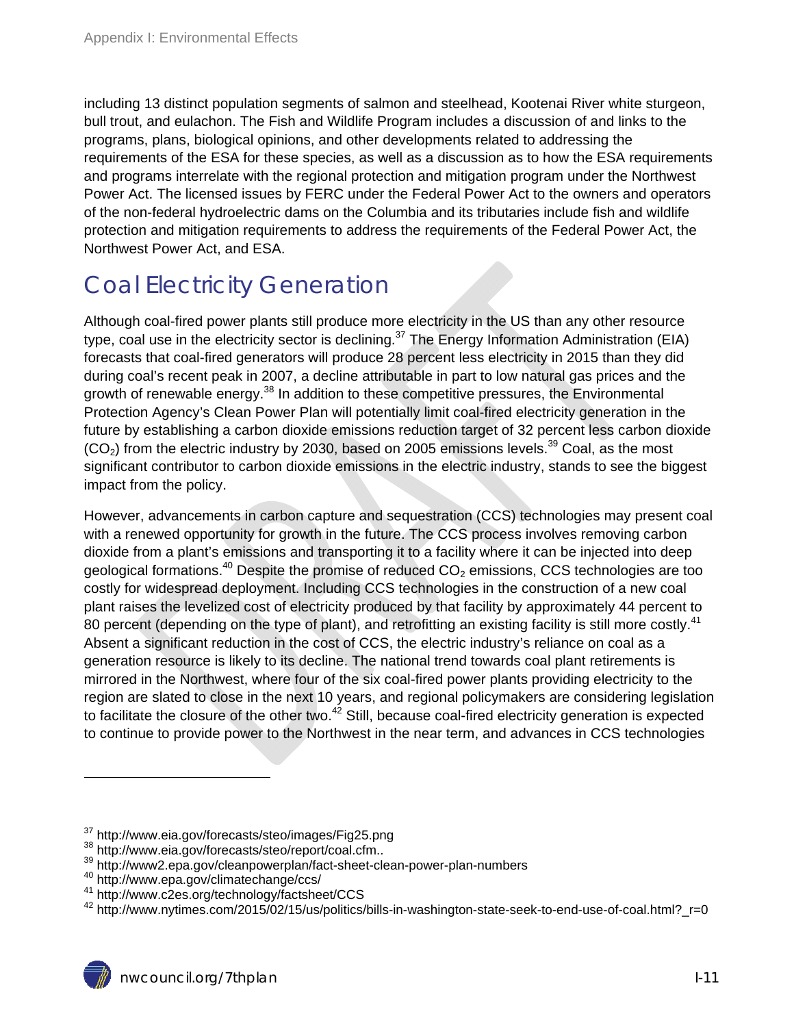including 13 distinct population segments of salmon and steelhead, Kootenai River white sturgeon, bull trout, and eulachon. The Fish and Wildlife Program includes a discussion of and links to the programs, plans, biological opinions, and other developments related to addressing the requirements of the ESA for these species, as well as a discussion as to how the ESA requirements and programs interrelate with the regional protection and mitigation program under the Northwest Power Act. The licensed issues by FERC under the Federal Power Act to the owners and operators of the non-federal hydroelectric dams on the Columbia and its tributaries include fish and wildlife protection and mitigation requirements to address the requirements of the Federal Power Act, the Northwest Power Act, and ESA.

### Coal Electricity Generation

Although coal-fired power plants still produce more electricity in the US than any other resource type, coal use in the electricity sector is declining.<sup>37</sup> The Energy Information Administration (EIA) forecasts that coal-fired generators will produce 28 percent less electricity in 2015 than they did during coal's recent peak in 2007, a decline attributable in part to low natural gas prices and the growth of renewable energy.<sup>38</sup> In addition to these competitive pressures, the Environmental Protection Agency's Clean Power Plan will potentially limit coal-fired electricity generation in the future by establishing a carbon dioxide emissions reduction target of 32 percent less carbon dioxide  $(CO<sub>2</sub>)$  from the electric industry by 2030, based on 2005 emissions levels.<sup>39</sup> Coal, as the most significant contributor to carbon dioxide emissions in the electric industry, stands to see the biggest impact from the policy.

However, advancements in carbon capture and sequestration (CCS) technologies may present coal with a renewed opportunity for growth in the future. The CCS process involves removing carbon dioxide from a plant's emissions and transporting it to a facility where it can be injected into deep geological formations.<sup>40</sup> Despite the promise of reduced  $CO<sub>2</sub>$  emissions, CCS technologies are too costly for widespread deployment. Including CCS technologies in the construction of a new coal plant raises the levelized cost of electricity produced by that facility by approximately 44 percent to 80 percent (depending on the type of plant), and retrofitting an existing facility is still more costly.<sup>41</sup> Absent a significant reduction in the cost of CCS, the electric industry's reliance on coal as a generation resource is likely to its decline. The national trend towards coal plant retirements is mirrored in the Northwest, where four of the six coal-fired power plants providing electricity to the region are slated to close in the next 10 years, and regional policymakers are considering legislation to facilitate the closure of the other two.<sup>42</sup> Still, because coal-fired electricity generation is expected to continue to provide power to the Northwest in the near term, and advances in CCS technologies

<sup>&</sup>lt;sup>37</sup> http://www.eia.gov/forecasts/steo/images/Fig25.png<br><sup>38</sup> http://www.eia.gov/forecasts/steo/report/coal.cfm..<br><sup>39</sup> http://www2.epa.gov/cleanpowerplan/fact-sheet-clean-power-plan-numbers<br><sup>40</sup> http://www.epa.gov/climatec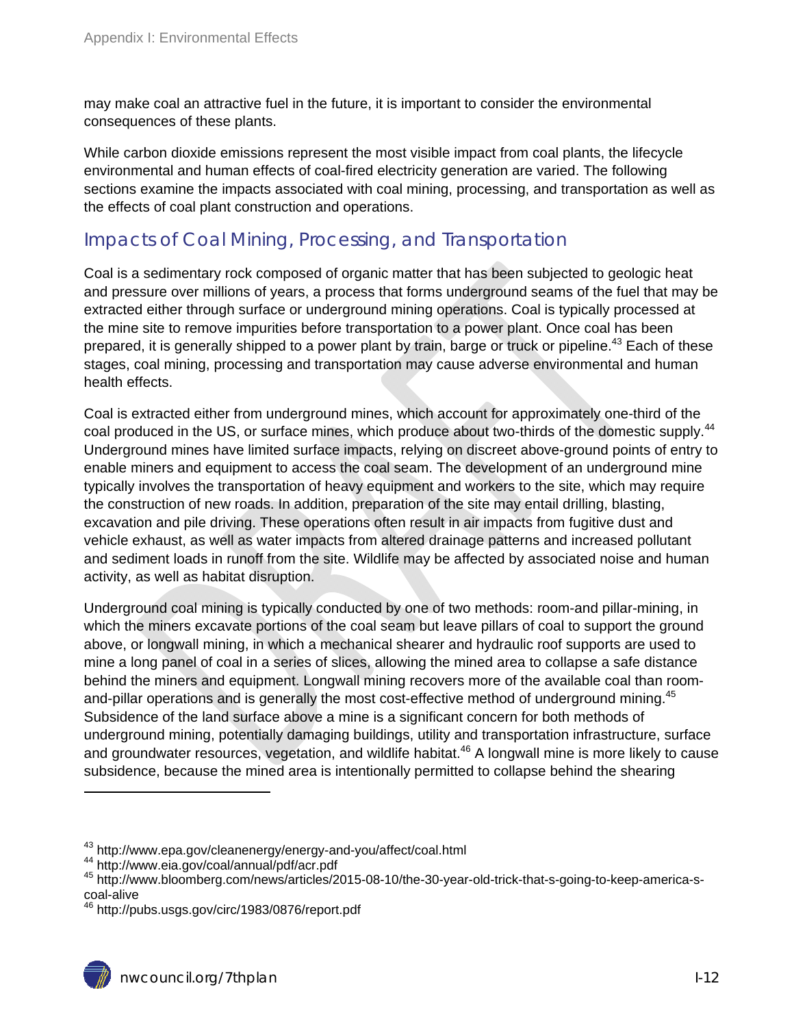may make coal an attractive fuel in the future, it is important to consider the environmental consequences of these plants.

While carbon dioxide emissions represent the most visible impact from coal plants, the lifecycle environmental and human effects of coal-fired electricity generation are varied. The following sections examine the impacts associated with coal mining, processing, and transportation as well as the effects of coal plant construction and operations.

#### Impacts of Coal Mining, Processing, and Transportation

Coal is a sedimentary rock composed of organic matter that has been subjected to geologic heat and pressure over millions of years, a process that forms underground seams of the fuel that may be extracted either through surface or underground mining operations. Coal is typically processed at the mine site to remove impurities before transportation to a power plant. Once coal has been prepared, it is generally shipped to a power plant by train, barge or truck or pipeline.<sup>43</sup> Each of these stages, coal mining, processing and transportation may cause adverse environmental and human health effects.

Coal is extracted either from underground mines, which account for approximately one-third of the coal produced in the US, or surface mines, which produce about two-thirds of the domestic supply.<sup>44</sup> Underground mines have limited surface impacts, relying on discreet above-ground points of entry to enable miners and equipment to access the coal seam. The development of an underground mine typically involves the transportation of heavy equipment and workers to the site, which may require the construction of new roads. In addition, preparation of the site may entail drilling, blasting, excavation and pile driving. These operations often result in air impacts from fugitive dust and vehicle exhaust, as well as water impacts from altered drainage patterns and increased pollutant and sediment loads in runoff from the site. Wildlife may be affected by associated noise and human activity, as well as habitat disruption.

Underground coal mining is typically conducted by one of two methods: room-and pillar-mining, in which the miners excavate portions of the coal seam but leave pillars of coal to support the ground above, or longwall mining, in which a mechanical shearer and hydraulic roof supports are used to mine a long panel of coal in a series of slices, allowing the mined area to collapse a safe distance behind the miners and equipment. Longwall mining recovers more of the available coal than roomand-pillar operations and is generally the most cost-effective method of underground mining.<sup>45</sup> Subsidence of the land surface above a mine is a significant concern for both methods of underground mining, potentially damaging buildings, utility and transportation infrastructure, surface and groundwater resources, vegetation, and wildlife habitat.<sup>46</sup> A longwall mine is more likely to cause subsidence, because the mined area is intentionally permitted to collapse behind the shearing

<sup>&</sup>lt;sup>43</sup> http://www.epa.gov/cleanenergy/energy-and-you/affect/coal.html<br><sup>44</sup> http://www.eia.gov/coal/annual/pdf/acr.pdf<br><sup>45</sup> http://www.bloomberg.com/news/articles/2015-08-10/the-30-year-old-trick-that-s-going-to-keep-america coal-alive

<sup>46</sup> http://pubs.usgs.gov/circ/1983/0876/report.pdf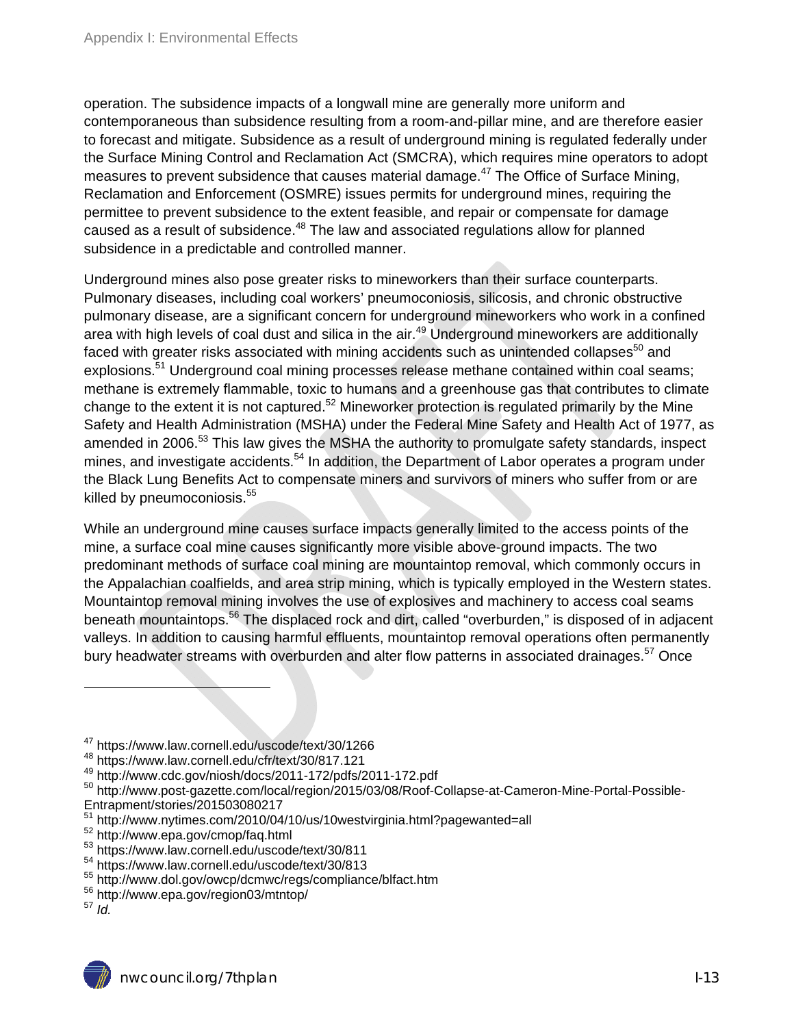operation. The subsidence impacts of a longwall mine are generally more uniform and contemporaneous than subsidence resulting from a room-and-pillar mine, and are therefore easier to forecast and mitigate. Subsidence as a result of underground mining is regulated federally under the Surface Mining Control and Reclamation Act (SMCRA), which requires mine operators to adopt measures to prevent subsidence that causes material damage.<sup>47</sup> The Office of Surface Mining, Reclamation and Enforcement (OSMRE) issues permits for underground mines, requiring the permittee to prevent subsidence to the extent feasible, and repair or compensate for damage caused as a result of subsidence.<sup>48</sup> The law and associated regulations allow for planned subsidence in a predictable and controlled manner.

Underground mines also pose greater risks to mineworkers than their surface counterparts. Pulmonary diseases, including coal workers' pneumoconiosis, silicosis, and chronic obstructive pulmonary disease, are a significant concern for underground mineworkers who work in a confined area with high levels of coal dust and silica in the air.<sup>49</sup> Underground mineworkers are additionally faced with greater risks associated with mining accidents such as unintended collapses<sup>50</sup> and explosions.<sup>51</sup> Underground coal mining processes release methane contained within coal seams; methane is extremely flammable, toxic to humans and a greenhouse gas that contributes to climate change to the extent it is not captured.<sup>52</sup> Mineworker protection is regulated primarily by the Mine Safety and Health Administration (MSHA) under the Federal Mine Safety and Health Act of 1977, as amended in 2006.<sup>53</sup> This law gives the MSHA the authority to promulgate safety standards, inspect mines, and investigate accidents.<sup>54</sup> In addition, the Department of Labor operates a program under the Black Lung Benefits Act to compensate miners and survivors of miners who suffer from or are killed by pneumoconiosis. $55$ 

While an underground mine causes surface impacts generally limited to the access points of the mine, a surface coal mine causes significantly more visible above-ground impacts. The two predominant methods of surface coal mining are mountaintop removal, which commonly occurs in the Appalachian coalfields, and area strip mining, which is typically employed in the Western states. Mountaintop removal mining involves the use of explosives and machinery to access coal seams beneath mountaintops.<sup>56</sup> The displaced rock and dirt, called "overburden," is disposed of in adjacent valleys. In addition to causing harmful effluents, mountaintop removal operations often permanently bury headwater streams with overburden and alter flow patterns in associated drainages.<sup>57</sup> Once

<sup>47</sup> https://www.law.cornell.edu/uscode/text/30/1266

<sup>48</sup> https://www.law.cornell.edu/cfr/text/30/817.121<br>49 http://www.cdc.gov/niosh/docs/2011-172/pdfs/2011-172.pdf

<sup>50</sup> http://www.post-gazette.com/local/region/2015/03/08/Roof-Collapse-at-Cameron-Mine-Portal-Possible-Entrapment/stories/201503080217

<sup>&</sup>lt;sup>51</sup> http://www.nytimes.com/2010/04/10/us/10westvirginia.html?pagewanted=all<br><sup>52</sup> http://www.epa.gov/cmop/faq.html<br><sup>53</sup> https://www.law.cornell.edu/uscode/text/30/811<br><sup>54</sup> https://www.law.cornell.edu/uscode/text/30/813<br><sup>5</sup>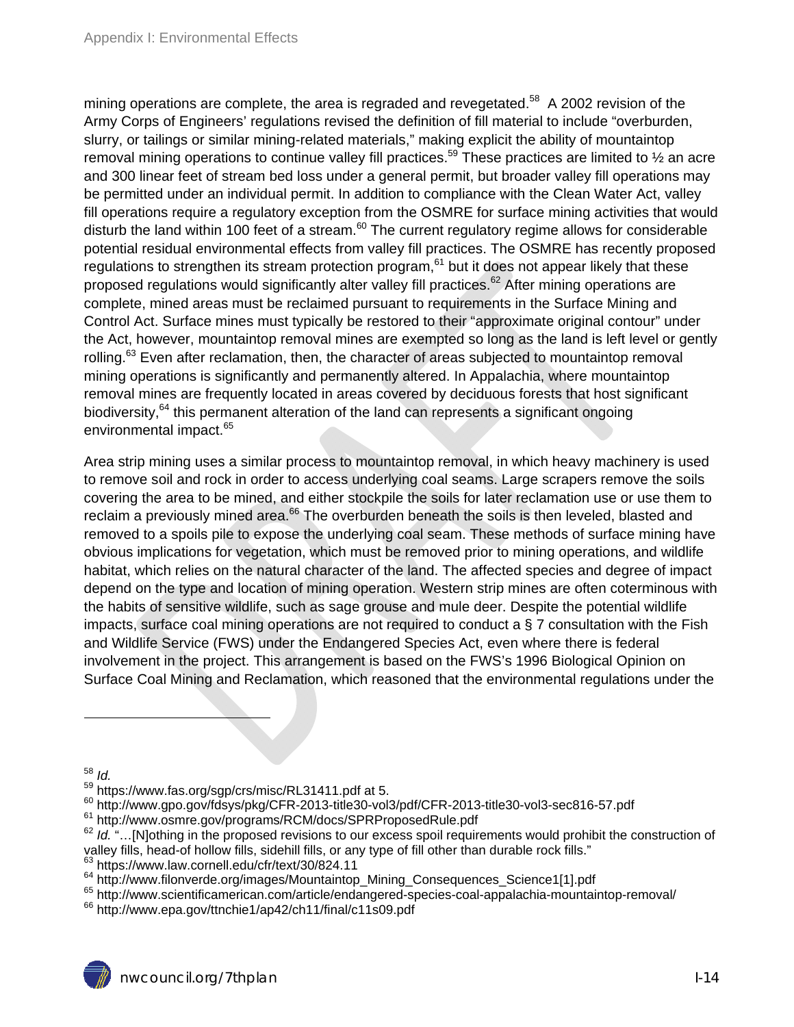mining operations are complete, the area is regraded and revegetated.<sup>58</sup> A 2002 revision of the Army Corps of Engineers' regulations revised the definition of fill material to include "overburden, slurry, or tailings or similar mining-related materials," making explicit the ability of mountaintop removal mining operations to continue valley fill practices.<sup>59</sup> These practices are limited to 1/2 an acre and 300 linear feet of stream bed loss under a general permit, but broader valley fill operations may be permitted under an individual permit. In addition to compliance with the Clean Water Act, valley fill operations require a regulatory exception from the OSMRE for surface mining activities that would disturb the land within 100 feet of a stream. $60$  The current regulatory regime allows for considerable potential residual environmental effects from valley fill practices. The OSMRE has recently proposed regulations to strengthen its stream protection program,<sup>61</sup> but it does not appear likely that these proposed regulations would significantly alter valley fill practices.<sup>62</sup> After mining operations are complete, mined areas must be reclaimed pursuant to requirements in the Surface Mining and Control Act. Surface mines must typically be restored to their "approximate original contour" under the Act, however, mountaintop removal mines are exempted so long as the land is left level or gently rolling.<sup>63</sup> Even after reclamation, then, the character of areas subjected to mountaintop removal mining operations is significantly and permanently altered. In Appalachia, where mountaintop removal mines are frequently located in areas covered by deciduous forests that host significant biodiversity,  $64$  this permanent alteration of the land can represents a significant ongoing environmental impact.<sup>65</sup>

Area strip mining uses a similar process to mountaintop removal, in which heavy machinery is used to remove soil and rock in order to access underlying coal seams. Large scrapers remove the soils covering the area to be mined, and either stockpile the soils for later reclamation use or use them to reclaim a previously mined area.<sup>66</sup> The overburden beneath the soils is then leveled, blasted and removed to a spoils pile to expose the underlying coal seam. These methods of surface mining have obvious implications for vegetation, which must be removed prior to mining operations, and wildlife habitat, which relies on the natural character of the land. The affected species and degree of impact depend on the type and location of mining operation. Western strip mines are often coterminous with the habits of sensitive wildlife, such as sage grouse and mule deer. Despite the potential wildlife impacts, surface coal mining operations are not required to conduct a § 7 consultation with the Fish and Wildlife Service (FWS) under the Endangered Species Act, even where there is federal involvement in the project. This arrangement is based on the FWS's 1996 Biological Opinion on Surface Coal Mining and Reclamation, which reasoned that the environmental regulations under the

 $\overline{a}$ 

<sup>&</sup>lt;sup>58</sup> *Id.*<br><sup>59</sup> https://www.fas.org/sgp/crs/misc/RL31411.pdf at 5.

 $^{60}$  http://www.gpo.gov/fdsys/pkg/CFR-2013-title30-vol3/pdf/CFR-2013-title30-vol3-sec816-57.pdf<br> $^{61}$  http://www.osmre.gov/programs/RCM/docs/SPRProposedRule.pdf<br> $^{62}$  *ld.* "...[N]othing in the proposed revisions to o valley fills, head-of hollow fills, sidehill fills, or any type of fill other than durable rock fills."

 $^{63}$  https://www.law.cornell.edu/cfr/text/30/824.11<br> $^{64}$  http://www.filonverde.org/images/Mountaintop\_Mining\_Consequences\_Science1[1].pdf

<sup>65</sup> http://www.scientificamerican.com/article/endangered-species-coal-appalachia-mountaintop-removal/<br><sup>66</sup> http://www.epa.gov/ttnchie1/ap42/ch11/final/c11s09.pdf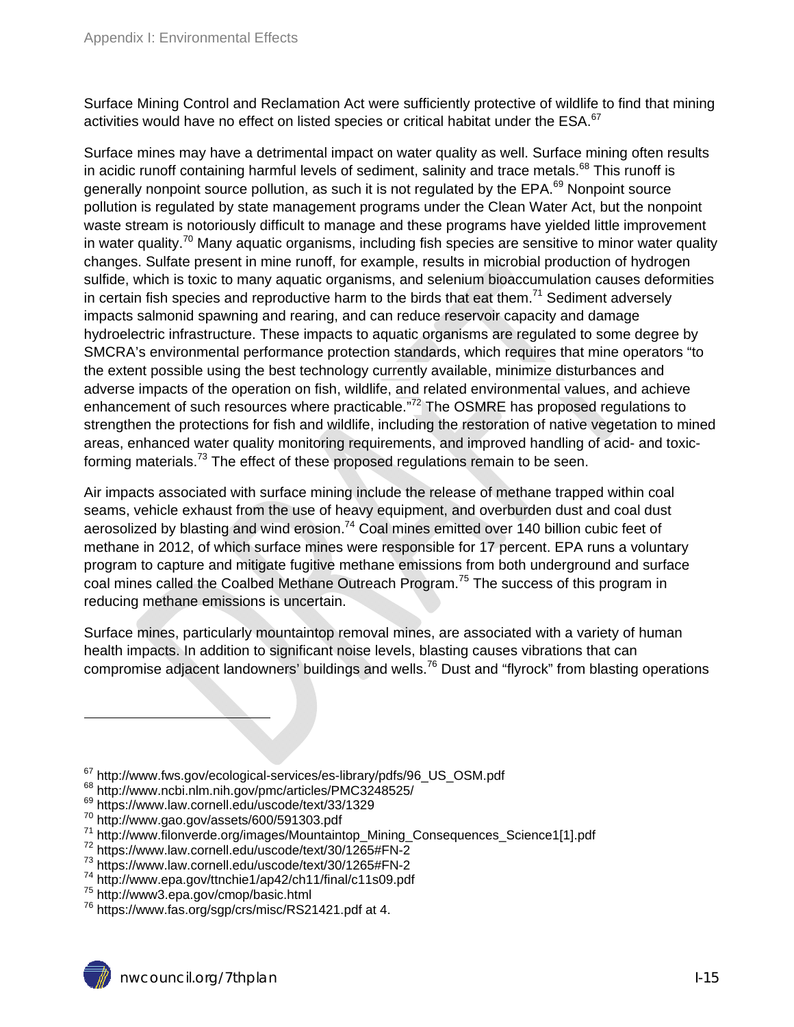Surface Mining Control and Reclamation Act were sufficiently protective of wildlife to find that mining activities would have no effect on listed species or critical habitat under the ESA.<sup>67</sup>

Surface mines may have a detrimental impact on water quality as well. Surface mining often results in acidic runoff containing harmful levels of sediment, salinity and trace metals. $68$  This runoff is generally nonpoint source pollution, as such it is not regulated by the EPA.<sup>69</sup> Nonpoint source pollution is regulated by state management programs under the Clean Water Act, but the nonpoint waste stream is notoriously difficult to manage and these programs have yielded little improvement in water quality.<sup>70</sup> Many aquatic organisms, including fish species are sensitive to minor water quality changes. Sulfate present in mine runoff, for example, results in microbial production of hydrogen sulfide, which is toxic to many aquatic organisms, and selenium bioaccumulation causes deformities in certain fish species and reproductive harm to the birds that eat them.<sup>71</sup> Sediment adversely impacts salmonid spawning and rearing, and can reduce reservoir capacity and damage hydroelectric infrastructure. These impacts to aquatic organisms are regulated to some degree by SMCRA's environmental performance protection standards, which requires that mine operators "to the extent possible using the best technology currently available, minimize disturbances and adverse impacts of the operation on fish, wildlife, and related environmental values, and achieve enhancement of such resources where practicable."<sup>72</sup> The OSMRE has proposed regulations to strengthen the protections for fish and wildlife, including the restoration of native vegetation to mined areas, enhanced water quality monitoring requirements, and improved handling of acid- and toxicforming materials.<sup>73</sup> The effect of these proposed regulations remain to be seen.

Air impacts associated with surface mining include the release of methane trapped within coal seams, vehicle exhaust from the use of heavy equipment, and overburden dust and coal dust aerosolized by blasting and wind erosion.<sup>74</sup> Coal mines emitted over 140 billion cubic feet of methane in 2012, of which surface mines were responsible for 17 percent. EPA runs a voluntary program to capture and mitigate fugitive methane emissions from both underground and surface coal mines called the Coalbed Methane Outreach Program.<sup>75</sup> The success of this program in reducing methane emissions is uncertain.

Surface mines, particularly mountaintop removal mines, are associated with a variety of human health impacts. In addition to significant noise levels, blasting causes vibrations that can compromise adjacent landowners' buildings and wells.76 Dust and "flyrock" from blasting operations

 $\overline{a}$ 

<sup>&</sup>lt;sup>67</sup> http://www.fws.gov/ecological-services/es-library/pdfs/96\_US\_OSM.pdf<br><sup>68</sup> http://www.ncbi.nlm.nih.gov/pmc/articles/PMC3248525/<br><sup>69</sup> https://www.law.cornell.edu/uscode/text/33/1329<br><sup>70</sup> http://www.gao.gov/assets/600/5

 $^{71}$  http://www.filonverde.org/images/Mountaintop\_Mining\_Consequences\_Science1[1].pdf  $^{72}$  https://www.law.cornell.edu/uscode/text/30/1265#FN-2

<sup>73</sup> https://www.law.cornell.edu/uscode/text/30/1265#FN-2

 $74 \text{ http://www.epa.gov/ttnchie1/ap42/ch11/final/c11s09.pdf}$ <br> $75 \text{ http://www3.epa.gov/cmop/basic.html}$ 

 $76$  https://www.fas.org/sgp/crs/misc/RS21421.pdf at 4.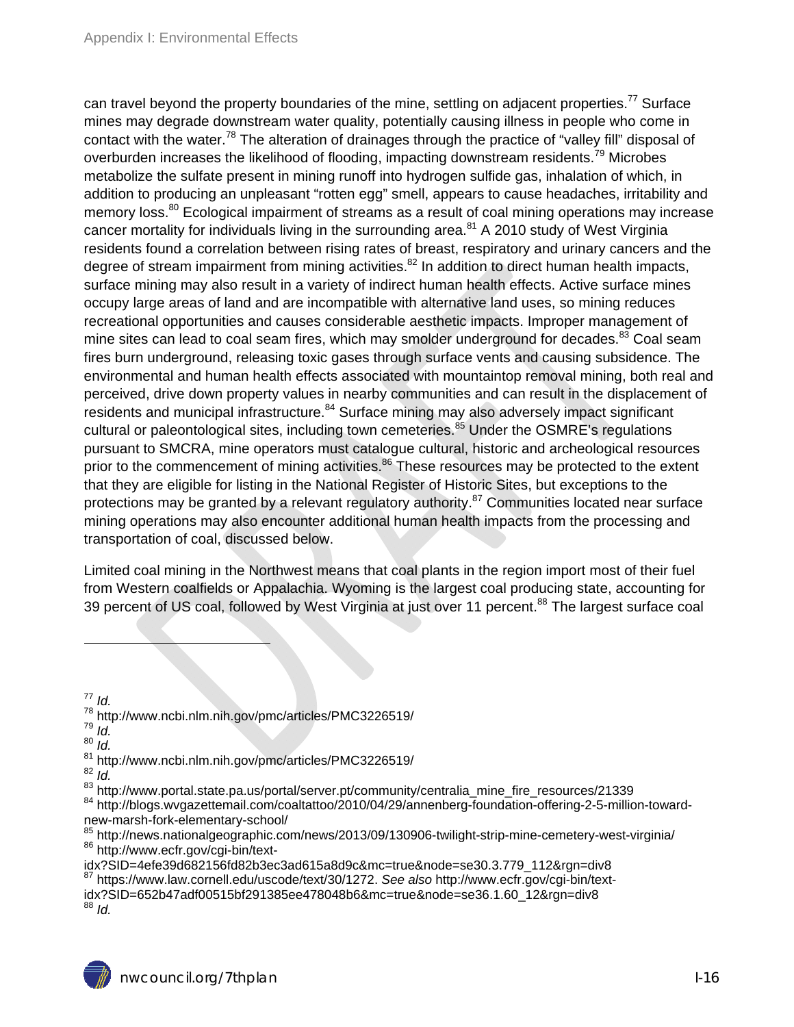can travel beyond the property boundaries of the mine, settling on adjacent properties.<sup>77</sup> Surface mines may degrade downstream water quality, potentially causing illness in people who come in contact with the water.<sup>78</sup> The alteration of drainages through the practice of "valley fill" disposal of overburden increases the likelihood of flooding, impacting downstream residents.<sup>79</sup> Microbes metabolize the sulfate present in mining runoff into hydrogen sulfide gas, inhalation of which, in addition to producing an unpleasant "rotten egg" smell, appears to cause headaches, irritability and memory loss.<sup>80</sup> Ecological impairment of streams as a result of coal mining operations may increase cancer mortality for individuals living in the surrounding area.<sup>81</sup> A 2010 study of West Virginia residents found a correlation between rising rates of breast, respiratory and urinary cancers and the degree of stream impairment from mining activities.<sup>82</sup> In addition to direct human health impacts, surface mining may also result in a variety of indirect human health effects. Active surface mines occupy large areas of land and are incompatible with alternative land uses, so mining reduces recreational opportunities and causes considerable aesthetic impacts. Improper management of mine sites can lead to coal seam fires, which may smolder underground for decades.<sup>83</sup> Coal seam fires burn underground, releasing toxic gases through surface vents and causing subsidence. The environmental and human health effects associated with mountaintop removal mining, both real and perceived, drive down property values in nearby communities and can result in the displacement of residents and municipal infrastructure.<sup>84</sup> Surface mining may also adversely impact significant cultural or paleontological sites, including town cemeteries.<sup>85</sup> Under the OSMRE's regulations pursuant to SMCRA, mine operators must catalogue cultural, historic and archeological resources prior to the commencement of mining activities.<sup>86</sup> These resources may be protected to the extent that they are eligible for listing in the National Register of Historic Sites, but exceptions to the protections may be granted by a relevant regulatory authority. $87$  Communities located near surface mining operations may also encounter additional human health impacts from the processing and transportation of coal, discussed below.

Limited coal mining in the Northwest means that coal plants in the region import most of their fuel from Western coalfields or Appalachia. Wyoming is the largest coal producing state, accounting for 39 percent of US coal, followed by West Virginia at just over 11 percent.<sup>88</sup> The largest surface coal

 $77$  *Id.* 

- 78 http://www.ncbi.nlm.nih.gov/pmc/articles/PMC3226519/ 79 *Id.*
- 
- <sup>80</sup> *Id.*
- 

- <sup>81</sup> http://www.ncbi.nlm.nih.gov/pmc/articles/PMC3226519/<br><sup>82</sup> *Id.*<br><sup>83</sup> http://www.portal.state.pa.us/portal/server.pt/community/centralia mine fire resources/21339
- <sup>84</sup> http://blogs.wvgazettemail.com/coaltattoo/2010/04/29/annenberg-foundation-offering-2-5-million-towardnew-marsh-fork-elementary-school/
- <sup>85</sup> http://news.nationalgeographic.com/news/2013/09/130906-twilight-strip-mine-cemetery-west-virginia/<br><sup>86</sup> http://www.ecfr.gov/cgi-bin/text-<br>idx?SID=4efe39d682156fd82b3ec3ad615a8d9c&mc=true&node=se30.3.779\_112&rgn=div8

<sup>87</sup> https://www.law.cornell.edu/uscode/text/30/1272. See also http://www.ecfr.gov/cgi-bin/textidx?SID=652b47adf00515bf291385ee478048b6&mc=true&node=se36.1.60\_12&rgn=div8<br><sup>88</sup> *Id.*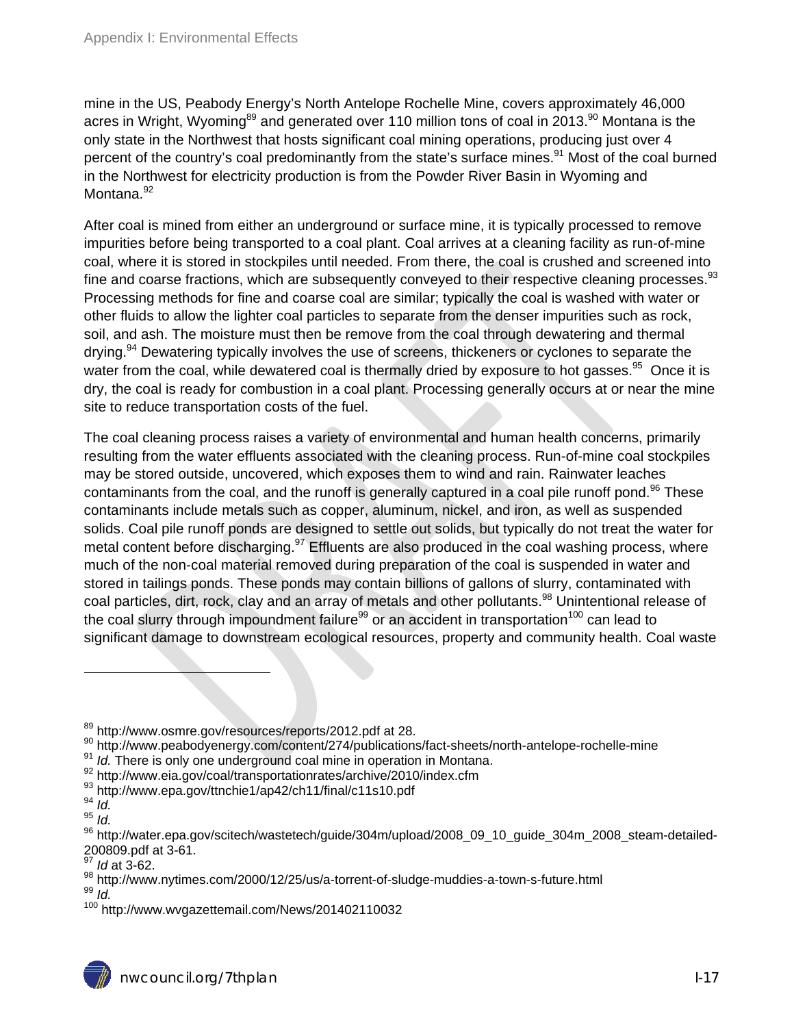mine in the US, Peabody Energy's North Antelope Rochelle Mine, covers approximately 46,000 acres in Wright, Wyoming<sup>89</sup> and generated over 110 million tons of coal in 2013.<sup>90</sup> Montana is the only state in the Northwest that hosts significant coal mining operations, producing just over 4 percent of the country's coal predominantly from the state's surface mines.<sup>91</sup> Most of the coal burned in the Northwest for electricity production is from the Powder River Basin in Wyoming and Montana.<sup>92</sup>

After coal is mined from either an underground or surface mine, it is typically processed to remove impurities before being transported to a coal plant. Coal arrives at a cleaning facility as run-of-mine coal, where it is stored in stockpiles until needed. From there, the coal is crushed and screened into fine and coarse fractions, which are subsequently conveved to their respective cleaning processes.<sup>93</sup> Processing methods for fine and coarse coal are similar; typically the coal is washed with water or other fluids to allow the lighter coal particles to separate from the denser impurities such as rock, soil, and ash. The moisture must then be remove from the coal through dewatering and thermal drying.<sup>94</sup> Dewatering typically involves the use of screens, thickeners or cyclones to separate the water from the coal, while dewatered coal is thermally dried by exposure to hot gasses.<sup>95</sup> Once it is dry, the coal is ready for combustion in a coal plant. Processing generally occurs at or near the mine site to reduce transportation costs of the fuel.

The coal cleaning process raises a variety of environmental and human health concerns, primarily resulting from the water effluents associated with the cleaning process. Run-of-mine coal stockpiles may be stored outside, uncovered, which exposes them to wind and rain. Rainwater leaches contaminants from the coal, and the runoff is generally captured in a coal pile runoff pond.<sup>96</sup> These contaminants include metals such as copper, aluminum, nickel, and iron, as well as suspended solids. Coal pile runoff ponds are designed to settle out solids, but typically do not treat the water for metal content before discharging.  $97$  Effluents are also produced in the coal washing process, where much of the non-coal material removed during preparation of the coal is suspended in water and stored in tailings ponds. These ponds may contain billions of gallons of slurry, contaminated with coal particles, dirt, rock, clay and an array of metals and other pollutants.<sup>98</sup> Unintentional release of the coal slurry through impoundment failure<sup>99</sup> or an accident in transportation<sup>100</sup> can lead to significant damage to downstream ecological resources, property and community health. Coal waste

93 http://www.epa.gov/ttnchie1/ap42/ch11/final/c11s10.pdf<br>94 *Id* 

 $\overline{a}$ 

<sup>&</sup>lt;sup>89</sup> http://www.osmre.gov/resources/reports/2012.pdf at 28.<br><sup>90</sup> http://www.peabodyenergy.com/content/274/publications/fact-sheets/north-antelope-rochelle-mine<br><sup>91</sup> *Id.* There is only one underground coal mine in operati

<sup>95</sup> *Id.* 

<sup>96</sup> http://water.epa.gov/scitech/wastetech/guide/304m/upload/2008\_09\_10\_guide\_304m\_2008\_steam-detailed-200809.pdf at 3-61.

<sup>97</sup> *Id* at 3-62.

<sup>98</sup> http://www.nytimes.com/2000/12/25/us/a-torrent-of-sludge-muddies-a-town-s-future.html<br>99 *Id* 

<sup>100</sup> http://www.wvgazettemail.com/News/201402110032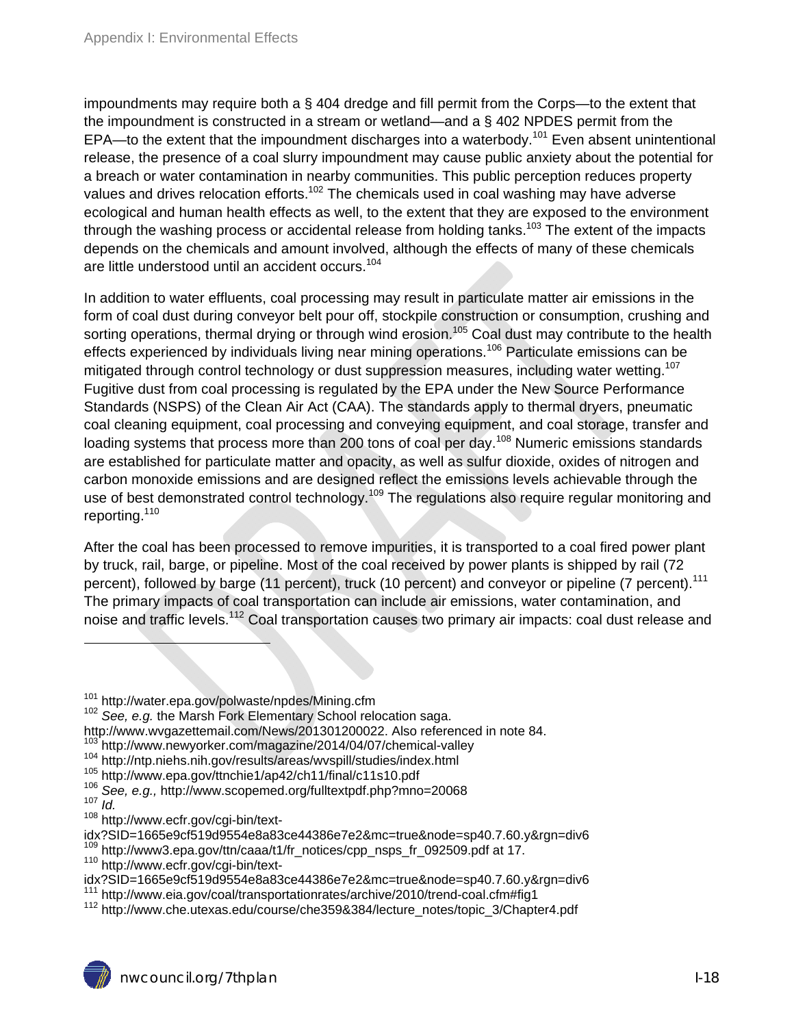impoundments may require both a  $\S$  404 dredge and fill permit from the Corps—to the extent that the impoundment is constructed in a stream or wetland—and a § 402 NPDES permit from the EPA—to the extent that the impoundment discharges into a waterbody.<sup>101</sup> Even absent unintentional release, the presence of a coal slurry impoundment may cause public anxiety about the potential for a breach or water contamination in nearby communities. This public perception reduces property values and drives relocation efforts.<sup>102</sup> The chemicals used in coal washing may have adverse ecological and human health effects as well, to the extent that they are exposed to the environment through the washing process or accidental release from holding tanks.<sup>103</sup> The extent of the impacts depends on the chemicals and amount involved, although the effects of many of these chemicals are little understood until an accident occurs.<sup>104</sup>

In addition to water effluents, coal processing may result in particulate matter air emissions in the form of coal dust during conveyor belt pour off, stockpile construction or consumption, crushing and sorting operations, thermal drying or through wind erosion.<sup>105</sup> Coal dust may contribute to the health effects experienced by individuals living near mining operations.106 Particulate emissions can be mitigated through control technology or dust suppression measures, including water wetting.<sup>107</sup> Fugitive dust from coal processing is regulated by the EPA under the New Source Performance Standards (NSPS) of the Clean Air Act (CAA). The standards apply to thermal dryers, pneumatic coal cleaning equipment, coal processing and conveying equipment, and coal storage, transfer and loading systems that process more than 200 tons of coal per day.<sup>108</sup> Numeric emissions standards are established for particulate matter and opacity, as well as sulfur dioxide, oxides of nitrogen and carbon monoxide emissions and are designed reflect the emissions levels achievable through the use of best demonstrated control technology.<sup>109</sup> The regulations also require regular monitoring and reporting.110

After the coal has been processed to remove impurities, it is transported to a coal fired power plant by truck, rail, barge, or pipeline. Most of the coal received by power plants is shipped by rail (72 percent), followed by barge (11 percent), truck (10 percent) and conveyor or pipeline (7 percent).<sup>111</sup> The primary impacts of coal transportation can include air emissions, water contamination, and noise and traffic levels.<sup>112</sup> Coal transportation causes two primary air impacts: coal dust release and

<sup>&</sup>lt;sup>101</sup> http://water.epa.gov/polwaste/npdes/Mining.cfm<br><sup>102</sup> *See, e.g.* the Marsh Fork Elementary School relocation saga.

http://www.wvgazettemail.com/News/201301200022. Also referenced in note 84.<br><sup>103</sup> http://www.newyorker.com/magazine/2014/04/07/chemical-valley

<sup>&</sup>lt;sup>104</sup> http://ntp.niehs.nih.gov/results/areas/wvspill/studies/index.html<br><sup>105</sup> http://www.epa.gov/ttnchie1/ap42/ch11/final/c11s10.pdf<br><sup>106</sup> See, e.g., http://www.scopemed.org/fulltextpdf.php?mno=20068<br><sup>107</sup> Id

<sup>&</sup>lt;sup>108</sup> http://www.ecfr.gov/cgi-bin/text-<br>idx?SID=1665e9cf519d9554e8a83ce44386e7e2&mc=true&node=sp40.7.60.y&rgn=div6

<sup>&</sup>lt;sup>109</sup> http://www3.epa.gov/ttn/caaa/t1/fr\_notices/cpp\_nsps\_fr\_092509.pdf at 17.<br><sup>110</sup> http://www.ecfr.gov/cgi-bin/text-<br>idx?SID=1665e9cf519d9554e8a83ce44386e7e2&mc=true&node=sp40.7.60.v&rgn=div6

<sup>&</sup>lt;sup>111</sup> http://www.eia.gov/coal/transportationrates/archive/2010/trend-coal.cfm#fig1<br><sup>112</sup> http://www.che.utexas.edu/course/che359&384/lecture\_notes/topic\_3/Chapter4.pdf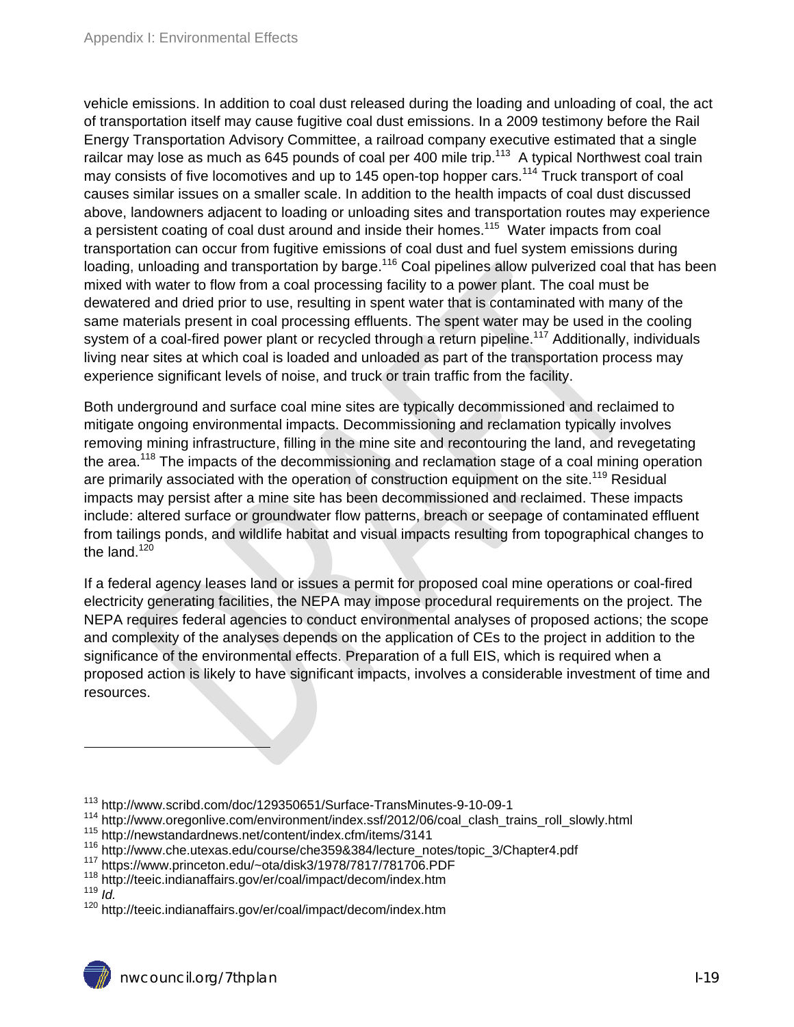vehicle emissions. In addition to coal dust released during the loading and unloading of coal, the act of transportation itself may cause fugitive coal dust emissions. In a 2009 testimony before the Rail Energy Transportation Advisory Committee, a railroad company executive estimated that a single railcar may lose as much as 645 pounds of coal per 400 mile trip.<sup>113</sup> A typical Northwest coal train may consists of five locomotives and up to 145 open-top hopper cars.<sup>114</sup> Truck transport of coal causes similar issues on a smaller scale. In addition to the health impacts of coal dust discussed above, landowners adjacent to loading or unloading sites and transportation routes may experience a persistent coating of coal dust around and inside their homes.<sup>115</sup> Water impacts from coal transportation can occur from fugitive emissions of coal dust and fuel system emissions during loading, unloading and transportation by barge.<sup>116</sup> Coal pipelines allow pulverized coal that has been mixed with water to flow from a coal processing facility to a power plant. The coal must be dewatered and dried prior to use, resulting in spent water that is contaminated with many of the same materials present in coal processing effluents. The spent water may be used in the cooling system of a coal-fired power plant or recycled through a return pipeline.<sup>117</sup> Additionally, individuals living near sites at which coal is loaded and unloaded as part of the transportation process may experience significant levels of noise, and truck or train traffic from the facility.

Both underground and surface coal mine sites are typically decommissioned and reclaimed to mitigate ongoing environmental impacts. Decommissioning and reclamation typically involves removing mining infrastructure, filling in the mine site and recontouring the land, and revegetating the area.<sup>118</sup> The impacts of the decommissioning and reclamation stage of a coal mining operation are primarily associated with the operation of construction equipment on the site.<sup>119</sup> Residual impacts may persist after a mine site has been decommissioned and reclaimed. These impacts include: altered surface or groundwater flow patterns, breach or seepage of contaminated effluent from tailings ponds, and wildlife habitat and visual impacts resulting from topographical changes to the land. $120$ 

If a federal agency leases land or issues a permit for proposed coal mine operations or coal-fired electricity generating facilities, the NEPA may impose procedural requirements on the project. The NEPA requires federal agencies to conduct environmental analyses of proposed actions; the scope and complexity of the analyses depends on the application of CEs to the project in addition to the significance of the environmental effects. Preparation of a full EIS, which is required when a proposed action is likely to have significant impacts, involves a considerable investment of time and resources.

<sup>113</sup> http://www.scribd.com/doc/129350651/Surface-TransMinutes-9-10-09-1

<sup>114</sup> http://www.oregonlive.com/environment/index.ssf/2012/06/coal\_clash\_trains\_roll\_slowly.html<br><sup>115</sup> http://newstandardnews.net/content/index.cfm/items/3141

<sup>&</sup>lt;sup>116</sup> http://www.che.utexas.edu/course/che359&384/lecture\_notes/topic\_3/Chapter4.pdf<br><sup>117</sup> https://www.princeton.edu/~ota/disk3/1978/7817/781706.PDF<br><sup>118</sup> http://teeic.indianaffairs.gov/er/coal/impact/decom/index.htm<br><sup>118</sup>

<sup>&</sup>lt;sup>120</sup> http://teeic.indianaffairs.gov/er/coal/impact/decom/index.htm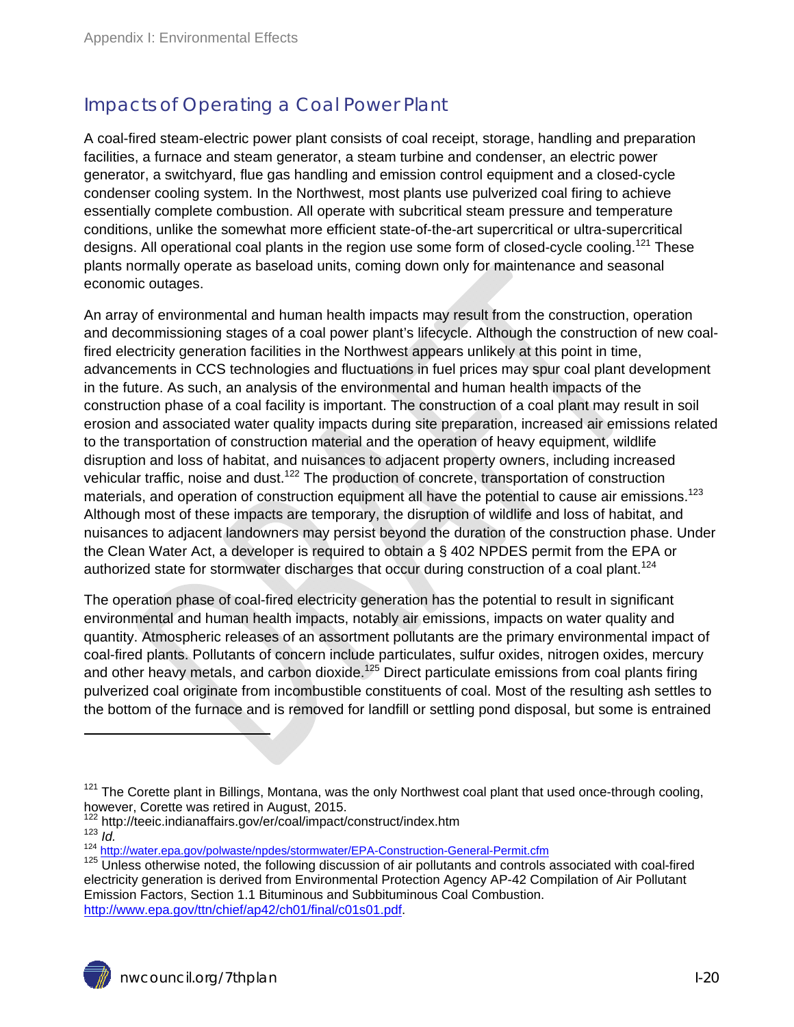#### Impacts of Operating a Coal Power Plant

A coal-fired steam-electric power plant consists of coal receipt, storage, handling and preparation facilities, a furnace and steam generator, a steam turbine and condenser, an electric power generator, a switchyard, flue gas handling and emission control equipment and a closed-cycle condenser cooling system. In the Northwest, most plants use pulverized coal firing to achieve essentially complete combustion. All operate with subcritical steam pressure and temperature conditions, unlike the somewhat more efficient state-of-the-art supercritical or ultra-supercritical designs. All operational coal plants in the region use some form of closed-cycle cooling.<sup>121</sup> These plants normally operate as baseload units, coming down only for maintenance and seasonal economic outages.

An array of environmental and human health impacts may result from the construction, operation and decommissioning stages of a coal power plant's lifecycle. Although the construction of new coalfired electricity generation facilities in the Northwest appears unlikely at this point in time, advancements in CCS technologies and fluctuations in fuel prices may spur coal plant development in the future. As such, an analysis of the environmental and human health impacts of the construction phase of a coal facility is important. The construction of a coal plant may result in soil erosion and associated water quality impacts during site preparation, increased air emissions related to the transportation of construction material and the operation of heavy equipment, wildlife disruption and loss of habitat, and nuisances to adjacent property owners, including increased vehicular traffic, noise and dust.<sup>122</sup> The production of concrete, transportation of construction materials, and operation of construction equipment all have the potential to cause air emissions.<sup>123</sup> Although most of these impacts are temporary, the disruption of wildlife and loss of habitat, and nuisances to adjacent landowners may persist beyond the duration of the construction phase. Under the Clean Water Act, a developer is required to obtain a § 402 NPDES permit from the EPA or authorized state for stormwater discharges that occur during construction of a coal plant.<sup>124</sup>

The operation phase of coal-fired electricity generation has the potential to result in significant environmental and human health impacts, notably air emissions, impacts on water quality and quantity. Atmospheric releases of an assortment pollutants are the primary environmental impact of coal-fired plants. Pollutants of concern include particulates, sulfur oxides, nitrogen oxides, mercury and other heavy metals, and carbon dioxide.<sup>125</sup> Direct particulate emissions from coal plants firing pulverized coal originate from incombustible constituents of coal. Most of the resulting ash settles to the bottom of the furnace and is removed for landfill or settling pond disposal, but some is entrained

 $121$  The Corette plant in Billings, Montana, was the only Northwest coal plant that used once-through cooling, however, Corette was retired in August, 2015.<br><sup>122</sup> http://teeic.indianaffairs.gov/er/coal/impact/construct/index.htm

nttp://teelc.friumatrianalis.gov/er/codition-doculous-socion-socion-socion-socion-<br><sup>123</sup> *Id.*<br><sup>124</sup> http://water.epa.gov/polwaste/npdes/stormwater/EPA-Construction-General-Permit.cfm<br><sup>125</sup> Unless otherwise noted, the foll electricity generation is derived from Environmental Protection Agency AP-42 Compilation of Air Pollutant Emission Factors, Section 1.1 Bituminous and Subbituminous Coal Combustion. http://www.epa.gov/ttn/chief/ap42/ch01/final/c01s01.pdf.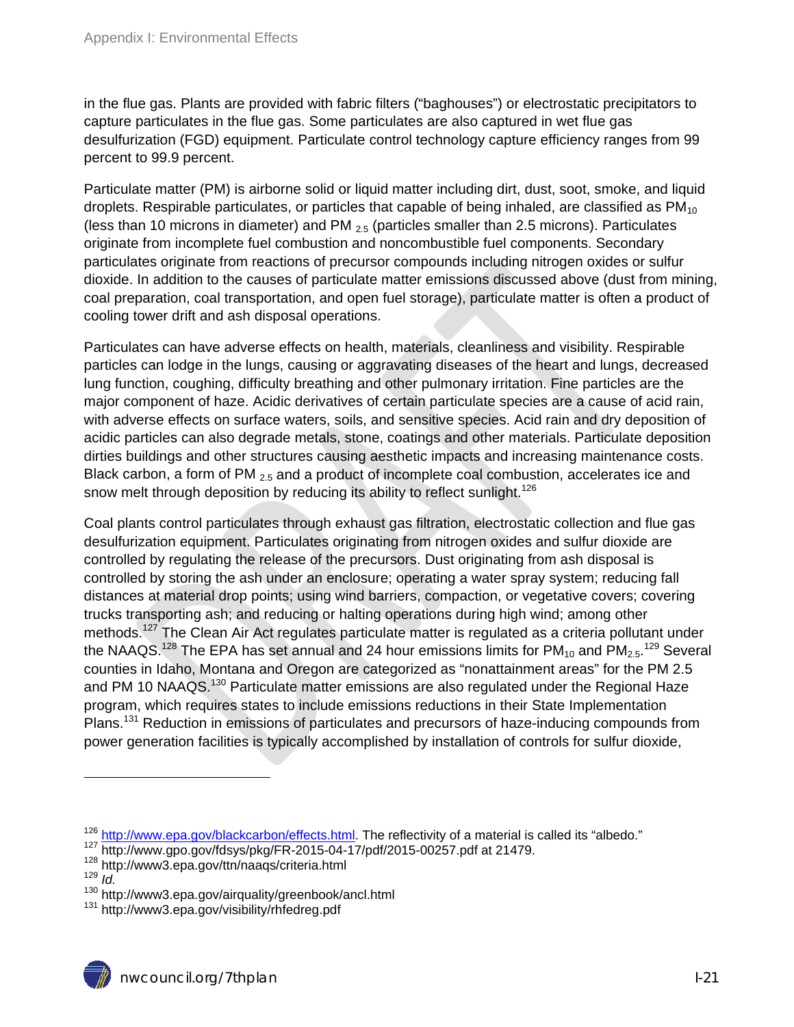in the flue gas. Plants are provided with fabric filters ("baghouses") or electrostatic precipitators to capture particulates in the flue gas. Some particulates are also captured in wet flue gas desulfurization (FGD) equipment. Particulate control technology capture efficiency ranges from 99 percent to 99.9 percent.

Particulate matter (PM) is airborne solid or liquid matter including dirt, dust, soot, smoke, and liquid droplets. Respirable particulates, or particles that capable of being inhaled, are classified as  $PM_{10}$ (less than 10 microns in diameter) and PM  $_{2.5}$  (particles smaller than 2.5 microns). Particulates originate from incomplete fuel combustion and noncombustible fuel components. Secondary particulates originate from reactions of precursor compounds including nitrogen oxides or sulfur dioxide. In addition to the causes of particulate matter emissions discussed above (dust from mining, coal preparation, coal transportation, and open fuel storage), particulate matter is often a product of cooling tower drift and ash disposal operations.

Particulates can have adverse effects on health, materials, cleanliness and visibility. Respirable particles can lodge in the lungs, causing or aggravating diseases of the heart and lungs, decreased lung function, coughing, difficulty breathing and other pulmonary irritation. Fine particles are the major component of haze. Acidic derivatives of certain particulate species are a cause of acid rain, with adverse effects on surface waters, soils, and sensitive species. Acid rain and dry deposition of acidic particles can also degrade metals, stone, coatings and other materials. Particulate deposition dirties buildings and other structures causing aesthetic impacts and increasing maintenance costs. Black carbon, a form of PM  $_{2.5}$  and a product of incomplete coal combustion, accelerates ice and snow melt through deposition by reducing its ability to reflect sunlight.<sup>126</sup>

Coal plants control particulates through exhaust gas filtration, electrostatic collection and flue gas desulfurization equipment. Particulates originating from nitrogen oxides and sulfur dioxide are controlled by regulating the release of the precursors. Dust originating from ash disposal is controlled by storing the ash under an enclosure; operating a water spray system; reducing fall distances at material drop points; using wind barriers, compaction, or vegetative covers; covering trucks transporting ash; and reducing or halting operations during high wind; among other methods.<sup>127</sup> The Clean Air Act regulates particulate matter is regulated as a criteria pollutant under the NAAQS.<sup>128</sup> The EPA has set annual and 24 hour emissions limits for PM<sub>10</sub> and PM<sub>2.5</sub>.<sup>129</sup> Several counties in Idaho, Montana and Oregon are categorized as "nonattainment areas" for the PM 2.5 and PM 10 NAAQS.<sup>130</sup> Particulate matter emissions are also regulated under the Regional Haze program, which requires states to include emissions reductions in their State Implementation Plans.<sup>131</sup> Reduction in emissions of particulates and precursors of haze-inducing compounds from power generation facilities is typically accomplished by installation of controls for sulfur dioxide,

 $^{126}$  http://www.epa.gov/blackcarbon/effects.html</u>. The reflectivity of a material is called its "albedo."<br> $^{127}$  http://www.gpo.gov/fdsys/pkg/FR-2015-04-17/pdf/2015-00257.pdf at 21479.<br> $^{128}$  http://www3.epa.gov/ttn/

<sup>130</sup> kt.<br>131 http://www3.epa.gov/airquality/greenbook/ancl.html<br>131 http://www3.epa.gov/visibility/rhfedreg.pdf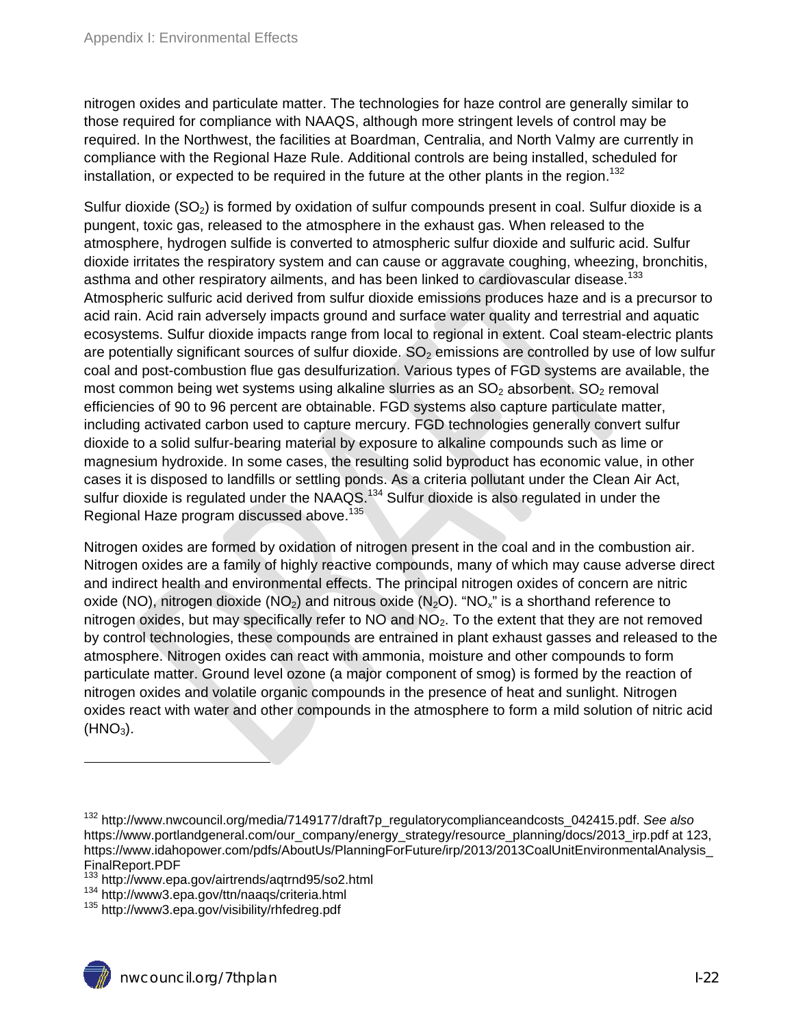nitrogen oxides and particulate matter. The technologies for haze control are generally similar to those required for compliance with NAAQS, although more stringent levels of control may be required. In the Northwest, the facilities at Boardman, Centralia, and North Valmy are currently in compliance with the Regional Haze Rule. Additional controls are being installed, scheduled for installation, or expected to be required in the future at the other plants in the region.<sup>132</sup>

Sulfur dioxide  $(SO<sub>2</sub>)$  is formed by oxidation of sulfur compounds present in coal. Sulfur dioxide is a pungent, toxic gas, released to the atmosphere in the exhaust gas. When released to the atmosphere, hydrogen sulfide is converted to atmospheric sulfur dioxide and sulfuric acid. Sulfur dioxide irritates the respiratory system and can cause or aggravate coughing, wheezing, bronchitis, asthma and other respiratory ailments, and has been linked to cardiovascular disease.<sup>133</sup> Atmospheric sulfuric acid derived from sulfur dioxide emissions produces haze and is a precursor to acid rain. Acid rain adversely impacts ground and surface water quality and terrestrial and aquatic ecosystems. Sulfur dioxide impacts range from local to regional in extent. Coal steam-electric plants are potentially significant sources of sulfur dioxide.  $SO<sub>2</sub>$  emissions are controlled by use of low sulfur coal and post-combustion flue gas desulfurization. Various types of FGD systems are available, the most common being wet systems using alkaline slurries as an  $SO<sub>2</sub>$  absorbent.  $SO<sub>2</sub>$  removal efficiencies of 90 to 96 percent are obtainable. FGD systems also capture particulate matter, including activated carbon used to capture mercury. FGD technologies generally convert sulfur dioxide to a solid sulfur-bearing material by exposure to alkaline compounds such as lime or magnesium hydroxide. In some cases, the resulting solid byproduct has economic value, in other cases it is disposed to landfills or settling ponds. As a criteria pollutant under the Clean Air Act, sulfur dioxide is regulated under the NAAQS.<sup>134</sup> Sulfur dioxide is also regulated in under the Regional Haze program discussed above.<sup>135</sup>

Nitrogen oxides are formed by oxidation of nitrogen present in the coal and in the combustion air. Nitrogen oxides are a family of highly reactive compounds, many of which may cause adverse direct and indirect health and environmental effects. The principal nitrogen oxides of concern are nitric oxide (NO), nitrogen dioxide (NO<sub>2</sub>) and nitrous oxide (N<sub>2</sub>O). "NO<sub>x</sub>" is a shorthand reference to nitrogen oxides, but may specifically refer to  $NO$  and  $NO<sub>2</sub>$ . To the extent that they are not removed by control technologies, these compounds are entrained in plant exhaust gasses and released to the atmosphere. Nitrogen oxides can react with ammonia, moisture and other compounds to form particulate matter. Ground level ozone (a major component of smog) is formed by the reaction of nitrogen oxides and volatile organic compounds in the presence of heat and sunlight. Nitrogen oxides react with water and other compounds in the atmosphere to form a mild solution of nitric acid  $(HNO<sub>3</sub>)$ .

 $\overline{a}$ 

<sup>132</sup> http://www.nwcouncil.org/media/7149177/draft7p\_regulatorycomplianceandcosts\_042415.pdf. *See also*  https://www.portlandgeneral.com/our\_company/energy\_strategy/resource\_planning/docs/2013\_irp.pdf at 123, https://www.idahopower.com/pdfs/AboutUs/PlanningForFuture/irp/2013/2013CoalUnitEnvironmentalAnalysis\_ FinalReport.PDF<br><sup>133</sup> http://www.epa.gov/airtrends/agtrnd95/so2.html

<sup>134</sup> http://www3.epa.gov/ttn/naaqs/criteria.html<br><sup>135</sup> http://www3.epa.gov/visibility/rhfedreg.pdf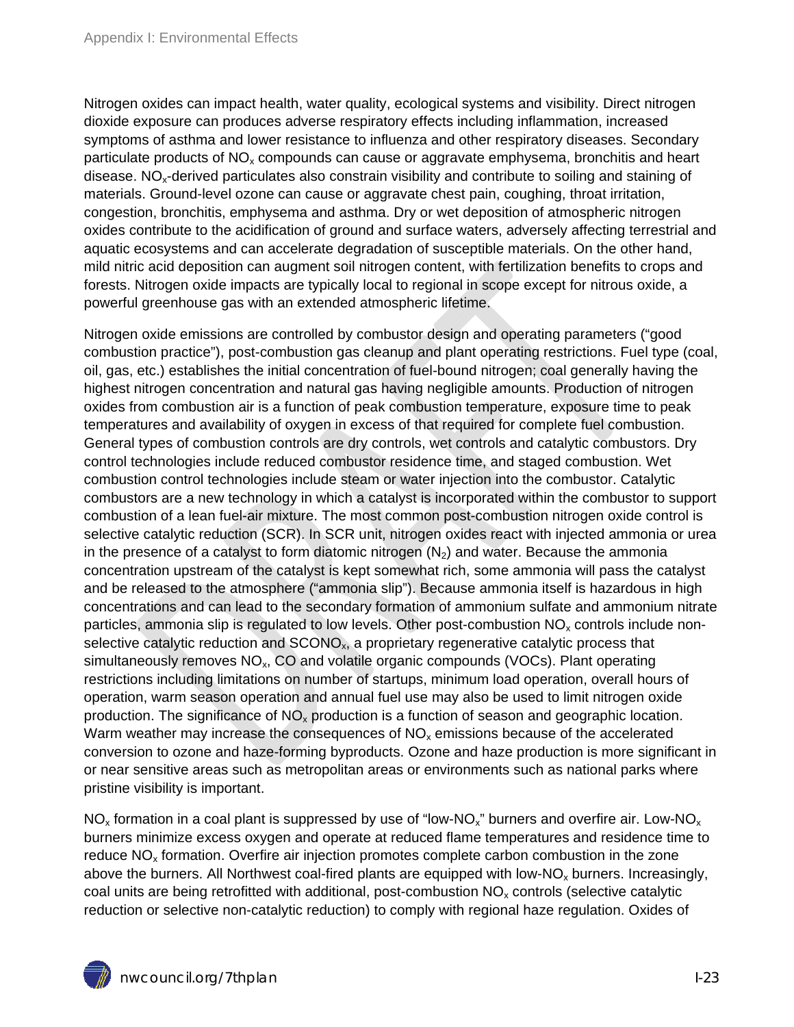Nitrogen oxides can impact health, water quality, ecological systems and visibility. Direct nitrogen dioxide exposure can produces adverse respiratory effects including inflammation, increased symptoms of asthma and lower resistance to influenza and other respiratory diseases. Secondary particulate products of  $NO<sub>x</sub>$  compounds can cause or aggravate emphysema, bronchitis and heart disease.  $NO<sub>x</sub>$ -derived particulates also constrain visibility and contribute to soiling and staining of materials. Ground-level ozone can cause or aggravate chest pain, coughing, throat irritation, congestion, bronchitis, emphysema and asthma. Dry or wet deposition of atmospheric nitrogen oxides contribute to the acidification of ground and surface waters, adversely affecting terrestrial and aquatic ecosystems and can accelerate degradation of susceptible materials. On the other hand, mild nitric acid deposition can augment soil nitrogen content, with fertilization benefits to crops and forests. Nitrogen oxide impacts are typically local to regional in scope except for nitrous oxide, a powerful greenhouse gas with an extended atmospheric lifetime.

Nitrogen oxide emissions are controlled by combustor design and operating parameters ("good combustion practice"), post-combustion gas cleanup and plant operating restrictions. Fuel type (coal, oil, gas, etc.) establishes the initial concentration of fuel-bound nitrogen; coal generally having the highest nitrogen concentration and natural gas having negligible amounts. Production of nitrogen oxides from combustion air is a function of peak combustion temperature, exposure time to peak temperatures and availability of oxygen in excess of that required for complete fuel combustion. General types of combustion controls are dry controls, wet controls and catalytic combustors. Dry control technologies include reduced combustor residence time, and staged combustion. Wet combustion control technologies include steam or water injection into the combustor. Catalytic combustors are a new technology in which a catalyst is incorporated within the combustor to support combustion of a lean fuel-air mixture. The most common post-combustion nitrogen oxide control is selective catalytic reduction (SCR). In SCR unit, nitrogen oxides react with injected ammonia or urea in the presence of a catalyst to form diatomic nitrogen  $(N_2)$  and water. Because the ammonia concentration upstream of the catalyst is kept somewhat rich, some ammonia will pass the catalyst and be released to the atmosphere ("ammonia slip"). Because ammonia itself is hazardous in high concentrations and can lead to the secondary formation of ammonium sulfate and ammonium nitrate particles, ammonia slip is regulated to low levels. Other post-combustion  $NO<sub>x</sub>$  controls include nonselective catalytic reduction and SCONO<sub>x</sub>, a proprietary regenerative catalytic process that simultaneously removes  $NO<sub>x</sub>$ , CO and volatile organic compounds (VOCs). Plant operating restrictions including limitations on number of startups, minimum load operation, overall hours of operation, warm season operation and annual fuel use may also be used to limit nitrogen oxide production. The significance of  $NO<sub>x</sub>$  production is a function of season and geographic location. Warm weather may increase the consequences of  $NO<sub>x</sub>$  emissions because of the accelerated conversion to ozone and haze-forming byproducts. Ozone and haze production is more significant in or near sensitive areas such as metropolitan areas or environments such as national parks where pristine visibility is important.

 $NO<sub>x</sub>$  formation in a coal plant is suppressed by use of "low-NO<sub>x</sub>" burners and overfire air. Low-NO<sub>x</sub> burners minimize excess oxygen and operate at reduced flame temperatures and residence time to reduce  $NO<sub>x</sub>$  formation. Overfire air injection promotes complete carbon combustion in the zone above the burners. All Northwest coal-fired plants are equipped with low- $NO<sub>x</sub>$  burners. Increasingly, coal units are being retrofitted with additional, post-combustion  $NO<sub>x</sub>$  controls (selective catalytic reduction or selective non-catalytic reduction) to comply with regional haze regulation. Oxides of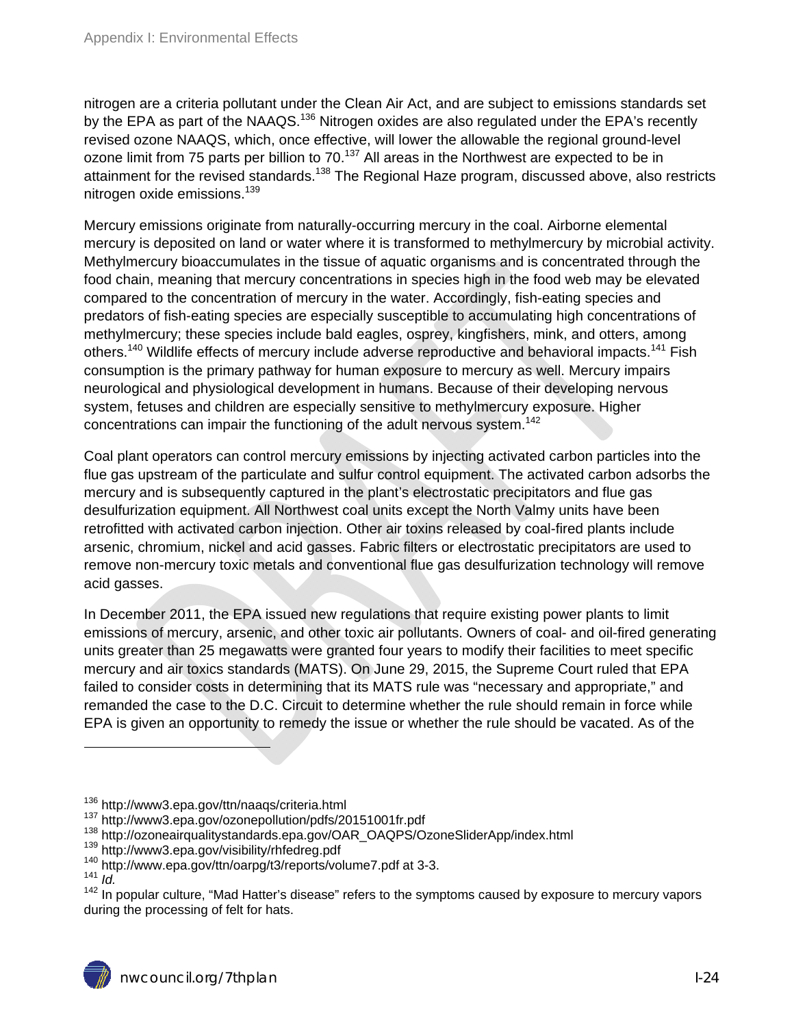nitrogen are a criteria pollutant under the Clean Air Act, and are subject to emissions standards set by the EPA as part of the NAAQS.<sup>136</sup> Nitrogen oxides are also regulated under the EPA's recently revised ozone NAAQS, which, once effective, will lower the allowable the regional ground-level ozone limit from 75 parts per billion to 70.<sup>137</sup> All areas in the Northwest are expected to be in attainment for the revised standards.<sup>138</sup> The Regional Haze program, discussed above, also restricts nitrogen oxide emissions.<sup>139</sup>

Mercury emissions originate from naturally-occurring mercury in the coal. Airborne elemental mercury is deposited on land or water where it is transformed to methylmercury by microbial activity. Methylmercury bioaccumulates in the tissue of aquatic organisms and is concentrated through the food chain, meaning that mercury concentrations in species high in the food web may be elevated compared to the concentration of mercury in the water. Accordingly, fish-eating species and predators of fish-eating species are especially susceptible to accumulating high concentrations of methylmercury; these species include bald eagles, osprey, kingfishers, mink, and otters, among others.<sup>140</sup> Wildlife effects of mercury include adverse reproductive and behavioral impacts.<sup>141</sup> Fish consumption is the primary pathway for human exposure to mercury as well. Mercury impairs neurological and physiological development in humans. Because of their developing nervous system, fetuses and children are especially sensitive to methylmercury exposure. Higher concentrations can impair the functioning of the adult nervous system.<sup>142</sup>

Coal plant operators can control mercury emissions by injecting activated carbon particles into the flue gas upstream of the particulate and sulfur control equipment. The activated carbon adsorbs the mercury and is subsequently captured in the plant's electrostatic precipitators and flue gas desulfurization equipment. All Northwest coal units except the North Valmy units have been retrofitted with activated carbon injection. Other air toxins released by coal-fired plants include arsenic, chromium, nickel and acid gasses. Fabric filters or electrostatic precipitators are used to remove non-mercury toxic metals and conventional flue gas desulfurization technology will remove acid gasses.

In December 2011, the EPA issued new regulations that require existing power plants to limit emissions of mercury, arsenic, and other toxic air pollutants. Owners of coal- and oil-fired generating units greater than 25 megawatts were granted four years to modify their facilities to meet specific mercury and air toxics standards (MATS). On June 29, 2015, the Supreme Court ruled that EPA failed to consider costs in determining that its MATS rule was "necessary and appropriate," and remanded the case to the D.C. Circuit to determine whether the rule should remain in force while EPA is given an opportunity to remedy the issue or whether the rule should be vacated. As of the

<sup>&</sup>lt;sup>136</sup> http://www3.epa.gov/ttn/naaqs/criteria.html<br><sup>137</sup> http://www3.epa.gov/ozonepollution/pdfs/20151001fr.pdf<br><sup>138</sup> http://ozoneairqualitystandards.epa.gov/OAR\_OAQPS/OzoneSliderApp/index.html<br><sup>138</sup> http://www3.epa.gov/vis

<sup>&</sup>lt;sup>142</sup> In popular culture, "Mad Hatter's disease" refers to the symptoms caused by exposure to mercury vapors during the processing of felt for hats.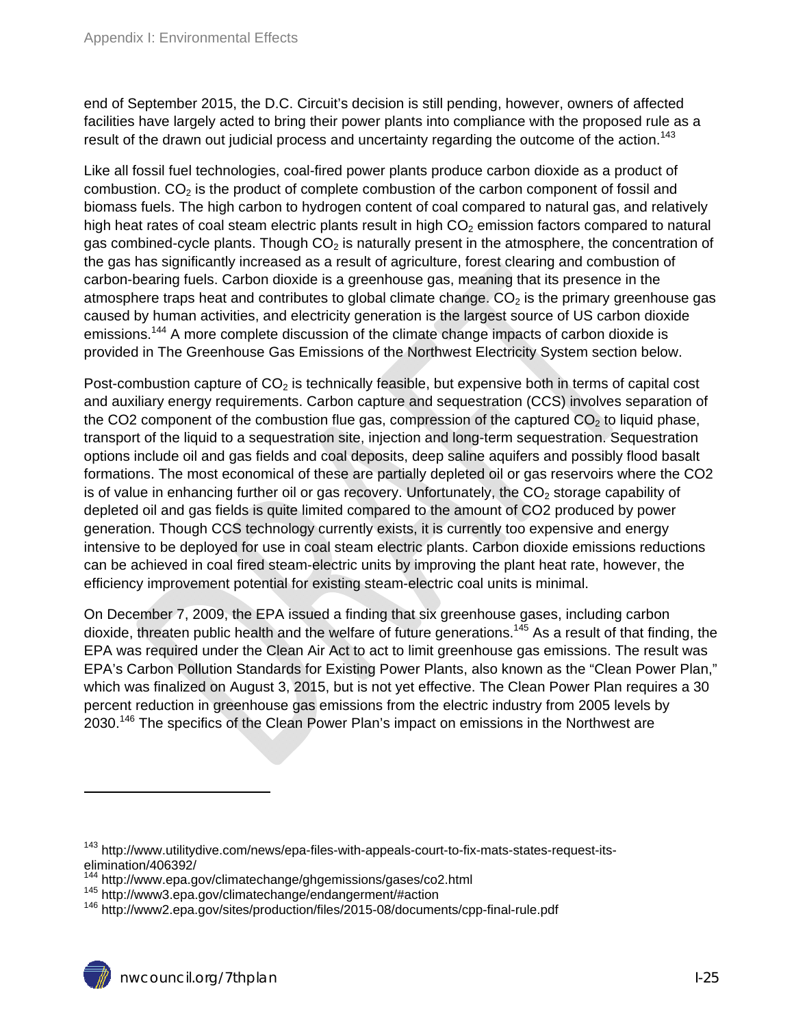end of September 2015, the D.C. Circuit's decision is still pending, however, owners of affected facilities have largely acted to bring their power plants into compliance with the proposed rule as a result of the drawn out judicial process and uncertainty regarding the outcome of the action.<sup>143</sup>

Like all fossil fuel technologies, coal-fired power plants produce carbon dioxide as a product of combustion.  $CO<sub>2</sub>$  is the product of complete combustion of the carbon component of fossil and biomass fuels. The high carbon to hydrogen content of coal compared to natural gas, and relatively high heat rates of coal steam electric plants result in high  $CO<sub>2</sub>$  emission factors compared to natural gas combined-cycle plants. Though  $CO<sub>2</sub>$  is naturally present in the atmosphere, the concentration of the gas has significantly increased as a result of agriculture, forest clearing and combustion of carbon-bearing fuels. Carbon dioxide is a greenhouse gas, meaning that its presence in the atmosphere traps heat and contributes to global climate change.  $CO<sub>2</sub>$  is the primary greenhouse gas caused by human activities, and electricity generation is the largest source of US carbon dioxide emissions.<sup>144</sup> A more complete discussion of the climate change impacts of carbon dioxide is provided in The Greenhouse Gas Emissions of the Northwest Electricity System section below.

Post-combustion capture of  $CO<sub>2</sub>$  is technically feasible, but expensive both in terms of capital cost and auxiliary energy requirements. Carbon capture and sequestration (CCS) involves separation of the CO2 component of the combustion flue gas, compression of the captured  $CO<sub>2</sub>$  to liquid phase, transport of the liquid to a sequestration site, injection and long-term sequestration. Sequestration options include oil and gas fields and coal deposits, deep saline aquifers and possibly flood basalt formations. The most economical of these are partially depleted oil or gas reservoirs where the CO2 is of value in enhancing further oil or gas recovery. Unfortunately, the  $CO<sub>2</sub>$  storage capability of depleted oil and gas fields is quite limited compared to the amount of CO2 produced by power generation. Though CCS technology currently exists, it is currently too expensive and energy intensive to be deployed for use in coal steam electric plants. Carbon dioxide emissions reductions can be achieved in coal fired steam-electric units by improving the plant heat rate, however, the efficiency improvement potential for existing steam-electric coal units is minimal.

On December 7, 2009, the EPA issued a finding that six greenhouse gases, including carbon dioxide, threaten public health and the welfare of future generations.<sup>145</sup> As a result of that finding, the EPA was required under the Clean Air Act to act to limit greenhouse gas emissions. The result was EPA's Carbon Pollution Standards for Existing Power Plants, also known as the "Clean Power Plan," which was finalized on August 3, 2015, but is not yet effective. The Clean Power Plan requires a 30 percent reduction in greenhouse gas emissions from the electric industry from 2005 levels by 2030.146 The specifics of the Clean Power Plan's impact on emissions in the Northwest are

<sup>&</sup>lt;sup>143</sup> http://www.utilitydive.com/news/epa-files-with-appeals-court-to-fix-mats-states-request-itselimination/406392/<br><sup>144</sup> http://www.epa.gov/climatechange/ghgemissions/gases/co2.html

<sup>145</sup> http://www.epa.gov/climatechange/endangerment/#action<br><sup>146</sup> http://www3.epa.gov/climatechange/endangerment/#action<br><sup>146</sup> http://www2.epa.gov/sites/production/files/2015-08/documents/cpp-final-rule.pdf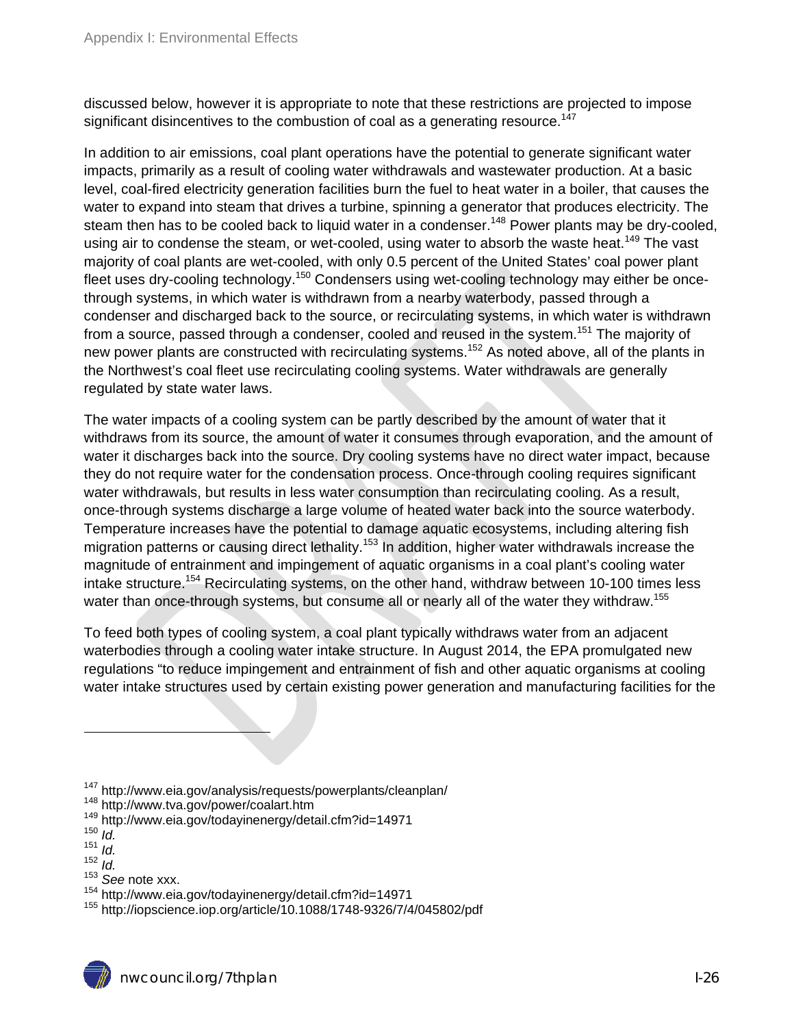discussed below, however it is appropriate to note that these restrictions are projected to impose significant disincentives to the combustion of coal as a generating resource.<sup>147</sup>

In addition to air emissions, coal plant operations have the potential to generate significant water impacts, primarily as a result of cooling water withdrawals and wastewater production. At a basic level, coal-fired electricity generation facilities burn the fuel to heat water in a boiler, that causes the water to expand into steam that drives a turbine, spinning a generator that produces electricity. The steam then has to be cooled back to liquid water in a condenser.<sup>148</sup> Power plants may be dry-cooled, using air to condense the steam, or wet-cooled, using water to absorb the waste heat.<sup>149</sup> The vast majority of coal plants are wet-cooled, with only 0.5 percent of the United States' coal power plant fleet uses dry-cooling technology.<sup>150</sup> Condensers using wet-cooling technology may either be oncethrough systems, in which water is withdrawn from a nearby waterbody, passed through a condenser and discharged back to the source, or recirculating systems, in which water is withdrawn from a source, passed through a condenser, cooled and reused in the system.<sup>151</sup> The majority of new power plants are constructed with recirculating systems.<sup>152</sup> As noted above, all of the plants in the Northwest's coal fleet use recirculating cooling systems. Water withdrawals are generally regulated by state water laws.

The water impacts of a cooling system can be partly described by the amount of water that it withdraws from its source, the amount of water it consumes through evaporation, and the amount of water it discharges back into the source. Dry cooling systems have no direct water impact, because they do not require water for the condensation process. Once-through cooling requires significant water withdrawals, but results in less water consumption than recirculating cooling. As a result, once-through systems discharge a large volume of heated water back into the source waterbody. Temperature increases have the potential to damage aquatic ecosystems, including altering fish migration patterns or causing direct lethality.<sup>153</sup> In addition, higher water withdrawals increase the magnitude of entrainment and impingement of aquatic organisms in a coal plant's cooling water intake structure.<sup>154</sup> Recirculating systems, on the other hand, withdraw between 10-100 times less water than once-through systems, but consume all or nearly all of the water they withdraw.<sup>155</sup>

To feed both types of cooling system, a coal plant typically withdraws water from an adjacent waterbodies through a cooling water intake structure. In August 2014, the EPA promulgated new regulations "to reduce impingement and entrainment of fish and other aquatic organisms at cooling water intake structures used by certain existing power generation and manufacturing facilities for the

<sup>147</sup> http://www.eia.gov/analysis/requests/powerplants/cleanplan/<br><sup>148</sup> http://www.tva.gov/power/coalart.htm<br><sup>149</sup> http://www.eia.gov/todayinenergy/detail.cfm?id=14971<br><sup>150</sup> *Id* 

<sup>151</sup> *Id.* 

<sup>152</sup> *Id.* 

<sup>&</sup>lt;sup>153</sup> See note xxx.<br><sup>154</sup> http://www.eia.gov/todayinenergy/detail.cfm?id=14971

<sup>155</sup> http://iopscience.iop.org/article/10.1088/1748-9326/7/4/045802/pdf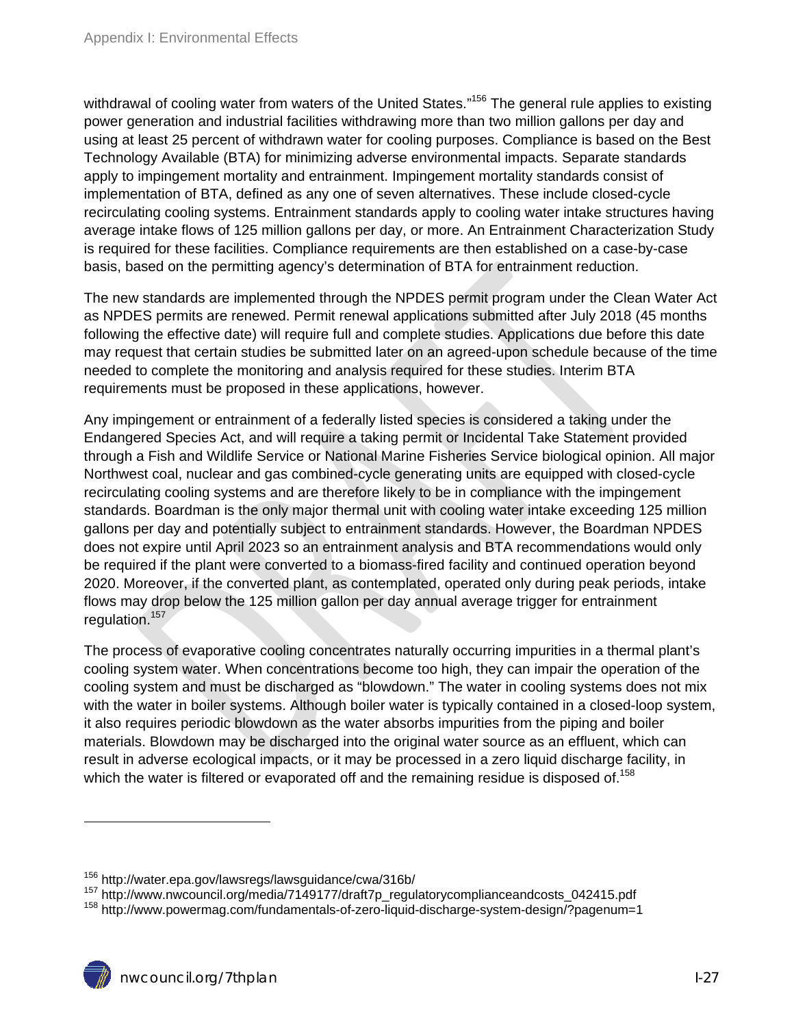withdrawal of cooling water from waters of the United States."<sup>156</sup> The general rule applies to existing power generation and industrial facilities withdrawing more than two million gallons per day and using at least 25 percent of withdrawn water for cooling purposes. Compliance is based on the Best Technology Available (BTA) for minimizing adverse environmental impacts. Separate standards apply to impingement mortality and entrainment. Impingement mortality standards consist of implementation of BTA, defined as any one of seven alternatives. These include closed-cycle recirculating cooling systems. Entrainment standards apply to cooling water intake structures having average intake flows of 125 million gallons per day, or more. An Entrainment Characterization Study is required for these facilities. Compliance requirements are then established on a case-by-case basis, based on the permitting agency's determination of BTA for entrainment reduction.

The new standards are implemented through the NPDES permit program under the Clean Water Act as NPDES permits are renewed. Permit renewal applications submitted after July 2018 (45 months following the effective date) will require full and complete studies. Applications due before this date may request that certain studies be submitted later on an agreed-upon schedule because of the time needed to complete the monitoring and analysis required for these studies. Interim BTA requirements must be proposed in these applications, however.

Any impingement or entrainment of a federally listed species is considered a taking under the Endangered Species Act, and will require a taking permit or Incidental Take Statement provided through a Fish and Wildlife Service or National Marine Fisheries Service biological opinion. All major Northwest coal, nuclear and gas combined-cycle generating units are equipped with closed-cycle recirculating cooling systems and are therefore likely to be in compliance with the impingement standards. Boardman is the only major thermal unit with cooling water intake exceeding 125 million gallons per day and potentially subject to entrainment standards. However, the Boardman NPDES does not expire until April 2023 so an entrainment analysis and BTA recommendations would only be required if the plant were converted to a biomass-fired facility and continued operation beyond 2020. Moreover, if the converted plant, as contemplated, operated only during peak periods, intake flows may drop below the 125 million gallon per day annual average trigger for entrainment regulation.157

The process of evaporative cooling concentrates naturally occurring impurities in a thermal plant's cooling system water. When concentrations become too high, they can impair the operation of the cooling system and must be discharged as "blowdown." The water in cooling systems does not mix with the water in boiler systems. Although boiler water is typically contained in a closed-loop system, it also requires periodic blowdown as the water absorbs impurities from the piping and boiler materials. Blowdown may be discharged into the original water source as an effluent, which can result in adverse ecological impacts, or it may be processed in a zero liquid discharge facility, in which the water is filtered or evaporated off and the remaining residue is disposed of.<sup>158</sup>

<sup>&</sup>lt;sup>156</sup> http://water.epa.gov/lawsregs/lawsguidance/cwa/316b/<br><sup>157</sup> http://www.nwcouncil.org/media/7149177/draft7p\_regulatorycomplianceandcosts\_042415.pdf<br><sup>158</sup> http://www.powermag.com/fundamentals-of-zero-liquid-discharge-sy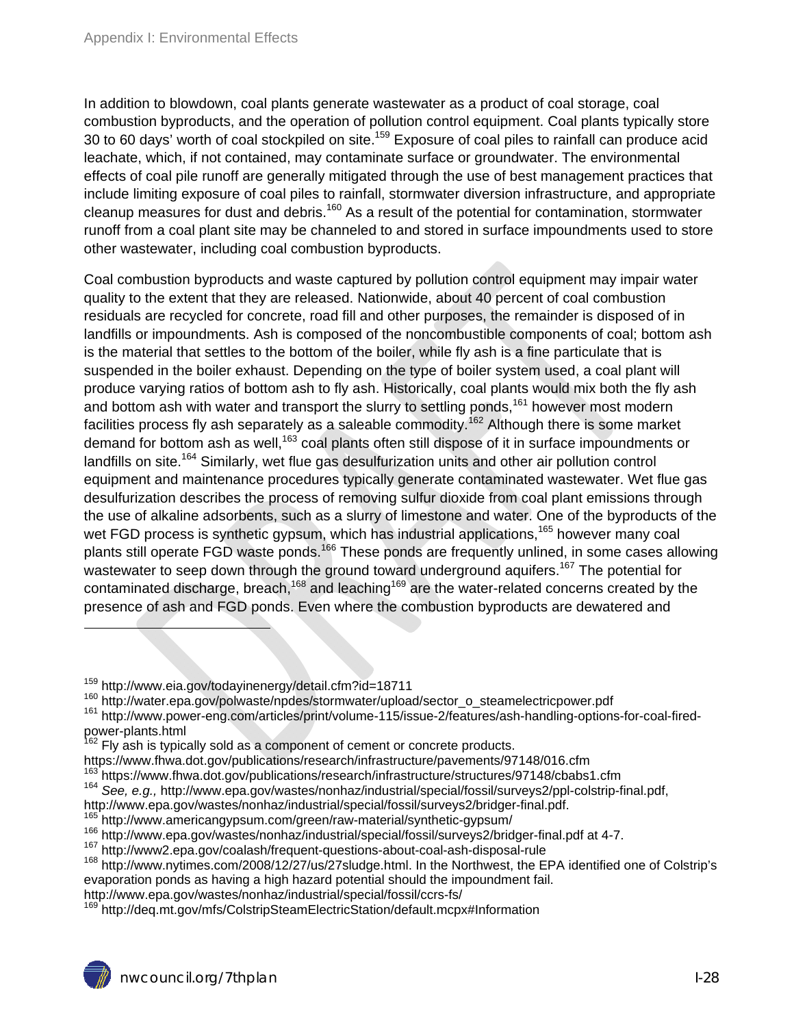In addition to blowdown, coal plants generate wastewater as a product of coal storage, coal combustion byproducts, and the operation of pollution control equipment. Coal plants typically store 30 to 60 days' worth of coal stockpiled on site.<sup>159</sup> Exposure of coal piles to rainfall can produce acid leachate, which, if not contained, may contaminate surface or groundwater. The environmental effects of coal pile runoff are generally mitigated through the use of best management practices that include limiting exposure of coal piles to rainfall, stormwater diversion infrastructure, and appropriate cleanup measures for dust and debris.160 As a result of the potential for contamination, stormwater runoff from a coal plant site may be channeled to and stored in surface impoundments used to store other wastewater, including coal combustion byproducts.

Coal combustion byproducts and waste captured by pollution control equipment may impair water quality to the extent that they are released. Nationwide, about 40 percent of coal combustion residuals are recycled for concrete, road fill and other purposes, the remainder is disposed of in landfills or impoundments. Ash is composed of the noncombustible components of coal; bottom ash is the material that settles to the bottom of the boiler, while fly ash is a fine particulate that is suspended in the boiler exhaust. Depending on the type of boiler system used, a coal plant will produce varying ratios of bottom ash to fly ash. Historically, coal plants would mix both the fly ash and bottom ash with water and transport the slurry to settling ponds,<sup>161</sup> however most modern facilities process fly ash separately as a saleable commodity.<sup>162</sup> Although there is some market demand for bottom ash as well,<sup>163</sup> coal plants often still dispose of it in surface impoundments or landfills on site.<sup>164</sup> Similarly, wet flue gas desulfurization units and other air pollution control equipment and maintenance procedures typically generate contaminated wastewater. Wet flue gas desulfurization describes the process of removing sulfur dioxide from coal plant emissions through the use of alkaline adsorbents, such as a slurry of limestone and water. One of the byproducts of the wet FGD process is synthetic gypsum, which has industrial applications,<sup>165</sup> however many coal plants still operate FGD waste ponds.166 These ponds are frequently unlined, in some cases allowing wastewater to seep down through the ground toward underground aquifers.<sup>167</sup> The potential for contaminated discharge, breach,<sup>168</sup> and leaching<sup>169</sup> are the water-related concerns created by the presence of ash and FGD ponds. Even where the combustion byproducts are dewatered and

 $\overline{a}$ 

<sup>&</sup>lt;sup>159</sup> http://www.eia.gov/todayinenergy/detail.cfm?id=18711<br><sup>160</sup> http://water.epa.gov/polwaste/npdes/stormwater/upload/sector\_o\_steamelectricpower.pdf<br><sup>161</sup> http://www.power-eng.com/articles/print/volume-115/issue-2/featur power-plants.html

 $162$  Fly ash is typically sold as a component of cement or concrete products.

https://www.fhwa.dot.gov/publications/research/infrastructure/pavements/97148/016.cfm

<sup>&</sup>lt;sup>163</sup> https://www.fhwa.dot.gov/publications/research/infrastructure/structures/97148/cbabs1.cfm

<sup>&</sup>lt;sup>164</sup> See, e.g., http://www.epa.gov/wastes/nonhaz/industrial/special/fossil/surveys2/ppl-colstrip-final.pdf,

http://www.epa.gov/wastes/nonhaz/industrial/special/fossil/surveys2/bridger-final.pdf.<br><sup>165</sup> http://www.americangypsum.com/green/raw-material/synthetic-gypsum/<br><sup>166</sup> http://www.epa.gov/wastes/nonhaz/industrial/special/foss evaporation ponds as having a high hazard potential should the impoundment fail.

http://www.epa.gov/wastes/nonhaz/industrial/special/fossil/ccrs-fs/<br><sup>169</sup> http://deq.mt.gov/mfs/ColstripSteamElectricStation/default.mcpx#Information

nwcouncil.org/7thplan I-28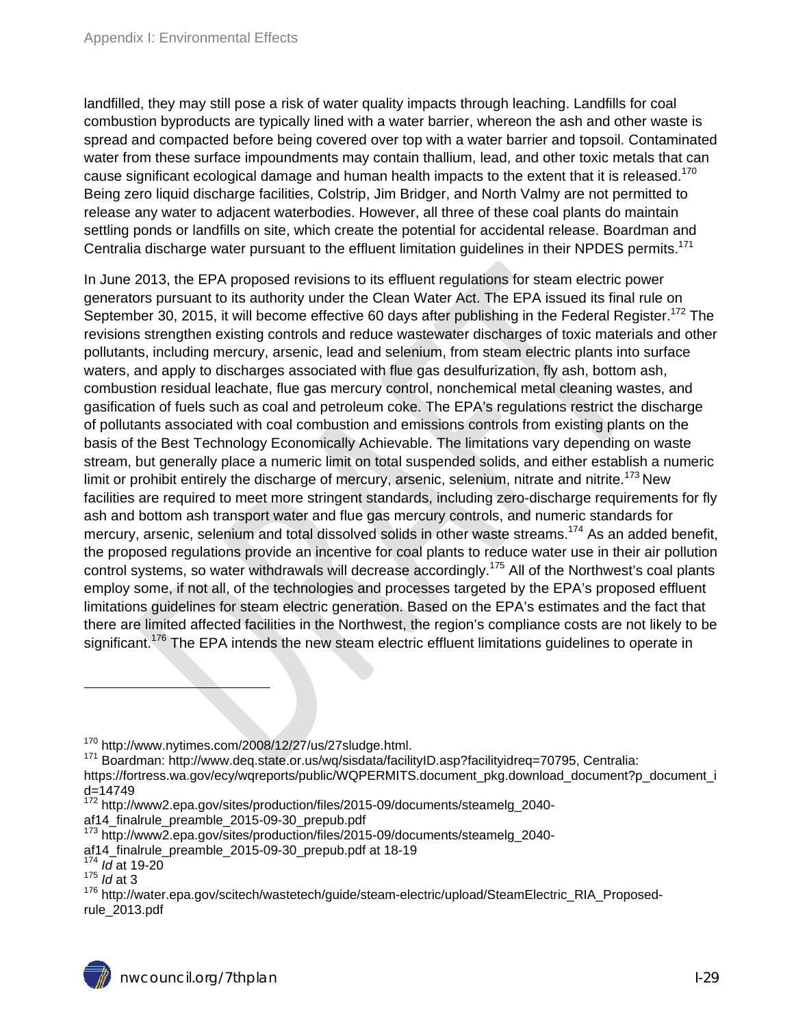landfilled, they may still pose a risk of water quality impacts through leaching. Landfills for coal combustion byproducts are typically lined with a water barrier, whereon the ash and other waste is spread and compacted before being covered over top with a water barrier and topsoil. Contaminated water from these surface impoundments may contain thallium, lead, and other toxic metals that can cause significant ecological damage and human health impacts to the extent that it is released.<sup>170</sup> Being zero liquid discharge facilities, Colstrip, Jim Bridger, and North Valmy are not permitted to release any water to adjacent waterbodies. However, all three of these coal plants do maintain settling ponds or landfills on site, which create the potential for accidental release. Boardman and Centralia discharge water pursuant to the effluent limitation guidelines in their NPDES permits.<sup>171</sup>

In June 2013, the EPA proposed revisions to its effluent regulations for steam electric power generators pursuant to its authority under the Clean Water Act. The EPA issued its final rule on September 30, 2015, it will become effective 60 days after publishing in the Federal Register.<sup>172</sup> The revisions strengthen existing controls and reduce wastewater discharges of toxic materials and other pollutants, including mercury, arsenic, lead and selenium, from steam electric plants into surface waters, and apply to discharges associated with flue gas desulfurization, fly ash, bottom ash, combustion residual leachate, flue gas mercury control, nonchemical metal cleaning wastes, and gasification of fuels such as coal and petroleum coke. The EPA's regulations restrict the discharge of pollutants associated with coal combustion and emissions controls from existing plants on the basis of the Best Technology Economically Achievable. The limitations vary depending on waste stream, but generally place a numeric limit on total suspended solids, and either establish a numeric limit or prohibit entirely the discharge of mercury, arsenic, selenium, nitrate and nitrite.<sup>173</sup> New facilities are required to meet more stringent standards, including zero-discharge requirements for fly ash and bottom ash transport water and flue gas mercury controls, and numeric standards for mercury, arsenic, selenium and total dissolved solids in other waste streams.<sup>174</sup> As an added benefit, the proposed regulations provide an incentive for coal plants to reduce water use in their air pollution control systems, so water withdrawals will decrease accordingly.<sup>175</sup> All of the Northwest's coal plants employ some, if not all, of the technologies and processes targeted by the EPA's proposed effluent limitations guidelines for steam electric generation. Based on the EPA's estimates and the fact that there are limited affected facilities in the Northwest, the region's compliance costs are not likely to be significant.<sup>176</sup> The EPA intends the new steam electric effluent limitations guidelines to operate in

<sup>&</sup>lt;sup>170</sup> http://www.nytimes.com/2008/12/27/us/27sludge.html.<br><sup>171</sup> Boardman: http://www.deq.state.or.us/wq/sisdata/facilityID.asp?facilityidreq=70795, Centralia:

https://fortress.wa.gov/ecy/wqreports/public/WQPERMITS.document\_pkg.download\_document?p\_document\_i d=14749

<sup>172</sup> http://www2.epa.gov/sites/production/files/2015-09/documents/steamelg\_2040-

af14\_finalrule\_preamble\_2015-09-30\_prepub.pdf

<sup>&</sup>lt;sup>173</sup> http://www2.epa.gov/sites/production/files/2015-09/documents/steamelg\_2040-

af14\_finalrule\_preamble\_2015-09-30\_prepub.pdf at 18-19 174 *Id* at 19-20

<sup>175</sup> *Id* at 3

<sup>176</sup> http://water.epa.gov/scitech/wastetech/guide/steam-electric/upload/SteamElectric\_RIA\_Proposedrule\_2013.pdf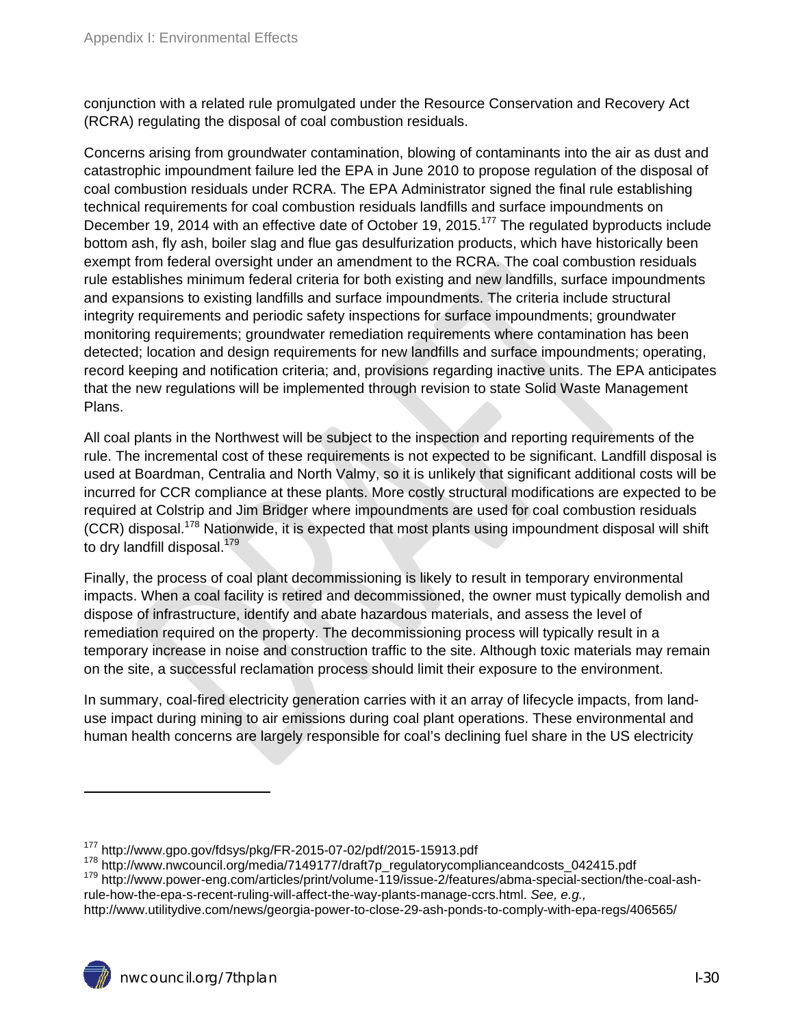conjunction with a related rule promulgated under the Resource Conservation and Recovery Act (RCRA) regulating the disposal of coal combustion residuals.

Concerns arising from groundwater contamination, blowing of contaminants into the air as dust and catastrophic impoundment failure led the EPA in June 2010 to propose regulation of the disposal of coal combustion residuals under RCRA. The EPA Administrator signed the final rule establishing technical requirements for coal combustion residuals landfills and surface impoundments on December 19, 2014 with an effective date of October 19, 2015.<sup>177</sup> The regulated byproducts include bottom ash, fly ash, boiler slag and flue gas desulfurization products, which have historically been exempt from federal oversight under an amendment to the RCRA. The coal combustion residuals rule establishes minimum federal criteria for both existing and new landfills, surface impoundments and expansions to existing landfills and surface impoundments. The criteria include structural integrity requirements and periodic safety inspections for surface impoundments; groundwater monitoring requirements; groundwater remediation requirements where contamination has been detected; location and design requirements for new landfills and surface impoundments; operating, record keeping and notification criteria; and, provisions regarding inactive units. The EPA anticipates that the new regulations will be implemented through revision to state Solid Waste Management Plans.

All coal plants in the Northwest will be subject to the inspection and reporting requirements of the rule. The incremental cost of these requirements is not expected to be significant. Landfill disposal is used at Boardman, Centralia and North Valmy, so it is unlikely that significant additional costs will be incurred for CCR compliance at these plants. More costly structural modifications are expected to be required at Colstrip and Jim Bridger where impoundments are used for coal combustion residuals  $(CCR)$  disposal.<sup>178</sup> Nationwide, it is expected that most plants using impoundment disposal will shift to dry landfill disposal.<sup>179</sup>

Finally, the process of coal plant decommissioning is likely to result in temporary environmental impacts. When a coal facility is retired and decommissioned, the owner must typically demolish and dispose of infrastructure, identify and abate hazardous materials, and assess the level of remediation required on the property. The decommissioning process will typically result in a temporary increase in noise and construction traffic to the site. Although toxic materials may remain on the site, a successful reclamation process should limit their exposure to the environment.

In summary, coal-fired electricity generation carries with it an array of lifecycle impacts, from landuse impact during mining to air emissions during coal plant operations. These environmental and human health concerns are largely responsible for coal's declining fuel share in the US electricity

<sup>&</sup>lt;sup>177</sup> http://www.gpo.gov/fdsys/pkg/FR-2015-07-02/pdf/2015-15913.pdf<br><sup>178</sup> http://www.nwcouncil.org/media/7149177/draft7p\_regulatorycomplianceandcosts\_042415.pdf<br><sup>179</sup> http://www.power-eng.com/articles/print/volume-119/issu rule-how-the-epa-s-recent-ruling-will-affect-the-way-plants-manage-ccrs.html. *See, e.g.,* 

http://www.utilitydive.com/news/georgia-power-to-close-29-ash-ponds-to-comply-with-epa-regs/406565/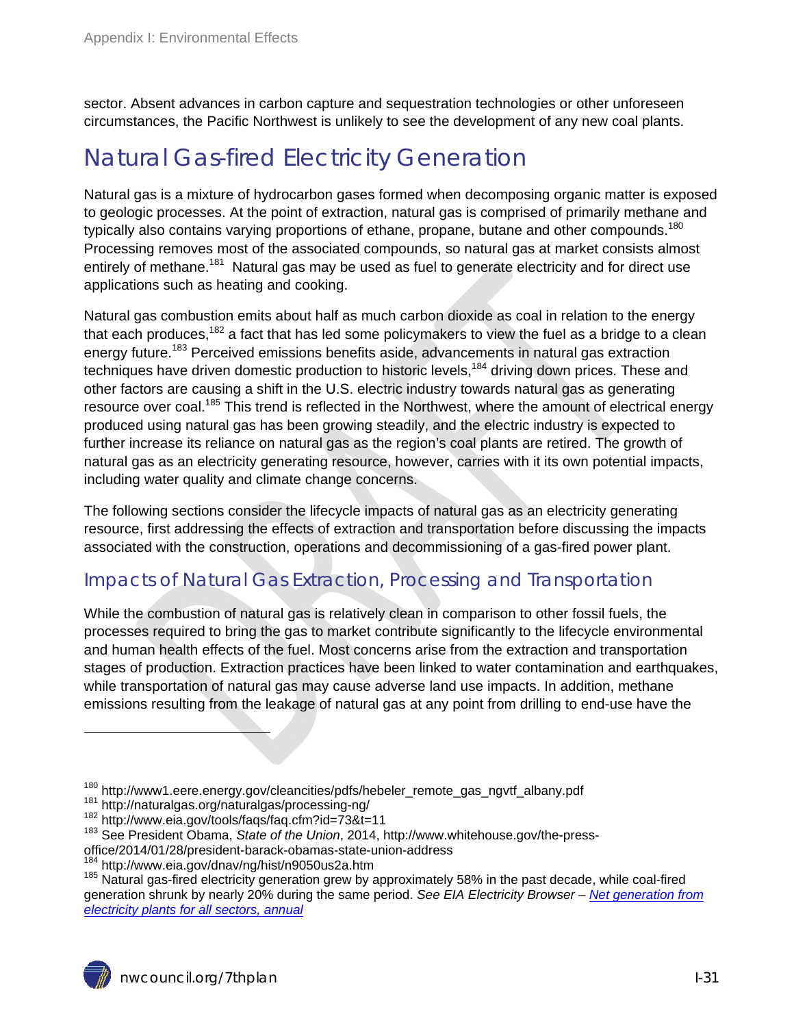sector. Absent advances in carbon capture and sequestration technologies or other unforeseen circumstances, the Pacific Northwest is unlikely to see the development of any new coal plants.

### Natural Gas-fired Electricity Generation

Natural gas is a mixture of hydrocarbon gases formed when decomposing organic matter is exposed to geologic processes. At the point of extraction, natural gas is comprised of primarily methane and typically also contains varying proportions of ethane, propane, butane and other compounds.<sup>180</sup> Processing removes most of the associated compounds, so natural gas at market consists almost entirely of methane.<sup>181</sup> Natural gas may be used as fuel to generate electricity and for direct use applications such as heating and cooking.

Natural gas combustion emits about half as much carbon dioxide as coal in relation to the energy that each produces,  $182$  a fact that has led some policymakers to view the fuel as a bridge to a clean energy future.<sup>183</sup> Perceived emissions benefits aside, advancements in natural gas extraction techniques have driven domestic production to historic levels,<sup>184</sup> driving down prices. These and other factors are causing a shift in the U.S. electric industry towards natural gas as generating resource over coal.<sup>185</sup> This trend is reflected in the Northwest, where the amount of electrical energy produced using natural gas has been growing steadily, and the electric industry is expected to further increase its reliance on natural gas as the region's coal plants are retired. The growth of natural gas as an electricity generating resource, however, carries with it its own potential impacts, including water quality and climate change concerns.

The following sections consider the lifecycle impacts of natural gas as an electricity generating resource, first addressing the effects of extraction and transportation before discussing the impacts associated with the construction, operations and decommissioning of a gas-fired power plant.

#### Impacts of Natural Gas Extraction, Processing and Transportation

While the combustion of natural gas is relatively clean in comparison to other fossil fuels, the processes required to bring the gas to market contribute significantly to the lifecycle environmental and human health effects of the fuel. Most concerns arise from the extraction and transportation stages of production. Extraction practices have been linked to water contamination and earthquakes, while transportation of natural gas may cause adverse land use impacts. In addition, methane emissions resulting from the leakage of natural gas at any point from drilling to end-use have the

<sup>&</sup>lt;sup>180</sup> http://www1.eere.energy.gov/cleancities/pdfs/hebeler\_remote\_gas\_ngvtf\_albany.pdf<br><sup>181</sup> http://naturalgas.org/naturalgas/processing-ng/<br><sup>182</sup> http://www.eia.gov/tools/faqs/faq.cfm?id=73&t=11<br><sup>183</sup> See President Obama,

office/2014/01/28/president-barack-obamas-state-union-address<br><sup>184</sup> http://www.eia.gov/dnav/ng/hist/n9050us2a.htm

 $185$  Natural gas-fired electricity generation grew by approximately 58% in the past decade, while coal-fired generation shrunk by nearly 20% during the same period. *See EIA Electricity Browser – Net generation from electricity plants for all sectors, annual*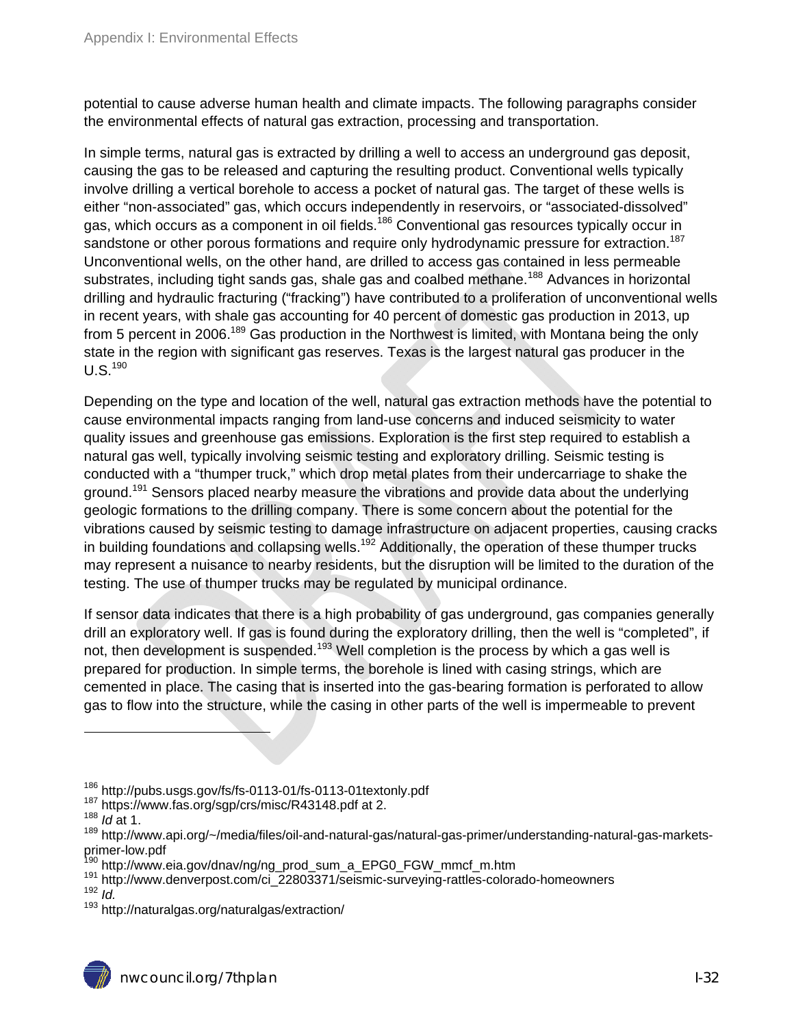potential to cause adverse human health and climate impacts. The following paragraphs consider the environmental effects of natural gas extraction, processing and transportation.

In simple terms, natural gas is extracted by drilling a well to access an underground gas deposit, causing the gas to be released and capturing the resulting product. Conventional wells typically involve drilling a vertical borehole to access a pocket of natural gas. The target of these wells is either "non-associated" gas, which occurs independently in reservoirs, or "associated-dissolved" gas, which occurs as a component in oil fields.<sup>186</sup> Conventional gas resources typically occur in sandstone or other porous formations and require only hydrodynamic pressure for extraction.<sup>187</sup> Unconventional wells, on the other hand, are drilled to access gas contained in less permeable substrates, including tight sands gas, shale gas and coalbed methane.<sup>188</sup> Advances in horizontal drilling and hydraulic fracturing ("fracking") have contributed to a proliferation of unconventional wells in recent years, with shale gas accounting for 40 percent of domestic gas production in 2013, up from 5 percent in 2006.<sup>189</sup> Gas production in the Northwest is limited, with Montana being the only state in the region with significant gas reserves. Texas is the largest natural gas producer in the  $U.S.<sup>190</sup>$ 

Depending on the type and location of the well, natural gas extraction methods have the potential to cause environmental impacts ranging from land-use concerns and induced seismicity to water quality issues and greenhouse gas emissions. Exploration is the first step required to establish a natural gas well, typically involving seismic testing and exploratory drilling. Seismic testing is conducted with a "thumper truck," which drop metal plates from their undercarriage to shake the ground.<sup>191</sup> Sensors placed nearby measure the vibrations and provide data about the underlying geologic formations to the drilling company. There is some concern about the potential for the vibrations caused by seismic testing to damage infrastructure on adjacent properties, causing cracks in building foundations and collapsing wells.<sup>192</sup> Additionally, the operation of these thumper trucks may represent a nuisance to nearby residents, but the disruption will be limited to the duration of the testing. The use of thumper trucks may be regulated by municipal ordinance.

If sensor data indicates that there is a high probability of gas underground, gas companies generally drill an exploratory well. If gas is found during the exploratory drilling, then the well is "completed", if not, then development is suspended.<sup>193</sup> Well completion is the process by which a gas well is prepared for production. In simple terms, the borehole is lined with casing strings, which are cemented in place. The casing that is inserted into the gas-bearing formation is perforated to allow gas to flow into the structure, while the casing in other parts of the well is impermeable to prevent

<sup>186</sup> http://pubs.usgs.gov/fs/fs-0113-01/fs-0113-01textonly.pdf 187 https://www.fas.org/sgp/crs/misc/R43148.pdf at 2. 188 *Id* at 1.

<sup>&</sup>lt;sup>189</sup> http://www.api.org/~/media/files/oil-and-natural-gas/natural-gas-primer/understanding-natural-gas-marketsprimer-low.pdf

<sup>&</sup>lt;sup>190</sup> http://www.eia.gov/dnav/ng/ng\_prod\_sum\_a\_EPG0\_FGW\_mmcf\_m.htm

<sup>191</sup> http://www.denverpost.com/ci\_22803371/seismic-surveying-rattles-colorado-homeowners<br><sup>192</sup> *Id.* 

<sup>&</sup>lt;sup>193</sup> http://naturalgas.org/naturalgas/extraction/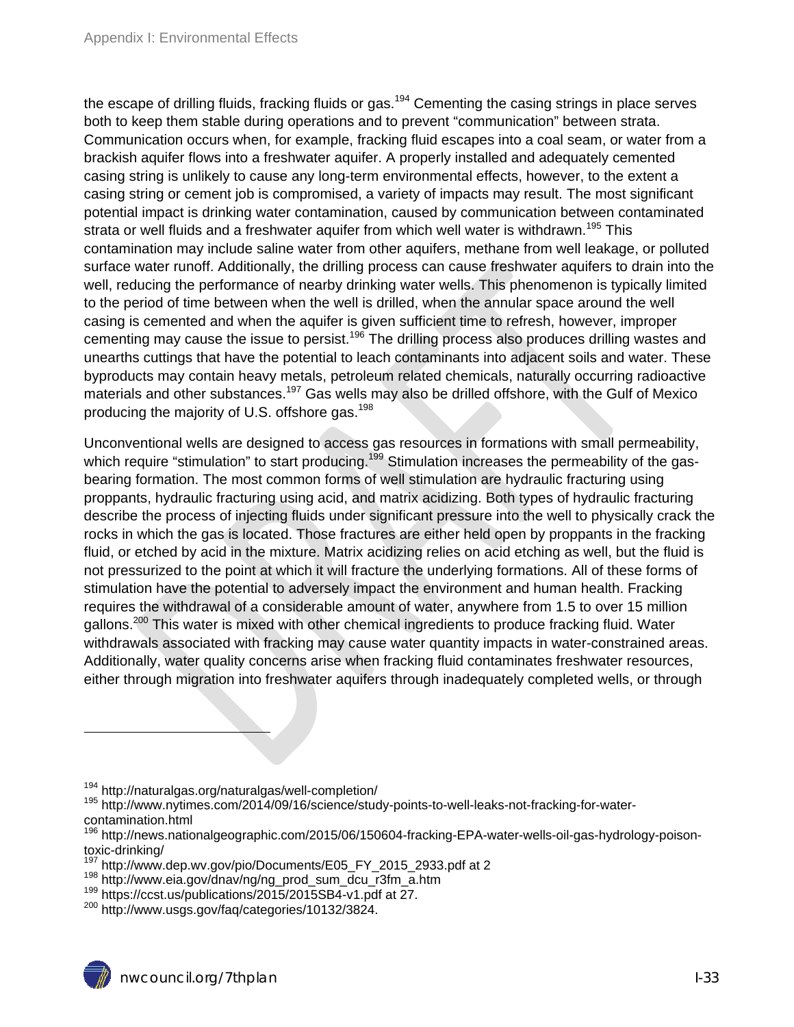the escape of drilling fluids, fracking fluids or gas.<sup>194</sup> Cementing the casing strings in place serves both to keep them stable during operations and to prevent "communication" between strata. Communication occurs when, for example, fracking fluid escapes into a coal seam, or water from a brackish aquifer flows into a freshwater aquifer. A properly installed and adequately cemented casing string is unlikely to cause any long-term environmental effects, however, to the extent a casing string or cement job is compromised, a variety of impacts may result. The most significant potential impact is drinking water contamination, caused by communication between contaminated strata or well fluids and a freshwater aquifer from which well water is withdrawn.<sup>195</sup> This contamination may include saline water from other aquifers, methane from well leakage, or polluted surface water runoff. Additionally, the drilling process can cause freshwater aquifers to drain into the well, reducing the performance of nearby drinking water wells. This phenomenon is typically limited to the period of time between when the well is drilled, when the annular space around the well casing is cemented and when the aquifer is given sufficient time to refresh, however, improper cementing may cause the issue to persist.<sup>196</sup> The drilling process also produces drilling wastes and unearths cuttings that have the potential to leach contaminants into adjacent soils and water. These byproducts may contain heavy metals, petroleum related chemicals, naturally occurring radioactive materials and other substances.<sup>197</sup> Gas wells may also be drilled offshore, with the Gulf of Mexico producing the majority of U.S. offshore gas.<sup>198</sup>

Unconventional wells are designed to access gas resources in formations with small permeability, which require "stimulation" to start producing.<sup>199</sup> Stimulation increases the permeability of the gasbearing formation. The most common forms of well stimulation are hydraulic fracturing using proppants, hydraulic fracturing using acid, and matrix acidizing. Both types of hydraulic fracturing describe the process of injecting fluids under significant pressure into the well to physically crack the rocks in which the gas is located. Those fractures are either held open by proppants in the fracking fluid, or etched by acid in the mixture. Matrix acidizing relies on acid etching as well, but the fluid is not pressurized to the point at which it will fracture the underlying formations. All of these forms of stimulation have the potential to adversely impact the environment and human health. Fracking requires the withdrawal of a considerable amount of water, anywhere from 1.5 to over 15 million gallons.<sup>200</sup> This water is mixed with other chemical ingredients to produce fracking fluid. Water withdrawals associated with fracking may cause water quantity impacts in water-constrained areas. Additionally, water quality concerns arise when fracking fluid contaminates freshwater resources, either through migration into freshwater aquifers through inadequately completed wells, or through

<sup>&</sup>lt;sup>194</sup> http://naturalgas.org/naturalgas/well-completion/<br><sup>195</sup> http://www.nytimes.com/2014/09/16/science/study-points-to-well-leaks-not-fracking-for-watercontamination.html

<sup>&</sup>lt;sup>196</sup> http://news.nationalgeographic.com/2015/06/150604-fracking-EPA-water-wells-oil-gas-hydrology-poisontoxic-drinking/<br><sup>197</sup> http://www.dep.wv.gov/pio/Documents/E05 FY 2015 2933.pdf at 2

<sup>&</sup>lt;sup>198</sup> http://www.eia.gov/dnav/ng/ng\_prod\_sum\_dcu\_r3fm\_a.htm<br><sup>199</sup> https://ccst.us/publications/2015/2015SB4-v1.pdf at 27.<br><sup>200</sup> http://www.usgs.gov/faq/categories/10132/3824.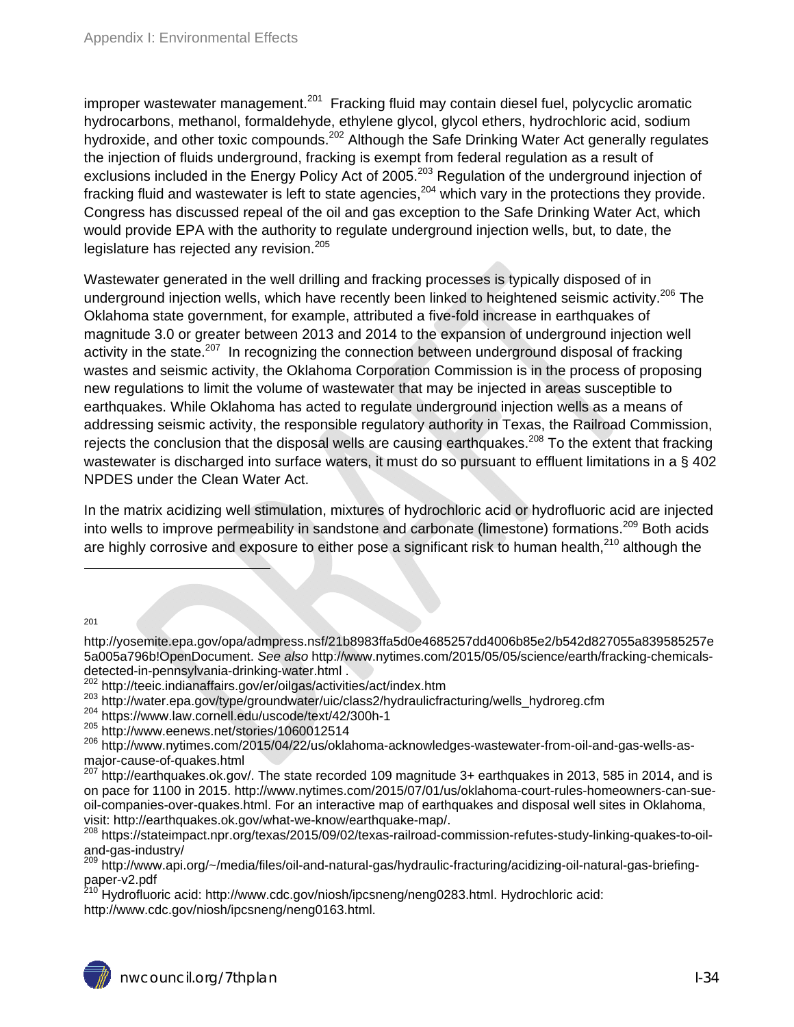improper wastewater management.<sup>201</sup> Fracking fluid may contain diesel fuel, polycyclic aromatic hydrocarbons, methanol, formaldehyde, ethylene glycol, glycol ethers, hydrochloric acid, sodium hydroxide, and other toxic compounds.<sup>202</sup> Although the Safe Drinking Water Act generally regulates the injection of fluids underground, fracking is exempt from federal regulation as a result of exclusions included in the Energy Policy Act of 2005.<sup>203</sup> Regulation of the underground injection of fracking fluid and wastewater is left to state agencies,  $204$  which vary in the protections they provide. Congress has discussed repeal of the oil and gas exception to the Safe Drinking Water Act, which would provide EPA with the authority to regulate underground injection wells, but, to date, the legislature has rejected any revision.<sup>205</sup>

Wastewater generated in the well drilling and fracking processes is typically disposed of in underground injection wells, which have recently been linked to heightened seismic activity.<sup>206</sup> The Oklahoma state government, for example, attributed a five-fold increase in earthquakes of magnitude 3.0 or greater between 2013 and 2014 to the expansion of underground injection well activity in the state.<sup>207</sup> In recognizing the connection between underground disposal of fracking wastes and seismic activity, the Oklahoma Corporation Commission is in the process of proposing new regulations to limit the volume of wastewater that may be injected in areas susceptible to earthquakes. While Oklahoma has acted to regulate underground injection wells as a means of addressing seismic activity, the responsible regulatory authority in Texas, the Railroad Commission, rejects the conclusion that the disposal wells are causing earthquakes.<sup>208</sup> To the extent that fracking wastewater is discharged into surface waters, it must do so pursuant to effluent limitations in a § 402 NPDES under the Clean Water Act.

In the matrix acidizing well stimulation, mixtures of hydrochloric acid or hydrofluoric acid are injected into wells to improve permeability in sandstone and carbonate (limestone) formations.<sup>209</sup> Both acids are highly corrosive and exposure to either pose a significant risk to human health,<sup>210</sup> although the

201

http://yosemite.epa.gov/opa/admpress.nsf/21b8983ffa5d0e4685257dd4006b85e2/b542d827055a839585257e 5a005a796b!OpenDocument. *See also* http://www.nytimes.com/2015/05/05/science/earth/fracking-chemicalsdetected-in-pennsylvania-drinking-water.html .<br><sup>202</sup> http://teeic.indianaffairs.gov/er/oilgas/activities/act/index.htm

<sup>203</sup> http://water.epa.gov/type/groundwater/uic/class2/hydraulicfracturing/wells\_hydroreg.cfm<br><sup>204</sup> https://www.law.cornell.edu/uscode/text/42/300h-1<br><sup>205</sup> http://www.eenews.net/stories/1060012514

<sup>206</sup> http://www.nytimes.com/2015/04/22/us/oklahoma-acknowledges-wastewater-from-oil-and-gas-wells-asmajor-cause-of-quakes.html

<sup>207</sup> http://earthquakes.ok.gov/. The state recorded 109 magnitude 3+ earthquakes in 2013, 585 in 2014, and is on pace for 1100 in 2015. http://www.nytimes.com/2015/07/01/us/oklahoma-court-rules-homeowners-can-sueoil-companies-over-quakes.html. For an interactive map of earthquakes and disposal well sites in Oklahoma, visit: http://earthquakes.ok.gov/what-we-know/earthquake-map/.<br><sup>208</sup> https://stateimpact.npr.org/texas/2015/09/02/texas-railroad-commission-refutes-study-linking-quakes-to-oil-

and-gas-industry/

<sup>209</sup> http://www.api.org/~/media/files/oil-and-natural-gas/hydraulic-fracturing/acidizing-oil-natural-gas-briefingpaper-v2.pdf

210 Hydrofluoric acid: http://www.cdc.gov/niosh/ipcsneng/neng0283.html. Hydrochloric acid: http://www.cdc.gov/niosh/ipcsneng/neng0163.html.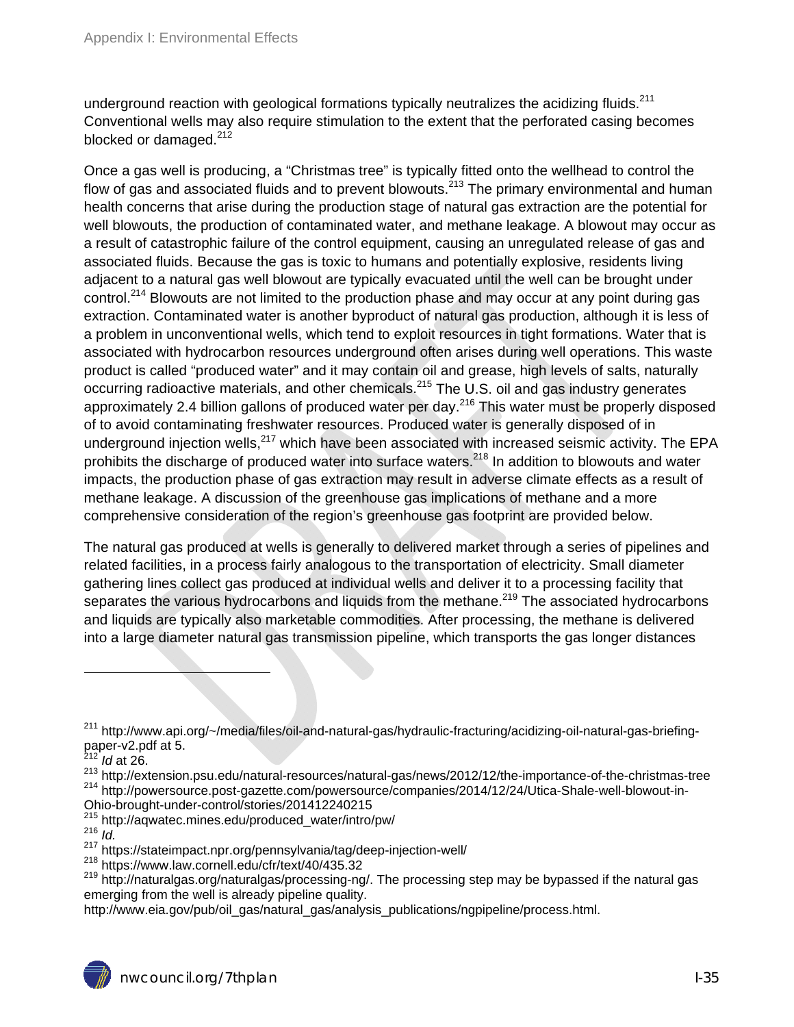underground reaction with geological formations typically neutralizes the acidizing fluids. $^{211}$ Conventional wells may also require stimulation to the extent that the perforated casing becomes blocked or damaged. $212$ 

Once a gas well is producing, a "Christmas tree" is typically fitted onto the wellhead to control the flow of gas and associated fluids and to prevent blowouts.<sup>213</sup> The primary environmental and human health concerns that arise during the production stage of natural gas extraction are the potential for well blowouts, the production of contaminated water, and methane leakage. A blowout may occur as a result of catastrophic failure of the control equipment, causing an unregulated release of gas and associated fluids. Because the gas is toxic to humans and potentially explosive, residents living adjacent to a natural gas well blowout are typically evacuated until the well can be brought under control.<sup>214</sup> Blowouts are not limited to the production phase and may occur at any point during gas extraction. Contaminated water is another byproduct of natural gas production, although it is less of a problem in unconventional wells, which tend to exploit resources in tight formations. Water that is associated with hydrocarbon resources underground often arises during well operations. This waste product is called "produced water" and it may contain oil and grease, high levels of salts, naturally occurring radioactive materials, and other chemicals.<sup>215</sup> The U.S. oil and gas industry generates approximately 2.4 billion gallons of produced water per day.<sup>216</sup> This water must be properly disposed of to avoid contaminating freshwater resources. Produced water is generally disposed of in underground injection wells, $^{217}$  which have been associated with increased seismic activity. The EPA prohibits the discharge of produced water into surface waters.<sup>218</sup> In addition to blowouts and water impacts, the production phase of gas extraction may result in adverse climate effects as a result of methane leakage. A discussion of the greenhouse gas implications of methane and a more comprehensive consideration of the region's greenhouse gas footprint are provided below.

The natural gas produced at wells is generally to delivered market through a series of pipelines and related facilities, in a process fairly analogous to the transportation of electricity. Small diameter gathering lines collect gas produced at individual wells and deliver it to a processing facility that separates the various hydrocarbons and liquids from the methane.<sup>219</sup> The associated hydrocarbons and liquids are typically also marketable commodities. After processing, the methane is delivered into a large diameter natural gas transmission pipeline, which transports the gas longer distances

- Ohio-brought-under-control/stories/201412240215
- 215 http://aqwatec.mines.edu/produced\_water/intro/pw/ 216 *Id.*
- 

 $\overline{a}$ 

<sup>&</sup>lt;sup>211</sup> http://www.api.org/~/media/files/oil-and-natural-gas/hydraulic-fracturing/acidizing-oil-natural-gas-briefingpaper-v2.pdf at 5.

<sup>212</sup> *Id* at 26.

<sup>&</sup>lt;sup>213</sup> http://extension.psu.edu/natural-resources/natural-gas/news/2012/12/the-importance-of-the-christmas-tree 214 http://powersource.post-gazette.com/powersource/companies/2014/12/24/Utica-Shale-well-blowout-in-

<sup>&</sup>lt;sup>217</sup> https://stateimpact.npr.org/pennsylvania/tag/deep-injection-well/<br><sup>218</sup> https://www.law.cornell.edu/cfr/text/40/435.32

<sup>&</sup>lt;sup>219</sup> http://naturalgas.org/naturalgas/processing-ng/. The processing step may be bypassed if the natural gas emerging from the well is already pipeline quality.

http://www.eia.gov/pub/oil\_gas/natural\_gas/analysis\_publications/ngpipeline/process.html.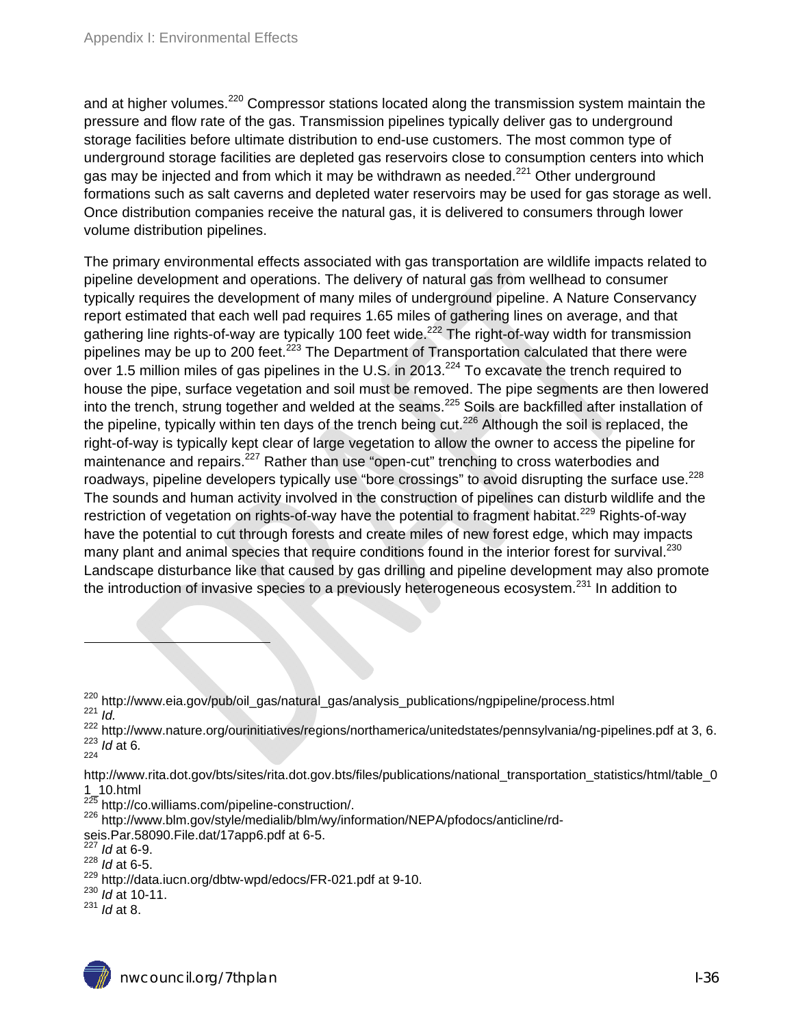and at higher volumes.<sup>220</sup> Compressor stations located along the transmission system maintain the pressure and flow rate of the gas. Transmission pipelines typically deliver gas to underground storage facilities before ultimate distribution to end-use customers. The most common type of underground storage facilities are depleted gas reservoirs close to consumption centers into which gas may be injected and from which it may be withdrawn as needed.<sup>221</sup> Other underground formations such as salt caverns and depleted water reservoirs may be used for gas storage as well. Once distribution companies receive the natural gas, it is delivered to consumers through lower volume distribution pipelines.

The primary environmental effects associated with gas transportation are wildlife impacts related to pipeline development and operations. The delivery of natural gas from wellhead to consumer typically requires the development of many miles of underground pipeline. A Nature Conservancy report estimated that each well pad requires 1.65 miles of gathering lines on average, and that gathering line rights-of-way are typically 100 feet wide.<sup>222</sup> The right-of-way width for transmission pipelines may be up to 200 feet.<sup>223</sup> The Department of Transportation calculated that there were over 1.5 million miles of gas pipelines in the U.S. in 2013.<sup>224</sup> To excavate the trench required to house the pipe, surface vegetation and soil must be removed. The pipe segments are then lowered into the trench, strung together and welded at the seams.<sup>225</sup> Soils are backfilled after installation of the pipeline, typically within ten days of the trench being cut.<sup>226</sup> Although the soil is replaced, the right-of-way is typically kept clear of large vegetation to allow the owner to access the pipeline for maintenance and repairs.<sup>227</sup> Rather than use "open-cut" trenching to cross waterbodies and roadways, pipeline developers typically use "bore crossings" to avoid disrupting the surface use.<sup>228</sup> The sounds and human activity involved in the construction of pipelines can disturb wildlife and the restriction of vegetation on rights-of-way have the potential to fragment habitat.<sup>229</sup> Rights-of-way have the potential to cut through forests and create miles of new forest edge, which may impacts many plant and animal species that require conditions found in the interior forest for survival.<sup>230</sup> Landscape disturbance like that caused by gas drilling and pipeline development may also promote the introduction of invasive species to a previously heterogeneous ecosystem.<sup>231</sup> In addition to

 $\overline{a}$ 

<sup>222</sup> http://www.nature.org/ourinitiatives/regions/northamerica/unitedstates/pennsylvania/ng-pipelines.pdf at 3, 6.<br><sup>223</sup> *Id* at 6*. 223 Id* at 6*.* 

http://www.rita.dot.gov/bts/sites/rita.dot.gov.bts/files/publications/national\_transportation\_statistics/html/table\_0

- 1\_10.html<br><sup>225</sup> http://co.williams.com/pipeline-construction/.
- <sup>226</sup> http://www.blm.gov/style/medialib/blm/wy/information/NEPA/pfodocs/anticline/rd-
- seis.Par.58090.File.dat/17app6.pdf at 6-5.

<sup>227</sup> *Id* at 6-9.

- <sup>228</sup> *Id* at 6-5.
- 229 http://data.iucn.org/dbtw‐wpd/edocs/FR‐021.pdf at 9-10. 230 *Id* at 10-11.
- 
- <sup>231</sup> *Id* at 8.

<sup>220</sup> http://www.eia.gov/pub/oil\_gas/natural\_gas/analysis\_publications/ngpipeline/process.html 221 *Id.*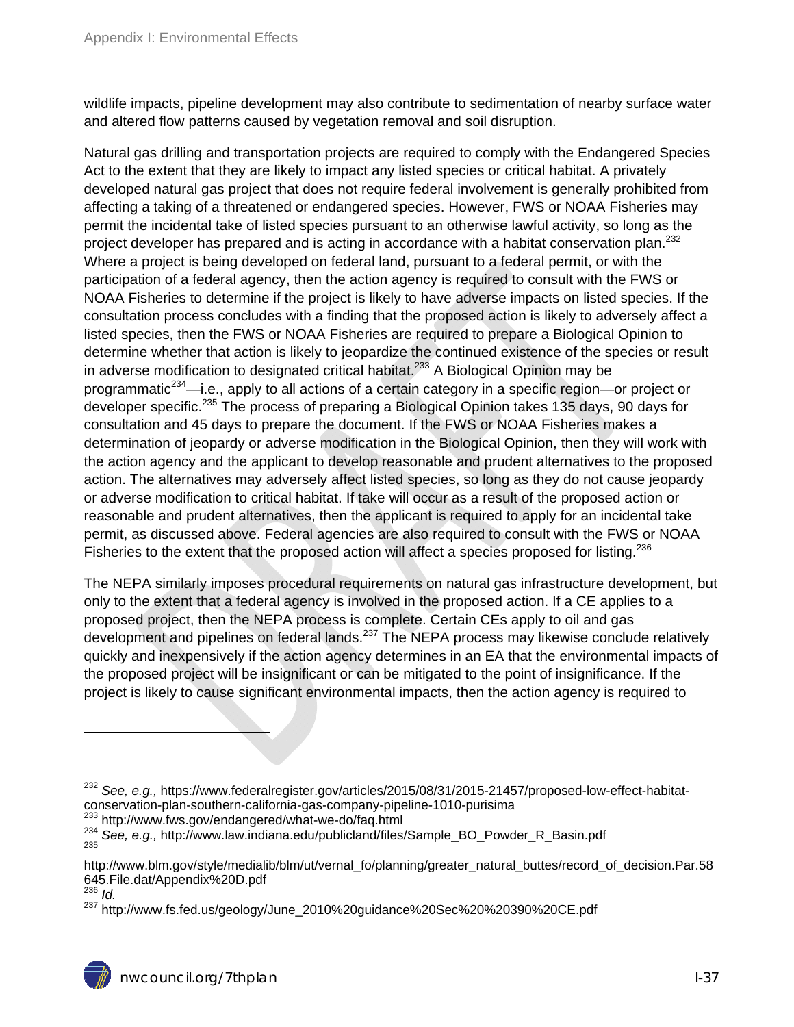wildlife impacts, pipeline development may also contribute to sedimentation of nearby surface water and altered flow patterns caused by vegetation removal and soil disruption.

Natural gas drilling and transportation projects are required to comply with the Endangered Species Act to the extent that they are likely to impact any listed species or critical habitat. A privately developed natural gas project that does not require federal involvement is generally prohibited from affecting a taking of a threatened or endangered species. However, FWS or NOAA Fisheries may permit the incidental take of listed species pursuant to an otherwise lawful activity, so long as the project developer has prepared and is acting in accordance with a habitat conservation plan.<sup>232</sup> Where a project is being developed on federal land, pursuant to a federal permit, or with the participation of a federal agency, then the action agency is required to consult with the FWS or NOAA Fisheries to determine if the project is likely to have adverse impacts on listed species. If the consultation process concludes with a finding that the proposed action is likely to adversely affect a listed species, then the FWS or NOAA Fisheries are required to prepare a Biological Opinion to determine whether that action is likely to jeopardize the continued existence of the species or result in adverse modification to designated critical habitat.<sup>233</sup> A Biological Opinion may be programmatic<sup>234</sup>—i.e., apply to all actions of a certain category in a specific region—or project or developer specific.<sup>235</sup> The process of preparing a Biological Opinion takes 135 days, 90 days for consultation and 45 days to prepare the document. If the FWS or NOAA Fisheries makes a determination of jeopardy or adverse modification in the Biological Opinion, then they will work with the action agency and the applicant to develop reasonable and prudent alternatives to the proposed action. The alternatives may adversely affect listed species, so long as they do not cause jeopardy or adverse modification to critical habitat. If take will occur as a result of the proposed action or reasonable and prudent alternatives, then the applicant is required to apply for an incidental take permit, as discussed above. Federal agencies are also required to consult with the FWS or NOAA Fisheries to the extent that the proposed action will affect a species proposed for listing.<sup>236</sup>

The NEPA similarly imposes procedural requirements on natural gas infrastructure development, but only to the extent that a federal agency is involved in the proposed action. If a CE applies to a proposed project, then the NEPA process is complete. Certain CEs apply to oil and gas development and pipelines on federal lands.  $237$  The NEPA process may likewise conclude relatively quickly and inexpensively if the action agency determines in an EA that the environmental impacts of the proposed project will be insignificant or can be mitigated to the point of insignificance. If the project is likely to cause significant environmental impacts, then the action agency is required to

- <sup>232</sup> See, e.g., https://www.federalregister.gov/articles/2015/08/31/2015-21457/proposed-low-effect-habitat-<br>conservation-plan-southern-california-gas-company-pipeline-1010-purisima
- 

<sup>233</sup> http://www.fws.gov/endangered/what-we-do/faq.html<br><sup>234</sup> See, e.g., http://www.law.indiana.edu/publicland/files/Sample\_BO\_Powder\_R\_Basin.pdf

<sup>236</sup> *Id.* 

http://www.blm.gov/style/medialib/blm/ut/vernal\_fo/planning/greater\_natural\_buttes/record\_of\_decision.Par.58 645.File.dat/Appendix%20D.pdf

<sup>&</sup>lt;sup>237</sup> http://www.fs.fed.us/geology/June\_2010%20guidance%20Sec%20%20390%20CE.pdf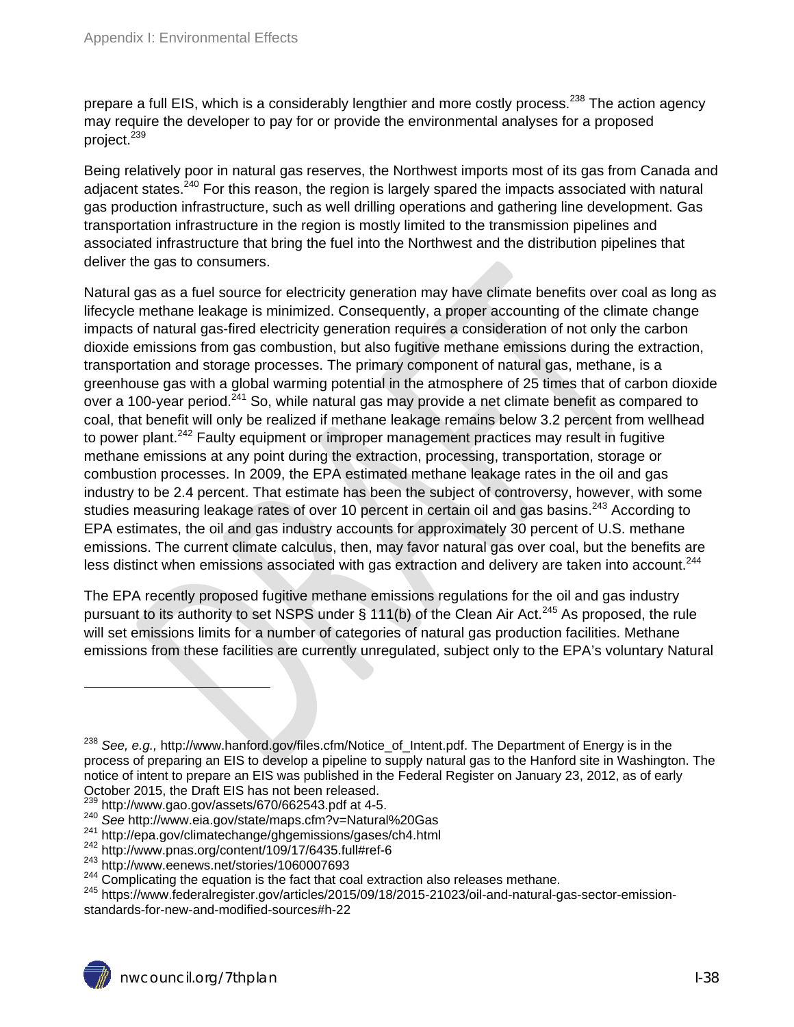prepare a full EIS, which is a considerably lengthier and more costly process.<sup>238</sup> The action agency may require the developer to pay for or provide the environmental analyses for a proposed project.<sup>239</sup>

Being relatively poor in natural gas reserves, the Northwest imports most of its gas from Canada and adiacent states.<sup>240</sup> For this reason, the region is largely spared the impacts associated with natural gas production infrastructure, such as well drilling operations and gathering line development. Gas transportation infrastructure in the region is mostly limited to the transmission pipelines and associated infrastructure that bring the fuel into the Northwest and the distribution pipelines that deliver the gas to consumers.

Natural gas as a fuel source for electricity generation may have climate benefits over coal as long as lifecycle methane leakage is minimized. Consequently, a proper accounting of the climate change impacts of natural gas-fired electricity generation requires a consideration of not only the carbon dioxide emissions from gas combustion, but also fugitive methane emissions during the extraction, transportation and storage processes. The primary component of natural gas, methane, is a greenhouse gas with a global warming potential in the atmosphere of 25 times that of carbon dioxide over a 100-year period.<sup>241</sup> So, while natural gas may provide a net climate benefit as compared to coal, that benefit will only be realized if methane leakage remains below 3.2 percent from wellhead to power plant.<sup>242</sup> Faulty equipment or improper management practices may result in fugitive methane emissions at any point during the extraction, processing, transportation, storage or combustion processes. In 2009, the EPA estimated methane leakage rates in the oil and gas industry to be 2.4 percent. That estimate has been the subject of controversy, however, with some studies measuring leakage rates of over 10 percent in certain oil and gas basins.<sup>243</sup> According to EPA estimates, the oil and gas industry accounts for approximately 30 percent of U.S. methane emissions. The current climate calculus, then, may favor natural gas over coal, but the benefits are less distinct when emissions associated with gas extraction and delivery are taken into account.<sup>244</sup>

The EPA recently proposed fugitive methane emissions regulations for the oil and gas industry pursuant to its authority to set NSPS under § 111(b) of the Clean Air Act.<sup>245</sup> As proposed, the rule will set emissions limits for a number of categories of natural gas production facilities. Methane emissions from these facilities are currently unregulated, subject only to the EPA's voluntary Natural

<sup>238</sup> *See, e.g.,* http://www.hanford.gov/files.cfm/Notice\_of\_Intent.pdf. The Department of Energy is in the process of preparing an EIS to develop a pipeline to supply natural gas to the Hanford site in Washington. The notice of intent to prepare an EIS was published in the Federal Register on January 23, 2012, as of early October 2015, the Draft EIS has not been released.

 $^{239}$  http://www.gao.gov/assets/670/662543.pdf at 4-5.<br>  $^{240}$  See http://www.eia.gov/state/maps.cfm?v=Natural%20Gas<br>  $^{241}$  http://epa.gov/climatechange/ghgemissions/gases/ch4.html<br>  $^{242}$  http://www.pnas.org/conten

<sup>245</sup> https://www.federalregister.gov/articles/2015/09/18/2015-21023/oil-and-natural-gas-sector-emissionstandards-for-new-and-modified-sources#h-22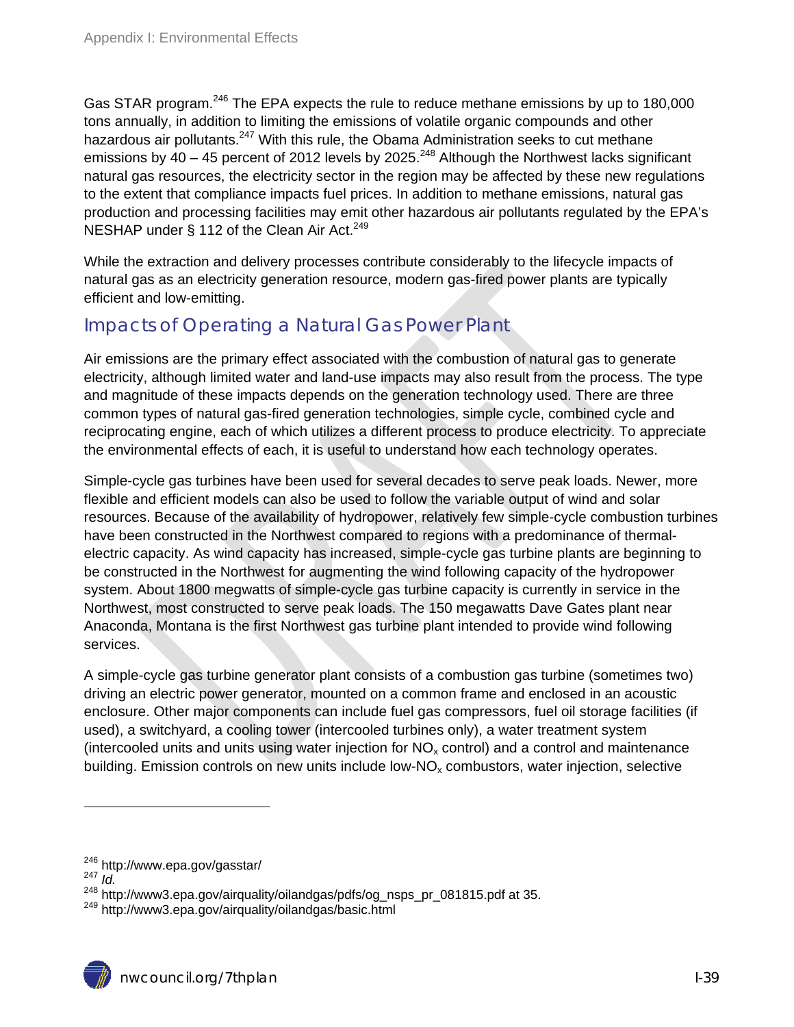Gas STAR program.<sup>246</sup> The EPA expects the rule to reduce methane emissions by up to 180,000 tons annually, in addition to limiting the emissions of volatile organic compounds and other hazardous air pollutants.<sup>247</sup> With this rule, the Obama Administration seeks to cut methane emissions by  $40 - 45$  percent of 2012 levels by 2025.<sup>248</sup> Although the Northwest lacks significant natural gas resources, the electricity sector in the region may be affected by these new regulations to the extent that compliance impacts fuel prices. In addition to methane emissions, natural gas production and processing facilities may emit other hazardous air pollutants regulated by the EPA's NESHAP under § 112 of the Clean Air Act.<sup>249</sup>

While the extraction and delivery processes contribute considerably to the lifecycle impacts of natural gas as an electricity generation resource, modern gas-fired power plants are typically efficient and low-emitting.

#### Impacts of Operating a Natural Gas Power Plant

Air emissions are the primary effect associated with the combustion of natural gas to generate electricity, although limited water and land-use impacts may also result from the process. The type and magnitude of these impacts depends on the generation technology used. There are three common types of natural gas-fired generation technologies, simple cycle, combined cycle and reciprocating engine, each of which utilizes a different process to produce electricity. To appreciate the environmental effects of each, it is useful to understand how each technology operates.

Simple-cycle gas turbines have been used for several decades to serve peak loads. Newer, more flexible and efficient models can also be used to follow the variable output of wind and solar resources. Because of the availability of hydropower, relatively few simple-cycle combustion turbines have been constructed in the Northwest compared to regions with a predominance of thermalelectric capacity. As wind capacity has increased, simple-cycle gas turbine plants are beginning to be constructed in the Northwest for augmenting the wind following capacity of the hydropower system. About 1800 megwatts of simple-cycle gas turbine capacity is currently in service in the Northwest, most constructed to serve peak loads. The 150 megawatts Dave Gates plant near Anaconda, Montana is the first Northwest gas turbine plant intended to provide wind following services.

A simple-cycle gas turbine generator plant consists of a combustion gas turbine (sometimes two) driving an electric power generator, mounted on a common frame and enclosed in an acoustic enclosure. Other major components can include fuel gas compressors, fuel oil storage facilities (if used), a switchyard, a cooling tower (intercooled turbines only), a water treatment system (intercooled units and units using water injection for  $NO<sub>x</sub>$  control) and a control and maintenance building. Emission controls on new units include low- $NO<sub>x</sub>$  combustors, water injection, selective

<sup>246</sup> http://www.epa.gov/gasstar/ 247 *Id.* 

<sup>248</sup> http://www3.epa.gov/airquality/oilandgas/pdfs/og\_nsps\_pr\_081815.pdf at 35.<br><sup>249</sup> http://www3.epa.gov/airquality/oilandgas/basic.html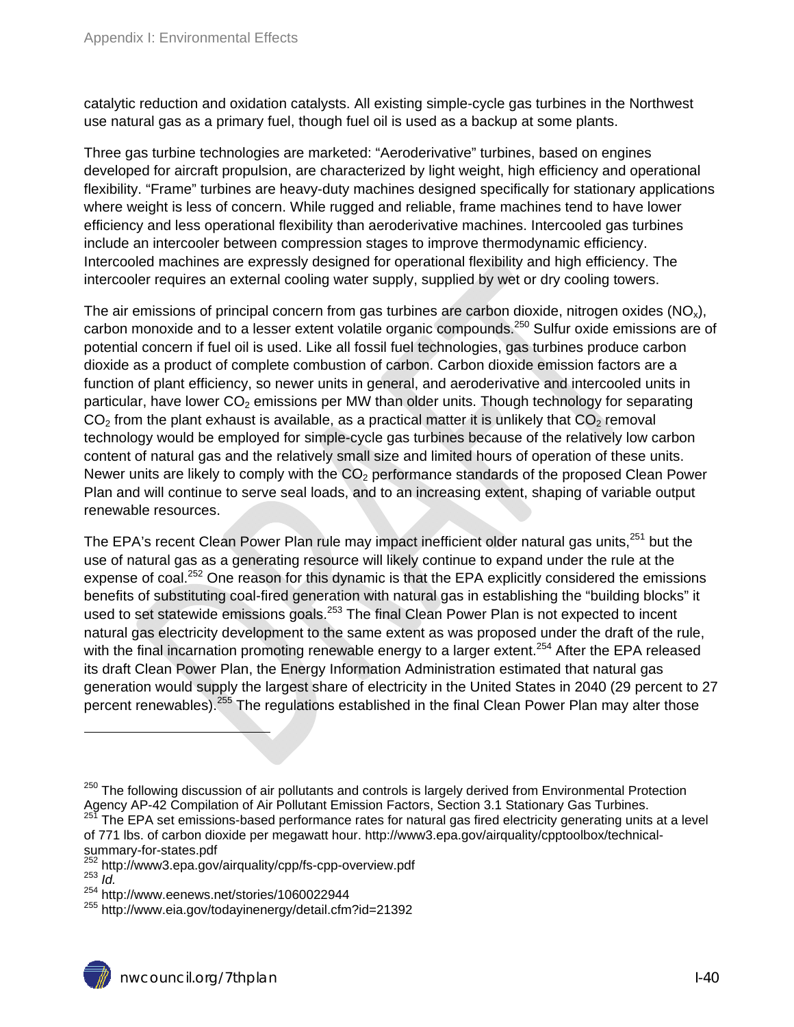catalytic reduction and oxidation catalysts. All existing simple-cycle gas turbines in the Northwest use natural gas as a primary fuel, though fuel oil is used as a backup at some plants.

Three gas turbine technologies are marketed: "Aeroderivative" turbines, based on engines developed for aircraft propulsion, are characterized by light weight, high efficiency and operational flexibility. "Frame" turbines are heavy-duty machines designed specifically for stationary applications where weight is less of concern. While rugged and reliable, frame machines tend to have lower efficiency and less operational flexibility than aeroderivative machines. Intercooled gas turbines include an intercooler between compression stages to improve thermodynamic efficiency. Intercooled machines are expressly designed for operational flexibility and high efficiency. The intercooler requires an external cooling water supply, supplied by wet or dry cooling towers.

The air emissions of principal concern from gas turbines are carbon dioxide, nitrogen oxides  $(NO_x)$ , carbon monoxide and to a lesser extent volatile organic compounds.<sup>250</sup> Sulfur oxide emissions are of potential concern if fuel oil is used. Like all fossil fuel technologies, gas turbines produce carbon dioxide as a product of complete combustion of carbon. Carbon dioxide emission factors are a function of plant efficiency, so newer units in general, and aeroderivative and intercooled units in particular, have lower  $CO<sub>2</sub>$  emissions per MW than older units. Though technology for separating  $CO<sub>2</sub>$  from the plant exhaust is available, as a practical matter it is unlikely that  $CO<sub>2</sub>$  removal technology would be employed for simple-cycle gas turbines because of the relatively low carbon content of natural gas and the relatively small size and limited hours of operation of these units. Newer units are likely to comply with the  $CO<sub>2</sub>$  performance standards of the proposed Clean Power Plan and will continue to serve seal loads, and to an increasing extent, shaping of variable output renewable resources.

The EPA's recent Clean Power Plan rule may impact inefficient older natural gas units,<sup>251</sup> but the use of natural gas as a generating resource will likely continue to expand under the rule at the expense of coal.<sup>252</sup> One reason for this dynamic is that the EPA explicitly considered the emissions benefits of substituting coal-fired generation with natural gas in establishing the "building blocks" it used to set statewide emissions goals.<sup>253</sup> The final Clean Power Plan is not expected to incent natural gas electricity development to the same extent as was proposed under the draft of the rule, with the final incarnation promoting renewable energy to a larger extent.<sup>254</sup> After the EPA released its draft Clean Power Plan, the Energy Information Administration estimated that natural gas generation would supply the largest share of electricity in the United States in 2040 (29 percent to 27 percent renewables).<sup>255</sup> The regulations established in the final Clean Power Plan may alter those

<sup>&</sup>lt;sup>250</sup> The following discussion of air pollutants and controls is largely derived from Environmental Protection Agency AP-42 Compilation of Air Pollutant Emission Factors, Section 3.1 Stationary Gas Turbines.<br><sup>251</sup> The EPA set emissions-based performance rates for natural gas fired electricity generating units at a level

of 771 lbs. of carbon dioxide per megawatt hour. http://www3.epa.gov/airquality/cpptoolbox/technicalsummary-for-states.pdf

<sup>&</sup>lt;sup>252</sup> http://www3.epa.gov/airquality/cpp/fs-cpp-overview.pdf<br><sup>253</sup> *Id.*<br><sup>254</sup> http://www.eenews.net/stories/1060022944

<sup>&</sup>lt;sup>255</sup> http://www.eia.gov/todayinenergy/detail.cfm?id=21392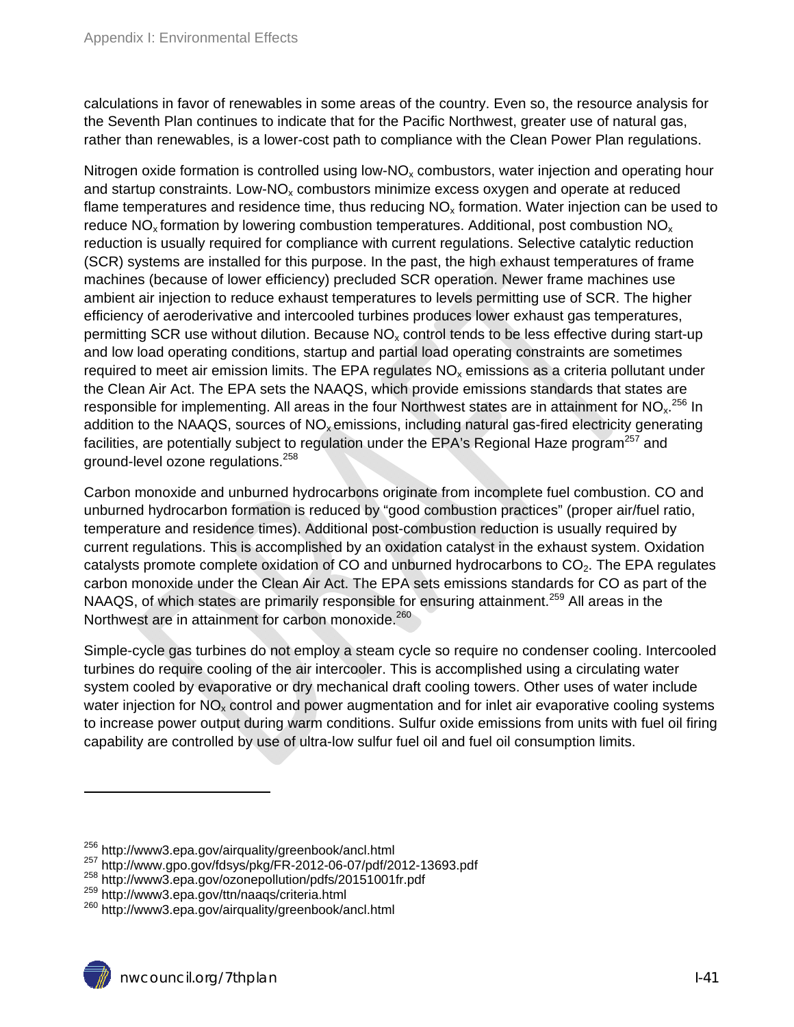calculations in favor of renewables in some areas of the country. Even so, the resource analysis for the Seventh Plan continues to indicate that for the Pacific Northwest, greater use of natural gas, rather than renewables, is a lower-cost path to compliance with the Clean Power Plan regulations.

Nitrogen oxide formation is controlled using low- $NO<sub>x</sub>$  combustors, water injection and operating hour and startup constraints. Low-NO<sub>x</sub> combustors minimize excess oxygen and operate at reduced flame temperatures and residence time, thus reducing  $NO<sub>x</sub>$  formation. Water injection can be used to reduce NO<sub>x</sub> formation by lowering combustion temperatures. Additional, post combustion NO<sub>x</sub> reduction is usually required for compliance with current regulations. Selective catalytic reduction (SCR) systems are installed for this purpose. In the past, the high exhaust temperatures of frame machines (because of lower efficiency) precluded SCR operation. Newer frame machines use ambient air injection to reduce exhaust temperatures to levels permitting use of SCR. The higher efficiency of aeroderivative and intercooled turbines produces lower exhaust gas temperatures, permitting SCR use without dilution. Because  $NO<sub>x</sub>$  control tends to be less effective during start-up and low load operating conditions, startup and partial load operating constraints are sometimes required to meet air emission limits. The EPA regulates  $NO<sub>x</sub>$  emissions as a criteria pollutant under the Clean Air Act. The EPA sets the NAAQS, which provide emissions standards that states are responsible for implementing. All areas in the four Northwest states are in attainment for NO<sub>x</sub>.<sup>256</sup> In addition to the NAAQS, sources of  $NO<sub>x</sub>$ emissions, including natural gas-fired electricity generating facilities, are potentially subject to regulation under the EPA's Regional Haze program<sup>257</sup> and ground-level ozone regulations.258

Carbon monoxide and unburned hydrocarbons originate from incomplete fuel combustion. CO and unburned hydrocarbon formation is reduced by "good combustion practices" (proper air/fuel ratio, temperature and residence times). Additional post-combustion reduction is usually required by current regulations. This is accomplished by an oxidation catalyst in the exhaust system. Oxidation catalysts promote complete oxidation of CO and unburned hydrocarbons to  $CO<sub>2</sub>$ . The EPA regulates carbon monoxide under the Clean Air Act. The EPA sets emissions standards for CO as part of the NAAQS, of which states are primarily responsible for ensuring attainment.<sup>259</sup> All areas in the Northwest are in attainment for carbon monoxide.<sup>260</sup>

Simple-cycle gas turbines do not employ a steam cycle so require no condenser cooling. Intercooled turbines do require cooling of the air intercooler. This is accomplished using a circulating water system cooled by evaporative or dry mechanical draft cooling towers. Other uses of water include water injection for  $NO<sub>x</sub>$  control and power augmentation and for inlet air evaporative cooling systems to increase power output during warm conditions. Sulfur oxide emissions from units with fuel oil firing capability are controlled by use of ultra-low sulfur fuel oil and fuel oil consumption limits.

<sup>&</sup>lt;sup>256</sup> http://www3.epa.gov/airquality/greenbook/ancl.html<br><sup>257</sup> http://www.gpo.gov/fdsys/pkg/FR-2012-06-07/pdf/2012-13693.pdf<br><sup>258</sup> http://www3.epa.gov/ozonepollution/pdfs/20151001fr.pdf<br><sup>259</sup> http://www3.epa.gov/ttn/naaqs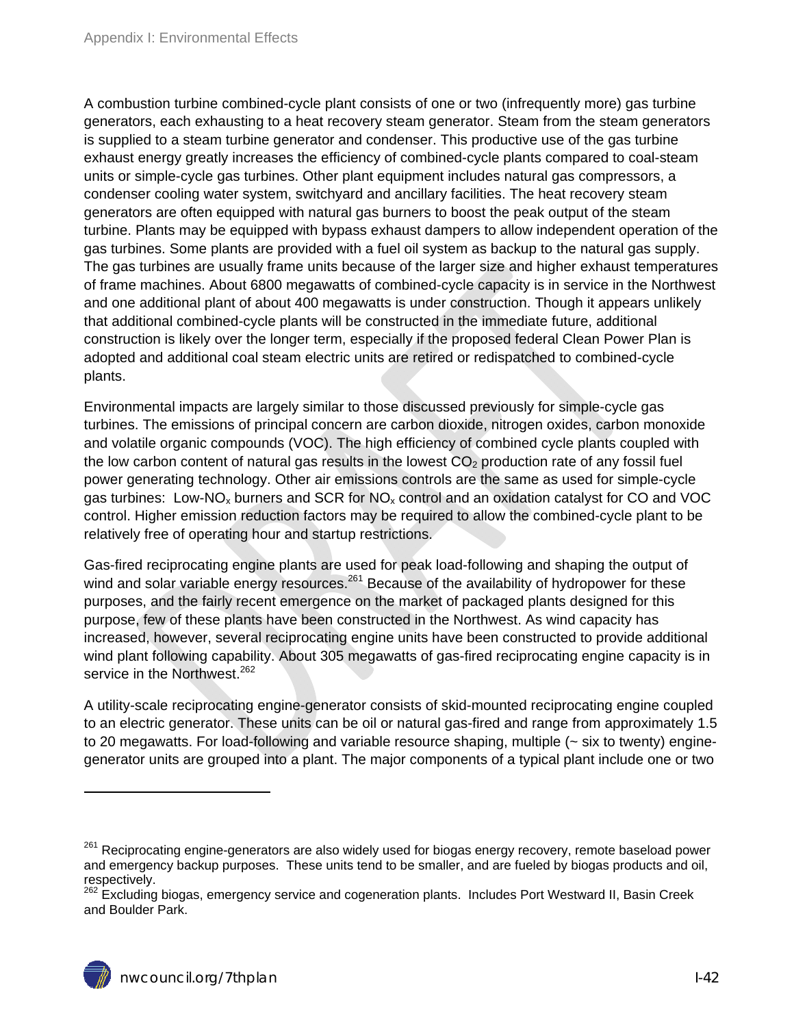A combustion turbine combined-cycle plant consists of one or two (infrequently more) gas turbine generators, each exhausting to a heat recovery steam generator. Steam from the steam generators is supplied to a steam turbine generator and condenser. This productive use of the gas turbine exhaust energy greatly increases the efficiency of combined-cycle plants compared to coal-steam units or simple-cycle gas turbines. Other plant equipment includes natural gas compressors, a condenser cooling water system, switchyard and ancillary facilities. The heat recovery steam generators are often equipped with natural gas burners to boost the peak output of the steam turbine. Plants may be equipped with bypass exhaust dampers to allow independent operation of the gas turbines. Some plants are provided with a fuel oil system as backup to the natural gas supply. The gas turbines are usually frame units because of the larger size and higher exhaust temperatures of frame machines. About 6800 megawatts of combined-cycle capacity is in service in the Northwest and one additional plant of about 400 megawatts is under construction. Though it appears unlikely that additional combined-cycle plants will be constructed in the immediate future, additional construction is likely over the longer term, especially if the proposed federal Clean Power Plan is adopted and additional coal steam electric units are retired or redispatched to combined-cycle plants.

Environmental impacts are largely similar to those discussed previously for simple-cycle gas turbines. The emissions of principal concern are carbon dioxide, nitrogen oxides, carbon monoxide and volatile organic compounds (VOC). The high efficiency of combined cycle plants coupled with the low carbon content of natural gas results in the lowest  $CO<sub>2</sub>$  production rate of any fossil fuel power generating technology. Other air emissions controls are the same as used for simple-cycle gas turbines: Low-NO<sub>x</sub> burners and SCR for NO<sub>x</sub> control and an oxidation catalyst for CO and VOC control. Higher emission reduction factors may be required to allow the combined-cycle plant to be relatively free of operating hour and startup restrictions.

Gas-fired reciprocating engine plants are used for peak load-following and shaping the output of wind and solar variable energy resources.<sup>261</sup> Because of the availability of hydropower for these purposes, and the fairly recent emergence on the market of packaged plants designed for this purpose, few of these plants have been constructed in the Northwest. As wind capacity has increased, however, several reciprocating engine units have been constructed to provide additional wind plant following capability. About 305 megawatts of gas-fired reciprocating engine capacity is in service in the Northwest.<sup>262</sup>

A utility-scale reciprocating engine-generator consists of skid-mounted reciprocating engine coupled to an electric generator. These units can be oil or natural gas-fired and range from approximately 1.5 to 20 megawatts. For load-following and variable resource shaping, multiple (~ six to twenty) enginegenerator units are grouped into a plant. The major components of a typical plant include one or two

<sup>&</sup>lt;sup>261</sup> Reciprocating engine-generators are also widely used for biogas energy recovery, remote baseload power and emergency backup purposes. These units tend to be smaller, and are fueled by biogas products and oil, respectively.

<sup>262</sup> Excluding biogas, emergency service and cogeneration plants. Includes Port Westward II, Basin Creek and Boulder Park.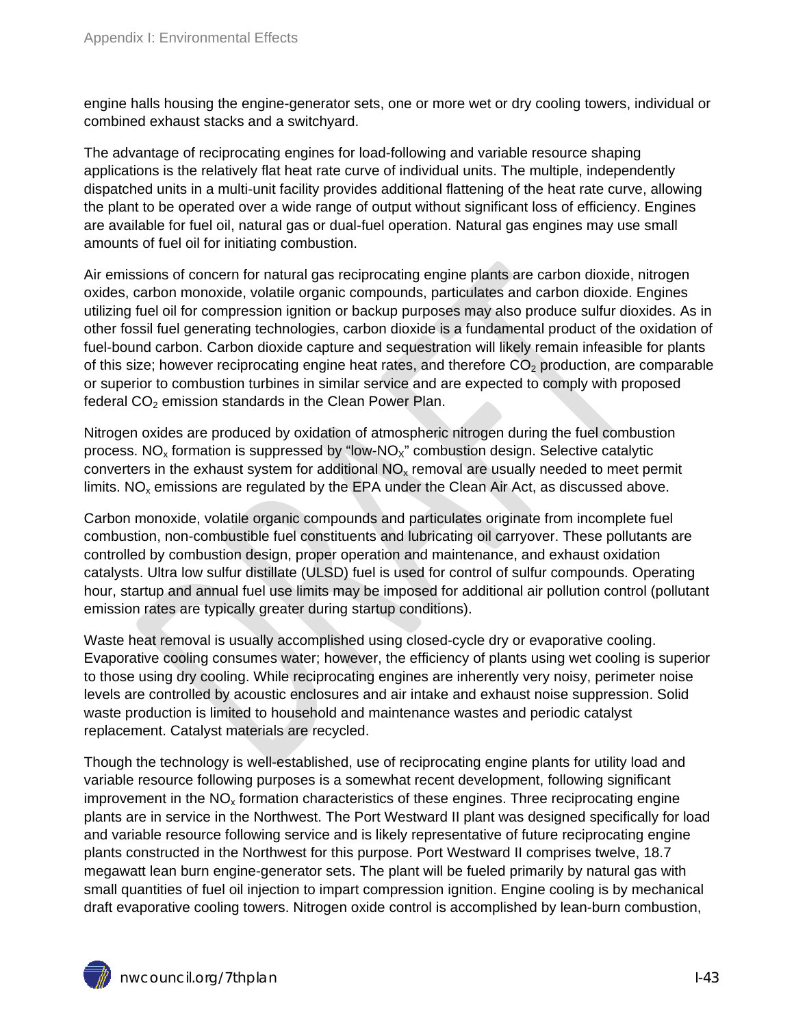engine halls housing the engine-generator sets, one or more wet or dry cooling towers, individual or combined exhaust stacks and a switchyard.

The advantage of reciprocating engines for load-following and variable resource shaping applications is the relatively flat heat rate curve of individual units. The multiple, independently dispatched units in a multi-unit facility provides additional flattening of the heat rate curve, allowing the plant to be operated over a wide range of output without significant loss of efficiency. Engines are available for fuel oil, natural gas or dual-fuel operation. Natural gas engines may use small amounts of fuel oil for initiating combustion.

Air emissions of concern for natural gas reciprocating engine plants are carbon dioxide, nitrogen oxides, carbon monoxide, volatile organic compounds, particulates and carbon dioxide. Engines utilizing fuel oil for compression ignition or backup purposes may also produce sulfur dioxides. As in other fossil fuel generating technologies, carbon dioxide is a fundamental product of the oxidation of fuel-bound carbon. Carbon dioxide capture and sequestration will likely remain infeasible for plants of this size; however reciprocating engine heat rates, and therefore  $CO<sub>2</sub>$  production, are comparable or superior to combustion turbines in similar service and are expected to comply with proposed federal  $CO<sub>2</sub>$  emission standards in the Clean Power Plan.

Nitrogen oxides are produced by oxidation of atmospheric nitrogen during the fuel combustion process. NO<sub>x</sub> formation is suppressed by "low-NO<sub>x</sub>" combustion design. Selective catalytic converters in the exhaust system for additional  $NO<sub>x</sub>$  removal are usually needed to meet permit limits.  $NO<sub>x</sub>$  emissions are regulated by the EPA under the Clean Air Act, as discussed above.

Carbon monoxide, volatile organic compounds and particulates originate from incomplete fuel combustion, non-combustible fuel constituents and lubricating oil carryover. These pollutants are controlled by combustion design, proper operation and maintenance, and exhaust oxidation catalysts. Ultra low sulfur distillate (ULSD) fuel is used for control of sulfur compounds. Operating hour, startup and annual fuel use limits may be imposed for additional air pollution control (pollutant emission rates are typically greater during startup conditions).

Waste heat removal is usually accomplished using closed-cycle dry or evaporative cooling. Evaporative cooling consumes water; however, the efficiency of plants using wet cooling is superior to those using dry cooling. While reciprocating engines are inherently very noisy, perimeter noise levels are controlled by acoustic enclosures and air intake and exhaust noise suppression. Solid waste production is limited to household and maintenance wastes and periodic catalyst replacement. Catalyst materials are recycled.

Though the technology is well-established, use of reciprocating engine plants for utility load and variable resource following purposes is a somewhat recent development, following significant improvement in the  $NO<sub>x</sub>$  formation characteristics of these engines. Three reciprocating engine plants are in service in the Northwest. The Port Westward II plant was designed specifically for load and variable resource following service and is likely representative of future reciprocating engine plants constructed in the Northwest for this purpose. Port Westward II comprises twelve, 18.7 megawatt lean burn engine-generator sets. The plant will be fueled primarily by natural gas with small quantities of fuel oil injection to impart compression ignition. Engine cooling is by mechanical draft evaporative cooling towers. Nitrogen oxide control is accomplished by lean-burn combustion,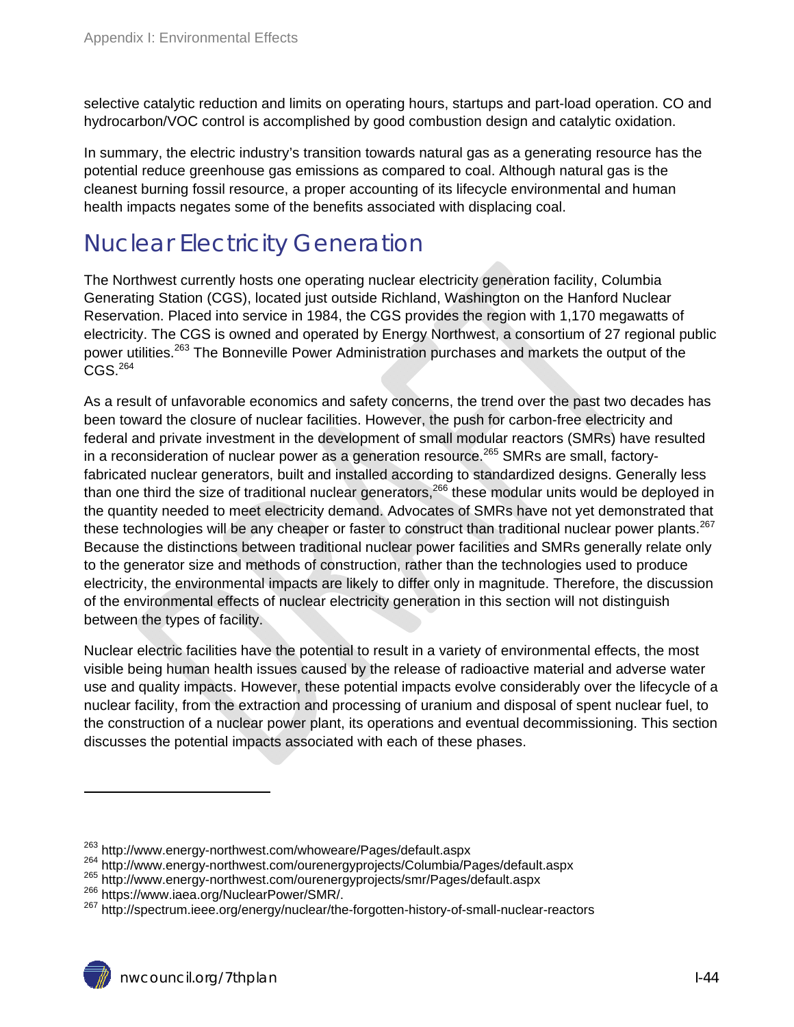selective catalytic reduction and limits on operating hours, startups and part-load operation. CO and hydrocarbon/VOC control is accomplished by good combustion design and catalytic oxidation.

In summary, the electric industry's transition towards natural gas as a generating resource has the potential reduce greenhouse gas emissions as compared to coal. Although natural gas is the cleanest burning fossil resource, a proper accounting of its lifecycle environmental and human health impacts negates some of the benefits associated with displacing coal.

## Nuclear Electricity Generation

The Northwest currently hosts one operating nuclear electricity generation facility, Columbia Generating Station (CGS), located just outside Richland, Washington on the Hanford Nuclear Reservation. Placed into service in 1984, the CGS provides the region with 1,170 megawatts of electricity. The CGS is owned and operated by Energy Northwest, a consortium of 27 regional public power utilities.<sup>263</sup> The Bonneville Power Administration purchases and markets the output of the  $CGS.<sup>264</sup>$ 

As a result of unfavorable economics and safety concerns, the trend over the past two decades has been toward the closure of nuclear facilities. However, the push for carbon-free electricity and federal and private investment in the development of small modular reactors (SMRs) have resulted in a reconsideration of nuclear power as a generation resource.<sup>265</sup> SMRs are small, factoryfabricated nuclear generators, built and installed according to standardized designs. Generally less than one third the size of traditional nuclear generators,<sup>266</sup> these modular units would be deployed in the quantity needed to meet electricity demand. Advocates of SMRs have not yet demonstrated that these technologies will be any cheaper or faster to construct than traditional nuclear power plants.<sup>267</sup> Because the distinctions between traditional nuclear power facilities and SMRs generally relate only to the generator size and methods of construction, rather than the technologies used to produce electricity, the environmental impacts are likely to differ only in magnitude. Therefore, the discussion of the environmental effects of nuclear electricity generation in this section will not distinguish between the types of facility.

Nuclear electric facilities have the potential to result in a variety of environmental effects, the most visible being human health issues caused by the release of radioactive material and adverse water use and quality impacts. However, these potential impacts evolve considerably over the lifecycle of a nuclear facility, from the extraction and processing of uranium and disposal of spent nuclear fuel, to the construction of a nuclear power plant, its operations and eventual decommissioning. This section discusses the potential impacts associated with each of these phases.

<sup>&</sup>lt;sup>263</sup> http://www.energy-northwest.com/whoweare/Pages/default.aspx<br><sup>264</sup> http://www.energy-northwest.com/ourenergyprojects/Columbia/Pages/default.aspx<br><sup>265</sup> http://www.energy-northwest.com/ourenergyprojects/Smr/Pages/defaul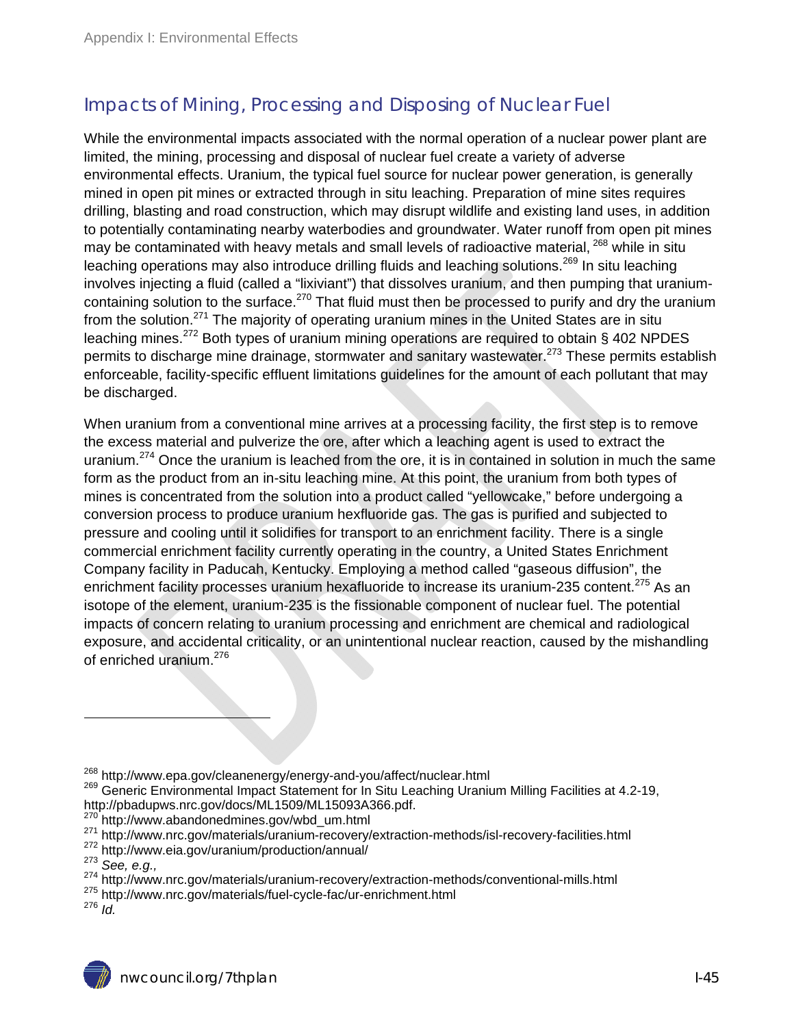## Impacts of Mining, Processing and Disposing of Nuclear Fuel

While the environmental impacts associated with the normal operation of a nuclear power plant are limited, the mining, processing and disposal of nuclear fuel create a variety of adverse environmental effects. Uranium, the typical fuel source for nuclear power generation, is generally mined in open pit mines or extracted through in situ leaching. Preparation of mine sites requires drilling, blasting and road construction, which may disrupt wildlife and existing land uses, in addition to potentially contaminating nearby waterbodies and groundwater. Water runoff from open pit mines may be contaminated with heavy metals and small levels of radioactive material, <sup>268</sup> while in situ leaching operations may also introduce drilling fluids and leaching solutions.<sup>269</sup> In situ leaching involves injecting a fluid (called a "lixiviant") that dissolves uranium, and then pumping that uraniumcontaining solution to the surface.<sup>270</sup> That fluid must then be processed to purify and dry the uranium from the solution.<sup>271</sup> The majority of operating uranium mines in the United States are in situ leaching mines.<sup>272</sup> Both types of uranium mining operations are required to obtain § 402 NPDES permits to discharge mine drainage, stormwater and sanitary wastewater.<sup>273</sup> These permits establish enforceable, facility-specific effluent limitations guidelines for the amount of each pollutant that may be discharged.

When uranium from a conventional mine arrives at a processing facility, the first step is to remove the excess material and pulverize the ore, after which a leaching agent is used to extract the uranium.<sup>274</sup> Once the uranium is leached from the ore, it is in contained in solution in much the same form as the product from an in-situ leaching mine. At this point, the uranium from both types of mines is concentrated from the solution into a product called "yellowcake," before undergoing a conversion process to produce uranium hexfluoride gas. The gas is purified and subjected to pressure and cooling until it solidifies for transport to an enrichment facility. There is a single commercial enrichment facility currently operating in the country, a United States Enrichment Company facility in Paducah, Kentucky. Employing a method called "gaseous diffusion", the enrichment facility processes uranium hexafluoride to increase its uranium-235 content.<sup>275</sup> As an isotope of the element, uranium-235 is the fissionable component of nuclear fuel. The potential impacts of concern relating to uranium processing and enrichment are chemical and radiological exposure, and accidental criticality, or an unintentional nuclear reaction, caused by the mishandling of enriched uranium.<sup>276</sup>

<sup>&</sup>lt;sup>268</sup> http://www.epa.gov/cleanenergy/energy-and-you/affect/nuclear.html<br><sup>269</sup> Generic Environmental Impact Statement for In Situ Leaching Uranium Milling Facilities at 4.2-19,

http://pbadupws.nrc.gov/docs/ML1509/ML15093A366.pdf.<br><sup>270</sup> http://www.abandonedmines.gov/wbd\_um.html

<sup>&</sup>lt;sup>271</sup> http://www.nrc.gov/materials/uranium-recovery/extraction-methods/isl-recovery-facilities.html<br><sup>272</sup> http://www.eia.gov/uranium/production/annual/<br><sup>273</sup> See, e.g.,<br><sup>273</sup> http://www.nrc.gov/materials/uranium-recovery/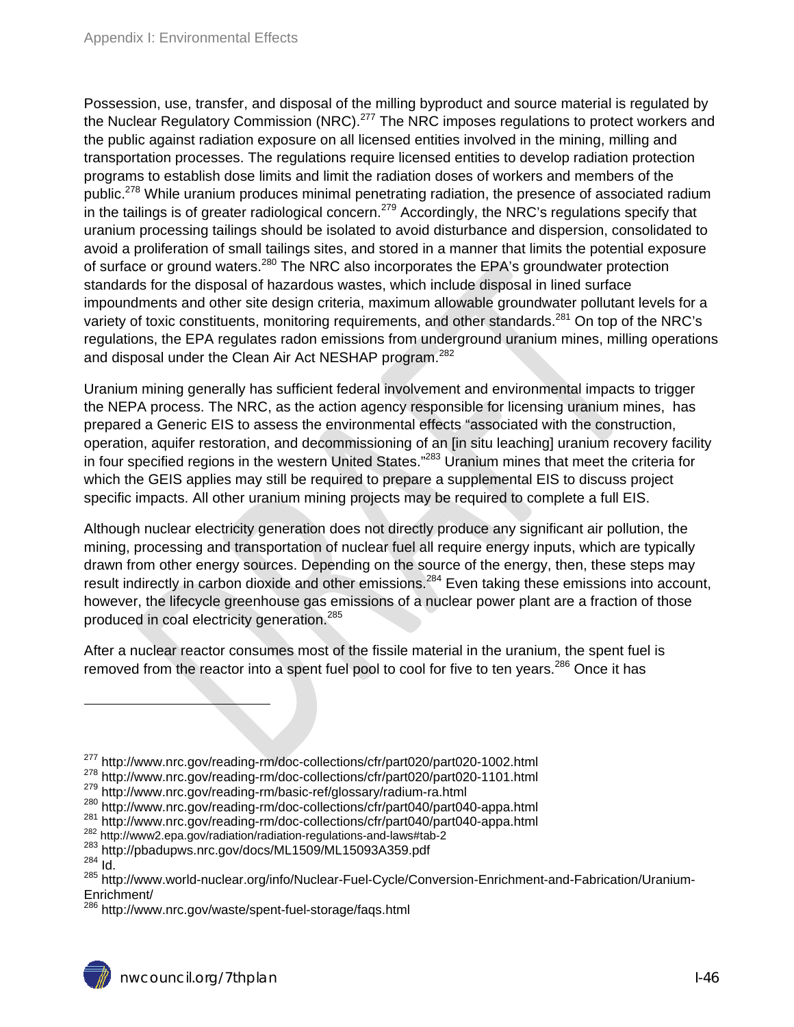Possession, use, transfer, and disposal of the milling byproduct and source material is regulated by the Nuclear Regulatory Commission (NRC).<sup>277</sup> The NRC imposes regulations to protect workers and the public against radiation exposure on all licensed entities involved in the mining, milling and transportation processes. The regulations require licensed entities to develop radiation protection programs to establish dose limits and limit the radiation doses of workers and members of the public.<sup>278</sup> While uranium produces minimal penetrating radiation, the presence of associated radium in the tailings is of greater radiological concern.<sup>279</sup> Accordingly, the NRC's regulations specify that uranium processing tailings should be isolated to avoid disturbance and dispersion, consolidated to avoid a proliferation of small tailings sites, and stored in a manner that limits the potential exposure of surface or ground waters.<sup>280</sup> The NRC also incorporates the EPA's groundwater protection standards for the disposal of hazardous wastes, which include disposal in lined surface impoundments and other site design criteria, maximum allowable groundwater pollutant levels for a variety of toxic constituents, monitoring requirements, and other standards.<sup>281</sup> On top of the NRC's regulations, the EPA regulates radon emissions from underground uranium mines, milling operations and disposal under the Clean Air Act NESHAP program.<sup>282</sup>

Uranium mining generally has sufficient federal involvement and environmental impacts to trigger the NEPA process. The NRC, as the action agency responsible for licensing uranium mines, has prepared a Generic EIS to assess the environmental effects "associated with the construction, operation, aquifer restoration, and decommissioning of an [in situ leaching] uranium recovery facility in four specified regions in the western United States."<sup>283</sup> Uranium mines that meet the criteria for which the GEIS applies may still be required to prepare a supplemental EIS to discuss project specific impacts. All other uranium mining projects may be required to complete a full EIS.

Although nuclear electricity generation does not directly produce any significant air pollution, the mining, processing and transportation of nuclear fuel all require energy inputs, which are typically drawn from other energy sources. Depending on the source of the energy, then, these steps may result indirectly in carbon dioxide and other emissions.<sup>284</sup> Even taking these emissions into account, however, the lifecycle greenhouse gas emissions of a nuclear power plant are a fraction of those produced in coal electricity generation.<sup>285</sup>

After a nuclear reactor consumes most of the fissile material in the uranium, the spent fuel is removed from the reactor into a spent fuel pool to cool for five to ten years.<sup>286</sup> Once it has

<sup>277</sup> http://www.nrc.gov/reading-rm/doc-collections/cfr/part020/part020-1002.html<br>
278 http://www.nrc.gov/reading-rm/doc-collections/cfr/part020/part020-1002.html<br>
279 http://www.nrc.gov/reading-rm/basic-ref/glossary/radium

<sup>&</sup>lt;sup>285</sup> http://www.world-nuclear.org/info/Nuclear-Fuel-Cycle/Conversion-Enrichment-and-Fabrication/Uranium-Enrichment/

<sup>&</sup>lt;sup>286</sup> http://www.nrc.gov/waste/spent-fuel-storage/faqs.html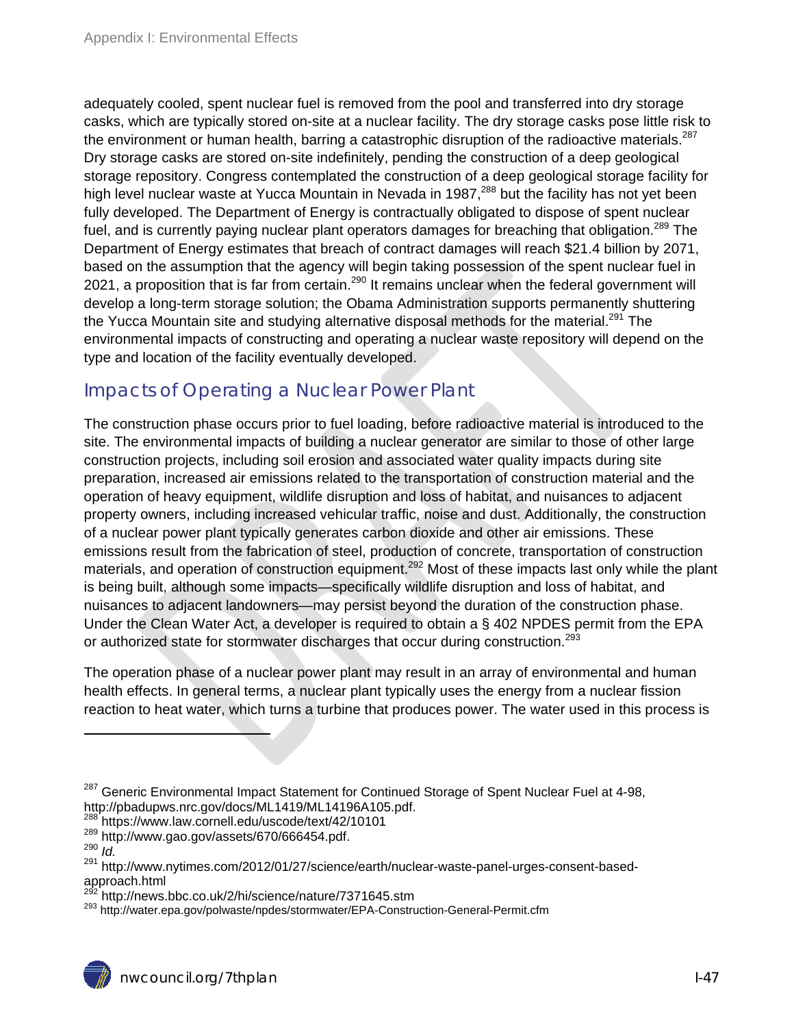adequately cooled, spent nuclear fuel is removed from the pool and transferred into dry storage casks, which are typically stored on-site at a nuclear facility. The dry storage casks pose little risk to the environment or human health, barring a catastrophic disruption of the radioactive materials.<sup>287</sup> Dry storage casks are stored on-site indefinitely, pending the construction of a deep geological storage repository. Congress contemplated the construction of a deep geological storage facility for high level nuclear waste at Yucca Mountain in Nevada in 1987,<sup>288</sup> but the facility has not yet been fully developed. The Department of Energy is contractually obligated to dispose of spent nuclear fuel, and is currently paying nuclear plant operators damages for breaching that obligation.<sup>289</sup> The Department of Energy estimates that breach of contract damages will reach \$21.4 billion by 2071, based on the assumption that the agency will begin taking possession of the spent nuclear fuel in 2021, a proposition that is far from certain.<sup>290</sup> It remains unclear when the federal government will develop a long-term storage solution; the Obama Administration supports permanently shuttering the Yucca Mountain site and studying alternative disposal methods for the material.<sup>291</sup> The environmental impacts of constructing and operating a nuclear waste repository will depend on the type and location of the facility eventually developed.

### Impacts of Operating a Nuclear Power Plant

The construction phase occurs prior to fuel loading, before radioactive material is introduced to the site. The environmental impacts of building a nuclear generator are similar to those of other large construction projects, including soil erosion and associated water quality impacts during site preparation, increased air emissions related to the transportation of construction material and the operation of heavy equipment, wildlife disruption and loss of habitat, and nuisances to adjacent property owners, including increased vehicular traffic, noise and dust. Additionally, the construction of a nuclear power plant typically generates carbon dioxide and other air emissions. These emissions result from the fabrication of steel, production of concrete, transportation of construction materials, and operation of construction equipment.<sup>292</sup> Most of these impacts last only while the plant is being built, although some impacts—specifically wildlife disruption and loss of habitat, and nuisances to adjacent landowners—may persist beyond the duration of the construction phase. Under the Clean Water Act, a developer is required to obtain a § 402 NPDES permit from the EPA or authorized state for stormwater discharges that occur during construction.<sup>293</sup>

The operation phase of a nuclear power plant may result in an array of environmental and human health effects. In general terms, a nuclear plant typically uses the energy from a nuclear fission reaction to heat water, which turns a turbine that produces power. The water used in this process is

<sup>&</sup>lt;sup>287</sup> Generic Environmental Impact Statement for Continued Storage of Spent Nuclear Fuel at 4-98, http://pbadupws.nrc.gov/docs/ML1419/ML14196A105.pdf.

<sup>288</sup> https://www.law.cornell.edu/uscode/text/42/10101

<sup>289</sup> http://www.gao.gov/assets/670/666454.pdf.<br>290 *Id.*<br><sup>291</sup> http://www.putimes.com/2012/01/27/science

http://www.nytimes.com/2012/01/27/science/earth/nuclear-waste-panel-urges-consent-basedapproach.html<br><sup>292</sup> http://news.bbc.co.uk/2/hi/science/nature/7371645.stm

<sup>&</sup>lt;sup>293</sup> http://water.epa.gov/polwaste/npdes/stormwater/EPA-Construction-General-Permit.cfm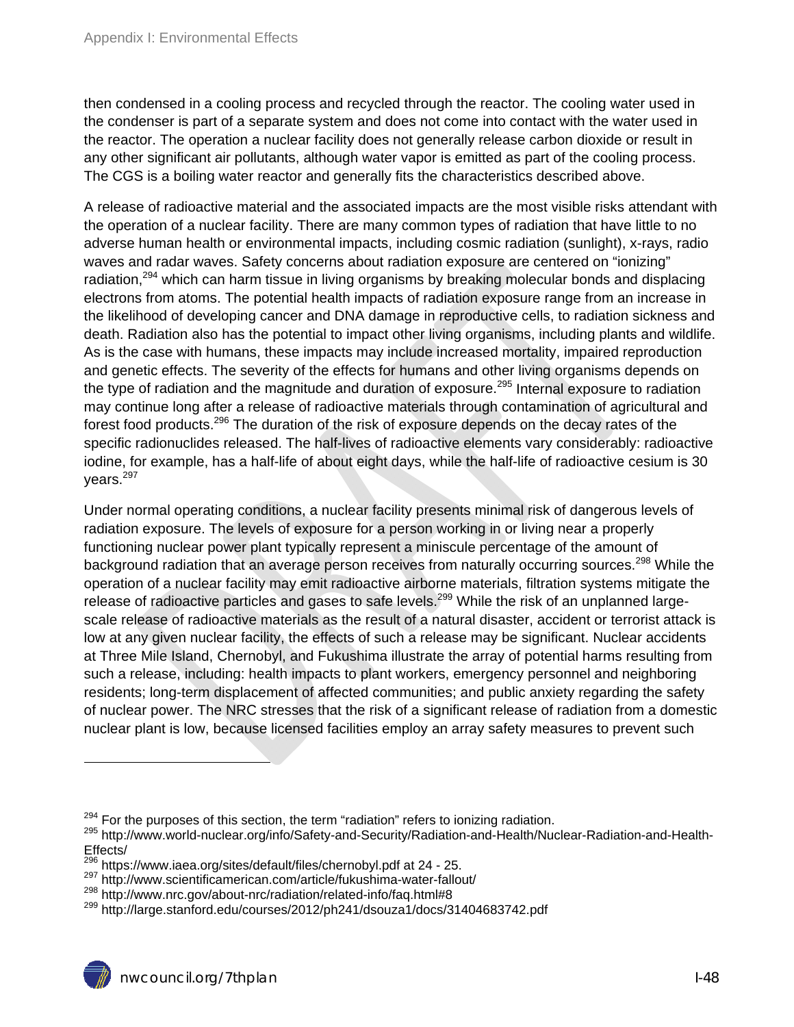then condensed in a cooling process and recycled through the reactor. The cooling water used in the condenser is part of a separate system and does not come into contact with the water used in the reactor. The operation a nuclear facility does not generally release carbon dioxide or result in any other significant air pollutants, although water vapor is emitted as part of the cooling process. The CGS is a boiling water reactor and generally fits the characteristics described above.

A release of radioactive material and the associated impacts are the most visible risks attendant with the operation of a nuclear facility. There are many common types of radiation that have little to no adverse human health or environmental impacts, including cosmic radiation (sunlight), x-rays, radio waves and radar waves. Safety concerns about radiation exposure are centered on "ionizing" radiation.<sup>294</sup> which can harm tissue in living organisms by breaking molecular bonds and displacing electrons from atoms. The potential health impacts of radiation exposure range from an increase in the likelihood of developing cancer and DNA damage in reproductive cells, to radiation sickness and death. Radiation also has the potential to impact other living organisms, including plants and wildlife. As is the case with humans, these impacts may include increased mortality, impaired reproduction and genetic effects. The severity of the effects for humans and other living organisms depends on the type of radiation and the magnitude and duration of exposure.<sup>295</sup> Internal exposure to radiation may continue long after a release of radioactive materials through contamination of agricultural and forest food products.<sup>296</sup> The duration of the risk of exposure depends on the decay rates of the specific radionuclides released. The half-lives of radioactive elements vary considerably: radioactive iodine, for example, has a half-life of about eight days, while the half-life of radioactive cesium is 30 years.<sup>297</sup>

Under normal operating conditions, a nuclear facility presents minimal risk of dangerous levels of radiation exposure. The levels of exposure for a person working in or living near a properly functioning nuclear power plant typically represent a miniscule percentage of the amount of background radiation that an average person receives from naturally occurring sources.<sup>298</sup> While the operation of a nuclear facility may emit radioactive airborne materials, filtration systems mitigate the release of radioactive particles and gases to safe levels.<sup>299</sup> While the risk of an unplanned largescale release of radioactive materials as the result of a natural disaster, accident or terrorist attack is low at any given nuclear facility, the effects of such a release may be significant. Nuclear accidents at Three Mile Island, Chernobyl, and Fukushima illustrate the array of potential harms resulting from such a release, including: health impacts to plant workers, emergency personnel and neighboring residents; long-term displacement of affected communities; and public anxiety regarding the safety of nuclear power. The NRC stresses that the risk of a significant release of radiation from a domestic nuclear plant is low, because licensed facilities employ an array safety measures to prevent such

<sup>&</sup>lt;sup>294</sup> For the purposes of this section, the term "radiation" refers to ionizing radiation.<br><sup>295</sup> http://www.world-nuclear.org/info/Safety-and-Security/Radiation-and-Health/Nuclear-Radiation-and-Health-Effects/<br><sup>296</sup> https://www.iaea.org/sites/default/files/chernobyl.pdf at 24 - 25.

 $^{297}$  http://www.scientificamerican.com/article/fukushima-water-fallout/<br> $^{298}$  http://www.nrc.gov/about-nrc/radiation/related-info/faq.html#8<br> $^{298}$  http://large.stanford.edu/courses/2012/ph241/dsouza1/docs/314046837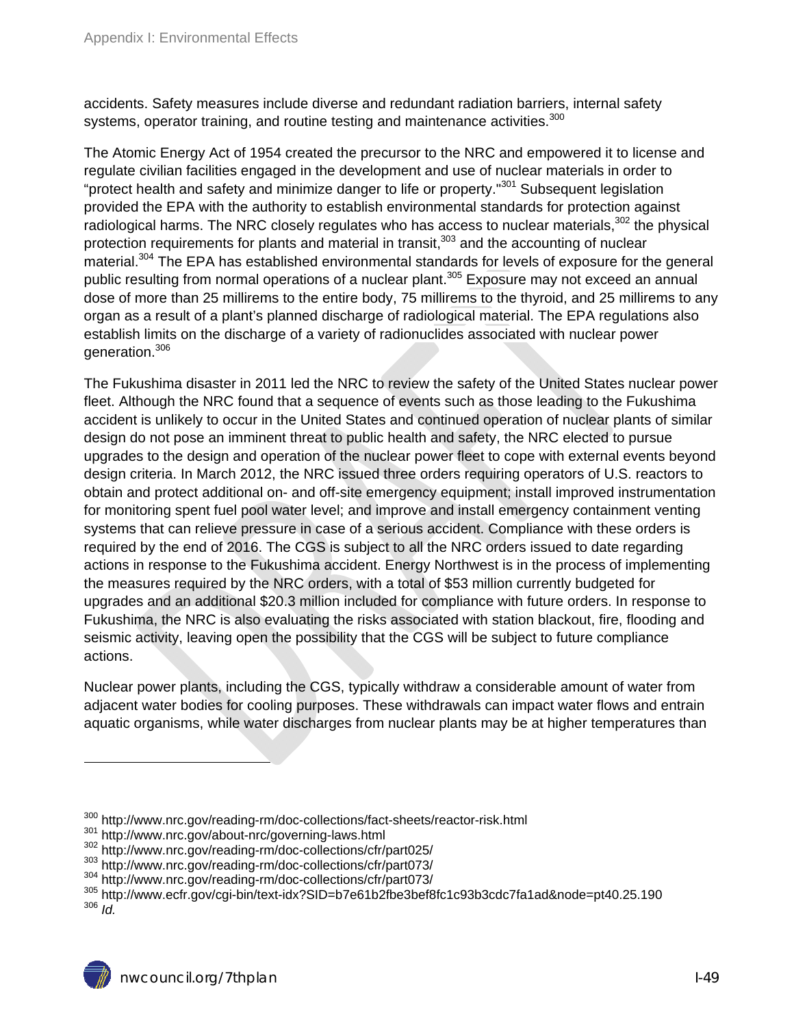accidents. Safety measures include diverse and redundant radiation barriers, internal safety systems, operator training, and routine testing and maintenance activities.<sup>300</sup>

The Atomic Energy Act of 1954 created the precursor to the NRC and empowered it to license and regulate civilian facilities engaged in the development and use of nuclear materials in order to "protect health and safety and minimize danger to life or property."<sup>301</sup> Subsequent legislation provided the EPA with the authority to establish environmental standards for protection against radiological harms. The NRC closely regulates who has access to nuclear materials, $302$  the physical protection requirements for plants and material in transit,<sup>303</sup> and the accounting of nuclear material.<sup>304</sup> The EPA has established environmental standards for levels of exposure for the general public resulting from normal operations of a nuclear plant.<sup>305</sup> Exposure may not exceed an annual dose of more than 25 millirems to the entire body, 75 millirems to the thyroid, and 25 millirems to any organ as a result of a plant's planned discharge of radiological material. The EPA regulations also establish limits on the discharge of a variety of radionuclides associated with nuclear power generation.306

The Fukushima disaster in 2011 led the NRC to review the safety of the United States nuclear power fleet. Although the NRC found that a sequence of events such as those leading to the Fukushima accident is unlikely to occur in the United States and continued operation of nuclear plants of similar design do not pose an imminent threat to public health and safety, the NRC elected to pursue upgrades to the design and operation of the nuclear power fleet to cope with external events beyond design criteria. In March 2012, the NRC issued three orders requiring operators of U.S. reactors to obtain and protect additional on- and off-site emergency equipment; install improved instrumentation for monitoring spent fuel pool water level; and improve and install emergency containment venting systems that can relieve pressure in case of a serious accident. Compliance with these orders is required by the end of 2016. The CGS is subject to all the NRC orders issued to date regarding actions in response to the Fukushima accident. Energy Northwest is in the process of implementing the measures required by the NRC orders, with a total of \$53 million currently budgeted for upgrades and an additional \$20.3 million included for compliance with future orders. In response to Fukushima, the NRC is also evaluating the risks associated with station blackout, fire, flooding and seismic activity, leaving open the possibility that the CGS will be subject to future compliance actions.

Nuclear power plants, including the CGS, typically withdraw a considerable amount of water from adjacent water bodies for cooling purposes. These withdrawals can impact water flows and entrain aquatic organisms, while water discharges from nuclear plants may be at higher temperatures than

<sup>&</sup>lt;sup>300</sup> http://www.nrc.gov/reading-rm/doc-collections/fact-sheets/reactor-risk.html<br><sup>301</sup> http://www.nrc.gov/about-nrc/governing-laws.html<br><sup>302</sup> http://www.nrc.gov/reading-rm/doc-collections/cfr/part025/<br><sup>303</sup> http://www.nrc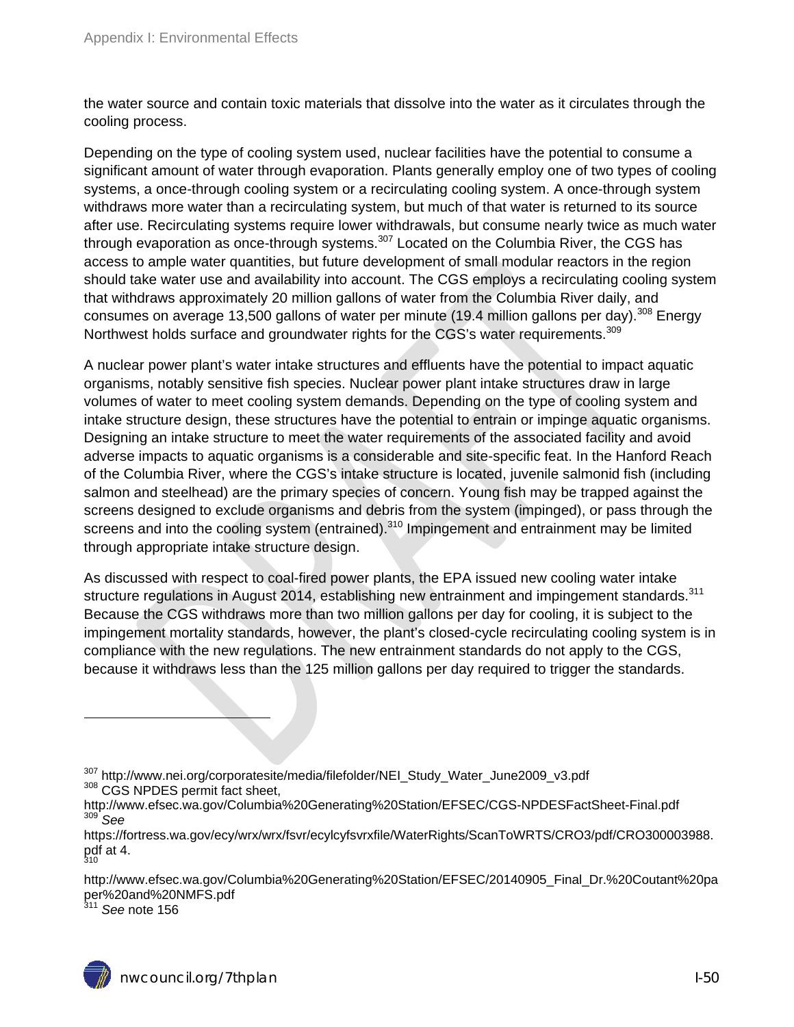the water source and contain toxic materials that dissolve into the water as it circulates through the cooling process.

Depending on the type of cooling system used, nuclear facilities have the potential to consume a significant amount of water through evaporation. Plants generally employ one of two types of cooling systems, a once-through cooling system or a recirculating cooling system. A once-through system withdraws more water than a recirculating system, but much of that water is returned to its source after use. Recirculating systems require lower withdrawals, but consume nearly twice as much water through evaporation as once-through systems. $307$  Located on the Columbia River, the CGS has access to ample water quantities, but future development of small modular reactors in the region should take water use and availability into account. The CGS employs a recirculating cooling system that withdraws approximately 20 million gallons of water from the Columbia River daily, and consumes on average 13,500 gallons of water per minute (19.4 million gallons per day).<sup>308</sup> Energy Northwest holds surface and groundwater rights for the CGS's water requirements.<sup>309</sup>

A nuclear power plant's water intake structures and effluents have the potential to impact aquatic organisms, notably sensitive fish species. Nuclear power plant intake structures draw in large volumes of water to meet cooling system demands. Depending on the type of cooling system and intake structure design, these structures have the potential to entrain or impinge aquatic organisms. Designing an intake structure to meet the water requirements of the associated facility and avoid adverse impacts to aquatic organisms is a considerable and site-specific feat. In the Hanford Reach of the Columbia River, where the CGS's intake structure is located, juvenile salmonid fish (including salmon and steelhead) are the primary species of concern. Young fish may be trapped against the screens designed to exclude organisms and debris from the system (impinged), or pass through the screens and into the cooling system (entrained).<sup>310</sup> Impingement and entrainment may be limited through appropriate intake structure design.

As discussed with respect to coal-fired power plants, the EPA issued new cooling water intake structure regulations in August 2014, establishing new entrainment and impingement standards. 311 Because the CGS withdraws more than two million gallons per day for cooling, it is subject to the impingement mortality standards, however, the plant's closed-cycle recirculating cooling system is in compliance with the new regulations. The new entrainment standards do not apply to the CGS, because it withdraws less than the 125 million gallons per day required to trigger the standards.

<sup>311</sup> *See* note 156

<sup>&</sup>lt;sup>307</sup> http://www.nei.org/corporatesite/media/filefolder/NEI\_Study\_Water\_June2009\_v3.pdf<br><sup>308</sup> CGS NPDES permit fact sheet,

http://www.efsec.wa.gov/Columbia%20Generating%20Station/EFSEC/CGS-NPDESFactSheet-Final.pdf <sup>309</sup> *See*

https://fortress.wa.gov/ecy/wrx/wrx/fsvr/ecylcyfsvrxfile/WaterRights/ScanToWRTS/CRO3/pdf/CRO300003988. pdf at 4. 310

http://www.efsec.wa.gov/Columbia%20Generating%20Station/EFSEC/20140905\_Final\_Dr.%20Coutant%20pa per%20and%20NMFS.pdf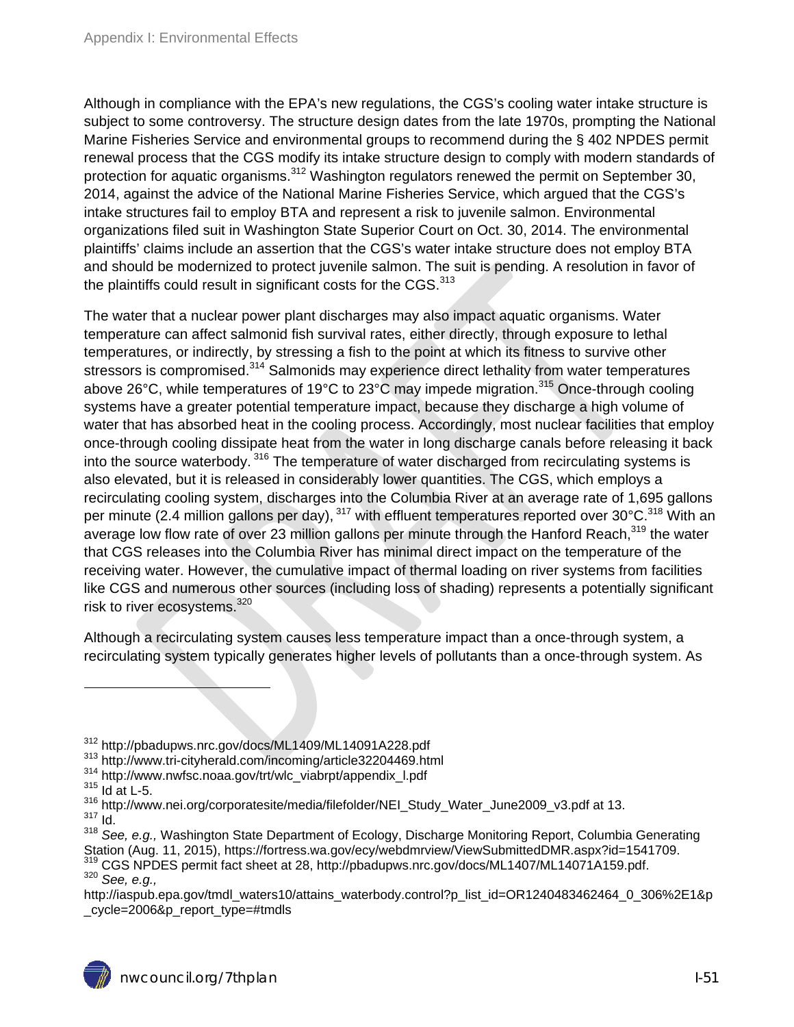Although in compliance with the EPA's new regulations, the CGS's cooling water intake structure is subject to some controversy. The structure design dates from the late 1970s, prompting the National Marine Fisheries Service and environmental groups to recommend during the § 402 NPDES permit renewal process that the CGS modify its intake structure design to comply with modern standards of protection for aquatic organisms.<sup>312</sup> Washington regulators renewed the permit on September 30, 2014, against the advice of the National Marine Fisheries Service, which argued that the CGS's intake structures fail to employ BTA and represent a risk to juvenile salmon. Environmental organizations filed suit in Washington State Superior Court on Oct. 30, 2014. The environmental plaintiffs' claims include an assertion that the CGS's water intake structure does not employ BTA and should be modernized to protect juvenile salmon. The suit is pending. A resolution in favor of the plaintiffs could result in significant costs for the CGS.<sup>313</sup>

The water that a nuclear power plant discharges may also impact aquatic organisms. Water temperature can affect salmonid fish survival rates, either directly, through exposure to lethal temperatures, or indirectly, by stressing a fish to the point at which its fitness to survive other stressors is compromised.<sup>314</sup> Salmonids may experience direct lethality from water temperatures above 26°C, while temperatures of 19°C to 23°C may impede migration.<sup>315</sup> Once-through cooling systems have a greater potential temperature impact, because they discharge a high volume of water that has absorbed heat in the cooling process. Accordingly, most nuclear facilities that employ once-through cooling dissipate heat from the water in long discharge canals before releasing it back into the source waterbody.<sup>316</sup> The temperature of water discharged from recirculating systems is also elevated, but it is released in considerably lower quantities. The CGS, which employs a recirculating cooling system, discharges into the Columbia River at an average rate of 1,695 gallons per minute (2.4 million gallons per day),  $317$  with effluent temperatures reported over 30°C.<sup>318</sup> With an average low flow rate of over 23 million gallons per minute through the Hanford Reach, 319 the water that CGS releases into the Columbia River has minimal direct impact on the temperature of the receiving water. However, the cumulative impact of thermal loading on river systems from facilities like CGS and numerous other sources (including loss of shading) represents a potentially significant risk to river ecosystems.<sup>320</sup>

Although a recirculating system causes less temperature impact than a once-through system, a recirculating system typically generates higher levels of pollutants than a once-through system. As

- <sup>312</sup> http://pbadupws.nrc.gov/docs/ML1409/ML14091A228.pdf<br><sup>313</sup> http://www.tri-cityherald.com/incoming/article32204469.html<br><sup>314</sup> http://www.nwfsc.noaa.gov/trt/wlc\_viabrpt/appendix\_l.pdf<br><sup>315</sup> Id at L-5.
- 
- 

 $^{316}$  http://www.nei.org/corporatesite/media/filefolder/NEI\_Study\_Water\_June2009\_v3.pdf at 13.<br> $^{317}$  Id.

<sup>318</sup> *See, e.g.,* Washington State Department of Ecology, Discharge Monitoring Report, Columbia Generating Station (Aug. 11, 2015), https://fortress.wa.gov/ecy/webdmrview/ViewSubmittedDMR.aspx?id=1541709.<br><sup>319</sup> CGS NPDES permit fact sheet at 28, http://pbadupws.nrc.gov/docs/ML1407/ML14071A159.pdf.<br><sup>320</sup> *See. e.a.*.

http://iaspub.epa.gov/tmdl\_waters10/attains\_waterbody.control?p\_list\_id=OR1240483462464\_0\_306%2E1&p \_cycle=2006&p\_report\_type=#tmdls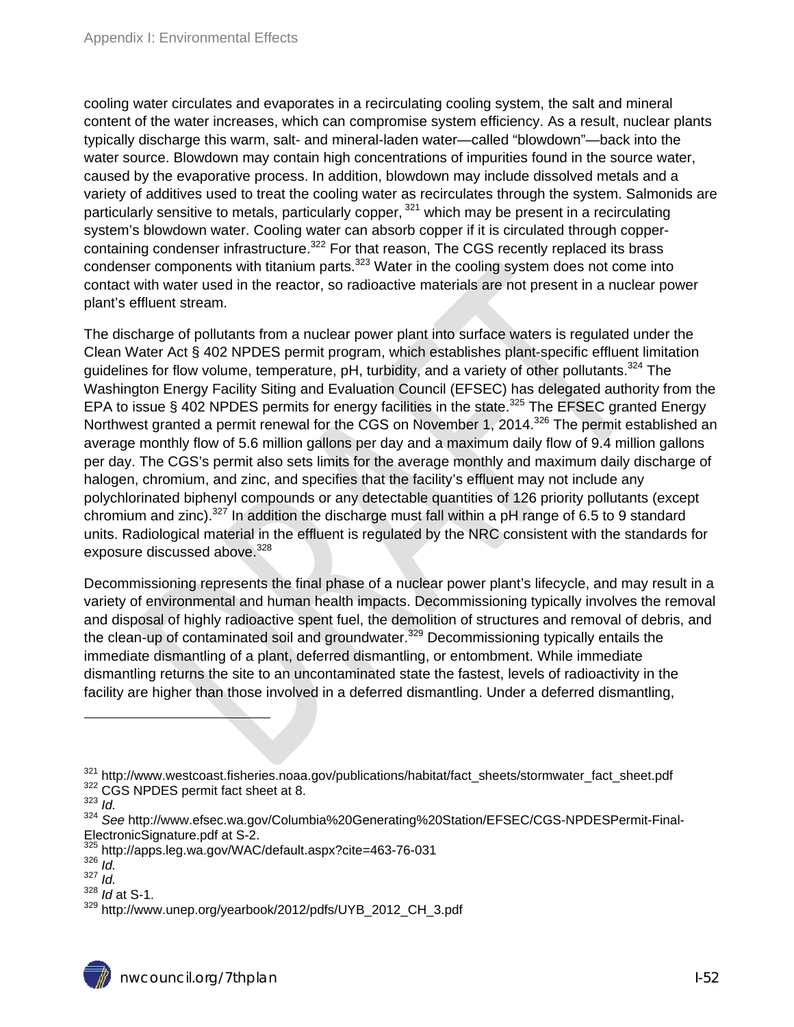cooling water circulates and evaporates in a recirculating cooling system, the salt and mineral content of the water increases, which can compromise system efficiency. As a result, nuclear plants typically discharge this warm, salt- and mineral-laden water—called "blowdown"—back into the water source. Blowdown may contain high concentrations of impurities found in the source water, caused by the evaporative process. In addition, blowdown may include dissolved metals and a variety of additives used to treat the cooling water as recirculates through the system. Salmonids are particularly sensitive to metals, particularly copper, <sup>321</sup> which may be present in a recirculating system's blowdown water. Cooling water can absorb copper if it is circulated through coppercontaining condenser infrastructure.<sup>322</sup> For that reason, The CGS recently replaced its brass condenser components with titanium parts.<sup>323</sup> Water in the cooling system does not come into contact with water used in the reactor, so radioactive materials are not present in a nuclear power plant's effluent stream.

The discharge of pollutants from a nuclear power plant into surface waters is regulated under the Clean Water Act § 402 NPDES permit program, which establishes plant-specific effluent limitation guidelines for flow volume, temperature, pH, turbidity, and a variety of other pollutants.<sup>324</sup> The Washington Energy Facility Siting and Evaluation Council (EFSEC) has delegated authority from the EPA to issue § 402 NPDES permits for energy facilities in the state.<sup>325</sup> The EFSEC granted Energy Northwest granted a permit renewal for the CGS on November 1, 2014.<sup>326</sup> The permit established an average monthly flow of 5.6 million gallons per day and a maximum daily flow of 9.4 million gallons per day. The CGS's permit also sets limits for the average monthly and maximum daily discharge of halogen, chromium, and zinc, and specifies that the facility's effluent may not include any polychlorinated biphenyl compounds or any detectable quantities of 126 priority pollutants (except chromium and zinc).<sup>327</sup> In addition the discharge must fall within a pH range of 6.5 to 9 standard units. Radiological material in the effluent is regulated by the NRC consistent with the standards for exposure discussed above.<sup>328</sup>

Decommissioning represents the final phase of a nuclear power plant's lifecycle, and may result in a variety of environmental and human health impacts. Decommissioning typically involves the removal and disposal of highly radioactive spent fuel, the demolition of structures and removal of debris, and the clean-up of contaminated soil and groundwater.<sup>329</sup> Decommissioning typically entails the immediate dismantling of a plant, deferred dismantling, or entombment. While immediate dismantling returns the site to an uncontaminated state the fastest, levels of radioactivity in the facility are higher than those involved in a deferred dismantling. Under a deferred dismantling,

 $\overline{a}$ 

<sup>328</sup> *Id* at S-1.

<sup>&</sup>lt;sup>321</sup> http://www.westcoast.fisheries.noaa.gov/publications/habitat/fact\_sheets/stormwater\_fact\_sheet.pdf <sup>322</sup> CGS NPDES permit fact sheet at 8.<br><sup>323</sup> *Id* 

<sup>324</sup> *See* http://www.efsec.wa.gov/Columbia%20Generating%20Station/EFSEC/CGS-NPDESPermit-Final-ElectronicSignature.pdf at S-2.

<sup>325</sup> http://apps.leg.wa.gov/WAC/default.aspx?cite=463-76-031 326 *Id.* 

<sup>327</sup> *Id.* 

<sup>&</sup>lt;sup>329</sup> http://www.unep.org/yearbook/2012/pdfs/UYB\_2012\_CH\_3.pdf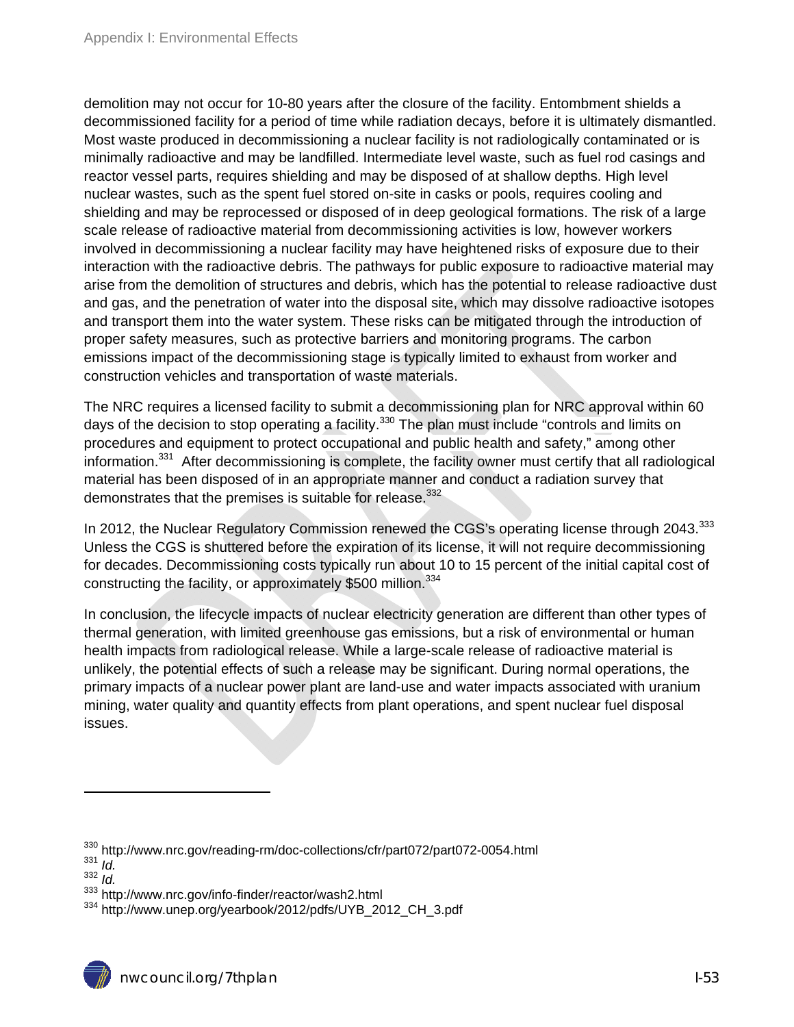demolition may not occur for 10-80 years after the closure of the facility. Entombment shields a decommissioned facility for a period of time while radiation decays, before it is ultimately dismantled. Most waste produced in decommissioning a nuclear facility is not radiologically contaminated or is minimally radioactive and may be landfilled. Intermediate level waste, such as fuel rod casings and reactor vessel parts, requires shielding and may be disposed of at shallow depths. High level nuclear wastes, such as the spent fuel stored on-site in casks or pools, requires cooling and shielding and may be reprocessed or disposed of in deep geological formations. The risk of a large scale release of radioactive material from decommissioning activities is low, however workers involved in decommissioning a nuclear facility may have heightened risks of exposure due to their interaction with the radioactive debris. The pathways for public exposure to radioactive material may arise from the demolition of structures and debris, which has the potential to release radioactive dust and gas, and the penetration of water into the disposal site, which may dissolve radioactive isotopes and transport them into the water system. These risks can be mitigated through the introduction of proper safety measures, such as protective barriers and monitoring programs. The carbon emissions impact of the decommissioning stage is typically limited to exhaust from worker and construction vehicles and transportation of waste materials.

The NRC requires a licensed facility to submit a decommissioning plan for NRC approval within 60 days of the decision to stop operating a facility.<sup>330</sup> The plan must include "controls and limits on procedures and equipment to protect occupational and public health and safety," among other information.331 After decommissioning is complete, the facility owner must certify that all radiological material has been disposed of in an appropriate manner and conduct a radiation survey that demonstrates that the premises is suitable for release.<sup>332</sup>

In 2012, the Nuclear Regulatory Commission renewed the CGS's operating license through 2043.<sup>333</sup> Unless the CGS is shuttered before the expiration of its license, it will not require decommissioning for decades. Decommissioning costs typically run about 10 to 15 percent of the initial capital cost of constructing the facility, or approximately \$500 million.<sup>334</sup>

In conclusion, the lifecycle impacts of nuclear electricity generation are different than other types of thermal generation, with limited greenhouse gas emissions, but a risk of environmental or human health impacts from radiological release. While a large-scale release of radioactive material is unlikely, the potential effects of such a release may be significant. During normal operations, the primary impacts of a nuclear power plant are land-use and water impacts associated with uranium mining, water quality and quantity effects from plant operations, and spent nuclear fuel disposal issues.

<sup>330</sup> http://www.nrc.gov/reading-rm/doc-collections/cfr/part072/part072-0054.html<br>331 *Id* 

<sup>332</sup> *Id.*<br><sup>333</sup> http://www.nrc.gov/info-finder/reactor/wash2.html

<sup>334</sup> http://www.unep.org/yearbook/2012/pdfs/UYB\_2012\_CH\_3.pdf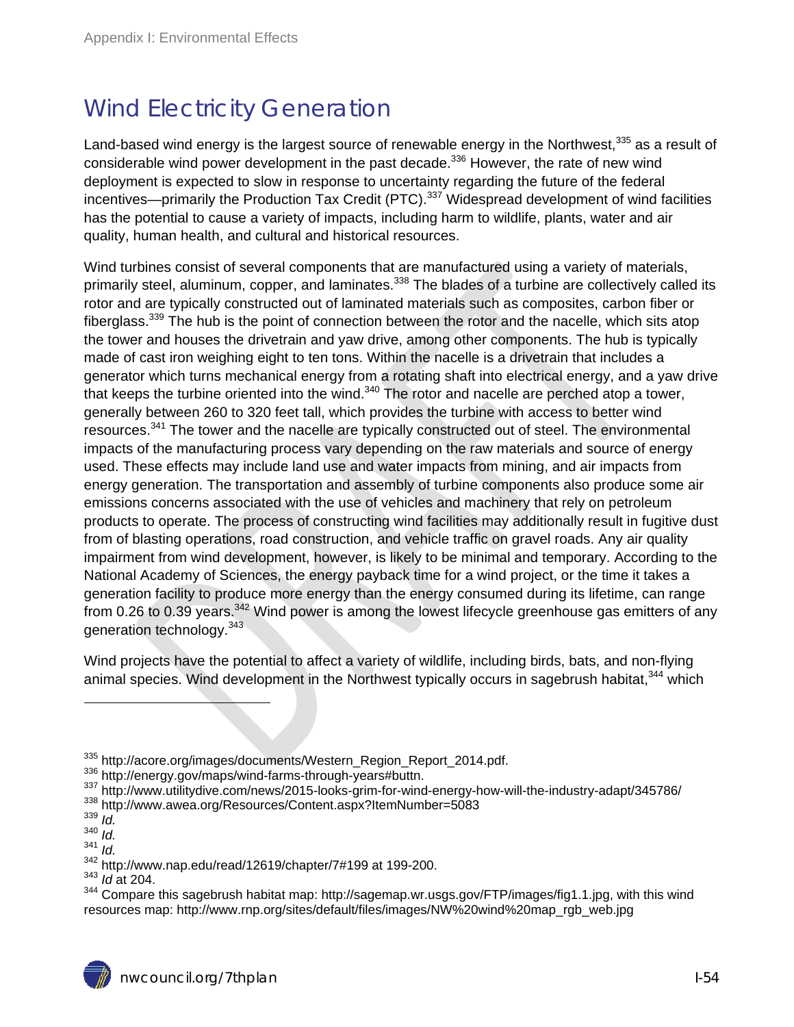# Wind Electricity Generation

Land-based wind energy is the largest source of renewable energy in the Northwest,  $335$  as a result of considerable wind power development in the past decade.<sup>336</sup> However, the rate of new wind deployment is expected to slow in response to uncertainty regarding the future of the federal incentives—primarily the Production Tax Credit (PTC).<sup>337</sup> Widespread development of wind facilities has the potential to cause a variety of impacts, including harm to wildlife, plants, water and air quality, human health, and cultural and historical resources.

Wind turbines consist of several components that are manufactured using a variety of materials, primarily steel, aluminum, copper, and laminates.<sup>338</sup> The blades of a turbine are collectively called its rotor and are typically constructed out of laminated materials such as composites, carbon fiber or fiberglass.<sup>339</sup> The hub is the point of connection between the rotor and the nacelle, which sits atop the tower and houses the drivetrain and yaw drive, among other components. The hub is typically made of cast iron weighing eight to ten tons. Within the nacelle is a drivetrain that includes a generator which turns mechanical energy from a rotating shaft into electrical energy, and a yaw drive that keeps the turbine oriented into the wind. $340$  The rotor and nacelle are perched atop a tower, generally between 260 to 320 feet tall, which provides the turbine with access to better wind resources.<sup>341</sup> The tower and the nacelle are typically constructed out of steel. The environmental impacts of the manufacturing process vary depending on the raw materials and source of energy used. These effects may include land use and water impacts from mining, and air impacts from energy generation. The transportation and assembly of turbine components also produce some air emissions concerns associated with the use of vehicles and machinery that rely on petroleum products to operate. The process of constructing wind facilities may additionally result in fugitive dust from of blasting operations, road construction, and vehicle traffic on gravel roads. Any air quality impairment from wind development, however, is likely to be minimal and temporary. According to the National Academy of Sciences, the energy payback time for a wind project, or the time it takes a generation facility to produce more energy than the energy consumed during its lifetime, can range from 0.26 to 0.39 years.<sup>342</sup> Wind power is among the lowest lifecycle greenhouse gas emitters of any generation technology.<sup>343</sup>

Wind projects have the potential to affect a variety of wildlife, including birds, bats, and non-flying animal species. Wind development in the Northwest typically occurs in sagebrush habitat,<sup>344</sup> which

 $\begin{array}{l} \text{335 } \text{http://acore.org/images/documents/Western\_Region\_Report\_2014.pdf.}\\ \text{336 } \text{http://energy.gov/maps/wind-farms-through-years\#buttn.}\\ \text{337 } \text{http://www.utilility dive.com/news/2015-looks-grim-for-wind-energy-hour-will-the-industy-adapt/345786/} \\ \text{338 } \text{http://www.awea.org/Resources/Content.aspx?ItemNumber=5083} \\ \text{339 } \text{14} \end{array}$ 

 $\frac{340}{341}$  *Id.* 

<sup>341</sup> *Id.* 

<sup>342</sup> http://www.nap.edu/read/12619/chapter/7#199 at 199-200. 343 *Id* at 204.

<sup>344</sup> Compare this sagebrush habitat map: http://sagemap.wr.usgs.gov/FTP/images/fig1.1.jpg, with this wind resources map: http://www.rnp.org/sites/default/files/images/NW%20wind%20map\_rgb\_web.jpg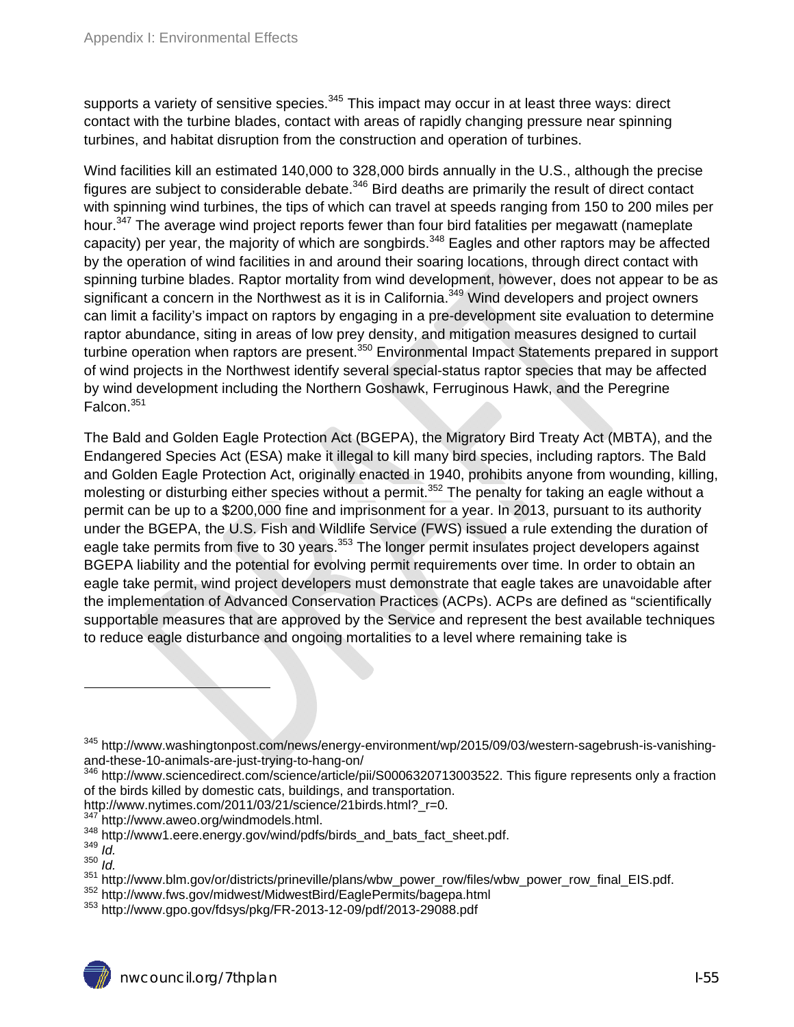supports a variety of sensitive species.<sup>345</sup> This impact may occur in at least three ways: direct contact with the turbine blades, contact with areas of rapidly changing pressure near spinning turbines, and habitat disruption from the construction and operation of turbines.

Wind facilities kill an estimated 140,000 to 328,000 birds annually in the U.S., although the precise figures are subject to considerable debate.<sup>346</sup> Bird deaths are primarily the result of direct contact with spinning wind turbines, the tips of which can travel at speeds ranging from 150 to 200 miles per hour.<sup>347</sup> The average wind project reports fewer than four bird fatalities per megawatt (nameplate capacity) per year, the majority of which are songbirds.<sup>348</sup> Eagles and other raptors may be affected by the operation of wind facilities in and around their soaring locations, through direct contact with spinning turbine blades. Raptor mortality from wind development, however, does not appear to be as significant a concern in the Northwest as it is in California.<sup>349</sup> Wind developers and project owners can limit a facility's impact on raptors by engaging in a pre-development site evaluation to determine raptor abundance, siting in areas of low prey density, and mitigation measures designed to curtail turbine operation when raptors are present.<sup>350</sup> Environmental Impact Statements prepared in support of wind projects in the Northwest identify several special-status raptor species that may be affected by wind development including the Northern Goshawk, Ferruginous Hawk, and the Peregrine Falcon.351

The Bald and Golden Eagle Protection Act (BGEPA), the Migratory Bird Treaty Act (MBTA), and the Endangered Species Act (ESA) make it illegal to kill many bird species, including raptors. The Bald and Golden Eagle Protection Act, originally enacted in 1940, prohibits anyone from wounding, killing, molesting or disturbing either species without a permit.<sup>352</sup> The penalty for taking an eagle without a permit can be up to a \$200,000 fine and imprisonment for a year. In 2013, pursuant to its authority under the BGEPA, the U.S. Fish and Wildlife Service (FWS) issued a rule extending the duration of eagle take permits from five to 30 years.<sup>353</sup> The longer permit insulates project developers against BGEPA liability and the potential for evolving permit requirements over time. In order to obtain an eagle take permit, wind project developers must demonstrate that eagle takes are unavoidable after the implementation of Advanced Conservation Practices (ACPs). ACPs are defined as "scientifically supportable measures that are approved by the Service and represent the best available techniques to reduce eagle disturbance and ongoing mortalities to a level where remaining take is

- http://www.nytimes.com/2011/03/21/science/21birds.html?\_r=0.<br><sup>347</sup> http://www.aweo.org/windmodels.html.
- 

<sup>345</sup> http://www.washingtonpost.com/news/energy-environment/wp/2015/09/03/western-sagebrush-is-vanishingand-these-10-animals-are-just-trying-to-hang-on/

<sup>&</sup>lt;sup>346</sup> http://www.sciencedirect.com/science/article/pii/S0006320713003522. This figure represents only a fraction of the birds killed by domestic cats, buildings, and transportation.

<sup>348</sup> http://www1.eere.energy.gov/wind/pdfs/birds\_and\_bats\_fact\_sheet.pdf.<br>349 *Id* 

<sup>350</sup> *Id.* 

<sup>&</sup>lt;sup>351</sup> http://www.blm.gov/or/districts/prineville/plans/wbw\_power\_row/files/wbw\_power\_row\_final\_EIS.pdf.<br><sup>352</sup> http://www.fws.gov/midwest/MidwestBird/EaglePermits/bagepa.html<br><sup>353</sup> http://www.gpo.gov/fdsys/pkg/FR-2013-12-09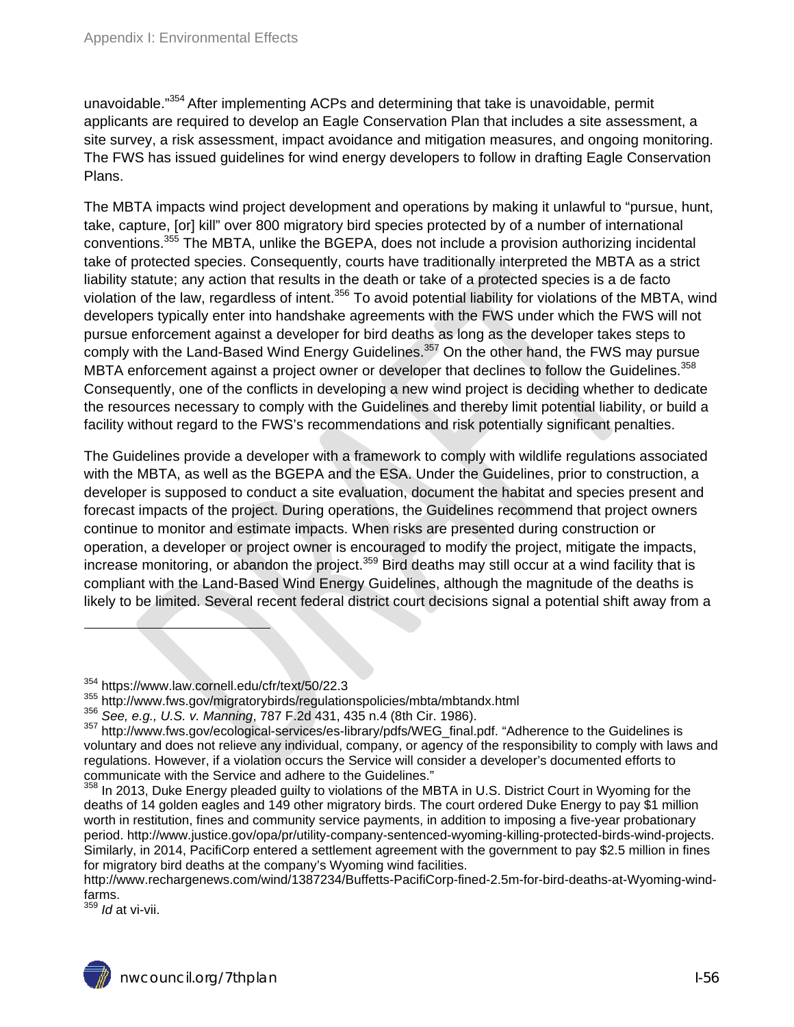unavoidable."<sup>354</sup> After implementing ACPs and determining that take is unavoidable, permit applicants are required to develop an Eagle Conservation Plan that includes a site assessment, a site survey, a risk assessment, impact avoidance and mitigation measures, and ongoing monitoring. The FWS has issued guidelines for wind energy developers to follow in drafting Eagle Conservation Plans.

The MBTA impacts wind project development and operations by making it unlawful to "pursue, hunt, take, capture, [or] kill" over 800 migratory bird species protected by of a number of international conventions.<sup>355</sup> The MBTA, unlike the BGEPA, does not include a provision authorizing incidental take of protected species. Consequently, courts have traditionally interpreted the MBTA as a strict liability statute; any action that results in the death or take of a protected species is a de facto violation of the law, regardless of intent.<sup>356</sup> To avoid potential liability for violations of the MBTA, wind developers typically enter into handshake agreements with the FWS under which the FWS will not pursue enforcement against a developer for bird deaths as long as the developer takes steps to comply with the Land-Based Wind Energy Guidelines.<sup>357</sup> On the other hand, the FWS may pursue MBTA enforcement against a project owner or developer that declines to follow the Guidelines.<sup>358</sup> Consequently, one of the conflicts in developing a new wind project is deciding whether to dedicate the resources necessary to comply with the Guidelines and thereby limit potential liability, or build a facility without regard to the FWS's recommendations and risk potentially significant penalties.

The Guidelines provide a developer with a framework to comply with wildlife regulations associated with the MBTA, as well as the BGEPA and the ESA. Under the Guidelines, prior to construction, a developer is supposed to conduct a site evaluation, document the habitat and species present and forecast impacts of the project. During operations, the Guidelines recommend that project owners continue to monitor and estimate impacts. When risks are presented during construction or operation, a developer or project owner is encouraged to modify the project, mitigate the impacts, increase monitoring, or abandon the project.<sup>359</sup> Bird deaths may still occur at a wind facility that is compliant with the Land-Based Wind Energy Guidelines, although the magnitude of the deaths is likely to be limited. Several recent federal district court decisions signal a potential shift away from a

<sup>359</sup> *Id* at vi-vii.

<sup>&</sup>lt;sup>354</sup> https://www.law.cornell.edu/cfr/text/50/22.3<br><sup>355</sup> http://www.fws.gov/migratorybirds/regulationspolicies/mbta/mbtandx.html<br><sup>356</sup> See, e.g., U.S. v. Manning, 787 F.2d 431, 435 n.4 (8th Cir. 1986).<br><sup>357</sup> http://www.fws voluntary and does not relieve any individual, company, or agency of the responsibility to comply with laws and regulations. However, if a violation occurs the Service will consider a developer's documented efforts to communicate with the Service and adhere to the Guidelines."

<sup>&</sup>lt;sup>358</sup> In 2013, Duke Energy pleaded guilty to violations of the MBTA in U.S. District Court in Wyoming for the deaths of 14 golden eagles and 149 other migratory birds. The court ordered Duke Energy to pay \$1 million worth in restitution, fines and community service payments, in addition to imposing a five-year probationary period. http://www.justice.gov/opa/pr/utility-company-sentenced-wyoming-killing-protected-birds-wind-projects. Similarly, in 2014, PacifiCorp entered a settlement agreement with the government to pay \$2.5 million in fines for migratory bird deaths at the company's Wyoming wind facilities.

http://www.rechargenews.com/wind/1387234/Buffetts-PacifiCorp-fined-2.5m-for-bird-deaths-at-Wyoming-windfarms.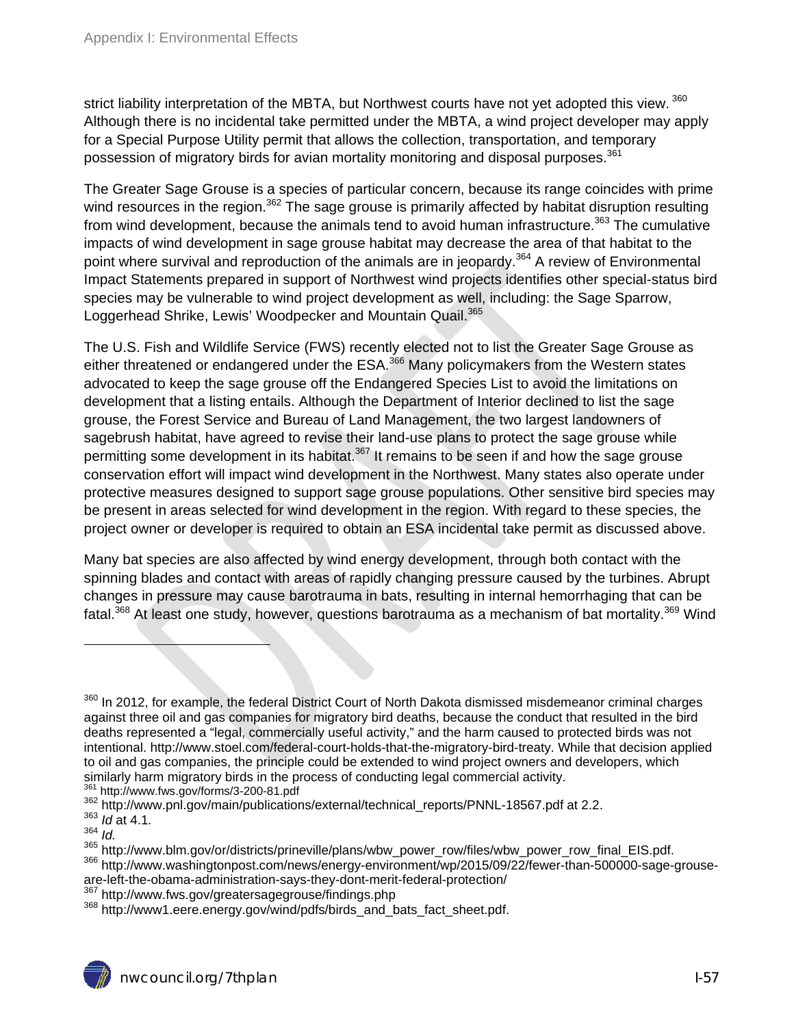strict liability interpretation of the MBTA, but Northwest courts have not yet adopted this view.<sup>360</sup> Although there is no incidental take permitted under the MBTA, a wind project developer may apply for a Special Purpose Utility permit that allows the collection, transportation, and temporary possession of migratory birds for avian mortality monitoring and disposal purposes.<sup>361</sup>

The Greater Sage Grouse is a species of particular concern, because its range coincides with prime wind resources in the region.<sup>362</sup> The sage grouse is primarily affected by habitat disruption resulting from wind development, because the animals tend to avoid human infrastructure.<sup>363</sup> The cumulative impacts of wind development in sage grouse habitat may decrease the area of that habitat to the point where survival and reproduction of the animals are in jeopardy.<sup>364</sup> A review of Environmental Impact Statements prepared in support of Northwest wind projects identifies other special-status bird species may be vulnerable to wind project development as well, including: the Sage Sparrow, Loggerhead Shrike, Lewis' Woodpecker and Mountain Quail.<sup>365</sup>

The U.S. Fish and Wildlife Service (FWS) recently elected not to list the Greater Sage Grouse as either threatened or endangered under the ESA.<sup>366</sup> Many policymakers from the Western states advocated to keep the sage grouse off the Endangered Species List to avoid the limitations on development that a listing entails. Although the Department of Interior declined to list the sage grouse, the Forest Service and Bureau of Land Management, the two largest landowners of sagebrush habitat, have agreed to revise their land-use plans to protect the sage grouse while permitting some development in its habitat.<sup>367</sup> It remains to be seen if and how the sage grouse conservation effort will impact wind development in the Northwest. Many states also operate under protective measures designed to support sage grouse populations. Other sensitive bird species may be present in areas selected for wind development in the region. With regard to these species, the project owner or developer is required to obtain an ESA incidental take permit as discussed above.

Many bat species are also affected by wind energy development, through both contact with the spinning blades and contact with areas of rapidly changing pressure caused by the turbines. Abrupt changes in pressure may cause barotrauma in bats, resulting in internal hemorrhaging that can be fatal.<sup>368</sup> At least one study, however, questions barotrauma as a mechanism of bat mortality.<sup>369</sup> Wind

<sup>&</sup>lt;sup>360</sup> In 2012, for example, the federal District Court of North Dakota dismissed misdemeanor criminal charges against three oil and gas companies for migratory bird deaths, because the conduct that resulted in the bird deaths represented a "legal, commercially useful activity," and the harm caused to protected birds was not intentional. http://www.stoel.com/federal-court-holds-that-the-migratory-bird-treaty. While that decision applied to oil and gas companies, the principle could be extended to wind project owners and developers, which<br>similarly harm migratory birds in the process of conducting legal commercial activity.

<sup>&</sup>lt;sup>361</sup> http://www.fws.gov/forms/3-200-81.pdf<br><sup>362</sup> http://www.pnl.gov/main/publications/external/technical\_reports/PNNL-18567.pdf at 2.2.<br><sup>363</sup> *Id* at 4.1.<br><sup>364</sup> http://www.blm.gov/or/districts/prineville/plans/wbw\_power\_r

<sup>366</sup> http://www.washingtonpost.com/news/energy-environment/wp/2015/09/22/fewer-than-500000-sage-grouseare-left-the-obama-administration-says-they-dont-merit-federal-protection/<br><sup>367</sup> http://www.fws.gov/greatersagegrouse/findings.php<br><sup>368</sup> http://www1.eere.energy.gov/wind/pdfs/birds\_and\_bats\_fact\_sheet.pdf.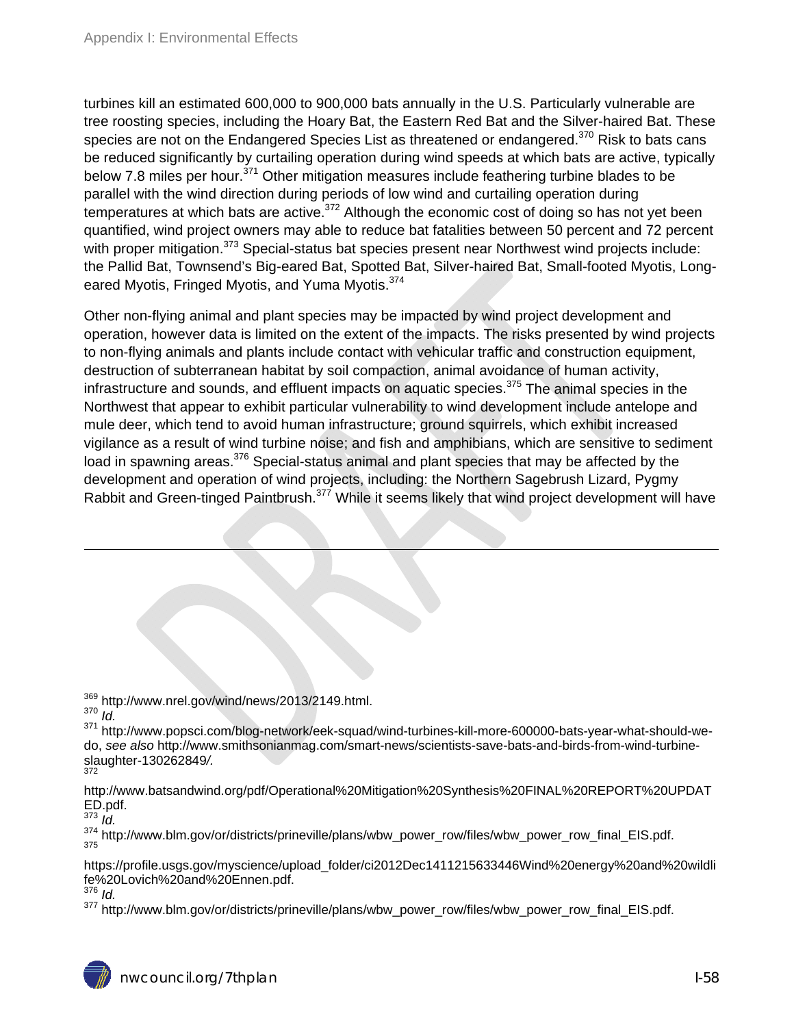turbines kill an estimated 600,000 to 900,000 bats annually in the U.S. Particularly vulnerable are tree roosting species, including the Hoary Bat, the Eastern Red Bat and the Silver-haired Bat. These species are not on the Endangered Species List as threatened or endangered.<sup>370</sup> Risk to bats cans be reduced significantly by curtailing operation during wind speeds at which bats are active, typically below 7.8 miles per hour.<sup>371</sup> Other mitigation measures include feathering turbine blades to be parallel with the wind direction during periods of low wind and curtailing operation during temperatures at which bats are active.<sup>372</sup> Although the economic cost of doing so has not yet been quantified, wind project owners may able to reduce bat fatalities between 50 percent and 72 percent with proper mitigation.<sup>373</sup> Special-status bat species present near Northwest wind projects include: the Pallid Bat, Townsend's Big-eared Bat, Spotted Bat, Silver-haired Bat, Small-footed Myotis, Longeared Myotis, Fringed Myotis, and Yuma Myotis.<sup>374</sup>

Other non-flying animal and plant species may be impacted by wind project development and operation, however data is limited on the extent of the impacts. The risks presented by wind projects to non-flying animals and plants include contact with vehicular traffic and construction equipment, destruction of subterranean habitat by soil compaction, animal avoidance of human activity, infrastructure and sounds, and effluent impacts on aquatic species.<sup>375</sup> The animal species in the Northwest that appear to exhibit particular vulnerability to wind development include antelope and mule deer, which tend to avoid human infrastructure; ground squirrels, which exhibit increased vigilance as a result of wind turbine noise; and fish and amphibians, which are sensitive to sediment load in spawning areas. $376$  Special-status animal and plant species that may be affected by the development and operation of wind projects, including: the Northern Sagebrush Lizard, Pygmy Rabbit and Green-tinged Paintbrush.<sup>377</sup> While it seems likely that wind project development will have

369 http://www.nrel.gov/wind/news/2013/2149.html. 370 *Id.* 

1

371 http://www.popsci.com/blog-network/eek-squad/wind-turbines-kill-more-600000-bats-year-what-should-wedo, *see also* http://www.smithsonianmag.com/smart-news/scientists-save-bats-and-birds-from-wind-turbineslaughter-130262849*/.* 372

http://www.batsandwind.org/pdf/Operational%20Mitigation%20Synthesis%20FINAL%20REPORT%20UPDAT ED.pdf.

 $373$  *Id.* 

 $\frac{374}{375}$  http://www.blm.gov/or/districts/prineville/plans/wbw\_power\_row/files/wbw\_power\_row\_final\_EIS.pdf.

https://profile.usgs.gov/myscience/upload\_folder/ci2012Dec1411215633446Wind%20energy%20and%20wildli fe%20Lovich%20and%20Ennen.pdf.

<sup>376</sup> *Id.* 

<sup>377</sup> http://www.blm.gov/or/districts/prineville/plans/wbw\_power\_row/files/wbw\_power\_row\_final\_EIS.pdf.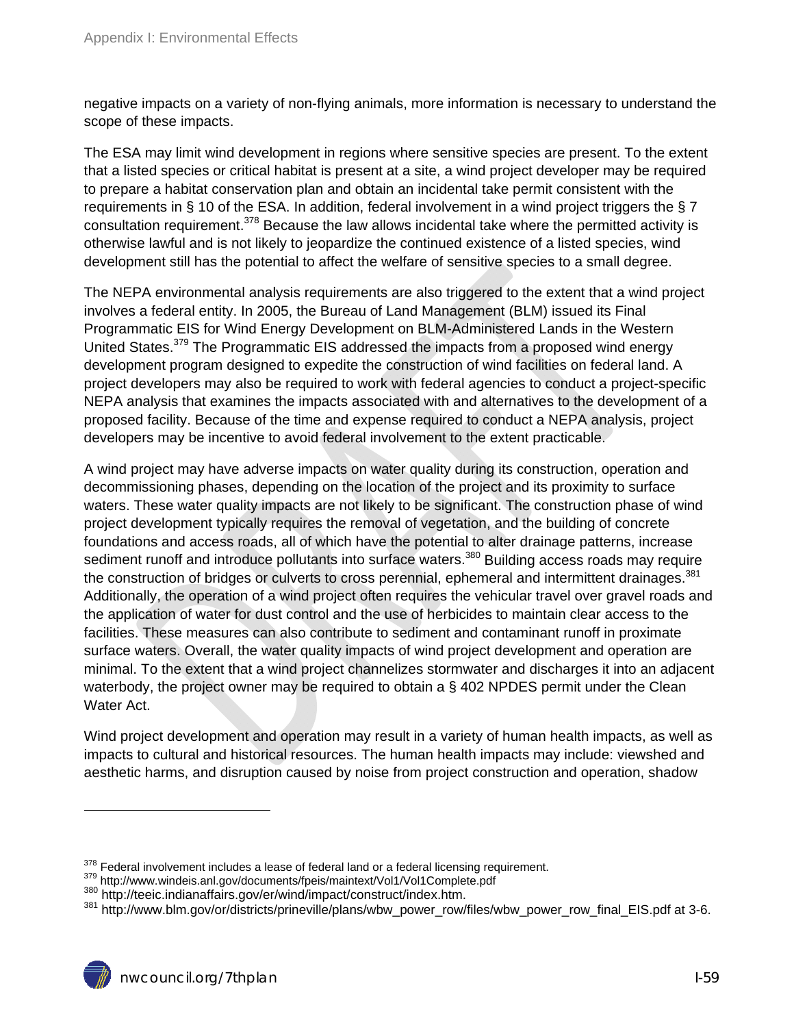negative impacts on a variety of non-flying animals, more information is necessary to understand the scope of these impacts.

The ESA may limit wind development in regions where sensitive species are present. To the extent that a listed species or critical habitat is present at a site, a wind project developer may be required to prepare a habitat conservation plan and obtain an incidental take permit consistent with the requirements in § 10 of the ESA. In addition, federal involvement in a wind project triggers the § 7 consultation requirement.<sup>378</sup> Because the law allows incidental take where the permitted activity is otherwise lawful and is not likely to jeopardize the continued existence of a listed species, wind development still has the potential to affect the welfare of sensitive species to a small degree.

The NEPA environmental analysis requirements are also triggered to the extent that a wind project involves a federal entity. In 2005, the Bureau of Land Management (BLM) issued its Final Programmatic EIS for Wind Energy Development on BLM-Administered Lands in the Western United States.<sup>379</sup> The Programmatic EIS addressed the impacts from a proposed wind energy development program designed to expedite the construction of wind facilities on federal land. A project developers may also be required to work with federal agencies to conduct a project-specific NEPA analysis that examines the impacts associated with and alternatives to the development of a proposed facility. Because of the time and expense required to conduct a NEPA analysis, project developers may be incentive to avoid federal involvement to the extent practicable.

A wind project may have adverse impacts on water quality during its construction, operation and decommissioning phases, depending on the location of the project and its proximity to surface waters. These water quality impacts are not likely to be significant. The construction phase of wind project development typically requires the removal of vegetation, and the building of concrete foundations and access roads, all of which have the potential to alter drainage patterns, increase sediment runoff and introduce pollutants into surface waters.<sup>380</sup> Building access roads may require the construction of bridges or culverts to cross perennial, ephemeral and intermittent drainages.<sup>381</sup> Additionally, the operation of a wind project often requires the vehicular travel over gravel roads and the application of water for dust control and the use of herbicides to maintain clear access to the facilities. These measures can also contribute to sediment and contaminant runoff in proximate surface waters. Overall, the water quality impacts of wind project development and operation are minimal. To the extent that a wind project channelizes stormwater and discharges it into an adjacent waterbody, the project owner may be required to obtain a § 402 NPDES permit under the Clean Water Act.

Wind project development and operation may result in a variety of human health impacts, as well as impacts to cultural and historical resources. The human health impacts may include: viewshed and aesthetic harms, and disruption caused by noise from project construction and operation, shadow

 $^{378}$  Federal involvement includes a lease of federal land or a federal licensing requirement.<br> $^{379}$  http://www.windeis.anl.gov/documents/fpeis/maintext/Vol1/Vol1Complete.pdf<br> $^{380}$  http://teeic.indianaffairs.gov/er/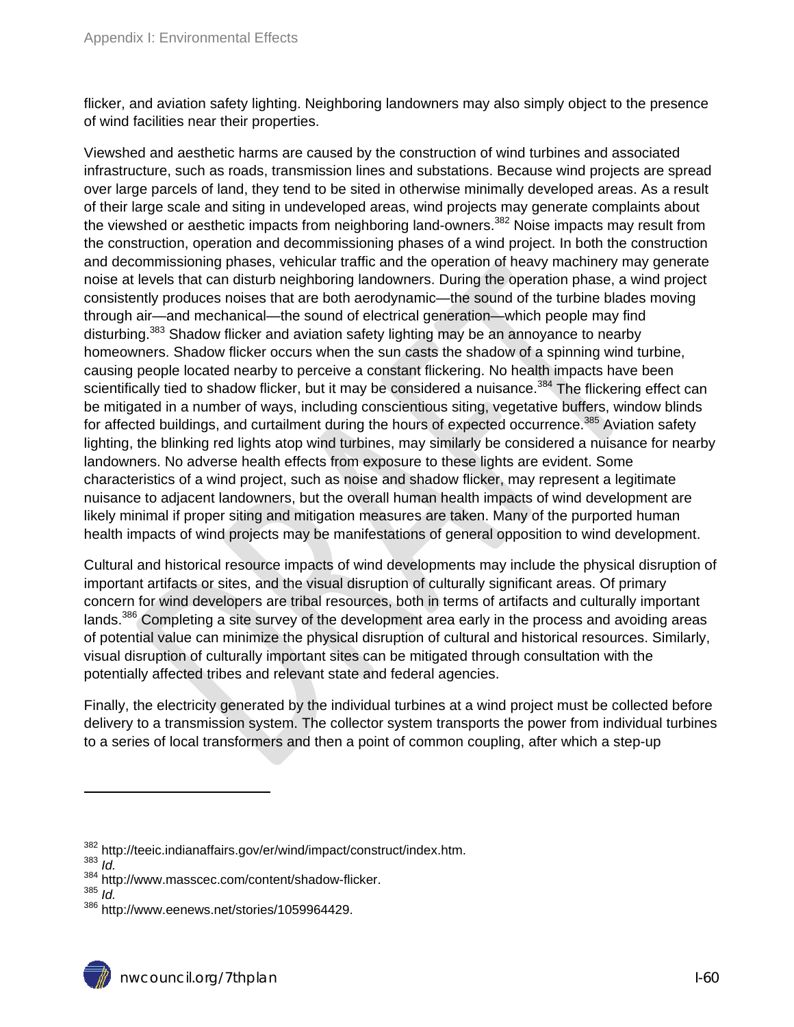flicker, and aviation safety lighting. Neighboring landowners may also simply object to the presence of wind facilities near their properties.

Viewshed and aesthetic harms are caused by the construction of wind turbines and associated infrastructure, such as roads, transmission lines and substations. Because wind projects are spread over large parcels of land, they tend to be sited in otherwise minimally developed areas. As a result of their large scale and siting in undeveloped areas, wind projects may generate complaints about the viewshed or aesthetic impacts from neighboring land-owners.<sup>382</sup> Noise impacts may result from the construction, operation and decommissioning phases of a wind project. In both the construction and decommissioning phases, vehicular traffic and the operation of heavy machinery may generate noise at levels that can disturb neighboring landowners. During the operation phase, a wind project consistently produces noises that are both aerodynamic—the sound of the turbine blades moving through air—and mechanical—the sound of electrical generation—which people may find disturbing.<sup>383</sup> Shadow flicker and aviation safety lighting may be an annoyance to nearby homeowners. Shadow flicker occurs when the sun casts the shadow of a spinning wind turbine, causing people located nearby to perceive a constant flickering. No health impacts have been scientifically tied to shadow flicker, but it may be considered a nuisance.<sup>384</sup> The flickering effect can be mitigated in a number of ways, including conscientious siting, vegetative buffers, window blinds for affected buildings, and curtailment during the hours of expected occurrence.<sup>385</sup> Aviation safety lighting, the blinking red lights atop wind turbines, may similarly be considered a nuisance for nearby landowners. No adverse health effects from exposure to these lights are evident. Some characteristics of a wind project, such as noise and shadow flicker, may represent a legitimate nuisance to adjacent landowners, but the overall human health impacts of wind development are likely minimal if proper siting and mitigation measures are taken. Many of the purported human health impacts of wind projects may be manifestations of general opposition to wind development.

Cultural and historical resource impacts of wind developments may include the physical disruption of important artifacts or sites, and the visual disruption of culturally significant areas. Of primary concern for wind developers are tribal resources, both in terms of artifacts and culturally important lands.<sup>386</sup> Completing a site survey of the development area early in the process and avoiding areas of potential value can minimize the physical disruption of cultural and historical resources. Similarly, visual disruption of culturally important sites can be mitigated through consultation with the potentially affected tribes and relevant state and federal agencies.

Finally, the electricity generated by the individual turbines at a wind project must be collected before delivery to a transmission system. The collector system transports the power from individual turbines to a series of local transformers and then a point of common coupling, after which a step-up

<sup>382</sup> http://teeic.indianaffairs.gov/er/wind/impact/construct/index.htm.<br><sup>383</sup> *Id* 

<sup>384</sup> http://www.masscec.com/content/shadow-flicker.<br><sup>385</sup> *Id* 

<sup>&</sup>lt;sup>386</sup> http://www.eenews.net/stories/1059964429.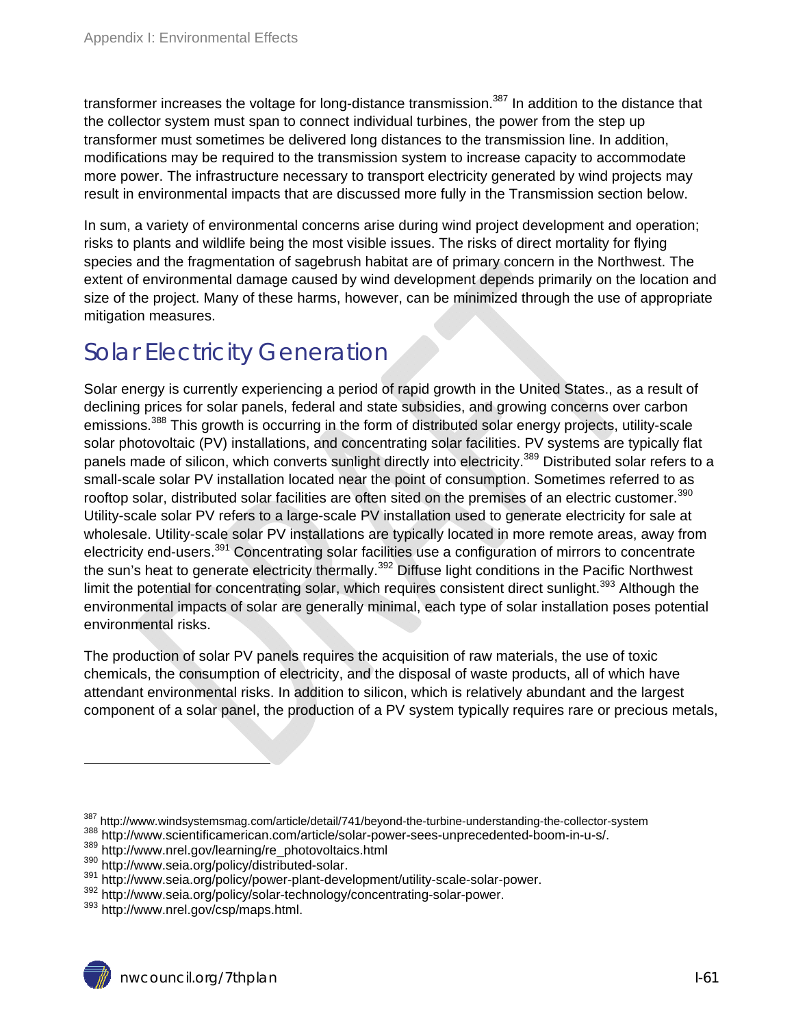transformer increases the voltage for long-distance transmission.<sup>387</sup> In addition to the distance that the collector system must span to connect individual turbines, the power from the step up transformer must sometimes be delivered long distances to the transmission line. In addition, modifications may be required to the transmission system to increase capacity to accommodate more power. The infrastructure necessary to transport electricity generated by wind projects may result in environmental impacts that are discussed more fully in the Transmission section below.

In sum, a variety of environmental concerns arise during wind project development and operation; risks to plants and wildlife being the most visible issues. The risks of direct mortality for flying species and the fragmentation of sagebrush habitat are of primary concern in the Northwest. The extent of environmental damage caused by wind development depends primarily on the location and size of the project. Many of these harms, however, can be minimized through the use of appropriate mitigation measures.

# Solar Electricity Generation

Solar energy is currently experiencing a period of rapid growth in the United States., as a result of declining prices for solar panels, federal and state subsidies, and growing concerns over carbon emissions.<sup>388</sup> This growth is occurring in the form of distributed solar energy projects, utility-scale solar photovoltaic (PV) installations, and concentrating solar facilities. PV systems are typically flat panels made of silicon, which converts sunlight directly into electricity.<sup>389</sup> Distributed solar refers to a small-scale solar PV installation located near the point of consumption. Sometimes referred to as rooftop solar, distributed solar facilities are often sited on the premises of an electric customer.<sup>390</sup> Utility-scale solar PV refers to a large-scale PV installation used to generate electricity for sale at wholesale. Utility-scale solar PV installations are typically located in more remote areas, away from electricity end-users.<sup>391</sup> Concentrating solar facilities use a configuration of mirrors to concentrate the sun's heat to generate electricity thermally.<sup>392</sup> Diffuse light conditions in the Pacific Northwest limit the potential for concentrating solar, which requires consistent direct sunlight.<sup>393</sup> Although the environmental impacts of solar are generally minimal, each type of solar installation poses potential environmental risks.

The production of solar PV panels requires the acquisition of raw materials, the use of toxic chemicals, the consumption of electricity, and the disposal of waste products, all of which have attendant environmental risks. In addition to silicon, which is relatively abundant and the largest component of a solar panel, the production of a PV system typically requires rare or precious metals,

<sup>&</sup>lt;sup>387</sup> http://www.windsystemsmag.com/article/detail/741/beyond-the-turbine-understanding-the-collector-system<br><sup>388</sup> http://www.scientificamerican.com/article/solar-power-sees-unprecedented-boom-in-u-s/.<br><sup>389</sup> http://www.nre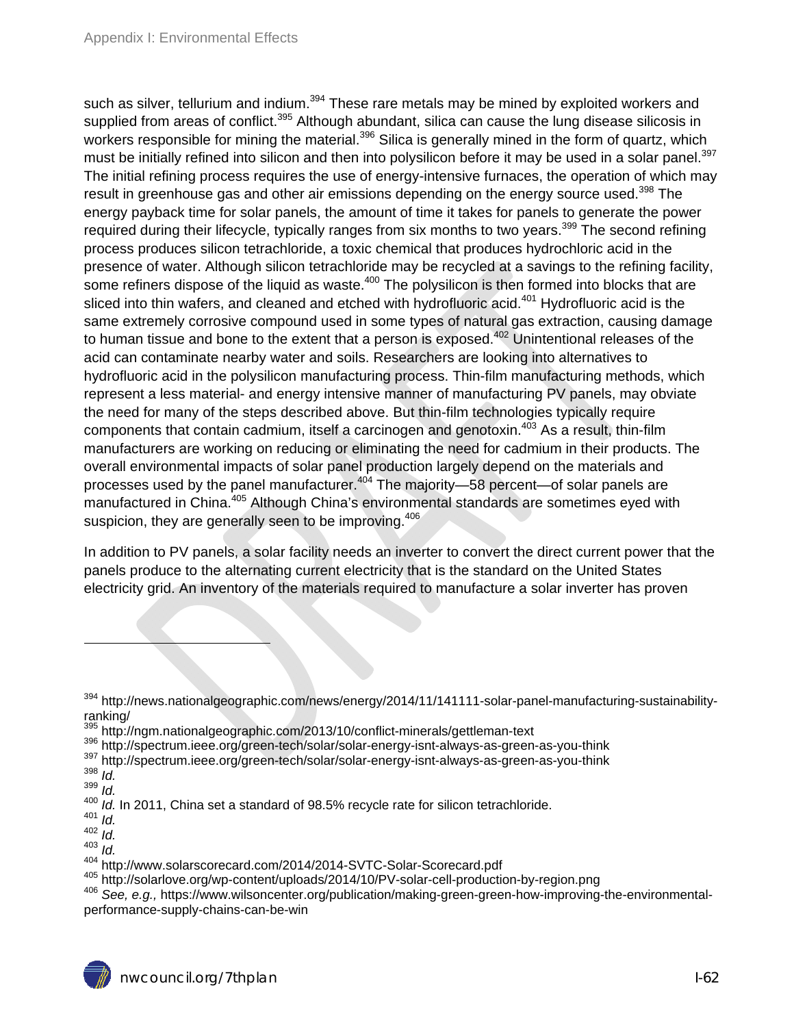such as silver, tellurium and indium.<sup>394</sup> These rare metals may be mined by exploited workers and supplied from areas of conflict.<sup>395</sup> Although abundant, silica can cause the lung disease silicosis in workers responsible for mining the material.<sup>396</sup> Silica is generally mined in the form of quartz, which must be initially refined into silicon and then into polysilicon before it may be used in a solar panel.<sup>397</sup> The initial refining process requires the use of energy-intensive furnaces, the operation of which may result in greenhouse gas and other air emissions depending on the energy source used.<sup>398</sup> The energy payback time for solar panels, the amount of time it takes for panels to generate the power required during their lifecycle, typically ranges from six months to two years.<sup>399</sup> The second refining process produces silicon tetrachloride, a toxic chemical that produces hydrochloric acid in the presence of water. Although silicon tetrachloride may be recycled at a savings to the refining facility, some refiners dispose of the liquid as waste.<sup>400</sup> The polysilicon is then formed into blocks that are sliced into thin wafers, and cleaned and etched with hydrofluoric acid.<sup>401</sup> Hydrofluoric acid is the same extremely corrosive compound used in some types of natural gas extraction, causing damage to human tissue and bone to the extent that a person is exposed.<sup>402</sup> Unintentional releases of the acid can contaminate nearby water and soils. Researchers are looking into alternatives to hydrofluoric acid in the polysilicon manufacturing process. Thin-film manufacturing methods, which represent a less material- and energy intensive manner of manufacturing PV panels, may obviate the need for many of the steps described above. But thin-film technologies typically require components that contain cadmium, itself a carcinogen and genotoxin.<sup>403</sup> As a result, thin-film manufacturers are working on reducing or eliminating the need for cadmium in their products. The overall environmental impacts of solar panel production largely depend on the materials and processes used by the panel manufacturer.<sup>404</sup> The majority—58 percent—of solar panels are manufactured in China.<sup>405</sup> Although China's environmental standards are sometimes eyed with suspicion, they are generally seen to be improving.<sup>406</sup>

In addition to PV panels, a solar facility needs an inverter to convert the direct current power that the panels produce to the alternating current electricity that is the standard on the United States electricity grid. An inventory of the materials required to manufacture a solar inverter has proven

<sup>&</sup>lt;sup>405</sup> http://solarlove.org/wp-content/uploads/2014/10/PV-solar-cell-production-by-region.png<br><sup>406</sup> See, e.g., https://www.wilsoncenter.org/publication/making-green-green-how-improving-the-environmentalperformance-supply-chains-can-be-win



<sup>&</sup>lt;sup>394</sup> http://news.nationalgeographic.com/news/energy/2014/11/141111-solar-panel-manufacturing-sustainabilityranking/<br><sup>395</sup> http://ngm.nationalgeographic.com/2013/10/conflict-minerals/gettleman-text

<sup>396</sup> http://spectrum.ieee.org/green-tech/solar/solar-energy-isnt-always-as-green-as-you-think<br>397 http://spectrum.ieee.org/green-tech/solar/solar-energy-isnt-always-as-green-as-you-think<br>398 Id

 $\frac{399}{400}$  *Id.* 

<sup>400</sup> *Id.* In 2011, China set a standard of 98.5% recycle rate for silicon tetrachloride. 401 *Id.* 

 $\frac{402}{403}$  *Id.* 

<sup>&</sup>lt;sup>403</sup> *Id.*<br><sup>404</sup> http://www.solarscorecard.com/2014/2014-SVTC-Solar-Scorecard.pdf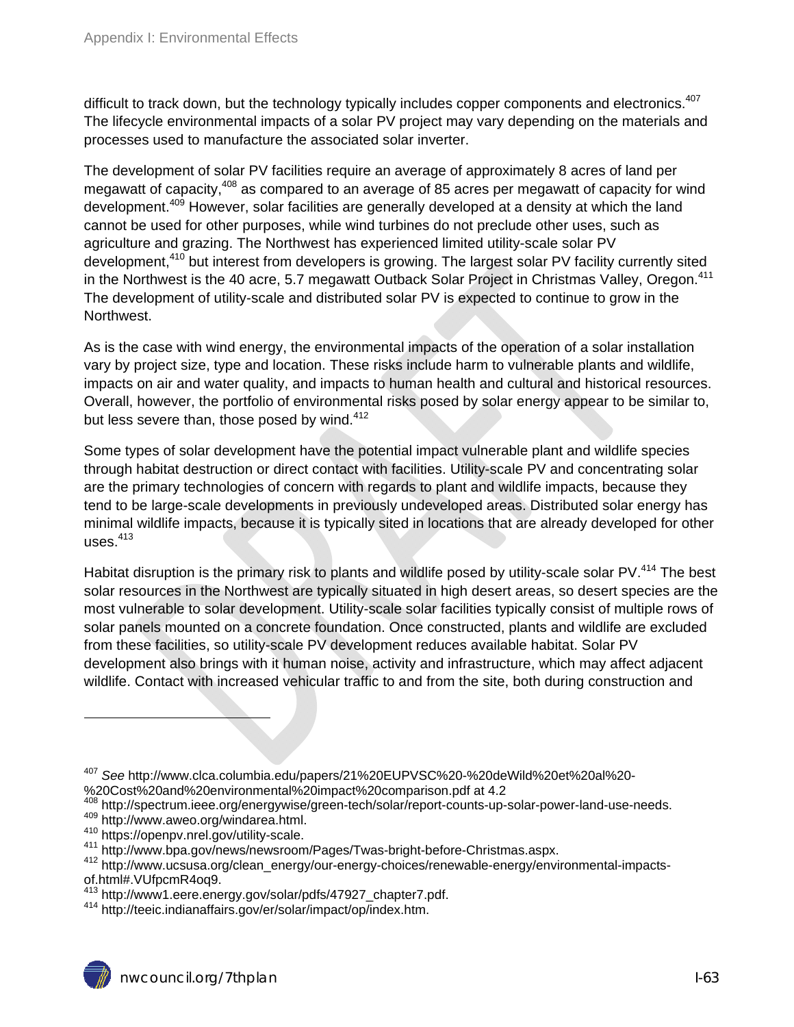difficult to track down, but the technology typically includes copper components and electronics.<sup>407</sup> The lifecycle environmental impacts of a solar PV project may vary depending on the materials and processes used to manufacture the associated solar inverter.

The development of solar PV facilities require an average of approximately 8 acres of land per megawatt of capacity,<sup>408</sup> as compared to an average of 85 acres per megawatt of capacity for wind development.409 However, solar facilities are generally developed at a density at which the land cannot be used for other purposes, while wind turbines do not preclude other uses, such as agriculture and grazing. The Northwest has experienced limited utility-scale solar PV development,<sup>410</sup> but interest from developers is growing. The largest solar PV facility currently sited in the Northwest is the 40 acre, 5.7 megawatt Outback Solar Project in Christmas Valley, Oregon.<sup>411</sup> The development of utility-scale and distributed solar PV is expected to continue to grow in the Northwest.

As is the case with wind energy, the environmental impacts of the operation of a solar installation vary by project size, type and location. These risks include harm to vulnerable plants and wildlife, impacts on air and water quality, and impacts to human health and cultural and historical resources. Overall, however, the portfolio of environmental risks posed by solar energy appear to be similar to, but less severe than, those posed by wind. $412$ 

Some types of solar development have the potential impact vulnerable plant and wildlife species through habitat destruction or direct contact with facilities. Utility-scale PV and concentrating solar are the primary technologies of concern with regards to plant and wildlife impacts, because they tend to be large-scale developments in previously undeveloped areas. Distributed solar energy has minimal wildlife impacts, because it is typically sited in locations that are already developed for other  $_{\text{uses}}^{413}$ 

Habitat disruption is the primary risk to plants and wildlife posed by utility-scale solar PV.<sup>414</sup> The best solar resources in the Northwest are typically situated in high desert areas, so desert species are the most vulnerable to solar development. Utility-scale solar facilities typically consist of multiple rows of solar panels mounted on a concrete foundation. Once constructed, plants and wildlife are excluded from these facilities, so utility-scale PV development reduces available habitat. Solar PV development also brings with it human noise, activity and infrastructure, which may affect adjacent wildlife. Contact with increased vehicular traffic to and from the site, both during construction and

- %20Cost%20and%20environmental%20impact%20comparison.pdf at 4.2 408 http://spectrum.ieee.org/energywise/green-tech/solar/report-counts-up-solar-power-land-use-needs.
- 
- 

<sup>&</sup>lt;sup>407</sup> See http://www.clca.columbia.edu/papers/21%20EUPVSC%20-%20deWild%20et%20al%20-<br>%20Cost%20and%20environmental%20impact%20comparison.pdf at 4.2

<sup>&</sup>lt;sup>410</sup> https://openpv.nrel.gov/utility-scale.<br><sup>411</sup> http://www.bpa.gov/news/newsroom/Pages/Twas-bright-before-Christmas.aspx.<br><sup>412</sup> http://www.ucsusa.org/clean\_energy/our-energy-choices/renewable-energy/environmental-impact of.html#.VUfpcmR4oq9.

<sup>413</sup> http://www1.eere.energy.gov/solar/pdfs/47927\_chapter7.pdf. 414 http://teeic.indianaffairs.gov/er/solar/impact/op/index.htm.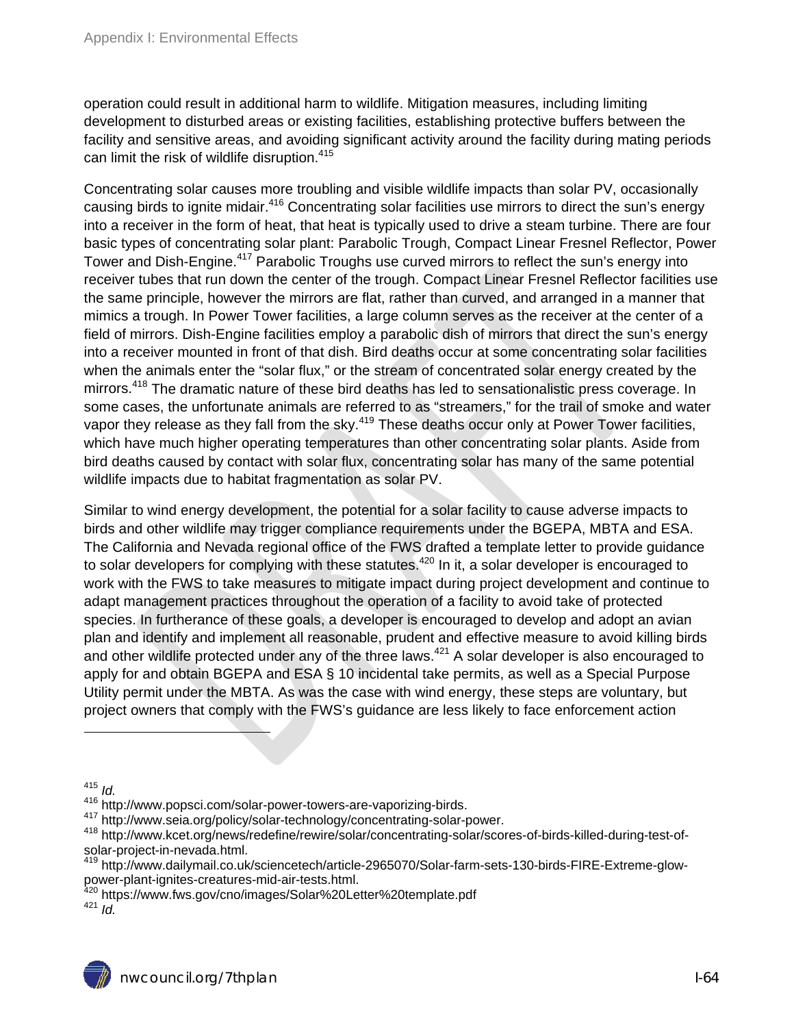operation could result in additional harm to wildlife. Mitigation measures, including limiting development to disturbed areas or existing facilities, establishing protective buffers between the facility and sensitive areas, and avoiding significant activity around the facility during mating periods can limit the risk of wildlife disruption.<sup>415</sup>

Concentrating solar causes more troubling and visible wildlife impacts than solar PV, occasionally causing birds to ignite midair.<sup>416</sup> Concentrating solar facilities use mirrors to direct the sun's energy into a receiver in the form of heat, that heat is typically used to drive a steam turbine. There are four basic types of concentrating solar plant: Parabolic Trough, Compact Linear Fresnel Reflector, Power Tower and Dish-Engine.<sup>417</sup> Parabolic Troughs use curved mirrors to reflect the sun's energy into receiver tubes that run down the center of the trough. Compact Linear Fresnel Reflector facilities use the same principle, however the mirrors are flat, rather than curved, and arranged in a manner that mimics a trough. In Power Tower facilities, a large column serves as the receiver at the center of a field of mirrors. Dish-Engine facilities employ a parabolic dish of mirrors that direct the sun's energy into a receiver mounted in front of that dish. Bird deaths occur at some concentrating solar facilities when the animals enter the "solar flux," or the stream of concentrated solar energy created by the mirrors.<sup>418</sup> The dramatic nature of these bird deaths has led to sensationalistic press coverage. In some cases, the unfortunate animals are referred to as "streamers," for the trail of smoke and water vapor they release as they fall from the sky.<sup>419</sup> These deaths occur only at Power Tower facilities, which have much higher operating temperatures than other concentrating solar plants. Aside from bird deaths caused by contact with solar flux, concentrating solar has many of the same potential wildlife impacts due to habitat fragmentation as solar PV.

Similar to wind energy development, the potential for a solar facility to cause adverse impacts to birds and other wildlife may trigger compliance requirements under the BGEPA, MBTA and ESA. The California and Nevada regional office of the FWS drafted a template letter to provide guidance to solar developers for complying with these statutes.<sup>420</sup> In it, a solar developer is encouraged to work with the FWS to take measures to mitigate impact during project development and continue to adapt management practices throughout the operation of a facility to avoid take of protected species. In furtherance of these goals, a developer is encouraged to develop and adopt an avian plan and identify and implement all reasonable, prudent and effective measure to avoid killing birds and other wildlife protected under any of the three laws. $421$  A solar developer is also encouraged to apply for and obtain BGEPA and ESA § 10 incidental take permits, as well as a Special Purpose Utility permit under the MBTA. As was the case with wind energy, these steps are voluntary, but project owners that comply with the FWS's guidance are less likely to face enforcement action

<sup>&</sup>lt;sup>415</sup> *Id.*<br><sup>416</sup> http://www.popsci.com/solar-power-towers-are-vaporizing-birds.

<sup>417</sup> http://www.seia.org/policy/solar-technology/concentrating-solar-power.<br><sup>418</sup> http://www.kcet.org/news/redefine/rewire/solar/concentrating-solar/scores-of-birds-killed-during-test-ofsolar-project-in-nevada.html.

<sup>419</sup> http://www.dailymail.co.uk/sciencetech/article-2965070/Solar-farm-sets-130-birds-FIRE-Extreme-glowpower-plant-ignites-creatures-mid-air-tests.html.

<sup>&</sup>lt;sup>420</sup> https://www.fws.gov/cno/images/Solar%20Letter%20template.pdf<br><sup>421</sup> *Id.*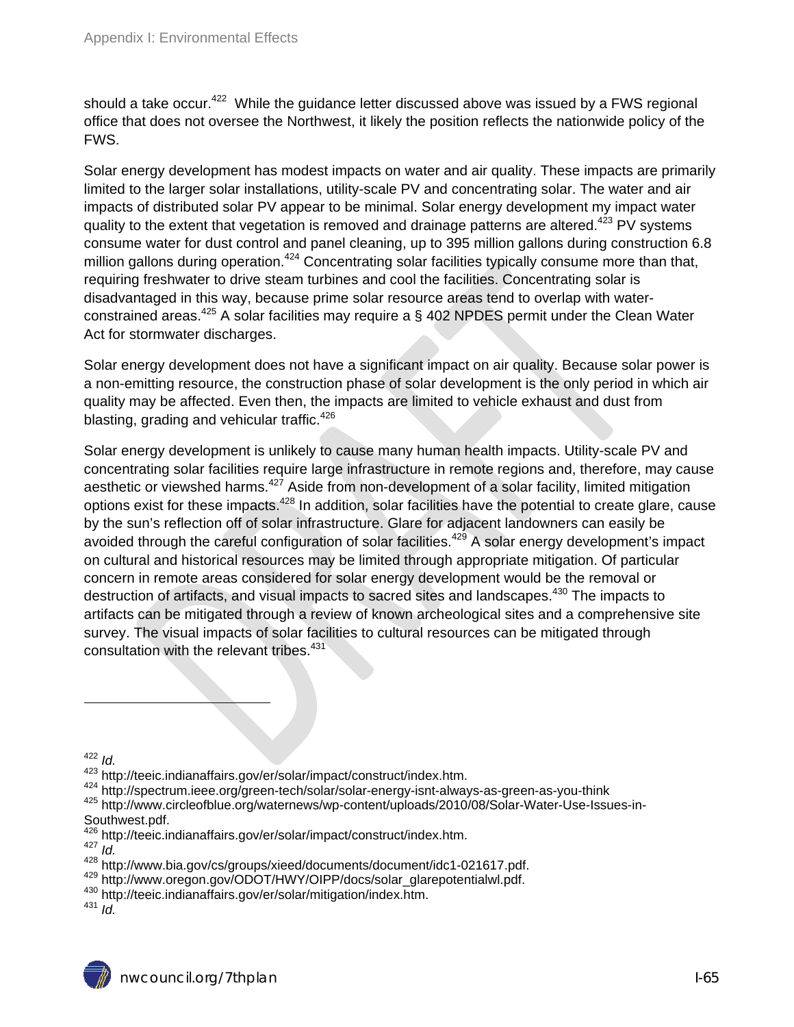should a take occur.<sup>422</sup> While the guidance letter discussed above was issued by a FWS regional office that does not oversee the Northwest, it likely the position reflects the nationwide policy of the FWS.

Solar energy development has modest impacts on water and air quality. These impacts are primarily limited to the larger solar installations, utility-scale PV and concentrating solar. The water and air impacts of distributed solar PV appear to be minimal. Solar energy development my impact water quality to the extent that vegetation is removed and drainage patterns are altered.<sup>423</sup> PV svstems consume water for dust control and panel cleaning, up to 395 million gallons during construction 6.8 million gallons during operation.<sup>424</sup> Concentrating solar facilities typically consume more than that, requiring freshwater to drive steam turbines and cool the facilities. Concentrating solar is disadvantaged in this way, because prime solar resource areas tend to overlap with waterconstrained areas.<sup>425</sup> A solar facilities may require a § 402 NPDES permit under the Clean Water Act for stormwater discharges.

Solar energy development does not have a significant impact on air quality. Because solar power is a non-emitting resource, the construction phase of solar development is the only period in which air quality may be affected. Even then, the impacts are limited to vehicle exhaust and dust from blasting, grading and vehicular traffic. $426$ 

Solar energy development is unlikely to cause many human health impacts. Utility-scale PV and concentrating solar facilities require large infrastructure in remote regions and, therefore, may cause aesthetic or viewshed harms.<sup>427</sup> Aside from non-development of a solar facility, limited mitigation options exist for these impacts.428 In addition, solar facilities have the potential to create glare, cause by the sun's reflection off of solar infrastructure. Glare for adjacent landowners can easily be avoided through the careful configuration of solar facilities.<sup>429</sup> A solar energy development's impact on cultural and historical resources may be limited through appropriate mitigation. Of particular concern in remote areas considered for solar energy development would be the removal or destruction of artifacts, and visual impacts to sacred sites and landscapes.<sup>430</sup> The impacts to artifacts can be mitigated through a review of known archeological sites and a comprehensive site survey. The visual impacts of solar facilities to cultural resources can be mitigated through consultation with the relevant tribes.<sup>431</sup>

- 426 http://teeic.indianaffairs.gov/er/solar/impact/construct/index.htm.<br><sup>427</sup> *Id.*<br><sup>428</sup> http://www.bia.gov/cs/groups/xieed/documents/document/idc1-021617.pdf.
- 

<sup>&</sup>lt;sup>422</sup> *ld.*<br><sup>423</sup> http://teeic.indianaffairs.gov/er/solar/impact/construct/index.htm.

<sup>&</sup>lt;sup>424</sup> http://spectrum.ieee.org/green-tech/solar/solar-energy-isnt-always-as-green-as-you-think<br><sup>425</sup> http://www.circleofblue.org/waternews/wp-content/uploads/2010/08/Solar-Water-Use-Issues-in-Southwest.pdf.

 $^{429}$  http://www.oregon.gov/ODOT/HWY/OIPP/docs/solar\_glarepotentialwl.pdf.<br> $^{430}$  http://teeic.indianaffairs.gov/er/solar/mitigation/index.htm.<br> $^{430}$  http://teeic.indianaffairs.gov/er/solar/mitigation/index.htm.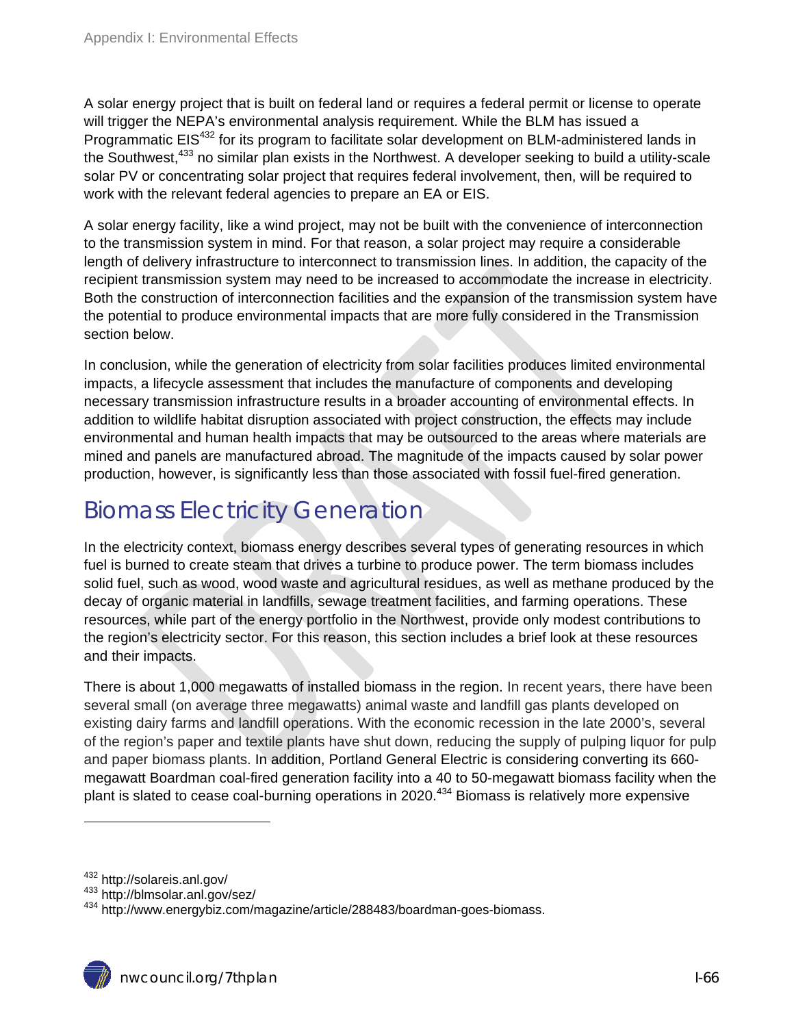A solar energy project that is built on federal land or requires a federal permit or license to operate will trigger the NEPA's environmental analysis requirement. While the BLM has issued a Programmatic EIS<sup>432</sup> for its program to facilitate solar development on BLM-administered lands in the Southwest,<sup>433</sup> no similar plan exists in the Northwest. A developer seeking to build a utility-scale solar PV or concentrating solar project that requires federal involvement, then, will be required to work with the relevant federal agencies to prepare an EA or EIS.

A solar energy facility, like a wind project, may not be built with the convenience of interconnection to the transmission system in mind. For that reason, a solar project may require a considerable length of delivery infrastructure to interconnect to transmission lines. In addition, the capacity of the recipient transmission system may need to be increased to accommodate the increase in electricity. Both the construction of interconnection facilities and the expansion of the transmission system have the potential to produce environmental impacts that are more fully considered in the Transmission section below.

In conclusion, while the generation of electricity from solar facilities produces limited environmental impacts, a lifecycle assessment that includes the manufacture of components and developing necessary transmission infrastructure results in a broader accounting of environmental effects. In addition to wildlife habitat disruption associated with project construction, the effects may include environmental and human health impacts that may be outsourced to the areas where materials are mined and panels are manufactured abroad. The magnitude of the impacts caused by solar power production, however, is significantly less than those associated with fossil fuel-fired generation.

# Biomass Electricity Generation

In the electricity context, biomass energy describes several types of generating resources in which fuel is burned to create steam that drives a turbine to produce power. The term biomass includes solid fuel, such as wood, wood waste and agricultural residues, as well as methane produced by the decay of organic material in landfills, sewage treatment facilities, and farming operations. These resources, while part of the energy portfolio in the Northwest, provide only modest contributions to the region's electricity sector. For this reason, this section includes a brief look at these resources and their impacts.

There is about 1,000 megawatts of installed biomass in the region. In recent years, there have been several small (on average three megawatts) animal waste and landfill gas plants developed on existing dairy farms and landfill operations. With the economic recession in the late 2000's, several of the region's paper and textile plants have shut down, reducing the supply of pulping liquor for pulp and paper biomass plants. In addition, Portland General Electric is considering converting its 660 megawatt Boardman coal-fired generation facility into a 40 to 50-megawatt biomass facility when the plant is slated to cease coal-burning operations in 2020.<sup>434</sup> Biomass is relatively more expensive

<sup>&</sup>lt;sup>432</sup> http://solareis.anl.gov/<br><sup>433</sup> http://blmsolar.anl.gov/sez/<br><sup>434</sup> http://www.energybiz.com/magazine/article/288483/boardman-goes-biomass.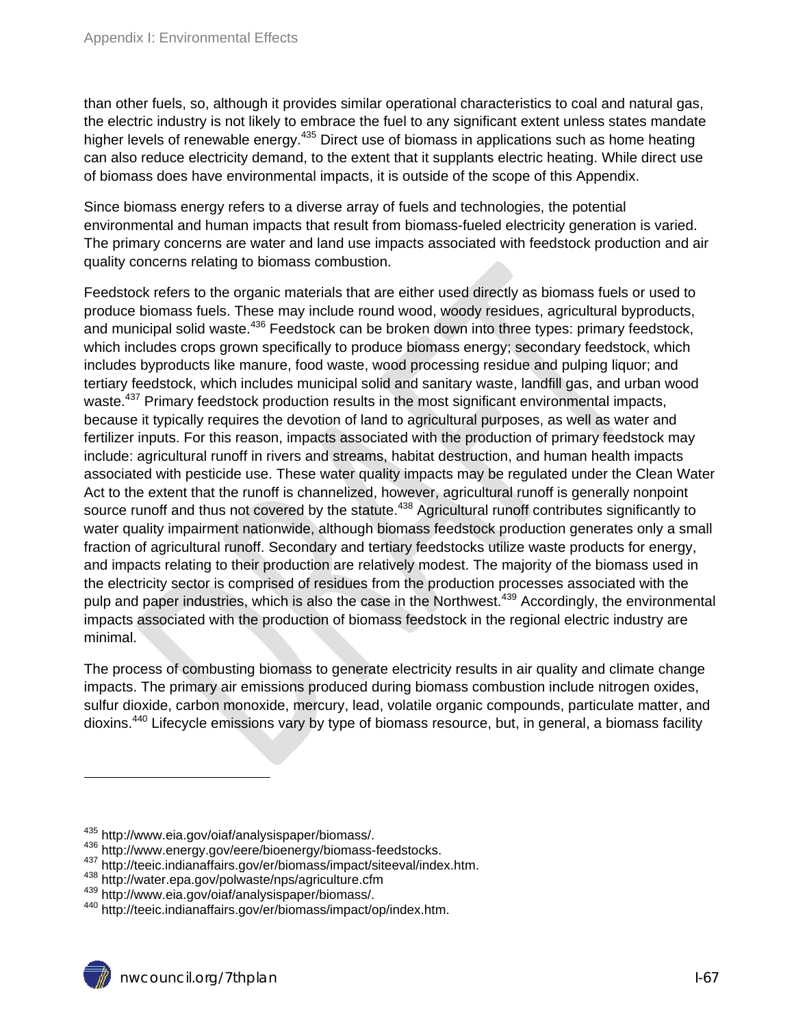than other fuels, so, although it provides similar operational characteristics to coal and natural gas, the electric industry is not likely to embrace the fuel to any significant extent unless states mandate higher levels of renewable energy.<sup>435</sup> Direct use of biomass in applications such as home heating can also reduce electricity demand, to the extent that it supplants electric heating. While direct use of biomass does have environmental impacts, it is outside of the scope of this Appendix.

Since biomass energy refers to a diverse array of fuels and technologies, the potential environmental and human impacts that result from biomass-fueled electricity generation is varied. The primary concerns are water and land use impacts associated with feedstock production and air quality concerns relating to biomass combustion.

Feedstock refers to the organic materials that are either used directly as biomass fuels or used to produce biomass fuels. These may include round wood, woody residues, agricultural byproducts, and municipal solid waste.<sup>436</sup> Feedstock can be broken down into three types: primary feedstock, which includes crops grown specifically to produce biomass energy; secondary feedstock, which includes byproducts like manure, food waste, wood processing residue and pulping liquor; and tertiary feedstock, which includes municipal solid and sanitary waste, landfill gas, and urban wood waste.<sup>437</sup> Primary feedstock production results in the most significant environmental impacts, because it typically requires the devotion of land to agricultural purposes, as well as water and fertilizer inputs. For this reason, impacts associated with the production of primary feedstock may include: agricultural runoff in rivers and streams, habitat destruction, and human health impacts associated with pesticide use. These water quality impacts may be regulated under the Clean Water Act to the extent that the runoff is channelized, however, agricultural runoff is generally nonpoint source runoff and thus not covered by the statute.<sup>438</sup> Agricultural runoff contributes significantly to water quality impairment nationwide, although biomass feedstock production generates only a small fraction of agricultural runoff. Secondary and tertiary feedstocks utilize waste products for energy, and impacts relating to their production are relatively modest. The majority of the biomass used in the electricity sector is comprised of residues from the production processes associated with the pulp and paper industries, which is also the case in the Northwest.<sup>439</sup> Accordingly, the environmental impacts associated with the production of biomass feedstock in the regional electric industry are minimal.

The process of combusting biomass to generate electricity results in air quality and climate change impacts. The primary air emissions produced during biomass combustion include nitrogen oxides, sulfur dioxide, carbon monoxide, mercury, lead, volatile organic compounds, particulate matter, and dioxins.440 Lifecycle emissions vary by type of biomass resource, but, in general, a biomass facility

<sup>&</sup>lt;sup>435</sup> http://www.eia.gov/oiaf/analysispaper/biomass/.<br><sup>436</sup> http://www.energy.gov/eere/bioenergy/biomass-feedstocks.<br><sup>437</sup> http://teeic.indianaffairs.gov/er/biomass/impact/siteeval/index.htm.<br><sup>438</sup> http://water.epa.gov/po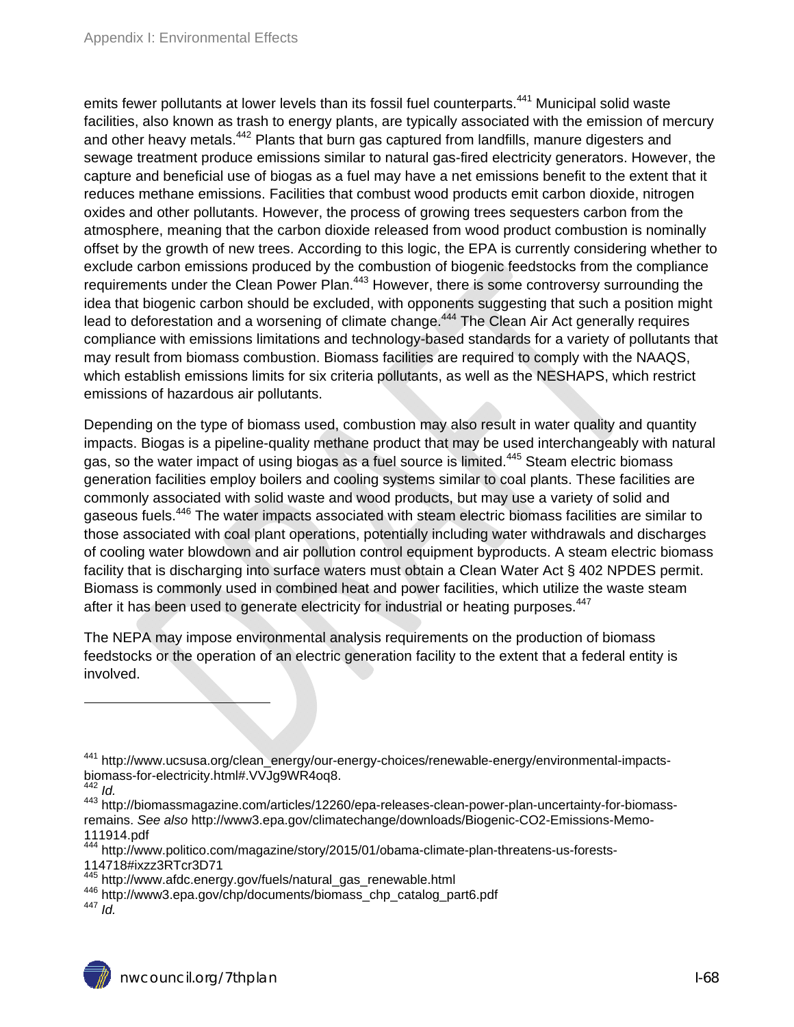emits fewer pollutants at lower levels than its fossil fuel counterparts.<sup>441</sup> Municipal solid waste facilities, also known as trash to energy plants, are typically associated with the emission of mercury and other heavy metals.<sup>442</sup> Plants that burn gas captured from landfills, manure digesters and sewage treatment produce emissions similar to natural gas-fired electricity generators. However, the capture and beneficial use of biogas as a fuel may have a net emissions benefit to the extent that it reduces methane emissions. Facilities that combust wood products emit carbon dioxide, nitrogen oxides and other pollutants. However, the process of growing trees sequesters carbon from the atmosphere, meaning that the carbon dioxide released from wood product combustion is nominally offset by the growth of new trees. According to this logic, the EPA is currently considering whether to exclude carbon emissions produced by the combustion of biogenic feedstocks from the compliance requirements under the Clean Power Plan.<sup>443</sup> However, there is some controversy surrounding the idea that biogenic carbon should be excluded, with opponents suggesting that such a position might lead to deforestation and a worsening of climate change.<sup>444</sup> The Clean Air Act generally requires compliance with emissions limitations and technology-based standards for a variety of pollutants that may result from biomass combustion. Biomass facilities are required to comply with the NAAQS, which establish emissions limits for six criteria pollutants, as well as the NESHAPS, which restrict emissions of hazardous air pollutants.

Depending on the type of biomass used, combustion may also result in water quality and quantity impacts. Biogas is a pipeline-quality methane product that may be used interchangeably with natural gas, so the water impact of using biogas as a fuel source is limited.<sup>445</sup> Steam electric biomass generation facilities employ boilers and cooling systems similar to coal plants. These facilities are commonly associated with solid waste and wood products, but may use a variety of solid and gaseous fuels.<sup>446</sup> The water impacts associated with steam electric biomass facilities are similar to those associated with coal plant operations, potentially including water withdrawals and discharges of cooling water blowdown and air pollution control equipment byproducts. A steam electric biomass facility that is discharging into surface waters must obtain a Clean Water Act § 402 NPDES permit. Biomass is commonly used in combined heat and power facilities, which utilize the waste steam after it has been used to generate electricity for industrial or heating purposes.<sup>447</sup>

The NEPA may impose environmental analysis requirements on the production of biomass feedstocks or the operation of an electric generation facility to the extent that a federal entity is involved.

<sup>&</sup>lt;sup>441</sup> http://www.ucsusa.org/clean\_energy/our-energy-choices/renewable-energy/environmental-impactsbiomass-for-electricity.html#.VVJg9WR4oq8.

 $442$  *Id.* 

<sup>443</sup> http://biomassmagazine.com/articles/12260/epa-releases-clean-power-plan-uncertainty-for-biomassremains. *See also* http://www3.epa.gov/climatechange/downloads/Biogenic-CO2-Emissions-Memo-111914.pdf

<sup>444</sup> http://www.politico.com/magazine/story/2015/01/obama-climate-plan-threatens-us-forests-

<sup>114718#</sup>ixzz3RTcr3D71<br><sup>445</sup> http://www.afdc.energy.gov/fuels/natural gas renewable.html

<sup>446</sup> http://www3.epa.gov/chp/documents/biomass\_chp\_catalog\_part6.pdf<br><sup>446</sup> http://www3.epa.gov/chp/documents/biomass\_chp\_catalog\_part6.pdf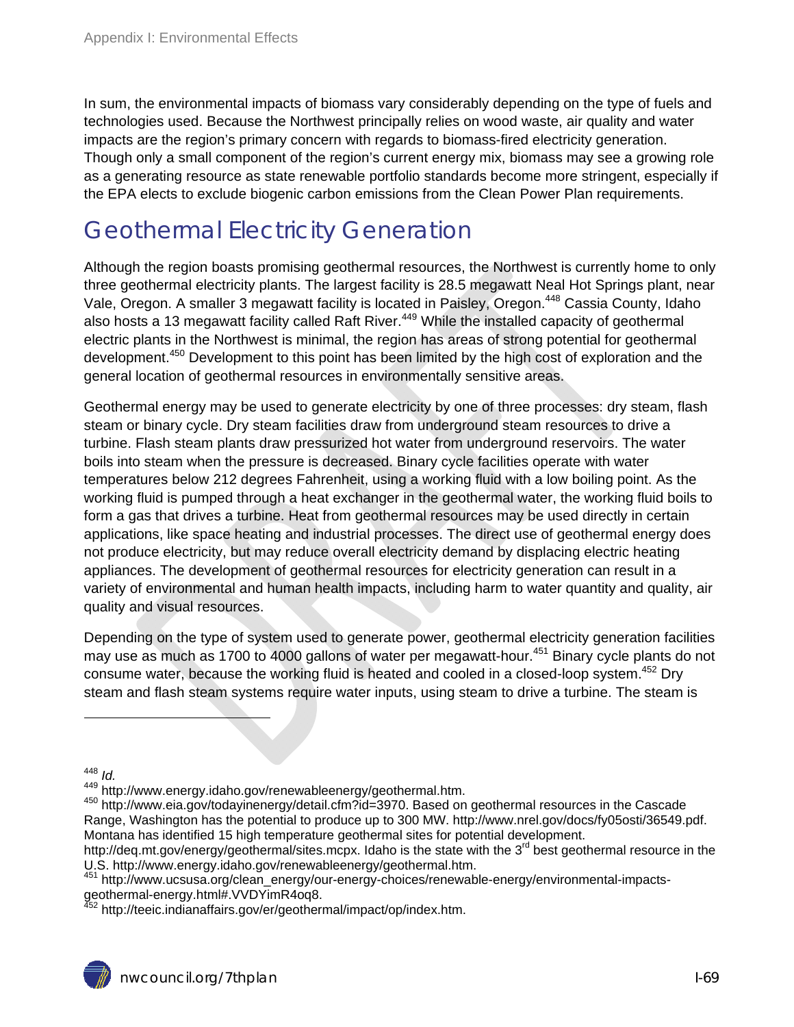In sum, the environmental impacts of biomass vary considerably depending on the type of fuels and technologies used. Because the Northwest principally relies on wood waste, air quality and water impacts are the region's primary concern with regards to biomass-fired electricity generation. Though only a small component of the region's current energy mix, biomass may see a growing role as a generating resource as state renewable portfolio standards become more stringent, especially if the EPA elects to exclude biogenic carbon emissions from the Clean Power Plan requirements.

# Geothermal Electricity Generation

Although the region boasts promising geothermal resources, the Northwest is currently home to only three geothermal electricity plants. The largest facility is 28.5 megawatt Neal Hot Springs plant, near Vale, Oregon. A smaller 3 megawatt facility is located in Paisley, Oregon.<sup>448</sup> Cassia County, Idaho also hosts a 13 megawatt facility called Raft River.<sup>449</sup> While the installed capacity of geothermal electric plants in the Northwest is minimal, the region has areas of strong potential for geothermal development.<sup>450</sup> Development to this point has been limited by the high cost of exploration and the general location of geothermal resources in environmentally sensitive areas.

Geothermal energy may be used to generate electricity by one of three processes: dry steam, flash steam or binary cycle. Dry steam facilities draw from underground steam resources to drive a turbine. Flash steam plants draw pressurized hot water from underground reservoirs. The water boils into steam when the pressure is decreased. Binary cycle facilities operate with water temperatures below 212 degrees Fahrenheit, using a working fluid with a low boiling point. As the working fluid is pumped through a heat exchanger in the geothermal water, the working fluid boils to form a gas that drives a turbine. Heat from geothermal resources may be used directly in certain applications, like space heating and industrial processes. The direct use of geothermal energy does not produce electricity, but may reduce overall electricity demand by displacing electric heating appliances. The development of geothermal resources for electricity generation can result in a variety of environmental and human health impacts, including harm to water quantity and quality, air quality and visual resources.

Depending on the type of system used to generate power, geothermal electricity generation facilities may use as much as 1700 to 4000 gallons of water per megawatt-hour.<sup>451</sup> Binary cycle plants do not consume water, because the working fluid is heated and cooled in a closed-loop system.<sup>452</sup> Dry steam and flash steam systems require water inputs, using steam to drive a turbine. The steam is

<sup>&</sup>lt;sup>448</sup> *ld.*<br><sup>449</sup> http://www.energy.idaho.gov/renewableenergy/geothermal.htm.

<sup>450</sup> http://www.eia.gov/todayinenergy/detail.cfm?id=3970. Based on geothermal resources in the Cascade Range, Washington has the potential to produce up to 300 MW. http://www.nrel.gov/docs/fy05osti/36549.pdf. Montana has identified 15 high temperature geothermal sites for potential development.

http://deq.mt.gov/energy/geothermal/sites.mcpx. Idaho is the state with the 3<sup>rd</sup> best geothermal resource in the U.S. http://www.energy.idaho.gov/renewableenergy/geothermal.htm.<br><sup>451</sup> http://www.ucsusa.org/clean\_energy/our-energy-choices/renewable-energy/environmental-impacts-

geothermal-energy.html#.VVDYimR4oq8.

<sup>&</sup>lt;sup>452</sup> http://teeic.indianaffairs.gov/er/geothermal/impact/op/index.htm.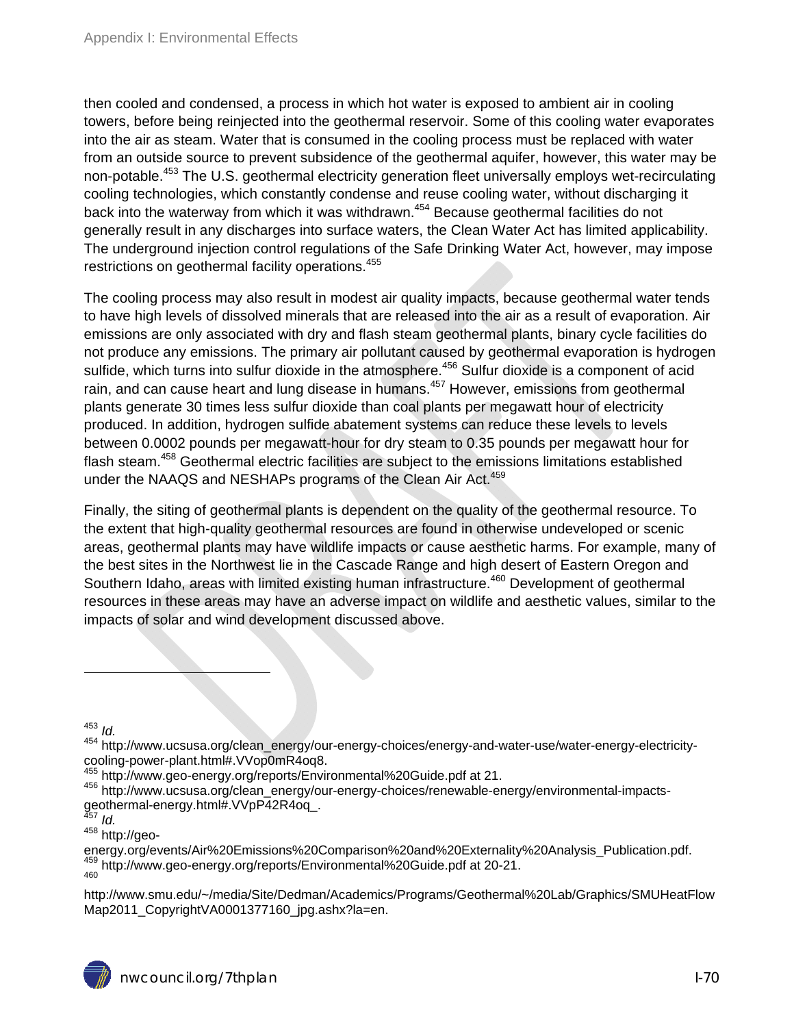then cooled and condensed, a process in which hot water is exposed to ambient air in cooling towers, before being reinjected into the geothermal reservoir. Some of this cooling water evaporates into the air as steam. Water that is consumed in the cooling process must be replaced with water from an outside source to prevent subsidence of the geothermal aquifer, however, this water may be non-potable.<sup>453</sup> The U.S. geothermal electricity generation fleet universally employs wet-recirculating cooling technologies, which constantly condense and reuse cooling water, without discharging it back into the waterway from which it was withdrawn.<sup>454</sup> Because geothermal facilities do not generally result in any discharges into surface waters, the Clean Water Act has limited applicability. The underground injection control regulations of the Safe Drinking Water Act, however, may impose restrictions on geothermal facility operations.<sup>455</sup>

The cooling process may also result in modest air quality impacts, because geothermal water tends to have high levels of dissolved minerals that are released into the air as a result of evaporation. Air emissions are only associated with dry and flash steam geothermal plants, binary cycle facilities do not produce any emissions. The primary air pollutant caused by geothermal evaporation is hydrogen sulfide, which turns into sulfur dioxide in the atmosphere.<sup>456</sup> Sulfur dioxide is a component of acid rain, and can cause heart and lung disease in humans.<sup>457</sup> However, emissions from geothermal plants generate 30 times less sulfur dioxide than coal plants per megawatt hour of electricity produced. In addition, hydrogen sulfide abatement systems can reduce these levels to levels between 0.0002 pounds per megawatt-hour for dry steam to 0.35 pounds per megawatt hour for flash steam.<sup>458</sup> Geothermal electric facilities are subject to the emissions limitations established under the NAAQS and NESHAPs programs of the Clean Air Act.<sup>459</sup>

Finally, the siting of geothermal plants is dependent on the quality of the geothermal resource. To the extent that high-quality geothermal resources are found in otherwise undeveloped or scenic areas, geothermal plants may have wildlife impacts or cause aesthetic harms. For example, many of the best sites in the Northwest lie in the Cascade Range and high desert of Eastern Oregon and Southern Idaho, areas with limited existing human infrastructure.<sup>460</sup> Development of geothermal resources in these areas may have an adverse impact on wildlife and aesthetic values, similar to the impacts of solar and wind development discussed above.

<sup>453</sup> *Id.*

 $\overline{a}$ 

<sup>454</sup> http://www.ucsusa.org/clean\_energy/our-energy-choices/energy-and-water-use/water-energy-electricitycooling-power-plant.html#.VVop0mR4oq8.<br><sup>455</sup> http://www.geo-energy.org/reports/Environmental%20Guide.pdf at 21.

456 http://www.ucsusa.org/clean\_energy/our-energy-choices/renewable-energy/environmental-impactsgeothermal-energy.html#.VVpP42R4oq\_.

<sup>457</sup> *Id.* 

458 http://geo-

energy.org/events/Air%20Emissions%20Comparison%20and%20Externality%20Analysis\_Publication.pdf.<br><sup>459</sup> http://www.geo-energy.org/reports/Environmental%20Guide.pdf at 20-21.

http://www.smu.edu/~/media/Site/Dedman/Academics/Programs/Geothermal%20Lab/Graphics/SMUHeatFlow Map2011 CopyrightVA0001377160 jpg.ashx?la=en.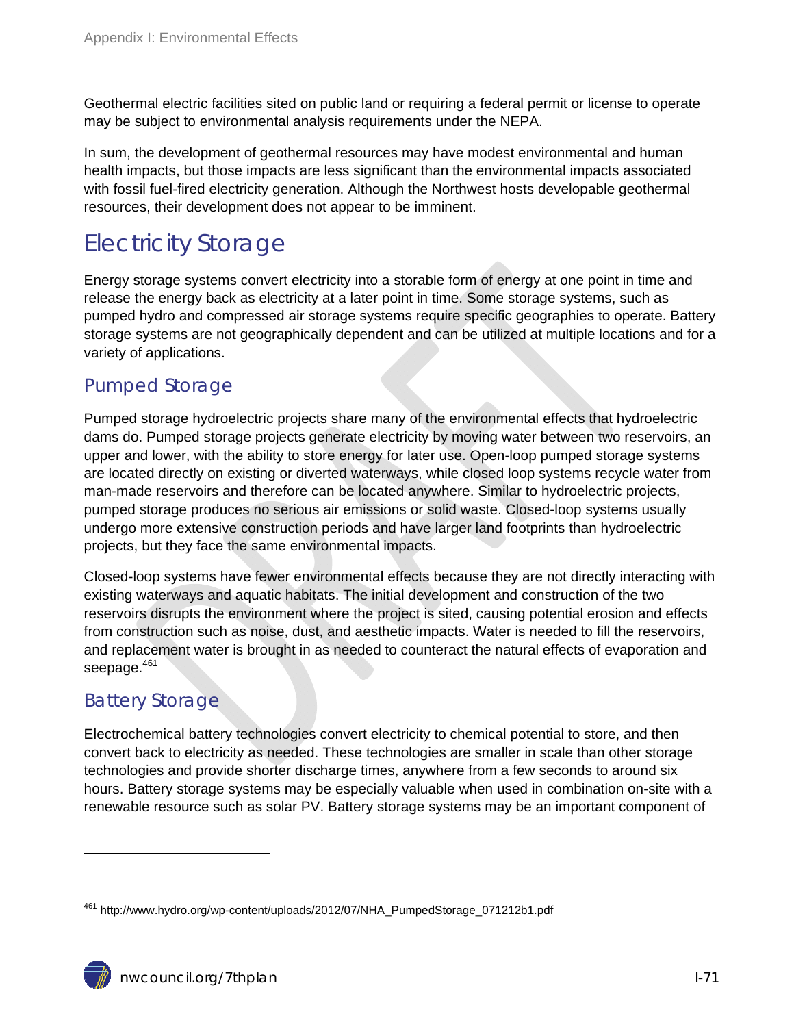Geothermal electric facilities sited on public land or requiring a federal permit or license to operate may be subject to environmental analysis requirements under the NEPA.

In sum, the development of geothermal resources may have modest environmental and human health impacts, but those impacts are less significant than the environmental impacts associated with fossil fuel-fired electricity generation. Although the Northwest hosts developable geothermal resources, their development does not appear to be imminent.

# Electricity Storage

Energy storage systems convert electricity into a storable form of energy at one point in time and release the energy back as electricity at a later point in time. Some storage systems, such as pumped hydro and compressed air storage systems require specific geographies to operate. Battery storage systems are not geographically dependent and can be utilized at multiple locations and for a variety of applications.

#### Pumped Storage

Pumped storage hydroelectric projects share many of the environmental effects that hydroelectric dams do. Pumped storage projects generate electricity by moving water between two reservoirs, an upper and lower, with the ability to store energy for later use. Open-loop pumped storage systems are located directly on existing or diverted waterways, while closed loop systems recycle water from man-made reservoirs and therefore can be located anywhere. Similar to hydroelectric projects, pumped storage produces no serious air emissions or solid waste. Closed-loop systems usually undergo more extensive construction periods and have larger land footprints than hydroelectric projects, but they face the same environmental impacts.

Closed-loop systems have fewer environmental effects because they are not directly interacting with existing waterways and aquatic habitats. The initial development and construction of the two reservoirs disrupts the environment where the project is sited, causing potential erosion and effects from construction such as noise, dust, and aesthetic impacts. Water is needed to fill the reservoirs, and replacement water is brought in as needed to counteract the natural effects of evaporation and seepage.<sup>461</sup>

### Battery Storage

 $\overline{a}$ 

Electrochemical battery technologies convert electricity to chemical potential to store, and then convert back to electricity as needed. These technologies are smaller in scale than other storage technologies and provide shorter discharge times, anywhere from a few seconds to around six hours. Battery storage systems may be especially valuable when used in combination on-site with a renewable resource such as solar PV. Battery storage systems may be an important component of

<sup>461</sup> http://www.hydro.org/wp-content/uploads/2012/07/NHA\_PumpedStorage\_071212b1.pdf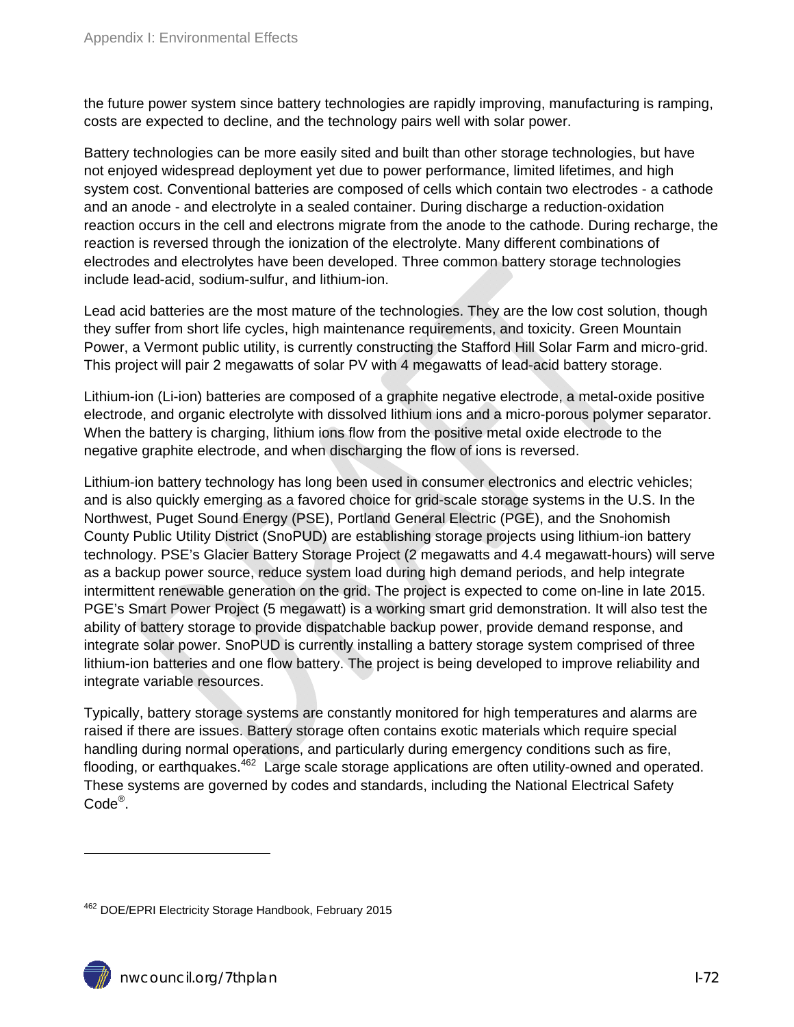the future power system since battery technologies are rapidly improving, manufacturing is ramping, costs are expected to decline, and the technology pairs well with solar power.

Battery technologies can be more easily sited and built than other storage technologies, but have not enjoyed widespread deployment yet due to power performance, limited lifetimes, and high system cost. Conventional batteries are composed of cells which contain two electrodes - a cathode and an anode - and electrolyte in a sealed container. During discharge a reduction-oxidation reaction occurs in the cell and electrons migrate from the anode to the cathode. During recharge, the reaction is reversed through the ionization of the electrolyte. Many different combinations of electrodes and electrolytes have been developed. Three common battery storage technologies include lead-acid, sodium-sulfur, and lithium-ion.

Lead acid batteries are the most mature of the technologies. They are the low cost solution, though they suffer from short life cycles, high maintenance requirements, and toxicity. Green Mountain Power, a Vermont public utility, is currently constructing the Stafford Hill Solar Farm and micro-grid. This project will pair 2 megawatts of solar PV with 4 megawatts of lead-acid battery storage.

Lithium-ion (Li-ion) batteries are composed of a graphite negative electrode, a metal-oxide positive electrode, and organic electrolyte with dissolved lithium ions and a micro-porous polymer separator. When the battery is charging, lithium ions flow from the positive metal oxide electrode to the negative graphite electrode, and when discharging the flow of ions is reversed.

Lithium-ion battery technology has long been used in consumer electronics and electric vehicles; and is also quickly emerging as a favored choice for grid-scale storage systems in the U.S. In the Northwest, Puget Sound Energy (PSE), Portland General Electric (PGE), and the Snohomish County Public Utility District (SnoPUD) are establishing storage projects using lithium-ion battery technology. PSE's Glacier Battery Storage Project (2 megawatts and 4.4 megawatt-hours) will serve as a backup power source, reduce system load during high demand periods, and help integrate intermittent renewable generation on the grid. The project is expected to come on-line in late 2015. PGE's Smart Power Project (5 megawatt) is a working smart grid demonstration. It will also test the ability of battery storage to provide dispatchable backup power, provide demand response, and integrate solar power. SnoPUD is currently installing a battery storage system comprised of three lithium-ion batteries and one flow battery. The project is being developed to improve reliability and integrate variable resources.

Typically, battery storage systems are constantly monitored for high temperatures and alarms are raised if there are issues. Battery storage often contains exotic materials which require special handling during normal operations, and particularly during emergency conditions such as fire, flooding, or earthquakes.<sup>462</sup> Large scale storage applications are often utility-owned and operated. These systems are governed by codes and standards, including the National Electrical Safety Code®.

<sup>462</sup> DOE/EPRI Electricity Storage Handbook, February 2015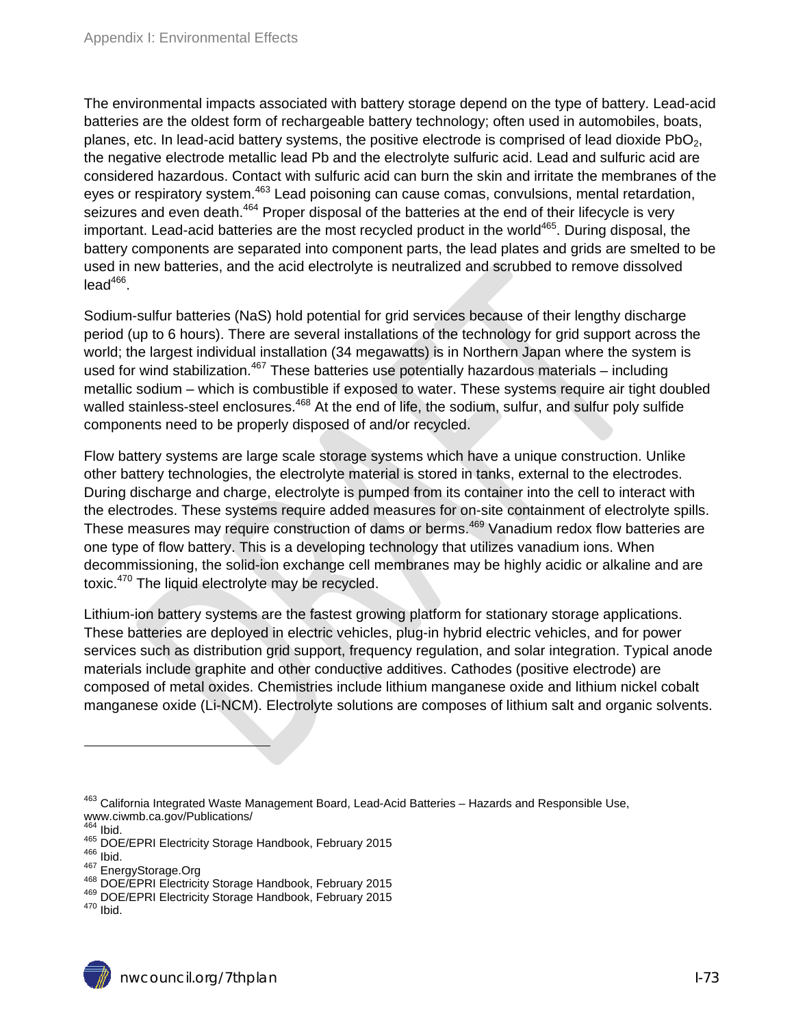The environmental impacts associated with battery storage depend on the type of battery. Lead-acid batteries are the oldest form of rechargeable battery technology; often used in automobiles, boats, planes, etc. In lead-acid battery systems, the positive electrode is comprised of lead dioxide  $PbO<sub>2</sub>$ , the negative electrode metallic lead Pb and the electrolyte sulfuric acid. Lead and sulfuric acid are considered hazardous. Contact with sulfuric acid can burn the skin and irritate the membranes of the eyes or respiratory system.<sup>463</sup> Lead poisoning can cause comas, convulsions, mental retardation, seizures and even death.<sup>464</sup> Proper disposal of the batteries at the end of their lifecycle is very important. Lead-acid batteries are the most recycled product in the world<sup>465</sup>. During disposal, the battery components are separated into component parts, the lead plates and grids are smelted to be used in new batteries, and the acid electrolyte is neutralized and scrubbed to remove dissolved  $lead<sup>466</sup>$ .

Sodium-sulfur batteries (NaS) hold potential for grid services because of their lengthy discharge period (up to 6 hours). There are several installations of the technology for grid support across the world; the largest individual installation (34 megawatts) is in Northern Japan where the system is used for wind stabilization.<sup>467</sup> These batteries use potentially hazardous materials – including metallic sodium – which is combustible if exposed to water. These systems require air tight doubled walled stainless-steel enclosures.<sup>468</sup> At the end of life, the sodium, sulfur, and sulfur poly sulfide components need to be properly disposed of and/or recycled.

Flow battery systems are large scale storage systems which have a unique construction. Unlike other battery technologies, the electrolyte material is stored in tanks, external to the electrodes. During discharge and charge, electrolyte is pumped from its container into the cell to interact with the electrodes. These systems require added measures for on-site containment of electrolyte spills. These measures may require construction of dams or berms.<sup>469</sup> Vanadium redox flow batteries are one type of flow battery. This is a developing technology that utilizes vanadium ions. When decommissioning, the solid-ion exchange cell membranes may be highly acidic or alkaline and are toxic.<sup>470</sup> The liquid electrolyte may be recycled.

Lithium-ion battery systems are the fastest growing platform for stationary storage applications. These batteries are deployed in electric vehicles, plug-in hybrid electric vehicles, and for power services such as distribution grid support, frequency regulation, and solar integration. Typical anode materials include graphite and other conductive additives. Cathodes (positive electrode) are composed of metal oxides. Chemistries include lithium manganese oxide and lithium nickel cobalt manganese oxide (Li-NCM). Electrolyte solutions are composes of lithium salt and organic solvents.

<sup>&</sup>lt;sup>463</sup> California Integrated Waste Management Board, Lead-Acid Batteries – Hazards and Responsible Use, www.ciwmb.ca.gov/Publications/<br><sup>464</sup> Ibid.

<sup>&</sup>lt;sup>466</sup> DOE/EPRI Electricity Storage Handbook, February 2015<br><sup>466</sup> Ibid.<br><sup>468</sup> DOE/EPRI Electricity Storage Handbook, February 2015<br><sup>469</sup> DOE/EPRI Electricity Storage Handbook, February 2015<br><sup>470</sup> Ibid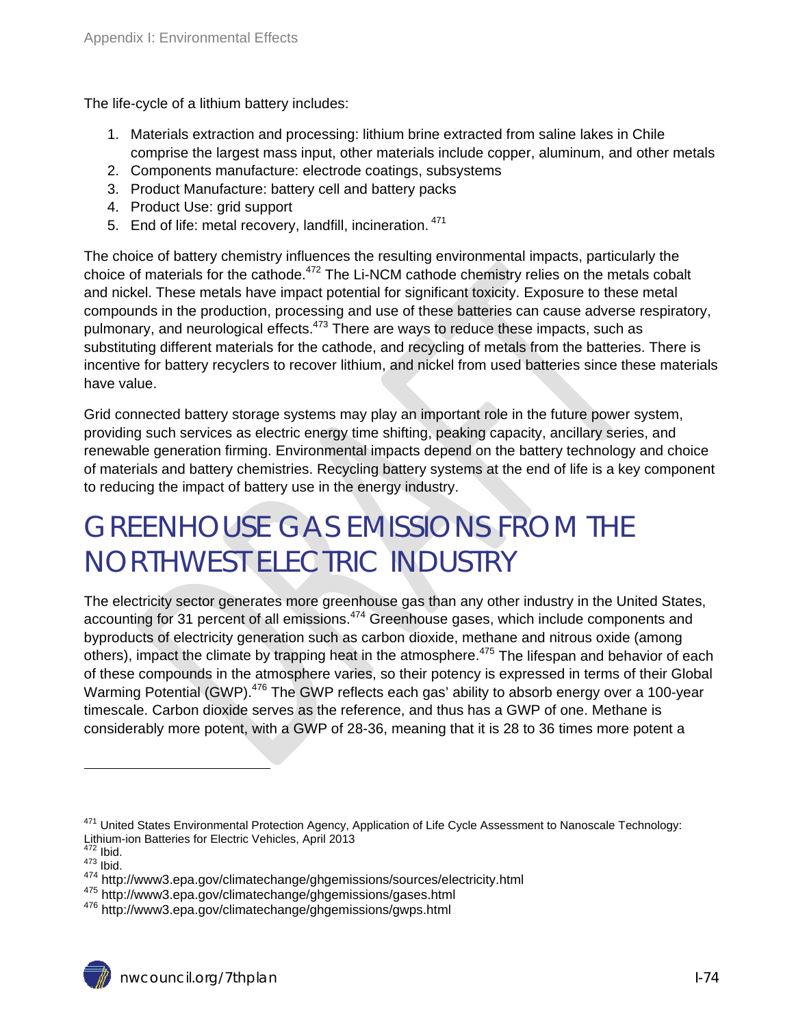The life-cycle of a lithium battery includes:

- 1. Materials extraction and processing: lithium brine extracted from saline lakes in Chile comprise the largest mass input, other materials include copper, aluminum, and other metals
- 2. Components manufacture: electrode coatings, subsystems
- 3. Product Manufacture: battery cell and battery packs
- 4. Product Use: grid support
- 5. End of life: metal recovery, landfill, incineration. <sup>471</sup>

The choice of battery chemistry influences the resulting environmental impacts, particularly the choice of materials for the cathode.<sup>472</sup> The Li-NCM cathode chemistry relies on the metals cobalt and nickel. These metals have impact potential for significant toxicity. Exposure to these metal compounds in the production, processing and use of these batteries can cause adverse respiratory, pulmonary, and neurological effects.<sup>473</sup> There are ways to reduce these impacts, such as substituting different materials for the cathode, and recycling of metals from the batteries. There is incentive for battery recyclers to recover lithium, and nickel from used batteries since these materials have value.

Grid connected battery storage systems may play an important role in the future power system, providing such services as electric energy time shifting, peaking capacity, ancillary series, and renewable generation firming. Environmental impacts depend on the battery technology and choice of materials and battery chemistries. Recycling battery systems at the end of life is a key component to reducing the impact of battery use in the energy industry.

# GREENHOUSE GAS EMISSIONS FROM THE NORTHWEST ELECTRIC INDUSTRY

The electricity sector generates more greenhouse gas than any other industry in the United States, accounting for 31 percent of all emissions.<sup>474</sup> Greenhouse gases, which include components and byproducts of electricity generation such as carbon dioxide, methane and nitrous oxide (among others), impact the climate by trapping heat in the atmosphere.<sup>475</sup> The lifespan and behavior of each of these compounds in the atmosphere varies, so their potency is expressed in terms of their Global Warming Potential (GWP).<sup>476</sup> The GWP reflects each gas' ability to absorb energy over a 100-year timescale. Carbon dioxide serves as the reference, and thus has a GWP of one. Methane is considerably more potent, with a GWP of 28-36, meaning that it is 28 to 36 times more potent a

<sup>&</sup>lt;sup>471</sup> United States Environmental Protection Agency, Application of Life Cycle Assessment to Nanoscale Technology: Lithium-ion Batteries for Electric Vehicles, April 2013<br><sup>472</sup> Ibid.

<sup>473</sup> Ibid.<br><sup>473</sup> Ibid.<br><sup>474</sup> http://www3.epa.gov/climatechange/ghgemissions/sources/electricity.html

<sup>475</sup> http://www3.epa.gov/climatechange/ghgemissions/gases.html<br><sup>476</sup> http://www3.epa.gov/climatechange/ghgemissions/gwps.html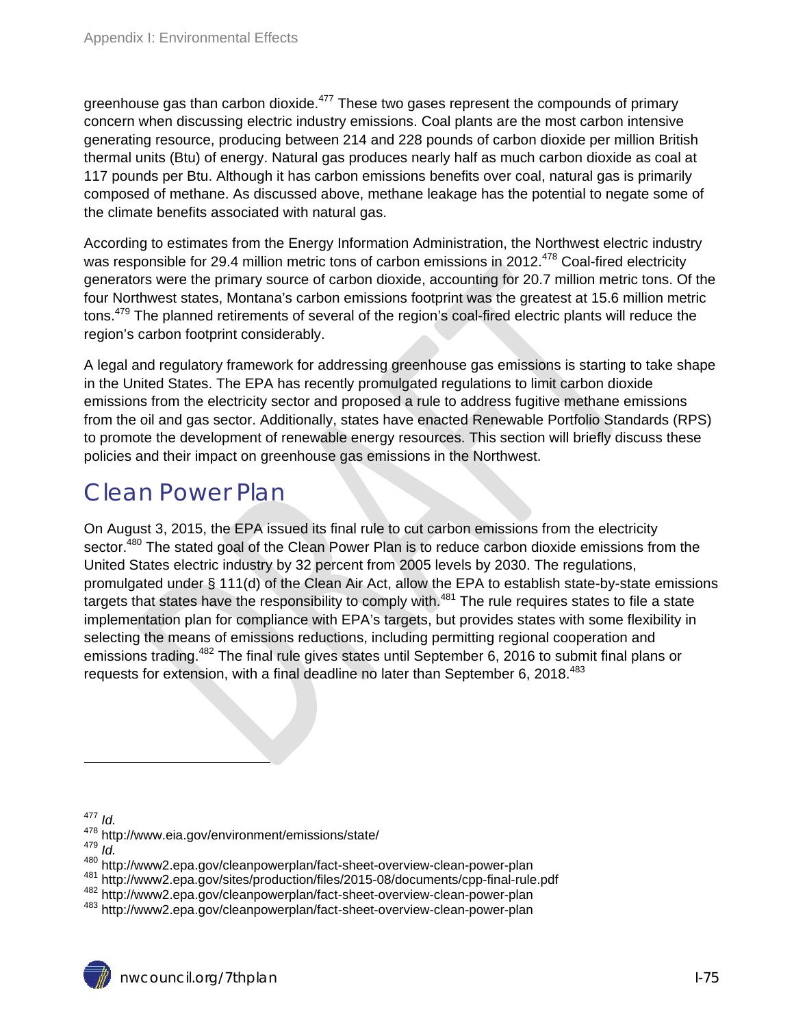greenhouse gas than carbon dioxide.<sup>477</sup> These two gases represent the compounds of primary concern when discussing electric industry emissions. Coal plants are the most carbon intensive generating resource, producing between 214 and 228 pounds of carbon dioxide per million British thermal units (Btu) of energy. Natural gas produces nearly half as much carbon dioxide as coal at 117 pounds per Btu. Although it has carbon emissions benefits over coal, natural gas is primarily composed of methane. As discussed above, methane leakage has the potential to negate some of the climate benefits associated with natural gas.

According to estimates from the Energy Information Administration, the Northwest electric industry was responsible for 29.4 million metric tons of carbon emissions in 2012.<sup>478</sup> Coal-fired electricity generators were the primary source of carbon dioxide, accounting for 20.7 million metric tons. Of the four Northwest states, Montana's carbon emissions footprint was the greatest at 15.6 million metric tons.<sup>479</sup> The planned retirements of several of the region's coal-fired electric plants will reduce the region's carbon footprint considerably.

A legal and regulatory framework for addressing greenhouse gas emissions is starting to take shape in the United States. The EPA has recently promulgated regulations to limit carbon dioxide emissions from the electricity sector and proposed a rule to address fugitive methane emissions from the oil and gas sector. Additionally, states have enacted Renewable Portfolio Standards (RPS) to promote the development of renewable energy resources. This section will briefly discuss these policies and their impact on greenhouse gas emissions in the Northwest.

## Clean Power Plan

On August 3, 2015, the EPA issued its final rule to cut carbon emissions from the electricity sector.<sup>480</sup> The stated goal of the Clean Power Plan is to reduce carbon dioxide emissions from the United States electric industry by 32 percent from 2005 levels by 2030. The regulations, promulgated under § 111(d) of the Clean Air Act, allow the EPA to establish state-by-state emissions targets that states have the responsibility to comply with.<sup>481</sup> The rule requires states to file a state implementation plan for compliance with EPA's targets, but provides states with some flexibility in selecting the means of emissions reductions, including permitting regional cooperation and emissions trading.<sup>482</sup> The final rule gives states until September 6, 2016 to submit final plans or requests for extension, with a final deadline no later than September 6, 2018. $483$ 

<sup>477</sup> *Id.* 

<sup>&</sup>lt;sup>478</sup> http://www.eia.gov/environment/emissions/state/<br><sup>479</sup> *Id.*<br><sup>480</sup> http://www2.epa.gov/cleanpowerplan/fact-sheet-overview-clean-power-plan

<sup>&</sup>lt;sup>481</sup> http://www2.epa.gov/sites/production/files/2015-08/documents/cpp-final-rule.pdf<br><sup>482</sup> http://www2.epa.gov/cleanpowerplan/fact-sheet-overview-clean-power-plan<br><sup>483</sup> http://www2.epa.gov/cleanpowerplan/fact-sheet-overvi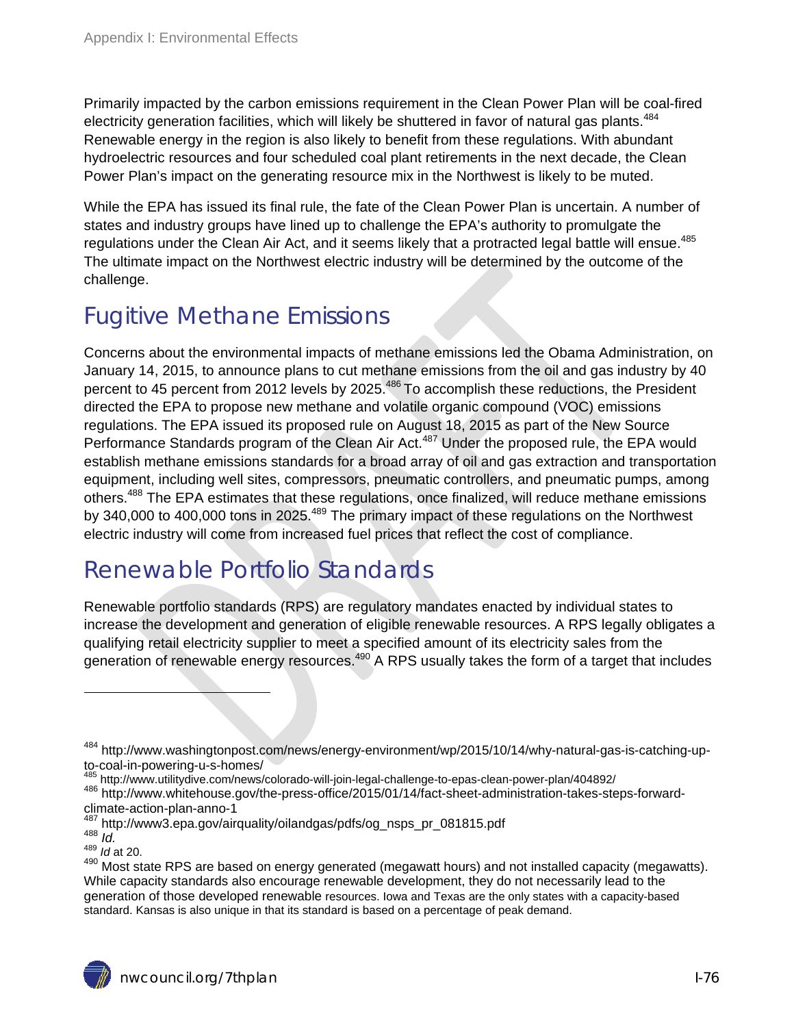Primarily impacted by the carbon emissions requirement in the Clean Power Plan will be coal-fired electricity generation facilities, which will likely be shuttered in favor of natural gas plants.<sup>484</sup> Renewable energy in the region is also likely to benefit from these regulations. With abundant hydroelectric resources and four scheduled coal plant retirements in the next decade, the Clean Power Plan's impact on the generating resource mix in the Northwest is likely to be muted.

While the EPA has issued its final rule, the fate of the Clean Power Plan is uncertain. A number of states and industry groups have lined up to challenge the EPA's authority to promulgate the regulations under the Clean Air Act, and it seems likely that a protracted legal battle will ensue.<sup>485</sup> The ultimate impact on the Northwest electric industry will be determined by the outcome of the challenge.

### Fugitive Methane Emissions

Concerns about the environmental impacts of methane emissions led the Obama Administration, on January 14, 2015, to announce plans to cut methane emissions from the oil and gas industry by 40 percent to 45 percent from 2012 levels by 2025.<sup>486</sup> To accomplish these reductions, the President directed the EPA to propose new methane and volatile organic compound (VOC) emissions regulations. The EPA issued its proposed rule on August 18, 2015 as part of the New Source Performance Standards program of the Clean Air Act.<sup>487</sup> Under the proposed rule, the EPA would establish methane emissions standards for a broad array of oil and gas extraction and transportation equipment, including well sites, compressors, pneumatic controllers, and pneumatic pumps, among others.<sup>488</sup> The EPA estimates that these regulations, once finalized, will reduce methane emissions by 340,000 to 400,000 tons in 2025.<sup>489</sup> The primary impact of these regulations on the Northwest electric industry will come from increased fuel prices that reflect the cost of compliance.

# Renewable Portfolio Standards

Renewable portfolio standards (RPS) are regulatory mandates enacted by individual states to increase the development and generation of eligible renewable resources. A RPS legally obligates a qualifying retail electricity supplier to meet a specified amount of its electricity sales from the generation of renewable energy resources.<sup>490</sup> A RPS usually takes the form of a target that includes

<sup>484</sup> http://www.washingtonpost.com/news/energy-environment/wp/2015/10/14/why-natural-gas-is-catching-upto-coal-in-powering-u-s-homes/<br><sup>485</sup> http://www.utilitydive.com/news/colorado-will-join-legal-challenge-to-epas-clean-power-plan/404892/

<sup>486</sup> http://www.whitehouse.gov/the-press-office/2015/01/14/fact-sheet-administration-takes-steps-forwardclimate-action-plan-anno-1

<sup>487</sup> http://www3.epa.gov/airquality/oilandgas/pdfs/og\_nsps\_pr\_081815.pdf 488 *Id.* <sup>489</sup> *Id* at 20.

<sup>490</sup> Most state RPS are based on energy generated (megawatt hours) and not installed capacity (megawatts). While capacity standards also encourage renewable development, they do not necessarily lead to the generation of those developed renewable resources. Iowa and Texas are the only states with a capacity-based standard. Kansas is also unique in that its standard is based on a percentage of peak demand.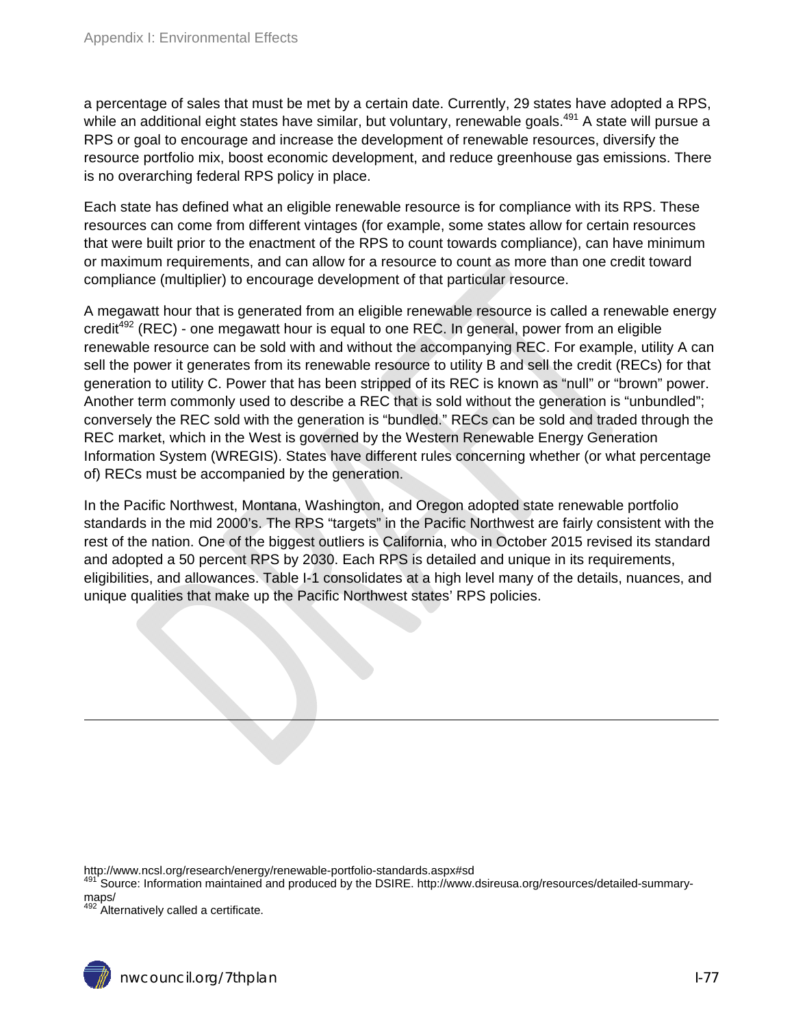a percentage of sales that must be met by a certain date. Currently, 29 states have adopted a RPS, while an additional eight states have similar, but voluntary, renewable goals.<sup>491</sup> A state will pursue a RPS or goal to encourage and increase the development of renewable resources, diversify the resource portfolio mix, boost economic development, and reduce greenhouse gas emissions. There is no overarching federal RPS policy in place.

Each state has defined what an eligible renewable resource is for compliance with its RPS. These resources can come from different vintages (for example, some states allow for certain resources that were built prior to the enactment of the RPS to count towards compliance), can have minimum or maximum requirements, and can allow for a resource to count as more than one credit toward compliance (multiplier) to encourage development of that particular resource.

A megawatt hour that is generated from an eligible renewable resource is called a renewable energy  $c_{\text{redit}}^{492}$  (REC) - one megawatt hour is equal to one REC. In general, power from an eligible renewable resource can be sold with and without the accompanying REC. For example, utility A can sell the power it generates from its renewable resource to utility B and sell the credit (RECs) for that generation to utility C. Power that has been stripped of its REC is known as "null" or "brown" power. Another term commonly used to describe a REC that is sold without the generation is "unbundled"; conversely the REC sold with the generation is "bundled." RECs can be sold and traded through the REC market, which in the West is governed by the Western Renewable Energy Generation Information System (WREGIS). States have different rules concerning whether (or what percentage of) RECs must be accompanied by the generation.

In the Pacific Northwest, Montana, Washington, and Oregon adopted state renewable portfolio standards in the mid 2000's. The RPS "targets" in the Pacific Northwest are fairly consistent with the rest of the nation. One of the biggest outliers is California, who in October 2015 revised its standard and adopted a 50 percent RPS by 2030. Each RPS is detailed and unique in its requirements, eligibilities, and allowances. Table I-1 consolidates at a high level many of the details, nuances, and unique qualities that make up the Pacific Northwest states' RPS policies.

http://www.ncsl.org/research/energy/renewable-portfolio-standards.aspx#sd

491 Source: Information maintained and produced by the DSIRE. http://www.dsireusa.org/resources/detailed-summarymaps/

<sup>492</sup> Alternatively called a certificate.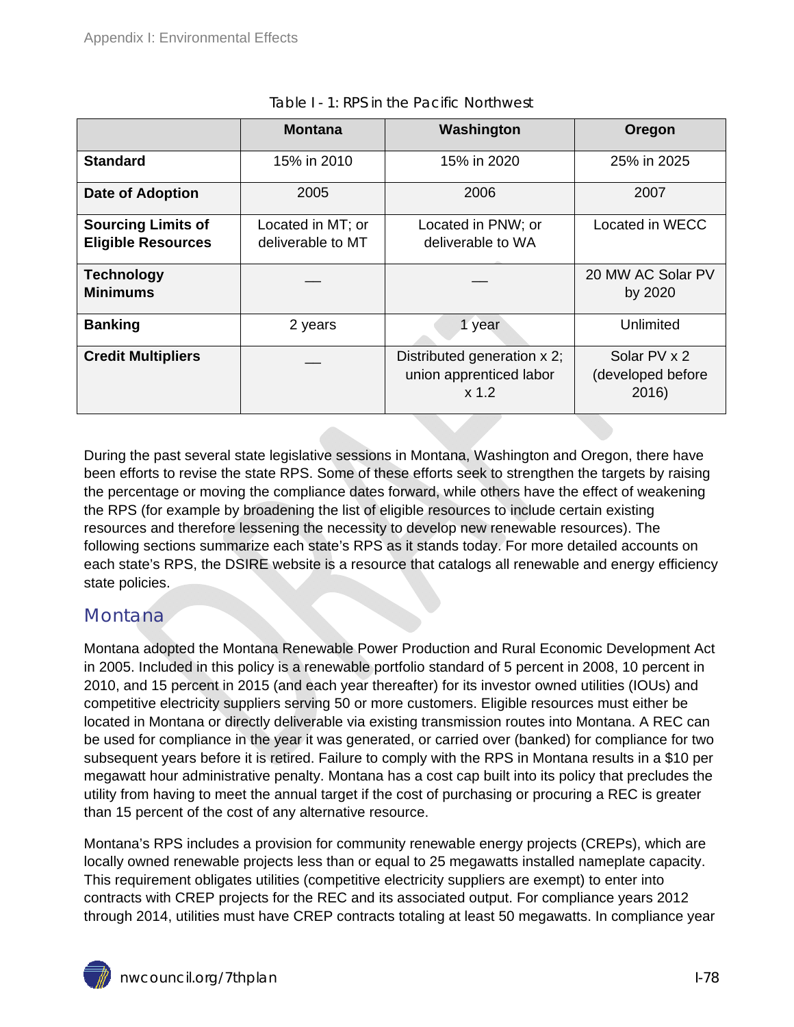|                                                        | <b>Montana</b>                         | Washington                                                        | Oregon                                     |
|--------------------------------------------------------|----------------------------------------|-------------------------------------------------------------------|--------------------------------------------|
| <b>Standard</b>                                        | 15% in 2010                            | 15% in 2020                                                       | 25% in 2025                                |
| <b>Date of Adoption</b>                                | 2005                                   | 2006                                                              | 2007                                       |
| <b>Sourcing Limits of</b><br><b>Eligible Resources</b> | Located in MT; or<br>deliverable to MT | Located in PNW; or<br>deliverable to WA                           | Located in WECC                            |
| <b>Technology</b><br><b>Minimums</b>                   |                                        |                                                                   | 20 MW AC Solar PV<br>by 2020               |
| <b>Banking</b>                                         | 2 years                                | 1 year                                                            | Unlimited                                  |
| <b>Credit Multipliers</b>                              |                                        | Distributed generation x 2;<br>union apprenticed labor<br>$x$ 1.2 | Solar PV x 2<br>(developed before<br>2016) |

|  |  | Table I - 1: RPS in the Pacific Northwest |  |
|--|--|-------------------------------------------|--|
|--|--|-------------------------------------------|--|

During the past several state legislative sessions in Montana, Washington and Oregon, there have been efforts to revise the state RPS. Some of these efforts seek to strengthen the targets by raising the percentage or moving the compliance dates forward, while others have the effect of weakening the RPS (for example by broadening the list of eligible resources to include certain existing resources and therefore lessening the necessity to develop new renewable resources). The following sections summarize each state's RPS as it stands today. For more detailed accounts on each state's RPS, the DSIRE website is a resource that catalogs all renewable and energy efficiency state policies.

### Montana.

Montana adopted the Montana Renewable Power Production and Rural Economic Development Act in 2005. Included in this policy is a renewable portfolio standard of 5 percent in 2008, 10 percent in 2010, and 15 percent in 2015 (and each year thereafter) for its investor owned utilities (IOUs) and competitive electricity suppliers serving 50 or more customers. Eligible resources must either be located in Montana or directly deliverable via existing transmission routes into Montana. A REC can be used for compliance in the year it was generated, or carried over (banked) for compliance for two subsequent years before it is retired. Failure to comply with the RPS in Montana results in a \$10 per megawatt hour administrative penalty. Montana has a cost cap built into its policy that precludes the utility from having to meet the annual target if the cost of purchasing or procuring a REC is greater than 15 percent of the cost of any alternative resource.

Montana's RPS includes a provision for community renewable energy projects (CREPs), which are locally owned renewable projects less than or equal to 25 megawatts installed nameplate capacity. This requirement obligates utilities (competitive electricity suppliers are exempt) to enter into contracts with CREP projects for the REC and its associated output. For compliance years 2012 through 2014, utilities must have CREP contracts totaling at least 50 megawatts. In compliance year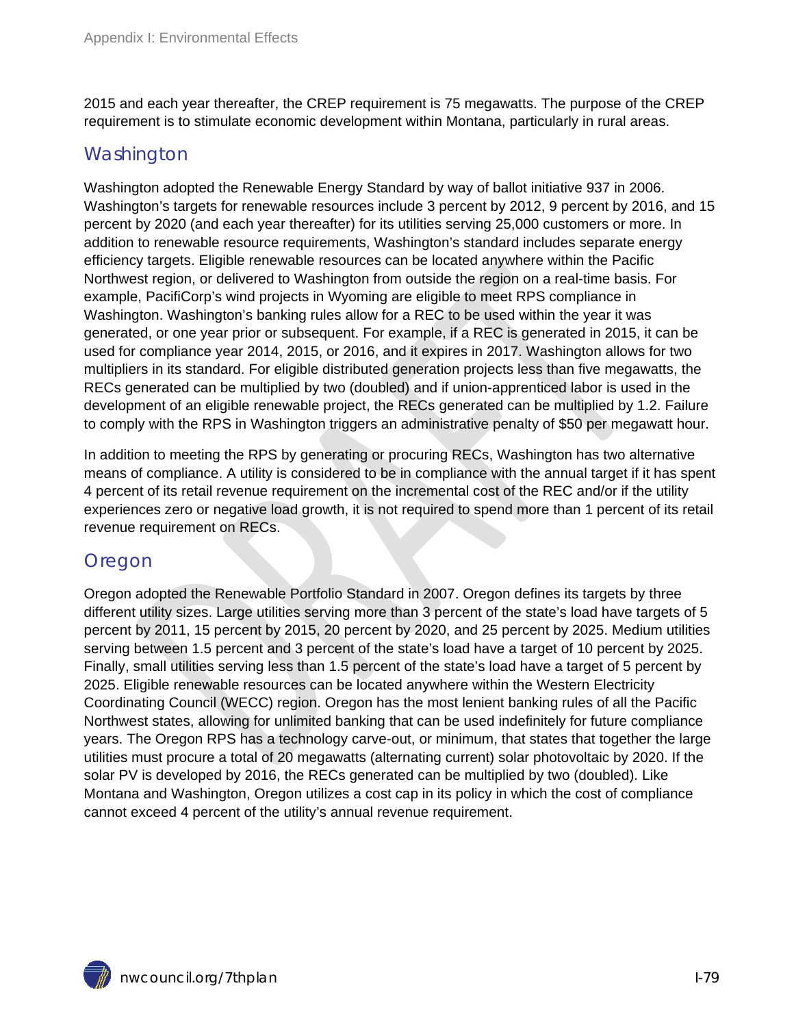2015 and each year thereafter, the CREP requirement is 75 megawatts. The purpose of the CREP requirement is to stimulate economic development within Montana, particularly in rural areas.

#### **Washington**

Washington adopted the Renewable Energy Standard by way of ballot initiative 937 in 2006. Washington's targets for renewable resources include 3 percent by 2012, 9 percent by 2016, and 15 percent by 2020 (and each year thereafter) for its utilities serving 25,000 customers or more. In addition to renewable resource requirements, Washington's standard includes separate energy efficiency targets. Eligible renewable resources can be located anywhere within the Pacific Northwest region, or delivered to Washington from outside the region on a real-time basis. For example, PacifiCorp's wind projects in Wyoming are eligible to meet RPS compliance in Washington. Washington's banking rules allow for a REC to be used within the year it was generated, or one year prior or subsequent. For example, if a REC is generated in 2015, it can be used for compliance year 2014, 2015, or 2016, and it expires in 2017. Washington allows for two multipliers in its standard. For eligible distributed generation projects less than five megawatts, the RECs generated can be multiplied by two (doubled) and if union-apprenticed labor is used in the development of an eligible renewable project, the RECs generated can be multiplied by 1.2. Failure to comply with the RPS in Washington triggers an administrative penalty of \$50 per megawatt hour.

In addition to meeting the RPS by generating or procuring RECs, Washington has two alternative means of compliance. A utility is considered to be in compliance with the annual target if it has spent 4 percent of its retail revenue requirement on the incremental cost of the REC and/or if the utility experiences zero or negative load growth, it is not required to spend more than 1 percent of its retail revenue requirement on RECs.

#### Oregon

Oregon adopted the Renewable Portfolio Standard in 2007. Oregon defines its targets by three different utility sizes. Large utilities serving more than 3 percent of the state's load have targets of 5 percent by 2011, 15 percent by 2015, 20 percent by 2020, and 25 percent by 2025. Medium utilities serving between 1.5 percent and 3 percent of the state's load have a target of 10 percent by 2025. Finally, small utilities serving less than 1.5 percent of the state's load have a target of 5 percent by 2025. Eligible renewable resources can be located anywhere within the Western Electricity Coordinating Council (WECC) region. Oregon has the most lenient banking rules of all the Pacific Northwest states, allowing for unlimited banking that can be used indefinitely for future compliance years. The Oregon RPS has a technology carve-out, or minimum, that states that together the large utilities must procure a total of 20 megawatts (alternating current) solar photovoltaic by 2020. If the solar PV is developed by 2016, the RECs generated can be multiplied by two (doubled). Like Montana and Washington, Oregon utilizes a cost cap in its policy in which the cost of compliance cannot exceed 4 percent of the utility's annual revenue requirement.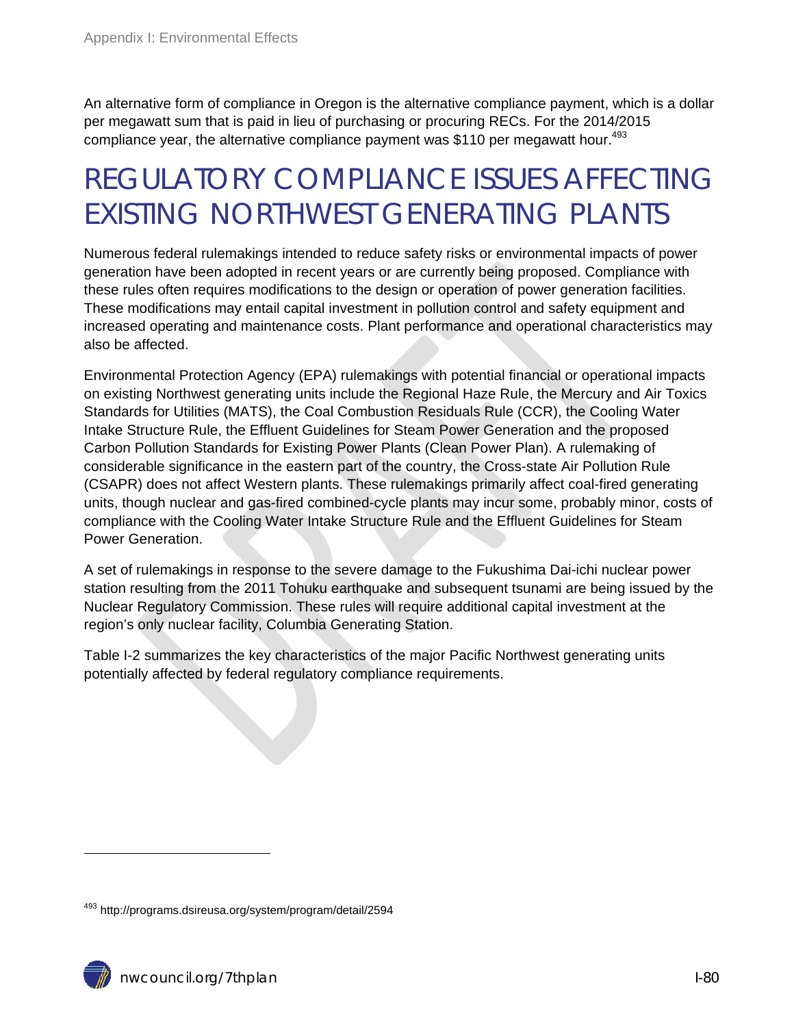An alternative form of compliance in Oregon is the alternative compliance payment, which is a dollar per megawatt sum that is paid in lieu of purchasing or procuring RECs. For the 2014/2015 compliance year, the alternative compliance payment was \$110 per megawatt hour.<sup>493</sup>

# REGULATORY COMPLIANCE ISSUES AFFECTING EXISTING NORTHWEST GENERATING PLANTS

Numerous federal rulemakings intended to reduce safety risks or environmental impacts of power generation have been adopted in recent years or are currently being proposed. Compliance with these rules often requires modifications to the design or operation of power generation facilities. These modifications may entail capital investment in pollution control and safety equipment and increased operating and maintenance costs. Plant performance and operational characteristics may also be affected.

Environmental Protection Agency (EPA) rulemakings with potential financial or operational impacts on existing Northwest generating units include the Regional Haze Rule, the Mercury and Air Toxics Standards for Utilities (MATS), the Coal Combustion Residuals Rule (CCR), the Cooling Water Intake Structure Rule, the Effluent Guidelines for Steam Power Generation and the proposed Carbon Pollution Standards for Existing Power Plants (Clean Power Plan). A rulemaking of considerable significance in the eastern part of the country, the Cross-state Air Pollution Rule (CSAPR) does not affect Western plants. These rulemakings primarily affect coal-fired generating units, though nuclear and gas-fired combined-cycle plants may incur some, probably minor, costs of compliance with the Cooling Water Intake Structure Rule and the Effluent Guidelines for Steam Power Generation.

A set of rulemakings in response to the severe damage to the Fukushima Dai-ichi nuclear power station resulting from the 2011 Tohuku earthquake and subsequent tsunami are being issued by the Nuclear Regulatory Commission. These rules will require additional capital investment at the region's only nuclear facility, Columbia Generating Station.

Table I-2 summarizes the key characteristics of the major Pacific Northwest generating units potentially affected by federal regulatory compliance requirements.

<sup>493</sup> http://programs.dsireusa.org/system/program/detail/2594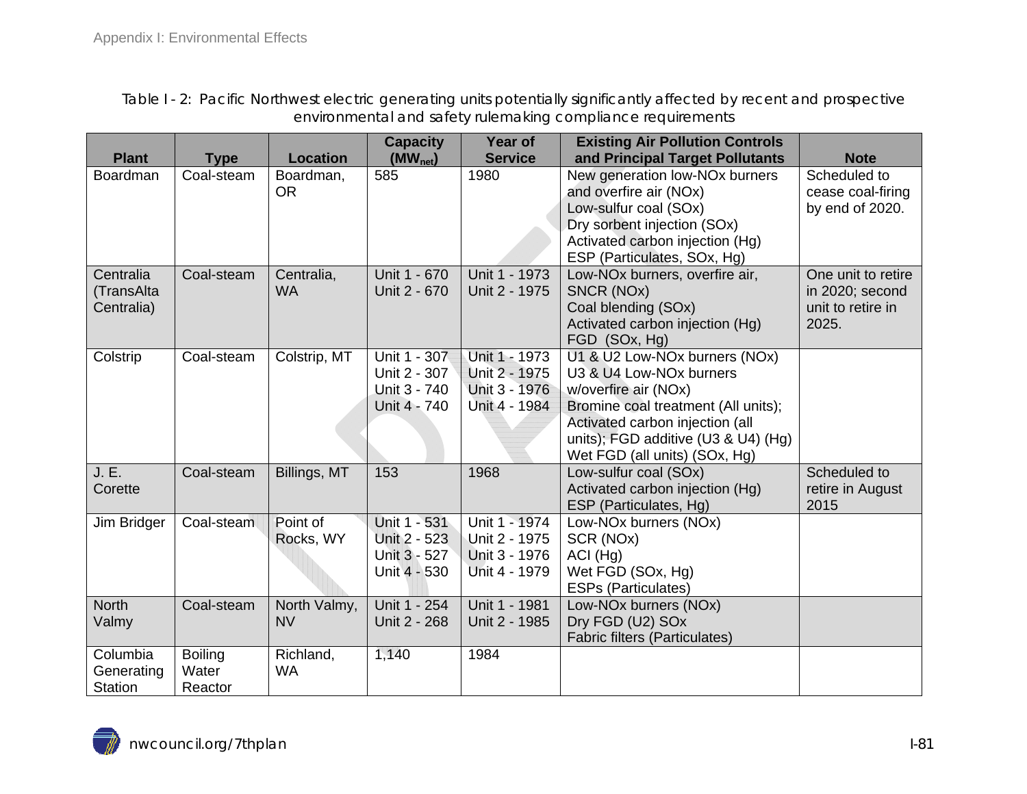Table I - 2: Pacific Northwest electric generating units potentially significantly affected by recent and prospective environmental and safety rulemaking compliance requirements

|                |                |                 | <b>Capacity</b> | Year of        | <b>Existing Air Pollution Controls</b>     |                    |
|----------------|----------------|-----------------|-----------------|----------------|--------------------------------------------|--------------------|
| <b>Plant</b>   | <b>Type</b>    | <b>Location</b> | $(MW_{net})$    | <b>Service</b> | and Principal Target Pollutants            | <b>Note</b>        |
| Boardman       | Coal-steam     | Boardman,       | 585             | 1980           | New generation low-NO <sub>x</sub> burners | Scheduled to       |
|                |                | <b>OR</b>       |                 |                | and overfire air (NOx)                     | cease coal-firing  |
|                |                |                 |                 |                | Low-sulfur coal (SOx)                      | by end of 2020.    |
|                |                |                 |                 |                | Dry sorbent injection (SOx)                |                    |
|                |                |                 |                 |                | Activated carbon injection (Hg)            |                    |
|                |                |                 |                 |                | ESP (Particulates, SOx, Hg)                |                    |
| Centralia      | Coal-steam     | Centralia,      | Unit 1 - 670    | Unit 1 - 1973  | Low-NOx burners, overfire air,             | One unit to retire |
| (TransAlta     |                | <b>WA</b>       | Unit 2 - 670    | Unit 2 - 1975  | SNCR (NOx)                                 | in 2020; second    |
| Centralia)     |                |                 |                 |                | Coal blending (SOx)                        | unit to retire in  |
|                |                |                 |                 |                | Activated carbon injection (Hg)            | 2025.              |
|                |                |                 |                 |                | FGD (SOx, Hg)                              |                    |
| Colstrip       | Coal-steam     | Colstrip, MT    | Unit 1 - 307    | Unit 1 - 1973  | U1 & U2 Low-NOx burners (NOx)              |                    |
|                |                |                 | Unit 2 - 307    | Unit 2 - 1975  | U3 & U4 Low-NOx burners                    |                    |
|                |                |                 | Unit 3 - 740    | Unit 3 - 1976  | w/overfire air (NOx)                       |                    |
|                |                |                 | Unit 4 - 740    | Unit 4 - 1984  | Bromine coal treatment (All units);        |                    |
|                |                |                 |                 |                | Activated carbon injection (all            |                    |
|                |                |                 |                 |                | units); FGD additive (U3 & U4) (Hg)        |                    |
|                |                |                 |                 |                | Wet FGD (all units) (SOx, Hg)              |                    |
| J. E.          | Coal-steam     | Billings, MT    | 153             | 1968           | Low-sulfur coal (SOx)                      | Scheduled to       |
| Corette        |                |                 |                 |                | Activated carbon injection (Hg)            | retire in August   |
|                |                |                 |                 |                | ESP (Particulates, Hg)                     | 2015               |
| Jim Bridger    | Coal-steam     | Point of        | Unit 1 - 531    | Unit 1 - 1974  | Low-NOx burners (NOx)                      |                    |
|                |                | Rocks, WY       | Unit 2 - 523    | Unit 2 - 1975  | SCR (NOx)                                  |                    |
|                |                |                 | Unit 3 - 527    | Unit 3 - 1976  | $ACI$ (Hg)                                 |                    |
|                |                |                 | Unit 4 - 530    | Unit 4 - 1979  | Wet FGD (SOx, Hg)                          |                    |
|                |                |                 |                 |                | <b>ESPs (Particulates)</b>                 |                    |
| <b>North</b>   | Coal-steam     | North Valmy,    | Unit 1 - 254    | Unit 1 - 1981  | Low-NOx burners (NOx)                      |                    |
| Valmy          |                | <b>NV</b>       | Unit 2 - 268    | Unit 2 - 1985  | Dry FGD (U2) SOx                           |                    |
|                |                |                 |                 |                | <b>Fabric filters (Particulates)</b>       |                    |
| Columbia       | <b>Boiling</b> | Richland,       | 1,140           | 1984           |                                            |                    |
| Generating     | Water          | <b>WA</b>       |                 |                |                                            |                    |
| <b>Station</b> | Reactor        |                 |                 |                |                                            |                    |

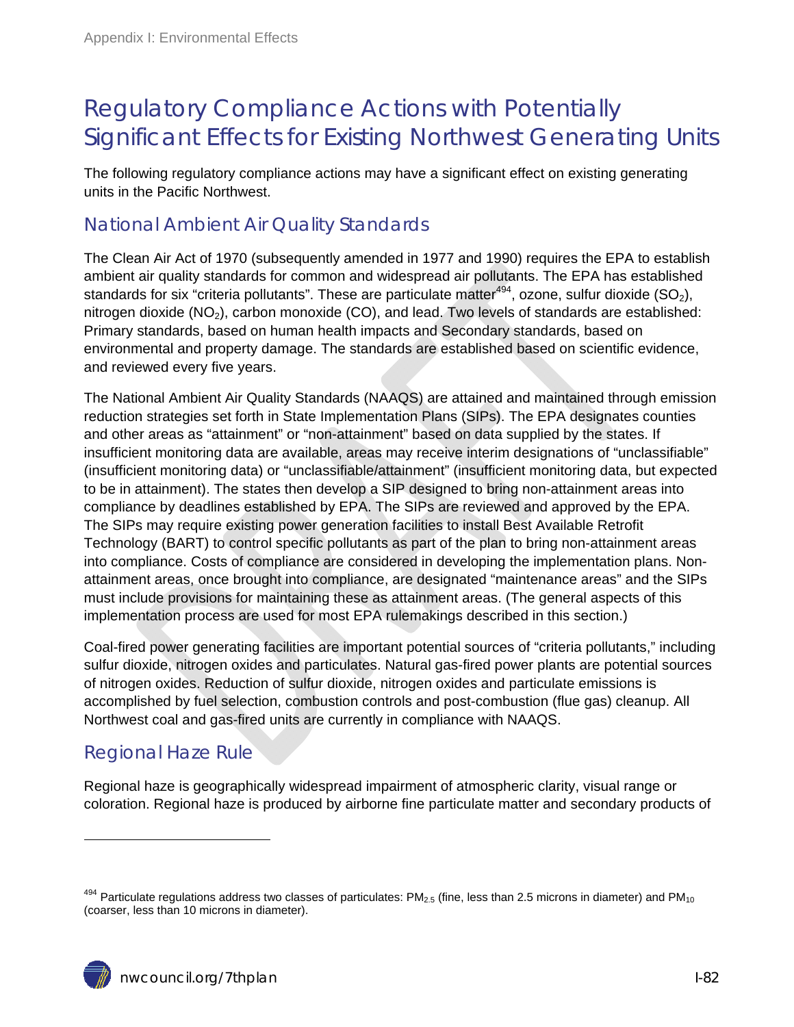## Regulatory Compliance Actions with Potentially Significant Effects for Existing Northwest Generating Units

The following regulatory compliance actions may have a significant effect on existing generating units in the Pacific Northwest.

### National Ambient Air Quality Standards

The Clean Air Act of 1970 (subsequently amended in 1977 and 1990) requires the EPA to establish ambient air quality standards for common and widespread air pollutants. The EPA has established standards for six "criteria pollutants". These are particulate matter<sup>494</sup>, ozone, sulfur dioxide (SO<sub>2</sub>), nitrogen dioxide ( $NO<sub>2</sub>$ ), carbon monoxide (CO), and lead. Two levels of standards are established: Primary standards, based on human health impacts and Secondary standards, based on environmental and property damage. The standards are established based on scientific evidence, and reviewed every five years.

The National Ambient Air Quality Standards (NAAQS) are attained and maintained through emission reduction strategies set forth in State Implementation Plans (SIPs). The EPA designates counties and other areas as "attainment" or "non-attainment" based on data supplied by the states. If insufficient monitoring data are available, areas may receive interim designations of "unclassifiable" (insufficient monitoring data) or "unclassifiable/attainment" (insufficient monitoring data, but expected to be in attainment). The states then develop a SIP designed to bring non-attainment areas into compliance by deadlines established by EPA. The SIPs are reviewed and approved by the EPA. The SIPs may require existing power generation facilities to install Best Available Retrofit Technology (BART) to control specific pollutants as part of the plan to bring non-attainment areas into compliance. Costs of compliance are considered in developing the implementation plans. Nonattainment areas, once brought into compliance, are designated "maintenance areas" and the SIPs must include provisions for maintaining these as attainment areas. (The general aspects of this implementation process are used for most EPA rulemakings described in this section.)

Coal-fired power generating facilities are important potential sources of "criteria pollutants," including sulfur dioxide, nitrogen oxides and particulates. Natural gas-fired power plants are potential sources of nitrogen oxides. Reduction of sulfur dioxide, nitrogen oxides and particulate emissions is accomplished by fuel selection, combustion controls and post-combustion (flue gas) cleanup. All Northwest coal and gas-fired units are currently in compliance with NAAQS.

### Regional Haze Rule

Regional haze is geographically widespread impairment of atmospheric clarity, visual range or coloration. Regional haze is produced by airborne fine particulate matter and secondary products of

 $494$  Particulate regulations address two classes of particulates: PM<sub>2.5</sub> (fine, less than 2.5 microns in diameter) and PM<sub>10</sub> (coarser, less than 10 microns in diameter).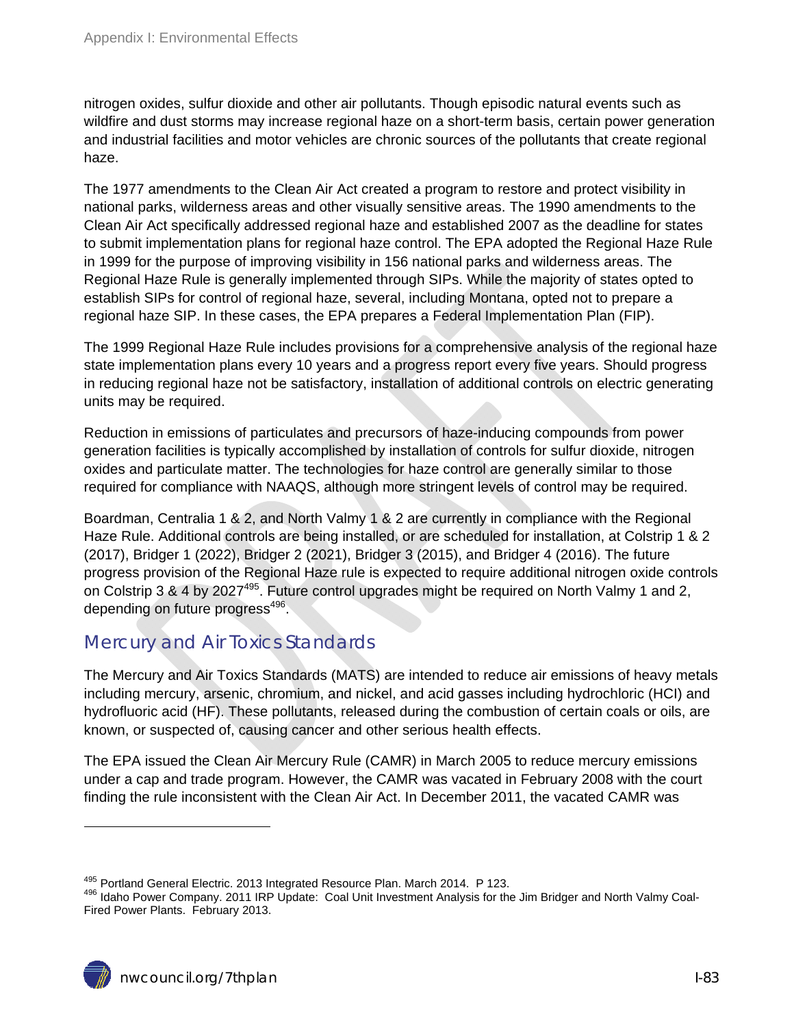nitrogen oxides, sulfur dioxide and other air pollutants. Though episodic natural events such as wildfire and dust storms may increase regional haze on a short-term basis, certain power generation and industrial facilities and motor vehicles are chronic sources of the pollutants that create regional haze.

The 1977 amendments to the Clean Air Act created a program to restore and protect visibility in national parks, wilderness areas and other visually sensitive areas. The 1990 amendments to the Clean Air Act specifically addressed regional haze and established 2007 as the deadline for states to submit implementation plans for regional haze control. The EPA adopted the Regional Haze Rule in 1999 for the purpose of improving visibility in 156 national parks and wilderness areas. The Regional Haze Rule is generally implemented through SIPs. While the majority of states opted to establish SIPs for control of regional haze, several, including Montana, opted not to prepare a regional haze SIP. In these cases, the EPA prepares a Federal Implementation Plan (FIP).

The 1999 Regional Haze Rule includes provisions for a comprehensive analysis of the regional haze state implementation plans every 10 years and a progress report every five years. Should progress in reducing regional haze not be satisfactory, installation of additional controls on electric generating units may be required.

Reduction in emissions of particulates and precursors of haze-inducing compounds from power generation facilities is typically accomplished by installation of controls for sulfur dioxide, nitrogen oxides and particulate matter. The technologies for haze control are generally similar to those required for compliance with NAAQS, although more stringent levels of control may be required.

Boardman, Centralia 1 & 2, and North Valmy 1 & 2 are currently in compliance with the Regional Haze Rule. Additional controls are being installed, or are scheduled for installation, at Colstrip 1 & 2 (2017), Bridger 1 (2022), Bridger 2 (2021), Bridger 3 (2015), and Bridger 4 (2016). The future progress provision of the Regional Haze rule is expected to require additional nitrogen oxide controls on Colstrip 3 & 4 by 2027<sup>495</sup>. Future control upgrades might be required on North Valmy 1 and 2, depending on future progress<sup>496</sup>.

#### Mercury and Air Toxics Standards

The Mercury and Air Toxics Standards (MATS) are intended to reduce air emissions of heavy metals including mercury, arsenic, chromium, and nickel, and acid gasses including hydrochloric (HCI) and hydrofluoric acid (HF). These pollutants, released during the combustion of certain coals or oils, are known, or suspected of, causing cancer and other serious health effects.

The EPA issued the Clean Air Mercury Rule (CAMR) in March 2005 to reduce mercury emissions under a cap and trade program. However, the CAMR was vacated in February 2008 with the court finding the rule inconsistent with the Clean Air Act. In December 2011, the vacated CAMR was

<sup>&</sup>lt;sup>495</sup> Portland General Electric. 2013 Integrated Resource Plan. March 2014. P 123.<br><sup>496</sup> Idaho Power Company. 2011 IRP Update: Coal Unit Investment Analysis for the Jim Bridger and North Valmy Coal-Fired Power Plants. February 2013.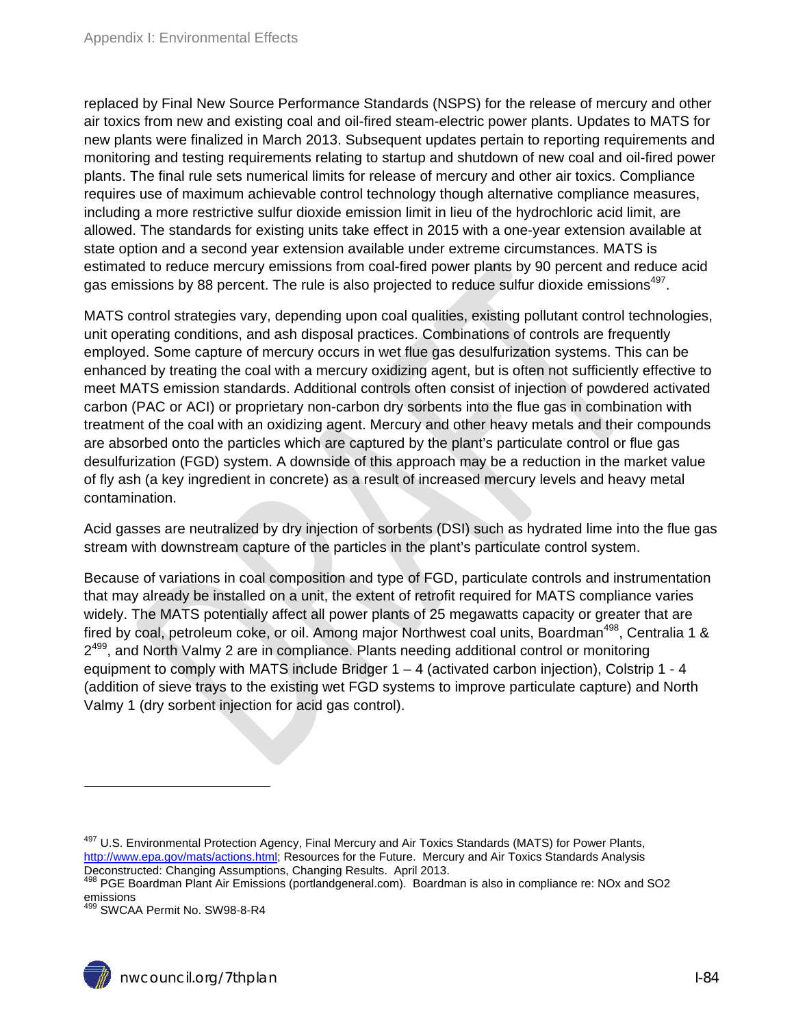replaced by Final New Source Performance Standards (NSPS) for the release of mercury and other air toxics from new and existing coal and oil-fired steam-electric power plants. Updates to MATS for new plants were finalized in March 2013. Subsequent updates pertain to reporting requirements and monitoring and testing requirements relating to startup and shutdown of new coal and oil-fired power plants. The final rule sets numerical limits for release of mercury and other air toxics. Compliance requires use of maximum achievable control technology though alternative compliance measures, including a more restrictive sulfur dioxide emission limit in lieu of the hydrochloric acid limit, are allowed. The standards for existing units take effect in 2015 with a one-year extension available at state option and a second year extension available under extreme circumstances. MATS is estimated to reduce mercury emissions from coal-fired power plants by 90 percent and reduce acid gas emissions by 88 percent. The rule is also projected to reduce sulfur dioxide emissions<sup>497</sup>.

MATS control strategies vary, depending upon coal qualities, existing pollutant control technologies, unit operating conditions, and ash disposal practices. Combinations of controls are frequently employed. Some capture of mercury occurs in wet flue gas desulfurization systems. This can be enhanced by treating the coal with a mercury oxidizing agent, but is often not sufficiently effective to meet MATS emission standards. Additional controls often consist of injection of powdered activated carbon (PAC or ACI) or proprietary non-carbon dry sorbents into the flue gas in combination with treatment of the coal with an oxidizing agent. Mercury and other heavy metals and their compounds are absorbed onto the particles which are captured by the plant's particulate control or flue gas desulfurization (FGD) system. A downside of this approach may be a reduction in the market value of fly ash (a key ingredient in concrete) as a result of increased mercury levels and heavy metal contamination.

Acid gasses are neutralized by dry injection of sorbents (DSI) such as hydrated lime into the flue gas stream with downstream capture of the particles in the plant's particulate control system.

Because of variations in coal composition and type of FGD, particulate controls and instrumentation that may already be installed on a unit, the extent of retrofit required for MATS compliance varies widely. The MATS potentially affect all power plants of 25 megawatts capacity or greater that are fired by coal, petroleum coke, or oil. Among major Northwest coal units, Boardman<sup>498</sup>, Centralia 1 &  $2^{499}$ , and North Valmy 2 are in compliance. Plants needing additional control or monitoring equipment to comply with MATS include Bridger  $1 - 4$  (activated carbon injection), Colstrip  $1 - 4$ (addition of sieve trays to the existing wet FGD systems to improve particulate capture) and North Valmy 1 (dry sorbent injection for acid gas control).

<sup>497</sup> U.S. Environmental Protection Agency, Final Mercury and Air Toxics Standards (MATS) for Power Plants, http://www.epa.gov/mats/actions.html; Resources for the Future. Mercury and Air Toxics Standards Analysis Deconstructed: Changing Assumptions, Changing Results. April 2013.

<sup>498</sup> PGE Boardman Plant Air Emissions (portlandgeneral.com). Boardman is also in compliance re: NOx and SO2 emissions

<sup>499</sup> SWCAA Permit No. SW98-8-R4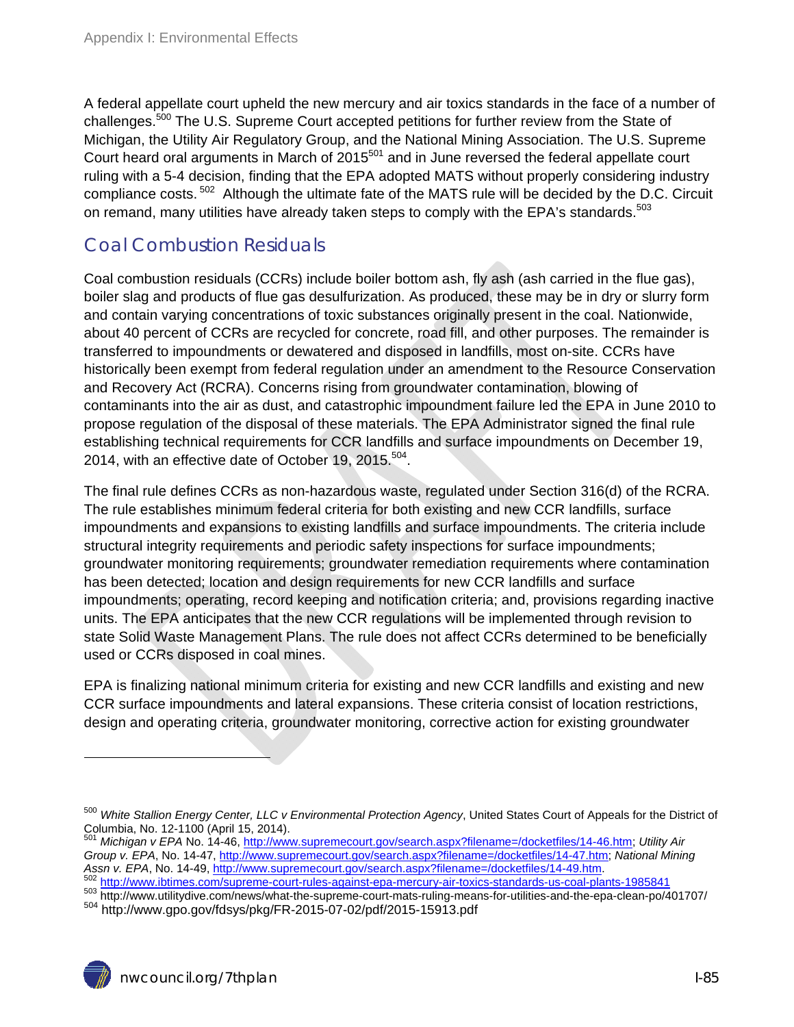A federal appellate court upheld the new mercury and air toxics standards in the face of a number of challenges.<sup>500</sup> The U.S. Supreme Court accepted petitions for further review from the State of Michigan, the Utility Air Regulatory Group, and the National Mining Association. The U.S. Supreme Court heard oral arguments in March of 2015<sup>501</sup> and in June reversed the federal appellate court ruling with a 5-4 decision, finding that the EPA adopted MATS without properly considering industry compliance costs. 502 Although the ultimate fate of the MATS rule will be decided by the D.C. Circuit on remand, many utilities have already taken steps to comply with the EPA's standards.<sup>503</sup>

### Coal Combustion Residuals

Coal combustion residuals (CCRs) include boiler bottom ash, fly ash (ash carried in the flue gas), boiler slag and products of flue gas desulfurization. As produced, these may be in dry or slurry form and contain varying concentrations of toxic substances originally present in the coal. Nationwide, about 40 percent of CCRs are recycled for concrete, road fill, and other purposes. The remainder is transferred to impoundments or dewatered and disposed in landfills, most on-site. CCRs have historically been exempt from federal regulation under an amendment to the Resource Conservation and Recovery Act (RCRA). Concerns rising from groundwater contamination, blowing of contaminants into the air as dust, and catastrophic impoundment failure led the EPA in June 2010 to propose regulation of the disposal of these materials. The EPA Administrator signed the final rule establishing technical requirements for CCR landfills and surface impoundments on December 19, 2014, with an effective date of October 19, 2015. $504$ .

The final rule defines CCRs as non-hazardous waste, regulated under Section 316(d) of the RCRA. The rule establishes minimum federal criteria for both existing and new CCR landfills, surface impoundments and expansions to existing landfills and surface impoundments. The criteria include structural integrity requirements and periodic safety inspections for surface impoundments; groundwater monitoring requirements; groundwater remediation requirements where contamination has been detected; location and design requirements for new CCR landfills and surface impoundments; operating, record keeping and notification criteria; and, provisions regarding inactive units. The EPA anticipates that the new CCR regulations will be implemented through revision to state Solid Waste Management Plans. The rule does not affect CCRs determined to be beneficially used or CCRs disposed in coal mines.

EPA is finalizing national minimum criteria for existing and new CCR landfills and existing and new CCR surface impoundments and lateral expansions. These criteria consist of location restrictions, design and operating criteria, groundwater monitoring, corrective action for existing groundwater

nwcouncil.org/7thplan I-85

<sup>500</sup> *White Stallion Energy Center, LLC v Environmental Protection Agency*, United States Court of Appeals for the District of Columbia, No. 12-1100 (April 15, 2014).

<sup>501</sup> *Michigan v EPA* No. 14-46, http://www.supremecourt.gov/search.aspx?filename=/docketfiles/14-46.htm; *Utility Air Group v. EPA*, No. 14-47, http://www.supremecourt.gov/search.aspx?filename=/docketfiles/14-47.htm; *National Mining*<br>Assn v. EPA, No. 14-49, http://www.supremecourt.gov/search.aspx?filename=/docketfiles/14-49.htm.<br><sup>502</sup> h

<sup>&</sup>lt;sup>502</sup> http://www.ibtimes.com/supreme-court-rules-against-epa-mercury-air-toxics-standards-us-coal-plants-1985841<br><sup>503</sup> http://www.utilitydive.com/news/what-the-supreme-court-mats-ruling-means-for-utilities-and-the-epa-clea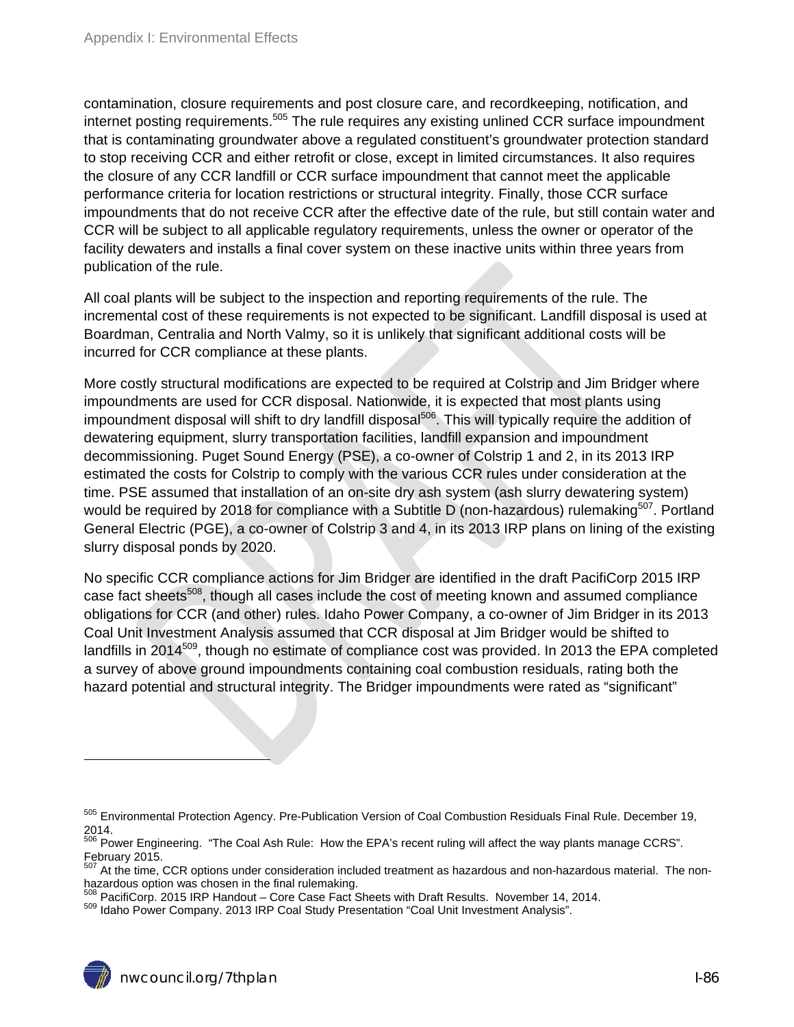contamination, closure requirements and post closure care, and recordkeeping, notification, and internet posting requirements.<sup>505</sup> The rule requires any existing unlined CCR surface impoundment that is contaminating groundwater above a regulated constituent's groundwater protection standard to stop receiving CCR and either retrofit or close, except in limited circumstances. It also requires the closure of any CCR landfill or CCR surface impoundment that cannot meet the applicable performance criteria for location restrictions or structural integrity. Finally, those CCR surface impoundments that do not receive CCR after the effective date of the rule, but still contain water and CCR will be subject to all applicable regulatory requirements, unless the owner or operator of the facility dewaters and installs a final cover system on these inactive units within three years from publication of the rule.

All coal plants will be subject to the inspection and reporting requirements of the rule. The incremental cost of these requirements is not expected to be significant. Landfill disposal is used at Boardman, Centralia and North Valmy, so it is unlikely that significant additional costs will be incurred for CCR compliance at these plants.

More costly structural modifications are expected to be required at Colstrip and Jim Bridger where impoundments are used for CCR disposal. Nationwide, it is expected that most plants using impoundment disposal will shift to dry landfill disposal<sup>506</sup>. This will typically require the addition of dewatering equipment, slurry transportation facilities, landfill expansion and impoundment decommissioning. Puget Sound Energy (PSE), a co-owner of Colstrip 1 and 2, in its 2013 IRP estimated the costs for Colstrip to comply with the various CCR rules under consideration at the time. PSE assumed that installation of an on-site dry ash system (ash slurry dewatering system) would be required by 2018 for compliance with a Subtitle D (non-hazardous) rulemaking<sup>507</sup>. Portland General Electric (PGE), a co-owner of Colstrip 3 and 4, in its 2013 IRP plans on lining of the existing slurry disposal ponds by 2020.

No specific CCR compliance actions for Jim Bridger are identified in the draft PacifiCorp 2015 IRP case fact sheets<sup>508</sup>, though all cases include the cost of meeting known and assumed compliance obligations for CCR (and other) rules. Idaho Power Company, a co-owner of Jim Bridger in its 2013 Coal Unit Investment Analysis assumed that CCR disposal at Jim Bridger would be shifted to landfills in 2014<sup>509</sup>, though no estimate of compliance cost was provided. In 2013 the EPA completed a survey of above ground impoundments containing coal combustion residuals, rating both the hazard potential and structural integrity. The Bridger impoundments were rated as "significant"

<sup>&</sup>lt;sup>505</sup> Environmental Protection Agency. Pre-Publication Version of Coal Combustion Residuals Final Rule. December 19, 2014.

<sup>&</sup>lt;sup>506</sup> Power Engineering. "The Coal Ash Rule: How the EPA's recent ruling will affect the way plants manage CCRS". February 2015.

<sup>&</sup>lt;sup>507</sup> At the time, CCR options under consideration included treatment as hazardous and non-hazardous material. The nonhazardous option was chosen in the final rulemaking.

<sup>&</sup>lt;sup>508</sup> PacifiCorp. 2015 IRP Handout – Core Case Fact Sheets with Draft Results. November 14, 2014.<br><sup>509</sup> Idaho Power Company. 2013 IRP Coal Study Presentation "Coal Unit Investment Analysis".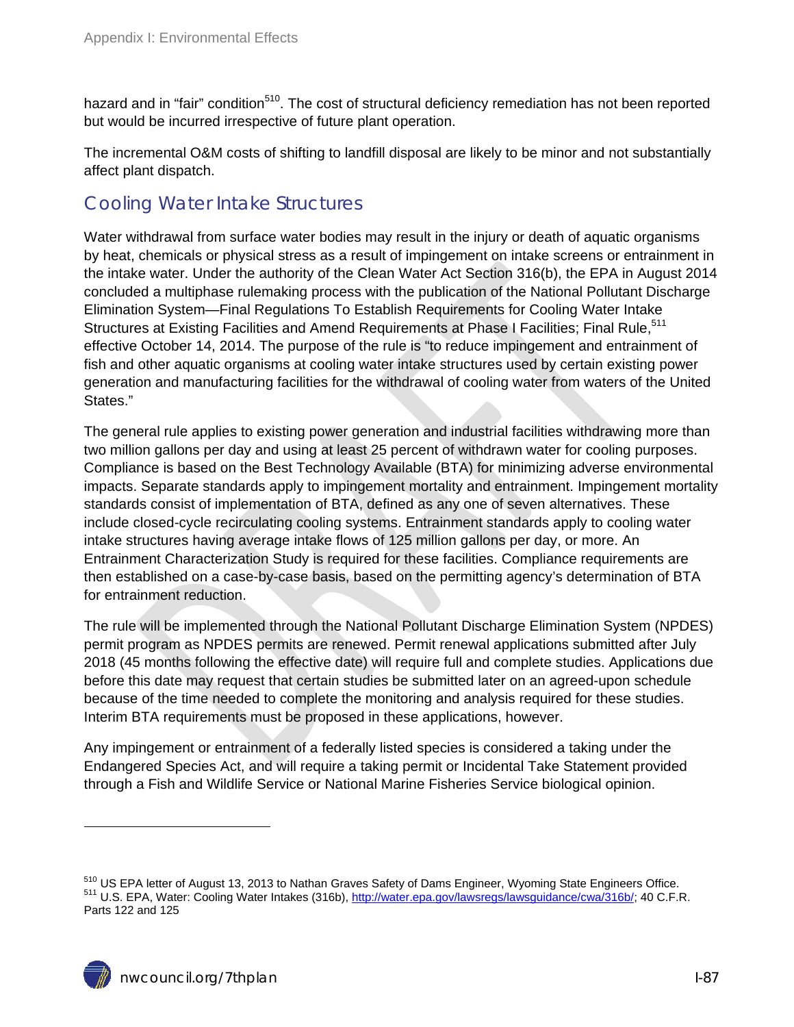hazard and in "fair" condition<sup>510</sup>. The cost of structural deficiency remediation has not been reported but would be incurred irrespective of future plant operation.

The incremental O&M costs of shifting to landfill disposal are likely to be minor and not substantially affect plant dispatch.

#### Cooling Water Intake Structures

Water withdrawal from surface water bodies may result in the injury or death of aquatic organisms by heat, chemicals or physical stress as a result of impingement on intake screens or entrainment in the intake water. Under the authority of the Clean Water Act Section 316(b), the EPA in August 2014 concluded a multiphase rulemaking process with the publication of the National Pollutant Discharge Elimination System—Final Regulations To Establish Requirements for Cooling Water Intake Structures at Existing Facilities and Amend Requirements at Phase I Facilities; Final Rule,<sup>511</sup> effective October 14, 2014. The purpose of the rule is "to reduce impingement and entrainment of fish and other aquatic organisms at cooling water intake structures used by certain existing power generation and manufacturing facilities for the withdrawal of cooling water from waters of the United States."

The general rule applies to existing power generation and industrial facilities withdrawing more than two million gallons per day and using at least 25 percent of withdrawn water for cooling purposes. Compliance is based on the Best Technology Available (BTA) for minimizing adverse environmental impacts. Separate standards apply to impingement mortality and entrainment. Impingement mortality standards consist of implementation of BTA, defined as any one of seven alternatives. These include closed-cycle recirculating cooling systems. Entrainment standards apply to cooling water intake structures having average intake flows of 125 million gallons per day, or more. An Entrainment Characterization Study is required for these facilities. Compliance requirements are then established on a case-by-case basis, based on the permitting agency's determination of BTA for entrainment reduction.

The rule will be implemented through the National Pollutant Discharge Elimination System (NPDES) permit program as NPDES permits are renewed. Permit renewal applications submitted after July 2018 (45 months following the effective date) will require full and complete studies. Applications due before this date may request that certain studies be submitted later on an agreed-upon schedule because of the time needed to complete the monitoring and analysis required for these studies. Interim BTA requirements must be proposed in these applications, however.

Any impingement or entrainment of a federally listed species is considered a taking under the Endangered Species Act, and will require a taking permit or Incidental Take Statement provided through a Fish and Wildlife Service or National Marine Fisheries Service biological opinion.

<sup>&</sup>lt;sup>510</sup> US EPA letter of August 13, 2013 to Nathan Graves Safety of Dams Engineer, Wyoming State Engineers Office.<br><sup>511</sup> U.S. EPA, Water: Cooling Water Intakes (316b), <u>http://water.epa.gov/lawsregs/lawsguidance/cwa/316b/</u>; Parts 122 and 125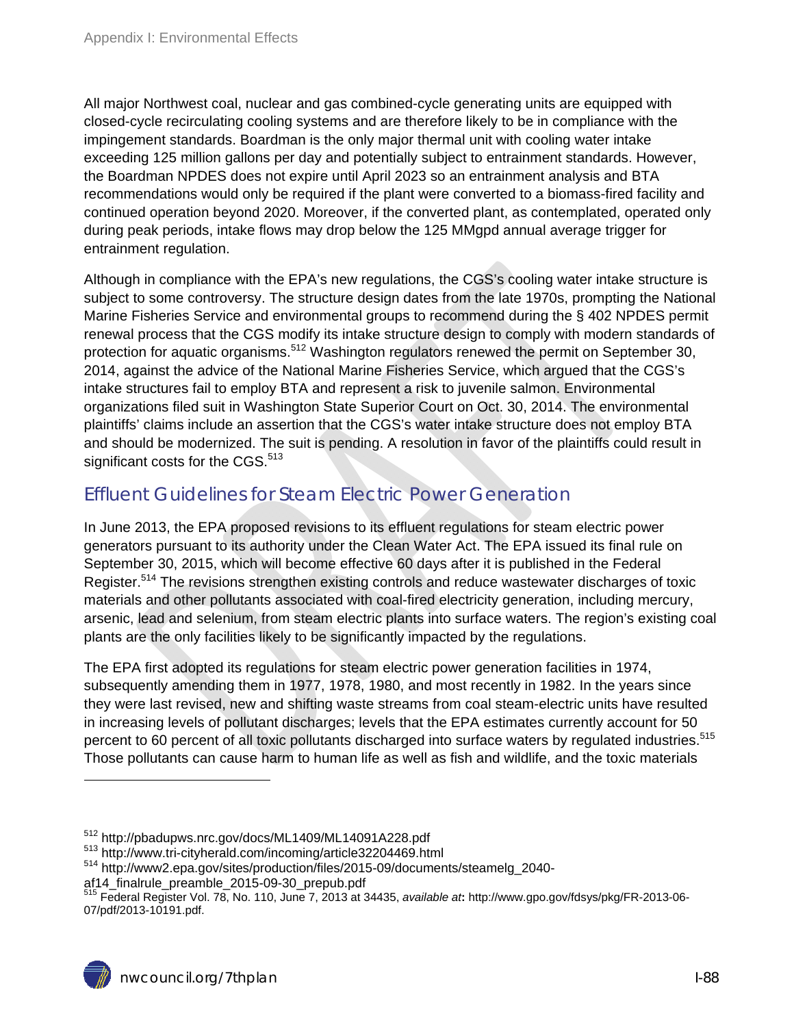All major Northwest coal, nuclear and gas combined-cycle generating units are equipped with closed-cycle recirculating cooling systems and are therefore likely to be in compliance with the impingement standards. Boardman is the only major thermal unit with cooling water intake exceeding 125 million gallons per day and potentially subject to entrainment standards. However, the Boardman NPDES does not expire until April 2023 so an entrainment analysis and BTA recommendations would only be required if the plant were converted to a biomass-fired facility and continued operation beyond 2020. Moreover, if the converted plant, as contemplated, operated only during peak periods, intake flows may drop below the 125 MMgpd annual average trigger for entrainment regulation.

Although in compliance with the EPA's new regulations, the CGS's cooling water intake structure is subject to some controversy. The structure design dates from the late 1970s, prompting the National Marine Fisheries Service and environmental groups to recommend during the § 402 NPDES permit renewal process that the CGS modify its intake structure design to comply with modern standards of protection for aquatic organisms.<sup>512</sup> Washington regulators renewed the permit on September 30, 2014, against the advice of the National Marine Fisheries Service, which argued that the CGS's intake structures fail to employ BTA and represent a risk to juvenile salmon. Environmental organizations filed suit in Washington State Superior Court on Oct. 30, 2014. The environmental plaintiffs' claims include an assertion that the CGS's water intake structure does not employ BTA and should be modernized. The suit is pending. A resolution in favor of the plaintiffs could result in significant costs for the CGS. $513$ 

#### Effluent Guidelines for Steam Electric Power Generation

In June 2013, the EPA proposed revisions to its effluent regulations for steam electric power generators pursuant to its authority under the Clean Water Act. The EPA issued its final rule on September 30, 2015, which will become effective 60 days after it is published in the Federal Register.<sup>514</sup> The revisions strengthen existing controls and reduce wastewater discharges of toxic materials and other pollutants associated with coal-fired electricity generation, including mercury, arsenic, lead and selenium, from steam electric plants into surface waters. The region's existing coal plants are the only facilities likely to be significantly impacted by the regulations.

The EPA first adopted its regulations for steam electric power generation facilities in 1974, subsequently amending them in 1977, 1978, 1980, and most recently in 1982. In the years since they were last revised, new and shifting waste streams from coal steam-electric units have resulted in increasing levels of pollutant discharges; levels that the EPA estimates currently account for 50 percent to 60 percent of all toxic pollutants discharged into surface waters by regulated industries.<sup>515</sup> Those pollutants can cause harm to human life as well as fish and wildlife, and the toxic materials

af14\_finalrule\_preamble\_2015-09-30\_prepub.pdf

 $^{512}$  http://pbadupws.nrc.gov/docs/ML1409/ML14091A228.pdf<br> $^{513}$  http://www.tri-cityherald.com/incoming/article32204469.html<br> $^{514}$  http://www2.epa.gov/sites/production/files/2015-09/documents/steamelg\_2040-

<sup>515</sup> Federal Register Vol. 78, No. 110, June 7, 2013 at 34435, *available at***:** http://www.gpo.gov/fdsys/pkg/FR-2013-06- 07/pdf/2013-10191.pdf.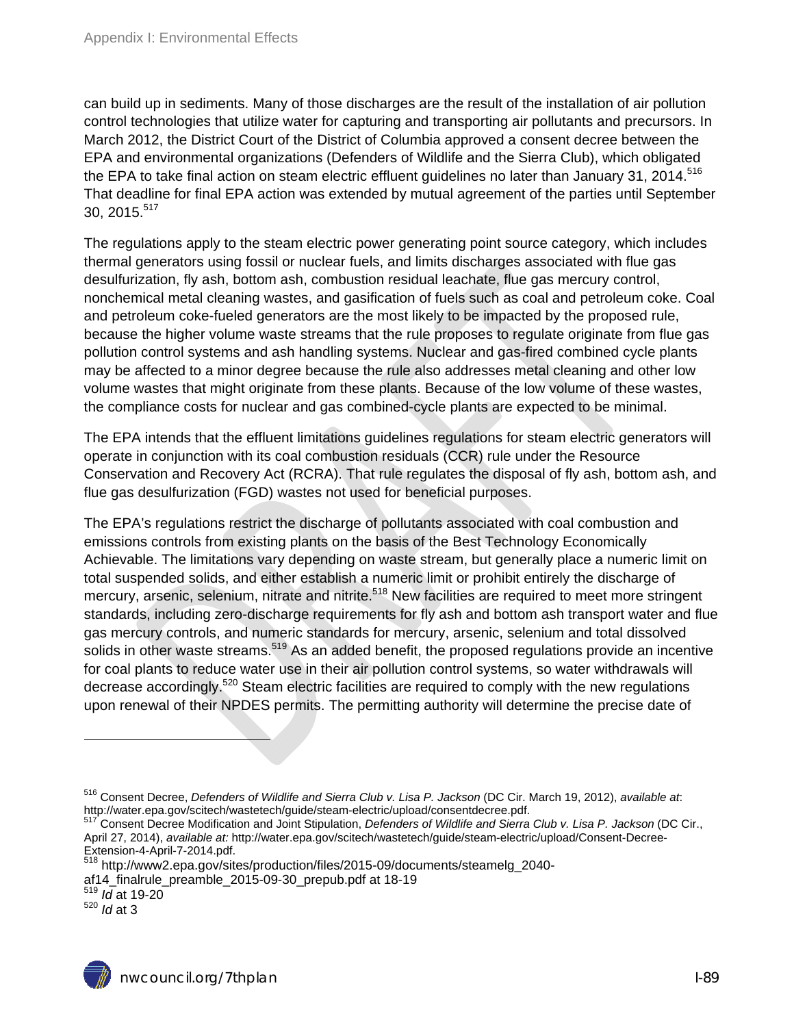can build up in sediments. Many of those discharges are the result of the installation of air pollution control technologies that utilize water for capturing and transporting air pollutants and precursors. In March 2012, the District Court of the District of Columbia approved a consent decree between the EPA and environmental organizations (Defenders of Wildlife and the Sierra Club), which obligated the EPA to take final action on steam electric effluent guidelines no later than January 31, 2014.<sup>516</sup> That deadline for final EPA action was extended by mutual agreement of the parties until September 30, 2015.517

The regulations apply to the steam electric power generating point source category, which includes thermal generators using fossil or nuclear fuels, and limits discharges associated with flue gas desulfurization, fly ash, bottom ash, combustion residual leachate, flue gas mercury control, nonchemical metal cleaning wastes, and gasification of fuels such as coal and petroleum coke. Coal and petroleum coke-fueled generators are the most likely to be impacted by the proposed rule, because the higher volume waste streams that the rule proposes to regulate originate from flue gas pollution control systems and ash handling systems. Nuclear and gas-fired combined cycle plants may be affected to a minor degree because the rule also addresses metal cleaning and other low volume wastes that might originate from these plants. Because of the low volume of these wastes, the compliance costs for nuclear and gas combined-cycle plants are expected to be minimal.

The EPA intends that the effluent limitations guidelines regulations for steam electric generators will operate in conjunction with its coal combustion residuals (CCR) rule under the Resource Conservation and Recovery Act (RCRA). That rule regulates the disposal of fly ash, bottom ash, and flue gas desulfurization (FGD) wastes not used for beneficial purposes.

The EPA's regulations restrict the discharge of pollutants associated with coal combustion and emissions controls from existing plants on the basis of the Best Technology Economically Achievable. The limitations vary depending on waste stream, but generally place a numeric limit on total suspended solids, and either establish a numeric limit or prohibit entirely the discharge of mercury, arsenic, selenium, nitrate and nitrite.<sup>518</sup> New facilities are required to meet more stringent standards, including zero-discharge requirements for fly ash and bottom ash transport water and flue gas mercury controls, and numeric standards for mercury, arsenic, selenium and total dissolved solids in other waste streams.<sup>519</sup> As an added benefit, the proposed regulations provide an incentive for coal plants to reduce water use in their air pollution control systems, so water withdrawals will decrease accordingly.<sup>520</sup> Steam electric facilities are required to comply with the new regulations upon renewal of their NPDES permits. The permitting authority will determine the precise date of

<sup>516</sup> Consent Decree, *Defenders of Wildlife and Sierra Club v. Lisa P. Jackson* (DC Cir. March 19, 2012), *available at*:

Consent Decree Modification and Joint Stipulation, *Defenders of Wildlife and Sierra Club v. Lisa P. Jackson* (DC Cir., April 27, 2014), *available at:* http://water.epa.gov/scitech/wastetech/guide/steam-electric/upload/Consent-Decree-Extension-4-April-7-2014.pdf.

<sup>518</sup> http://www2.epa.gov/sites/production/files/2015-09/documents/steamelg\_2040-

af14\_finalrule\_preamble\_2015-09-30\_prepub.pdf at 18-19 519 *Id* at 19-20

<sup>520</sup> *Id* at 3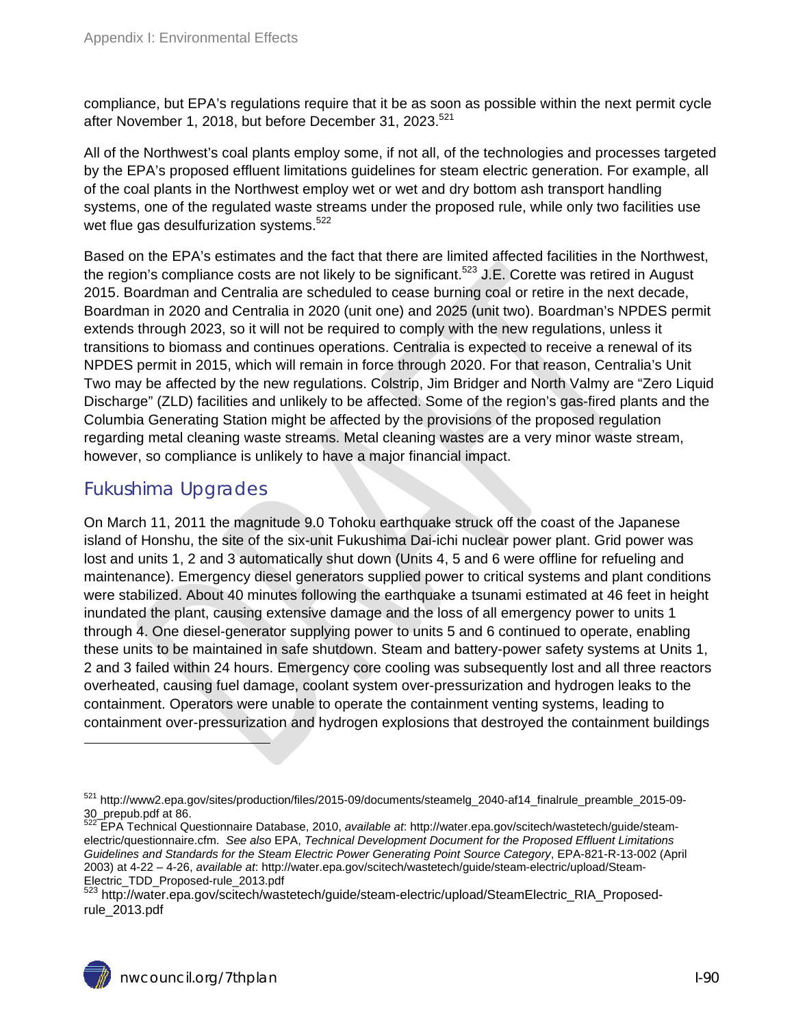compliance, but EPA's regulations require that it be as soon as possible within the next permit cycle after November 1, 2018, but before December 31, 2023.<sup>521</sup>

All of the Northwest's coal plants employ some, if not all, of the technologies and processes targeted by the EPA's proposed effluent limitations guidelines for steam electric generation. For example, all of the coal plants in the Northwest employ wet or wet and dry bottom ash transport handling systems, one of the regulated waste streams under the proposed rule, while only two facilities use wet flue gas desulfurization systems.<sup>522</sup>

Based on the EPA's estimates and the fact that there are limited affected facilities in the Northwest, the region's compliance costs are not likely to be significant.<sup>523</sup> J.E. Corette was retired in August 2015. Boardman and Centralia are scheduled to cease burning coal or retire in the next decade, Boardman in 2020 and Centralia in 2020 (unit one) and 2025 (unit two). Boardman's NPDES permit extends through 2023, so it will not be required to comply with the new regulations, unless it transitions to biomass and continues operations. Centralia is expected to receive a renewal of its NPDES permit in 2015, which will remain in force through 2020. For that reason, Centralia's Unit Two may be affected by the new regulations. Colstrip, Jim Bridger and North Valmy are "Zero Liquid Discharge" (ZLD) facilities and unlikely to be affected. Some of the region's gas-fired plants and the Columbia Generating Station might be affected by the provisions of the proposed regulation regarding metal cleaning waste streams. Metal cleaning wastes are a very minor waste stream, however, so compliance is unlikely to have a major financial impact.

#### Fukushima Upgrades

 $\overline{a}$ 

On March 11, 2011 the magnitude 9.0 Tohoku earthquake struck off the coast of the Japanese island of Honshu, the site of the six-unit Fukushima Dai-ichi nuclear power plant. Grid power was lost and units 1, 2 and 3 automatically shut down (Units 4, 5 and 6 were offline for refueling and maintenance). Emergency diesel generators supplied power to critical systems and plant conditions were stabilized. About 40 minutes following the earthquake a tsunami estimated at 46 feet in height inundated the plant, causing extensive damage and the loss of all emergency power to units 1 through 4. One diesel-generator supplying power to units 5 and 6 continued to operate, enabling these units to be maintained in safe shutdown. Steam and battery-power safety systems at Units 1, 2 and 3 failed within 24 hours. Emergency core cooling was subsequently lost and all three reactors overheated, causing fuel damage, coolant system over-pressurization and hydrogen leaks to the containment. Operators were unable to operate the containment venting systems, leading to containment over-pressurization and hydrogen explosions that destroyed the containment buildings

<sup>521</sup> http://www2.epa.gov/sites/production/files/2015-09/documents/steamelg\_2040-af14\_finalrule\_preamble\_2015-09- 30\_prepub.pdf at 86.

<sup>522</sup> EPA Technical Questionnaire Database, 2010, *available at*: http://water.epa.gov/scitech/wastetech/guide/steamelectric/questionnaire.cfm. *See also* EPA, *Technical Development Document for the Proposed Effluent Limitations Guidelines and Standards for the Steam Electric Power Generating Point Source Category*, EPA-821-R-13-002 (April 2003) at 4-22 – 4-26, *available at*: http://water.epa.gov/scitech/wastetech/guide/steam-electric/upload/Steam-Electric\_TDD\_Proposed-rule\_2013.pdf<br> $^{523}$  http://water

http://water.epa.gov/scitech/wastetech/guide/steam-electric/upload/SteamElectric\_RIA\_Proposedrule\_2013.pdf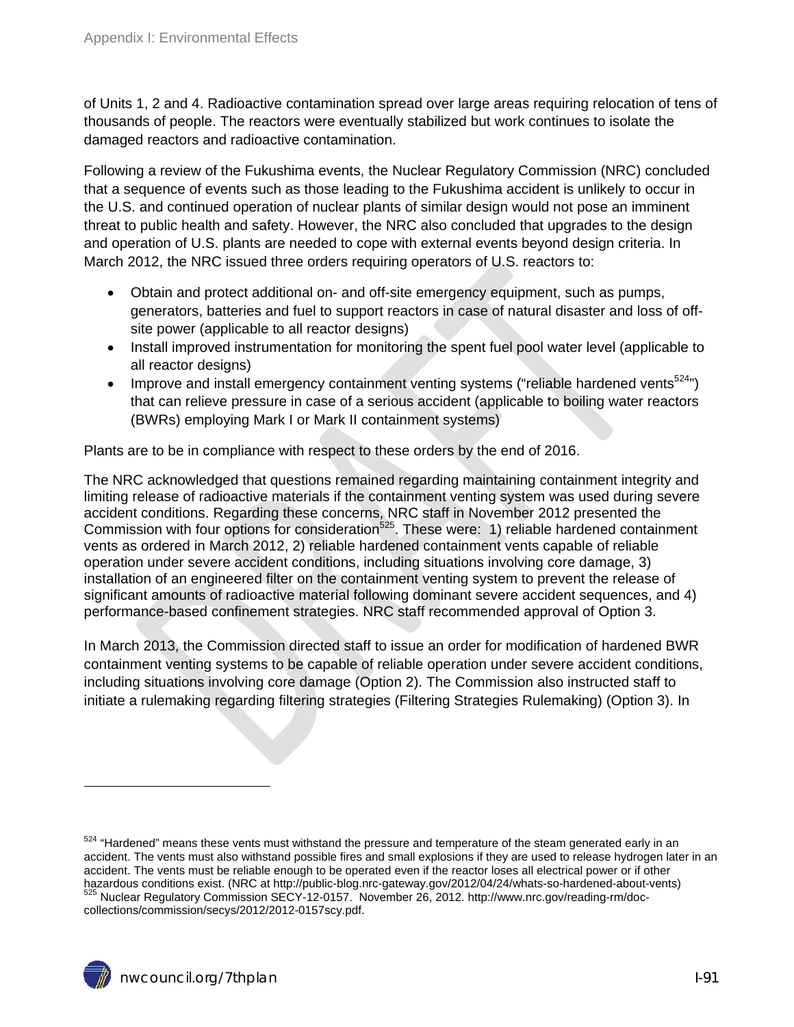of Units 1, 2 and 4. Radioactive contamination spread over large areas requiring relocation of tens of thousands of people. The reactors were eventually stabilized but work continues to isolate the damaged reactors and radioactive contamination.

Following a review of the Fukushima events, the Nuclear Regulatory Commission (NRC) concluded that a sequence of events such as those leading to the Fukushima accident is unlikely to occur in the U.S. and continued operation of nuclear plants of similar design would not pose an imminent threat to public health and safety. However, the NRC also concluded that upgrades to the design and operation of U.S. plants are needed to cope with external events beyond design criteria. In March 2012, the NRC issued three orders requiring operators of U.S. reactors to:

- Obtain and protect additional on- and off-site emergency equipment, such as pumps, generators, batteries and fuel to support reactors in case of natural disaster and loss of offsite power (applicable to all reactor designs)
- Install improved instrumentation for monitoring the spent fuel pool water level (applicable to all reactor designs)
- **IMPROVE** and install emergency containment venting systems ("reliable hardened vents<sup>524</sup>") that can relieve pressure in case of a serious accident (applicable to boiling water reactors (BWRs) employing Mark I or Mark II containment systems)

Plants are to be in compliance with respect to these orders by the end of 2016.

The NRC acknowledged that questions remained regarding maintaining containment integrity and limiting release of radioactive materials if the containment venting system was used during severe accident conditions. Regarding these concerns, NRC staff in November 2012 presented the Commission with four options for consideration<sup>525</sup>. These were: 1) reliable hardened containment vents as ordered in March 2012, 2) reliable hardened containment vents capable of reliable operation under severe accident conditions, including situations involving core damage, 3) installation of an engineered filter on the containment venting system to prevent the release of significant amounts of radioactive material following dominant severe accident sequences, and 4) performance-based confinement strategies. NRC staff recommended approval of Option 3.

In March 2013, the Commission directed staff to issue an order for modification of hardened BWR containment venting systems to be capable of reliable operation under severe accident conditions, including situations involving core damage (Option 2). The Commission also instructed staff to initiate a rulemaking regarding filtering strategies (Filtering Strategies Rulemaking) (Option 3). In

<sup>&</sup>lt;sup>524</sup> "Hardened" means these vents must withstand the pressure and temperature of the steam generated early in an accident. The vents must also withstand possible fires and small explosions if they are used to release hydrogen later in an accident. The vents must be reliable enough to be operated even if the reactor loses all electrical power or if other<br>hazardous conditions exist. (NRC at http://public-blog.nrc-gateway.gov/2012/04/24/whats-so-hardened-abou hazardous commission SECY-12-0157. November 26, 2012. http://www.nrc.gov/reading-rm/doccollections/commission/secys/2012/2012-0157scy.pdf.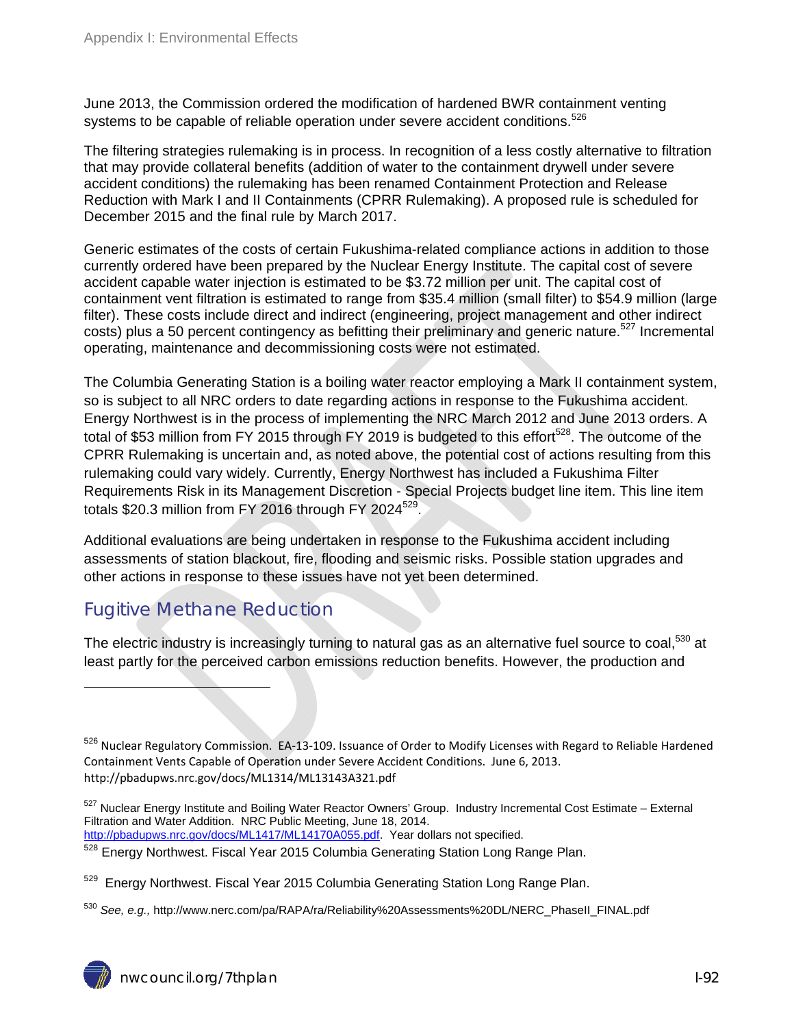June 2013, the Commission ordered the modification of hardened BWR containment venting systems to be capable of reliable operation under severe accident conditions.<sup>526</sup>

The filtering strategies rulemaking is in process. In recognition of a less costly alternative to filtration that may provide collateral benefits (addition of water to the containment drywell under severe accident conditions) the rulemaking has been renamed Containment Protection and Release Reduction with Mark I and II Containments (CPRR Rulemaking). A proposed rule is scheduled for December 2015 and the final rule by March 2017.

Generic estimates of the costs of certain Fukushima-related compliance actions in addition to those currently ordered have been prepared by the Nuclear Energy Institute. The capital cost of severe accident capable water injection is estimated to be \$3.72 million per unit. The capital cost of containment vent filtration is estimated to range from \$35.4 million (small filter) to \$54.9 million (large filter). These costs include direct and indirect (engineering, project management and other indirect costs) plus a 50 percent contingency as befitting their preliminary and generic nature.<sup>527</sup> Incremental operating, maintenance and decommissioning costs were not estimated.

The Columbia Generating Station is a boiling water reactor employing a Mark II containment system, so is subject to all NRC orders to date regarding actions in response to the Fukushima accident. Energy Northwest is in the process of implementing the NRC March 2012 and June 2013 orders. A total of \$53 million from FY 2015 through FY 2019 is budgeted to this effort<sup>528</sup>. The outcome of the CPRR Rulemaking is uncertain and, as noted above, the potential cost of actions resulting from this rulemaking could vary widely. Currently, Energy Northwest has included a Fukushima Filter Requirements Risk in its Management Discretion - Special Projects budget line item. This line item totals  $$20.3$  million from FY 2016 through FY 2024 $^{529}$ .

Additional evaluations are being undertaken in response to the Fukushima accident including assessments of station blackout, fire, flooding and seismic risks. Possible station upgrades and other actions in response to these issues have not yet been determined.

### Fugitive Methane Reduction

 $\overline{a}$ 

The electric industry is increasingly turning to natural gas as an alternative fuel source to coal,<sup>530</sup> at least partly for the perceived carbon emissions reduction benefits. However, the production and

<sup>526</sup> Nuclear Regulatory Commission. EA-13-109. Issuance of Order to Modify Licenses with Regard to Reliable Hardened Containment Vents Capable of Operation under Severe Accident Conditions. June 6, 2013. http://pbadupws.nrc.gov/docs/ML1314/ML13143A321.pdf

<sup>527</sup> Nuclear Energy Institute and Boiling Water Reactor Owners' Group. Industry Incremental Cost Estimate – External Filtration and Water Addition. NRC Public Meeting, June 18, 2014.

http://pbadupws.nrc.gov/docs/ML1417/ML14170A055.pdf. Year dollars not specified.

<sup>528</sup> Energy Northwest. Fiscal Year 2015 Columbia Generating Station Long Range Plan.

<sup>529</sup> Energy Northwest. Fiscal Year 2015 Columbia Generating Station Long Range Plan.

<sup>&</sup>lt;sup>530</sup> *See, e.g.,* http://www.nerc.com/pa/RAPA/ra/Reliability%20Assessments%20DL/NERC\_PhaseII\_FINAL.pdf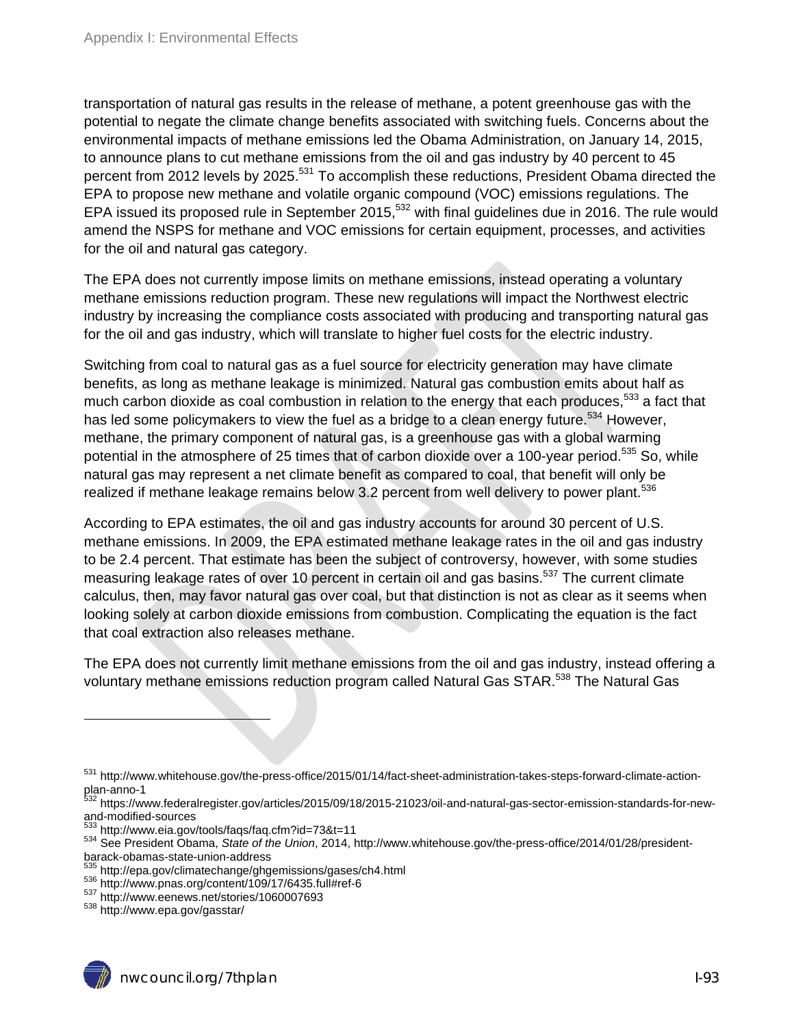transportation of natural gas results in the release of methane, a potent greenhouse gas with the potential to negate the climate change benefits associated with switching fuels. Concerns about the environmental impacts of methane emissions led the Obama Administration, on January 14, 2015, to announce plans to cut methane emissions from the oil and gas industry by 40 percent to 45 percent from 2012 levels by 2025.<sup>531</sup> To accomplish these reductions, President Obama directed the EPA to propose new methane and volatile organic compound (VOC) emissions regulations. The EPA issued its proposed rule in September 2015,<sup>532</sup> with final guidelines due in 2016. The rule would amend the NSPS for methane and VOC emissions for certain equipment, processes, and activities for the oil and natural gas category.

The EPA does not currently impose limits on methane emissions, instead operating a voluntary methane emissions reduction program. These new regulations will impact the Northwest electric industry by increasing the compliance costs associated with producing and transporting natural gas for the oil and gas industry, which will translate to higher fuel costs for the electric industry.

Switching from coal to natural gas as a fuel source for electricity generation may have climate benefits, as long as methane leakage is minimized. Natural gas combustion emits about half as much carbon dioxide as coal combustion in relation to the energy that each produces,<sup>533</sup> a fact that has led some policymakers to view the fuel as a bridge to a clean energy future.<sup>534</sup> However, methane, the primary component of natural gas, is a greenhouse gas with a global warming potential in the atmosphere of 25 times that of carbon dioxide over a 100-year period.<sup>535</sup> So, while natural gas may represent a net climate benefit as compared to coal, that benefit will only be realized if methane leakage remains below 3.2 percent from well delivery to power plant.<sup>536</sup>

According to EPA estimates, the oil and gas industry accounts for around 30 percent of U.S. methane emissions. In 2009, the EPA estimated methane leakage rates in the oil and gas industry to be 2.4 percent. That estimate has been the subject of controversy, however, with some studies measuring leakage rates of over 10 percent in certain oil and gas basins.<sup>537</sup> The current climate calculus, then, may favor natural gas over coal, but that distinction is not as clear as it seems when looking solely at carbon dioxide emissions from combustion. Complicating the equation is the fact that coal extraction also releases methane.

The EPA does not currently limit methane emissions from the oil and gas industry, instead offering a voluntary methane emissions reduction program called Natural Gas STAR.538 The Natural Gas



<sup>531</sup> http://www.whitehouse.gov/the-press-office/2015/01/14/fact-sheet-administration-takes-steps-forward-climate-actionplan-anno-1

<sup>532</sup> https://www.federalregister.gov/articles/2015/09/18/2015-21023/oil-and-natural-gas-sector-emission-standards-for-newand-modified-sources<br><sup>533</sup> http://www.eia.gov/tools/faqs/faq.cfm?id=73&t=11

<sup>533</sup> http://www.eia.gov/tools/faqs/faq.cfm?id=73&t=11 534 See President Obama, *State of the Union*, 2014, http://www.whitehouse.gov/the-press-office/2014/01/28/presidentbarack-obamas-state-union-address<br>
<sup>535</sup> http://epa.gov/climatechange/ghgemissions/gases/ch4.html

 $536$  http://www.pnas.org/content/109/17/6435.full#ref-6<br> $537$  http://www.eenews.net/stories/1060007693<br> $538$  http://www.epa.gov/gasstar/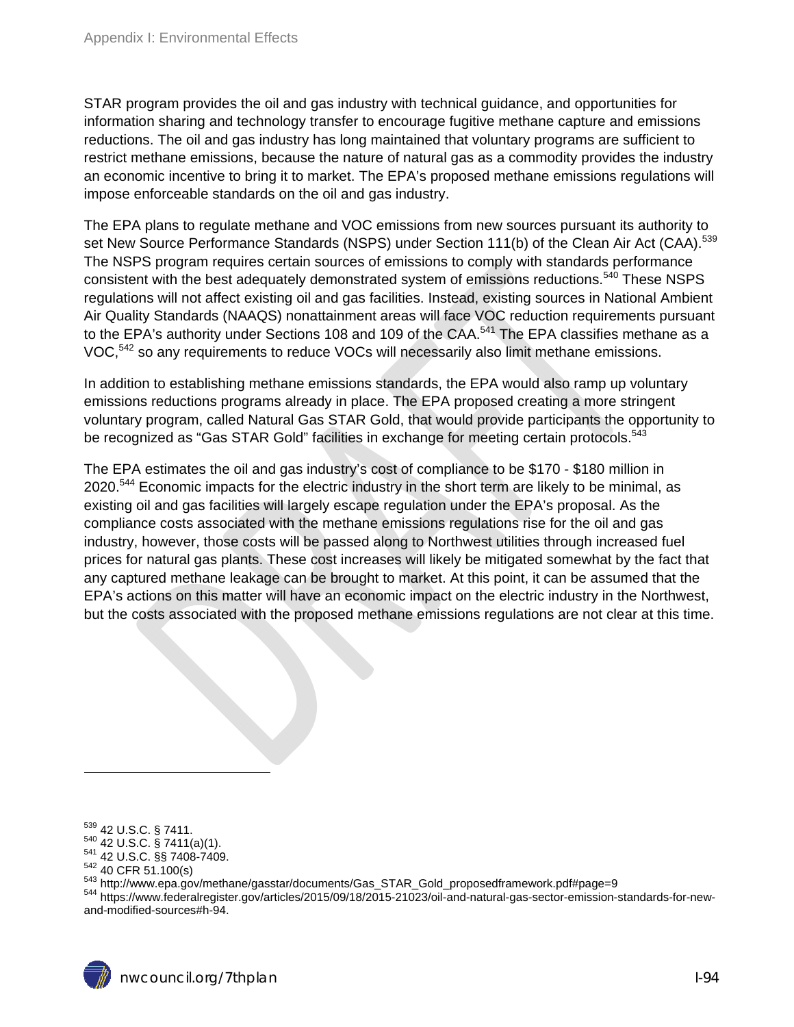STAR program provides the oil and gas industry with technical guidance, and opportunities for information sharing and technology transfer to encourage fugitive methane capture and emissions reductions. The oil and gas industry has long maintained that voluntary programs are sufficient to restrict methane emissions, because the nature of natural gas as a commodity provides the industry an economic incentive to bring it to market. The EPA's proposed methane emissions regulations will impose enforceable standards on the oil and gas industry.

The EPA plans to regulate methane and VOC emissions from new sources pursuant its authority to set New Source Performance Standards (NSPS) under Section 111(b) of the Clean Air Act (CAA).<sup>539</sup> The NSPS program requires certain sources of emissions to comply with standards performance consistent with the best adequately demonstrated system of emissions reductions.<sup>540</sup> These NSPS regulations will not affect existing oil and gas facilities. Instead, existing sources in National Ambient Air Quality Standards (NAAQS) nonattainment areas will face VOC reduction requirements pursuant to the EPA's authority under Sections 108 and 109 of the CAA.<sup>541</sup> The EPA classifies methane as a VOC,<sup>542</sup> so any requirements to reduce VOCs will necessarily also limit methane emissions.

In addition to establishing methane emissions standards, the EPA would also ramp up voluntary emissions reductions programs already in place. The EPA proposed creating a more stringent voluntary program, called Natural Gas STAR Gold, that would provide participants the opportunity to be recognized as "Gas STAR Gold" facilities in exchange for meeting certain protocols.<sup>543</sup>

The EPA estimates the oil and gas industry's cost of compliance to be \$170 - \$180 million in 2020.<sup>544</sup> Economic impacts for the electric industry in the short term are likely to be minimal, as existing oil and gas facilities will largely escape regulation under the EPA's proposal. As the compliance costs associated with the methane emissions regulations rise for the oil and gas industry, however, those costs will be passed along to Northwest utilities through increased fuel prices for natural gas plants. These cost increases will likely be mitigated somewhat by the fact that any captured methane leakage can be brought to market. At this point, it can be assumed that the EPA's actions on this matter will have an economic impact on the electric industry in the Northwest, but the costs associated with the proposed methane emissions regulations are not clear at this time.

 $^{539}$  42 U.S.C. § 7411.<br> $^{540}$  42 U.S.C. § 7411(a)(1).<br> $^{541}$  42 U.S.C. §§ 7408-7409.<br> $^{542}$  40 CFR 51.100(s)<br> $^{543}$  http://www.epa.gov/methane/gasstar/documents/Gas\_STAR\_Gold\_proposedframework.pdf#page=9<br> $^{543}$  ht and-modified-sources#h-94.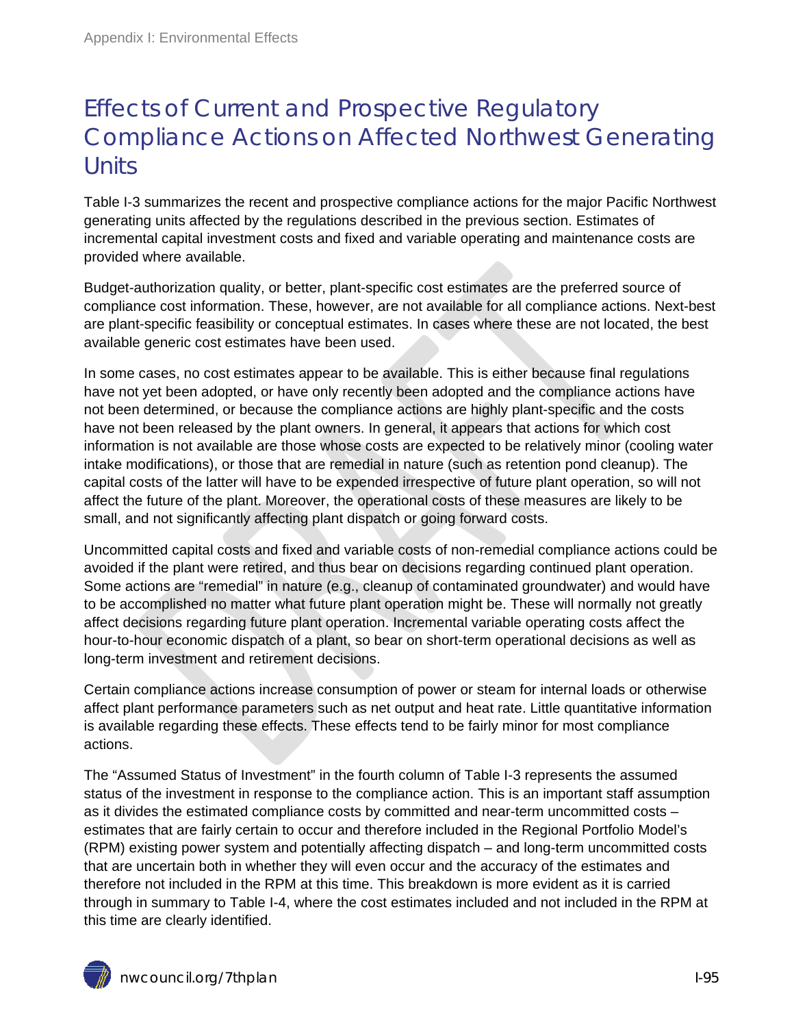## Effects of Current and Prospective Regulatory Compliance Actions on Affected Northwest Generating **Units**

Table I-3 summarizes the recent and prospective compliance actions for the major Pacific Northwest generating units affected by the regulations described in the previous section. Estimates of incremental capital investment costs and fixed and variable operating and maintenance costs are provided where available.

Budget-authorization quality, or better, plant-specific cost estimates are the preferred source of compliance cost information. These, however, are not available for all compliance actions. Next-best are plant-specific feasibility or conceptual estimates. In cases where these are not located, the best available generic cost estimates have been used.

In some cases, no cost estimates appear to be available. This is either because final regulations have not yet been adopted, or have only recently been adopted and the compliance actions have not been determined, or because the compliance actions are highly plant-specific and the costs have not been released by the plant owners. In general, it appears that actions for which cost information is not available are those whose costs are expected to be relatively minor (cooling water intake modifications), or those that are remedial in nature (such as retention pond cleanup). The capital costs of the latter will have to be expended irrespective of future plant operation, so will not affect the future of the plant. Moreover, the operational costs of these measures are likely to be small, and not significantly affecting plant dispatch or going forward costs.

Uncommitted capital costs and fixed and variable costs of non-remedial compliance actions could be avoided if the plant were retired, and thus bear on decisions regarding continued plant operation. Some actions are "remedial" in nature (e.g., cleanup of contaminated groundwater) and would have to be accomplished no matter what future plant operation might be. These will normally not greatly affect decisions regarding future plant operation. Incremental variable operating costs affect the hour-to-hour economic dispatch of a plant, so bear on short-term operational decisions as well as long-term investment and retirement decisions.

Certain compliance actions increase consumption of power or steam for internal loads or otherwise affect plant performance parameters such as net output and heat rate. Little quantitative information is available regarding these effects. These effects tend to be fairly minor for most compliance actions.

The "Assumed Status of Investment" in the fourth column of Table I-3 represents the assumed status of the investment in response to the compliance action. This is an important staff assumption as it divides the estimated compliance costs by committed and near-term uncommitted costs – estimates that are fairly certain to occur and therefore included in the Regional Portfolio Model's (RPM) existing power system and potentially affecting dispatch – and long-term uncommitted costs that are uncertain both in whether they will even occur and the accuracy of the estimates and therefore not included in the RPM at this time. This breakdown is more evident as it is carried through in summary to Table I-4, where the cost estimates included and not included in the RPM at this time are clearly identified.

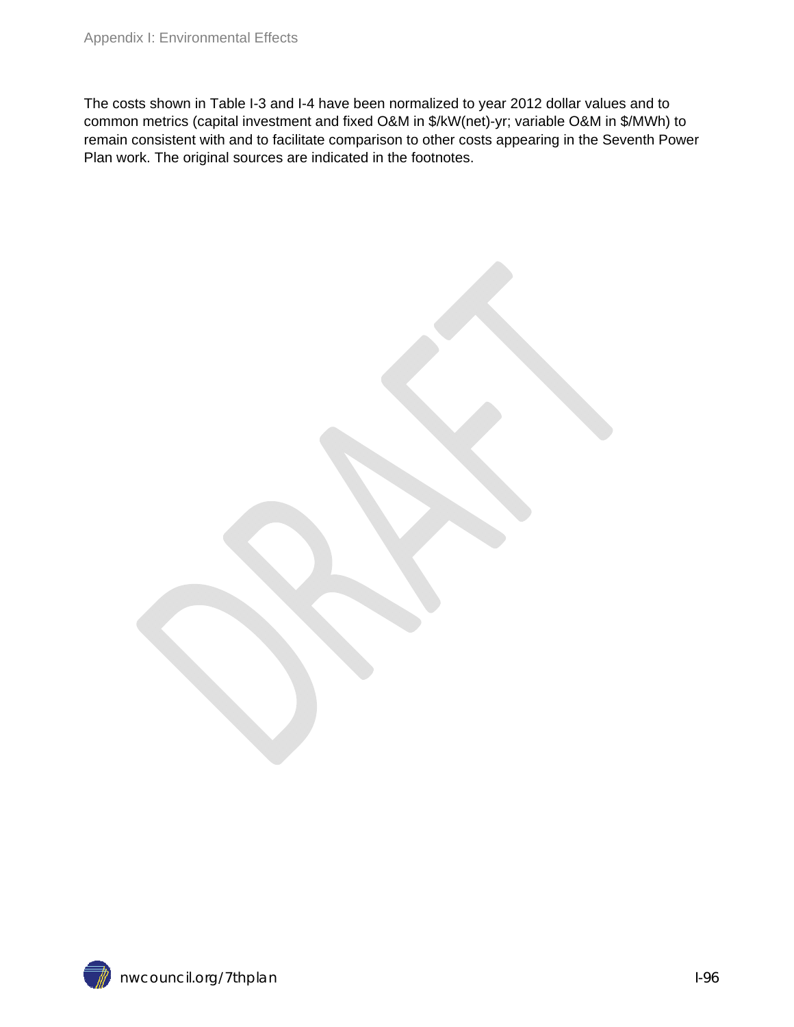The costs shown in Table I-3 and I-4 have been normalized to year 2012 dollar values and to common metrics (capital investment and fixed O&M in \$/kW(net)-yr; variable O&M in \$/MWh) to remain consistent with and to facilitate comparison to other costs appearing in the Seventh Power Plan work. The original sources are indicated in the footnotes.

nwcouncil.org/7thplan I-96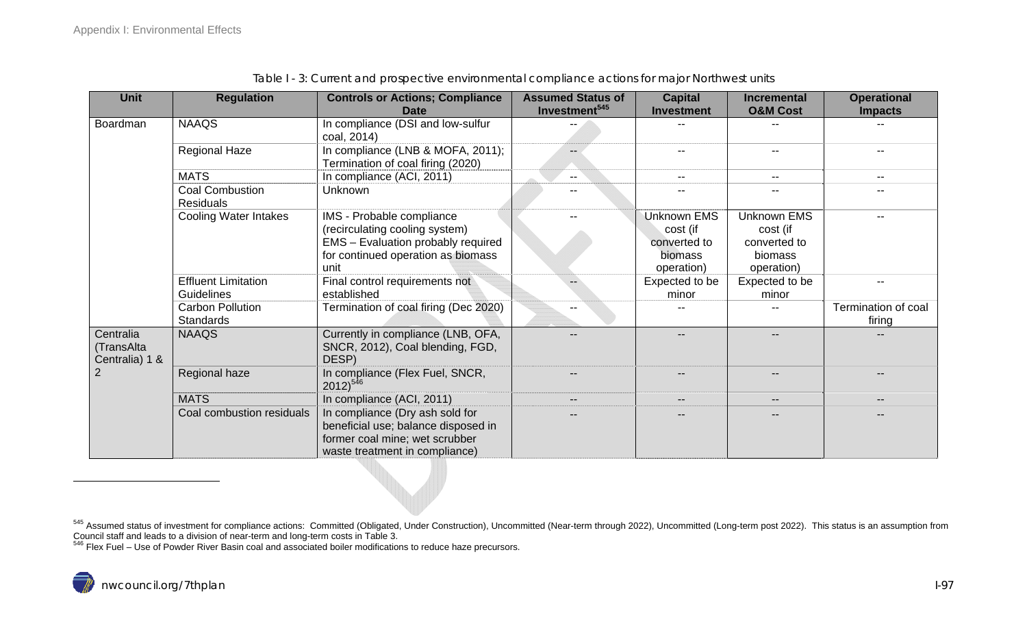| <b>Unit</b>                               | <b>Regulation</b>                           | <b>Controls or Actions; Compliance</b>                                                                                                     | <b>Assumed Status of</b>  | <b>Capital</b>           | <b>Incremental</b>       | <b>Operational</b>            |
|-------------------------------------------|---------------------------------------------|--------------------------------------------------------------------------------------------------------------------------------------------|---------------------------|--------------------------|--------------------------|-------------------------------|
|                                           |                                             | <b>Date</b>                                                                                                                                | Investment <sup>545</sup> | <b>Investment</b>        | <b>O&amp;M Cost</b>      | <b>Impacts</b>                |
| Boardman                                  | <b>NAAQS</b>                                | In compliance (DSI and low-sulfur<br>coal, 2014)                                                                                           |                           |                          |                          |                               |
|                                           | <b>Regional Haze</b>                        | In compliance (LNB & MOFA, 2011);<br>Termination of coal firing (2020)                                                                     |                           |                          | $- -$                    |                               |
|                                           | <b>MATS</b>                                 | In compliance (ACI, 2011)                                                                                                                  | $- -$                     | $--$                     | $\overline{\phantom{a}}$ | $- -$                         |
|                                           | <b>Coal Combustion</b><br><b>Residuals</b>  | Unknown                                                                                                                                    |                           | $\overline{\phantom{m}}$ | $\overline{\phantom{a}}$ |                               |
|                                           | <b>Cooling Water Intakes</b>                | IMS - Probable compliance                                                                                                                  |                           | <b>Unknown EMS</b>       | <b>Unknown EMS</b>       |                               |
|                                           |                                             | (recirculating cooling system)                                                                                                             |                           | cost (if                 | cost (if                 |                               |
|                                           |                                             | EMS - Evaluation probably required                                                                                                         |                           | converted to             | converted to             |                               |
|                                           |                                             | for continued operation as biomass                                                                                                         |                           | biomass                  | <b>biomass</b>           |                               |
|                                           |                                             | unit                                                                                                                                       |                           | operation)               | operation)               |                               |
|                                           | <b>Effluent Limitation</b>                  | Final control requirements not                                                                                                             |                           | Expected to be           | Expected to be           |                               |
|                                           | Guidelines                                  | established                                                                                                                                |                           | minor                    | minor                    |                               |
|                                           | <b>Carbon Pollution</b><br><b>Standards</b> | Termination of coal firing (Dec 2020)                                                                                                      | --                        |                          | --                       | Termination of coal<br>firing |
| Centralia<br>(TransAlta<br>Centralia) 1 & | <b>NAAQS</b>                                | Currently in compliance (LNB, OFA,<br>SNCR, 2012), Coal blending, FGD,<br>DESP)                                                            |                           | --                       | $-$                      |                               |
|                                           | Regional haze                               | In compliance (Flex Fuel, SNCR,<br>$2012)^{546}$                                                                                           |                           |                          | --                       |                               |
|                                           | <b>MATS</b>                                 | In compliance (ACI, 2011)                                                                                                                  |                           | $\overline{\phantom{m}}$ | $\qquad \qquad -$        |                               |
|                                           | Coal combustion residuals                   | In compliance (Dry ash sold for<br>beneficial use; balance disposed in<br>former coal mine; wet scrubber<br>waste treatment in compliance) |                           |                          |                          |                               |

Table I - 3: Current and prospective environmental compliance actions for major Northwest units

Council staff and leads to a division of near-term and long-term costs in Table 3.<br><sup>546</sup> Flex Fuel – Use of Powder River Basin coal and associated boiler modifications to reduce haze precursors.

<sup>&</sup>lt;sup>545</sup> Assumed status of investment for compliance actions: Committed (Obligated, Under Construction), Uncommitted (Near-term through 2022), Uncommitted (Long-term post 2022). This status is an assumption from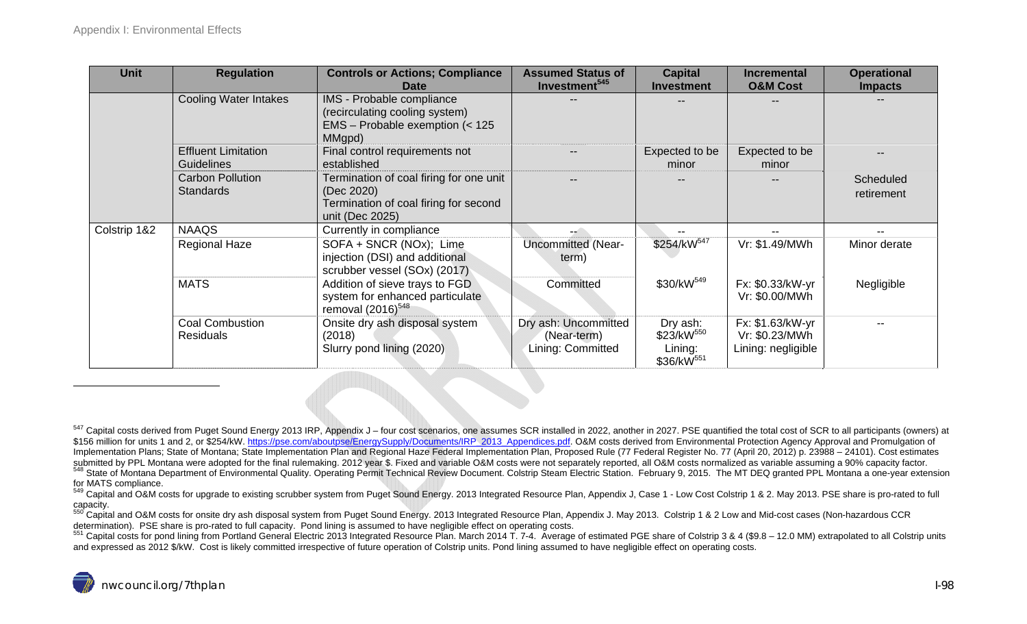| <b>Unit</b>  | <b>Regulation</b>                               | <b>Controls or Actions; Compliance</b><br><b>Date</b>                                              | <b>Assumed Status of</b><br>Investment <sup>545</sup>    | <b>Capital</b><br><b>Investment</b>                                     | <b>Incremental</b><br><b>O&amp;M Cost</b>                | <b>Operational</b><br><b>Impacts</b> |
|--------------|-------------------------------------------------|----------------------------------------------------------------------------------------------------|----------------------------------------------------------|-------------------------------------------------------------------------|----------------------------------------------------------|--------------------------------------|
|              | <b>Cooling Water Intakes</b>                    | IMS - Probable compliance<br>(recirculating cooling system)                                        |                                                          |                                                                         |                                                          |                                      |
|              |                                                 | EMS - Probable exemption (< 125<br>MMgpd)                                                          |                                                          |                                                                         |                                                          |                                      |
|              | <b>Effluent Limitation</b><br><b>Guidelines</b> | Final control requirements not<br>established                                                      |                                                          | Expected to be<br>minor                                                 | Expected to be<br>minor                                  |                                      |
|              | <b>Carbon Pollution</b><br><b>Standards</b>     | Termination of coal firing for one unit<br>(Dec 2020)                                              |                                                          |                                                                         | $- -$                                                    | Scheduled<br>retirement              |
|              |                                                 | Termination of coal firing for second<br>unit (Dec 2025)                                           |                                                          |                                                                         |                                                          |                                      |
| Colstrip 1&2 | <b>NAAQS</b>                                    | Currently in compliance                                                                            |                                                          |                                                                         |                                                          |                                      |
|              | <b>Regional Haze</b>                            | SOFA + SNCR (NOx); Lime<br>injection (DSI) and additional<br>scrubber vessel (SOx) (2017)          | Uncommitted (Near-<br>term)                              | \$254/kW <sup>547</sup>                                                 | Vr: \$1.49/MWh                                           | Minor derate                         |
|              | <b>MATS</b>                                     | Addition of sieve trays to FGD<br>system for enhanced particulate<br>removal (2016) <sup>548</sup> | Committed                                                | \$30/kW <sup>549</sup>                                                  | Fx: \$0.33/kW-yr<br>Vr: \$0.00/MWh                       | Negligible                           |
|              | <b>Coal Combustion</b><br><b>Residuals</b>      | Onsite dry ash disposal system<br>(2018)<br>Slurry pond lining (2020)                              | Dry ash: Uncommitted<br>(Near-term)<br>Lining: Committed | Dry ash:<br>\$23/kW <sup>550</sup><br>Lining:<br>\$36/kW <sup>551</sup> | Fx: \$1.63/kW-yr<br>Vr: \$0.23/MWh<br>Lining: negligible |                                      |

<sup>551</sup> Capital costs for pond lining from Portland General Electric 2013 Integrated Resource Plan. March 2014 T. 7-4. Average of estimated PGE share of Colstrip 3 & 4 (\$9.8 - 12.0 MM) extrapolated to all Colstrip units and expressed as 2012 \$/kW. Cost is likely committed irrespective of future operation of Colstrip units. Pond lining assumed to have negligible effect on operating costs.



<sup>547</sup> Capital costs derived from Puget Sound Energy 2013 IRP, Appendix J – four cost scenarios, one assumes SCR installed in 2022, another in 2027. PSE quantified the total cost of SCR to all participants (owners) at \$156 million for units 1 and 2, or \$254/kW. https://pse.com/aboutpse/EnergySupply/Documents/IRP\_2013\_Appendices.pdf. O&M costs derived from Environmental Protection Agency Approval and Promulgation of Implementation Plans; State of Montana; State Implementation Plan and Regional Haze Federal Implementation Plan, Proposed Rule (77 Federal Register No. 77 (April 20, 2012) p. 23988 – 24101). Cost estimates submitted by PPL 548 State of Montana Department of Environmental Quality. Operating Permit Technical Review Document. Colstrip Steam Electric Station. February 9, 2015. The MT DEQ granted PPL Montana a one-year extension<br>for MATS complian

<sup>549</sup> Capital and O&M costs for upgrade to existing scrubber system from Puget Sound Energy. 2013 Integrated Resource Plan, Appendix J, Case 1 - Low Cost Colstrip 1 & 2. May 2013. PSE share is pro-rated to full

capacity.<br><sup>550</sup> Capital and O&M costs for onsite dry ash disposal system from Puget Sound Energy. 2013 Integrated Resource Plan, Appendix J. May 2013. Colstrip 1 & 2 Low and Mid-cost cases (Non-hazardous CCR<br>determination)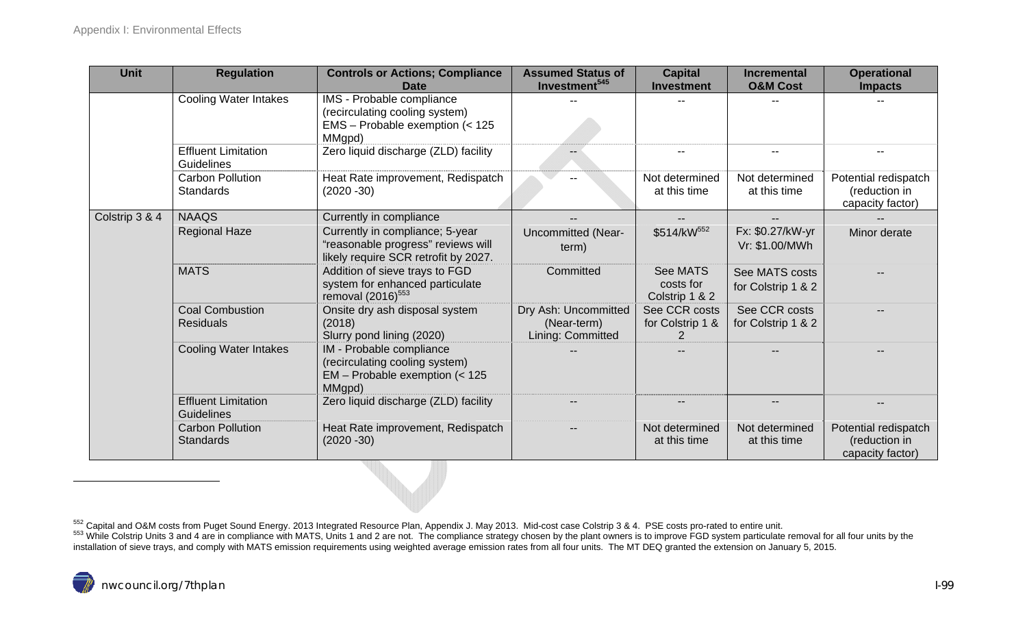| <b>Unit</b>    | <b>Regulation</b>                               | <b>Controls or Actions; Compliance</b><br>Date                                                                | <b>Assumed Status of</b><br>Investment <sup>545</sup>    | <b>Capital</b><br><b>Investment</b>                 | <b>Incremental</b><br><b>O&amp;M Cost</b> | <b>Operational</b><br><b>Impacts</b>                      |
|----------------|-------------------------------------------------|---------------------------------------------------------------------------------------------------------------|----------------------------------------------------------|-----------------------------------------------------|-------------------------------------------|-----------------------------------------------------------|
|                | <b>Cooling Water Intakes</b>                    | IMS - Probable compliance<br>(recirculating cooling system)<br>EMS - Probable exemption (< 125<br>MMgpd)      |                                                          |                                                     |                                           |                                                           |
|                | <b>Effluent Limitation</b><br>Guidelines        | Zero liquid discharge (ZLD) facility                                                                          |                                                          | $\overline{\phantom{m}}$                            | $- -$                                     |                                                           |
|                | <b>Carbon Pollution</b><br><b>Standards</b>     | Heat Rate improvement, Redispatch<br>$(2020 - 30)$                                                            |                                                          | Not determined<br>at this time                      | Not determined<br>at this time            | Potential redispatch<br>(reduction in<br>capacity factor) |
| Colstrip 3 & 4 | <b>NAAQS</b>                                    | Currently in compliance                                                                                       |                                                          |                                                     |                                           |                                                           |
|                | <b>Regional Haze</b>                            | Currently in compliance; 5-year<br>"reasonable progress" reviews will<br>likely require SCR retrofit by 2027. | <b>Uncommitted (Near-</b><br>term)                       | \$514/kW552                                         | Fx: \$0.27/kW-yr<br>Vr: \$1.00/MWh        | Minor derate                                              |
|                | <b>MATS</b>                                     | Addition of sieve trays to FGD<br>system for enhanced particulate<br>removal (2016) <sup>553</sup>            | Committed                                                | <b>See MATS</b><br>costs for<br>Colstrip 1 & 2      | See MATS costs<br>for Colstrip 1 & 2      |                                                           |
|                | <b>Coal Combustion</b><br><b>Residuals</b>      | Onsite dry ash disposal system<br>(2018)<br>Slurry pond lining (2020)                                         | Dry Ash: Uncommitted<br>(Near-term)<br>Lining: Committed | See CCR costs<br>for Colstrip 1 &<br>$\overline{2}$ | See CCR costs<br>for Colstrip 1 & 2       |                                                           |
|                | <b>Cooling Water Intakes</b>                    | IM - Probable compliance<br>(recirculating cooling system)<br>$EM$ – Probable exemption (< 125<br>MMgpd)      |                                                          |                                                     |                                           |                                                           |
|                | <b>Effluent Limitation</b><br><b>Guidelines</b> | Zero liquid discharge (ZLD) facility                                                                          |                                                          |                                                     | $\overline{\phantom{a}}$                  |                                                           |
|                | <b>Carbon Pollution</b><br><b>Standards</b>     | Heat Rate improvement, Redispatch<br>$(2020 - 30)$                                                            |                                                          | Not determined<br>at this time                      | Not determined<br>at this time            | Potential redispatch<br>(reduction in<br>capacity factor) |

<sup>552</sup> Capital and O&M costs from Puget Sound Energy. 2013 Integrated Resource Plan, Appendix J. May 2013. Mid-cost case Colstrip 3 & 4. PSE costs pro-rated to entire unit.<br><sup>553</sup> While Colstrip Units 3 and 4 are in complian installation of sieve trays, and comply with MATS emission requirements using weighted average emission rates from all four units. The MT DEQ granted the extension on January 5, 2015.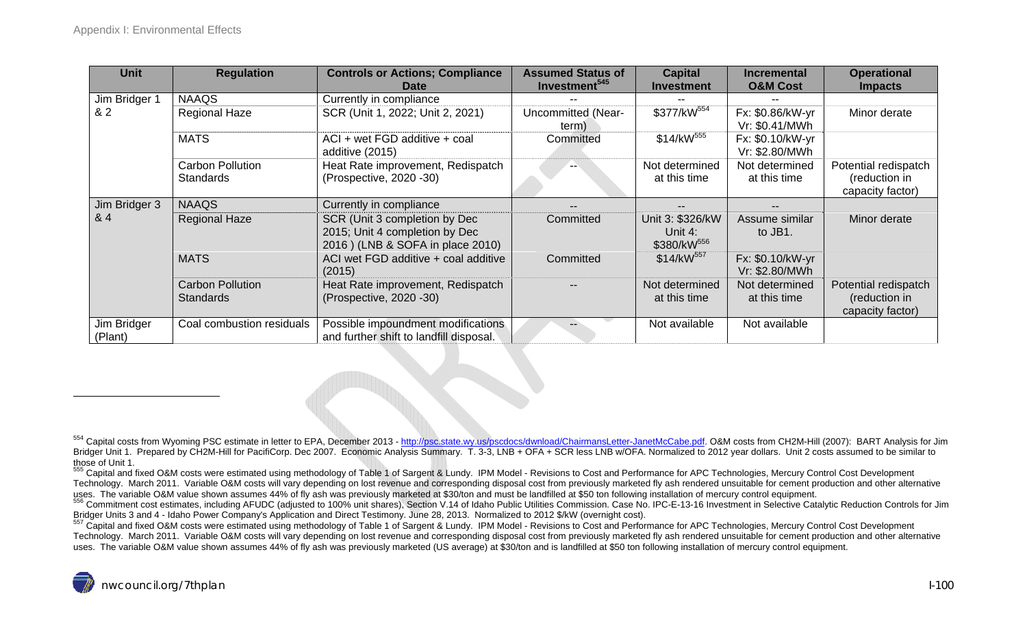| <b>Unit</b>            | <b>Regulation</b>                           | <b>Controls or Actions; Compliance</b><br><b>Date</b>                                               | <b>Assumed Status of</b><br>Investment <sup>545</sup> | <b>Capital</b><br><b>Investment</b>                    | <b>Incremental</b><br><b>O&amp;M Cost</b> | <b>Operational</b><br><b>Impacts</b>                      |
|------------------------|---------------------------------------------|-----------------------------------------------------------------------------------------------------|-------------------------------------------------------|--------------------------------------------------------|-------------------------------------------|-----------------------------------------------------------|
| Jim Bridger 1          | <b>NAAQS</b>                                | Currently in compliance                                                                             |                                                       |                                                        |                                           |                                                           |
| 82                     | <b>Regional Haze</b>                        | SCR (Unit 1, 2022; Unit 2, 2021)                                                                    | <b>Uncommitted (Near-</b><br>term)                    | \$377/kW <sup>554</sup>                                | Fx: \$0.86/kW-yr<br>Vr: \$0.41/MWh        | Minor derate                                              |
|                        | <b>MATS</b>                                 | ACI + wet FGD additive + coal<br>additive (2015)                                                    | Committed                                             | \$14/kW <sup>555</sup>                                 | Fx: \$0.10/kW-yr<br>Vr: \$2.80/MWh        |                                                           |
|                        | <b>Carbon Pollution</b><br><b>Standards</b> | Heat Rate improvement, Redispatch<br>(Prospective, 2020 -30)                                        |                                                       | Not determined<br>at this time                         | Not determined<br>at this time            | Potential redispatch<br>(reduction in<br>capacity factor) |
| Jim Bridger 3          | <b>NAAQS</b>                                | Currently in compliance                                                                             |                                                       |                                                        | $\qquad \qquad -$                         |                                                           |
| & 4                    | <b>Regional Haze</b>                        | SCR (Unit 3 completion by Dec<br>2015; Unit 4 completion by Dec<br>2016) (LNB & SOFA in place 2010) | Committed                                             | Unit 3: \$326/kW<br>Unit 4:<br>\$380/kW <sup>556</sup> | Assume similar<br>to JB1.                 | Minor derate                                              |
|                        | <b>MATS</b>                                 | ACI wet FGD additive + coal additive<br>(2015)                                                      | Committed                                             | $$14/kW^{557}$                                         | Fx: \$0.10/kW-yr<br>Vr: \$2.80/MWh        |                                                           |
|                        | <b>Carbon Pollution</b><br><b>Standards</b> | Heat Rate improvement, Redispatch<br>(Prospective, 2020 -30)                                        |                                                       | Not determined<br>at this time                         | Not determined<br>at this time            | Potential redispatch<br>(reduction in<br>capacity factor) |
| Jim Bridger<br>(Plant) | Coal combustion residuals                   | Possible impoundment modifications<br>and further shift to landfill disposal.                       |                                                       | Not available                                          | Not available                             |                                                           |

<sup>554</sup> Capital costs from Wyoming PSC estimate in letter to EPA, December 2013 - http://psc.state.wy.us/pscdocs/dwnload/ChairmansLetter-JanetMcCabe.pdf. O&M costs from CH2M-Hill (2007): BART Analysis for Jim Bridger Unit 1. Prepared by CH2M-Hill for PacifiCorp. Dec 2007. Economic Analysis Summary. T. 3-3, LNB + OFA + SCR less LNB w/OFA. Normalized to 2012 year dollars. Unit 2 costs assumed to be similar to those of Unit 1.

<sup>555</sup> Capital and fixed O&M costs were estimated using methodology of Table 1 of Sargent & Lundy. IPM Model - Revisions to Cost and Performance for APC Technologies, Mercury Control Cost Development Technology. March 2011. Variable O&M costs will vary depending on lost revenue and corresponding disposal cost from previously marketed fly ash rendered unsuitable for cement production and other alternative

uses. The variable O&M value shown assumes 44% of fly ash was previously marketed at \$30/ton and must be landfilled at \$50 ton following installation of mercury control equipment.<br><sup>556</sup> Commitment cost estimates, including

<sup>557</sup> Capital and fixed O&M costs were estimated using methodology of Table 1 of Sargent & Lundy. IPM Model - Revisions to Cost and Performance for APC Technologies, Mercury Control Cost Development Technology. March 2011. Variable O&M costs will vary depending on lost revenue and corresponding disposal cost from previously marketed fly ash rendered unsuitable for cement production and other alternative uses. The variable O&M value shown assumes 44% of fly ash was previously marketed (US average) at \$30/ton and is landfilled at \$50 ton following installation of mercury control equipment.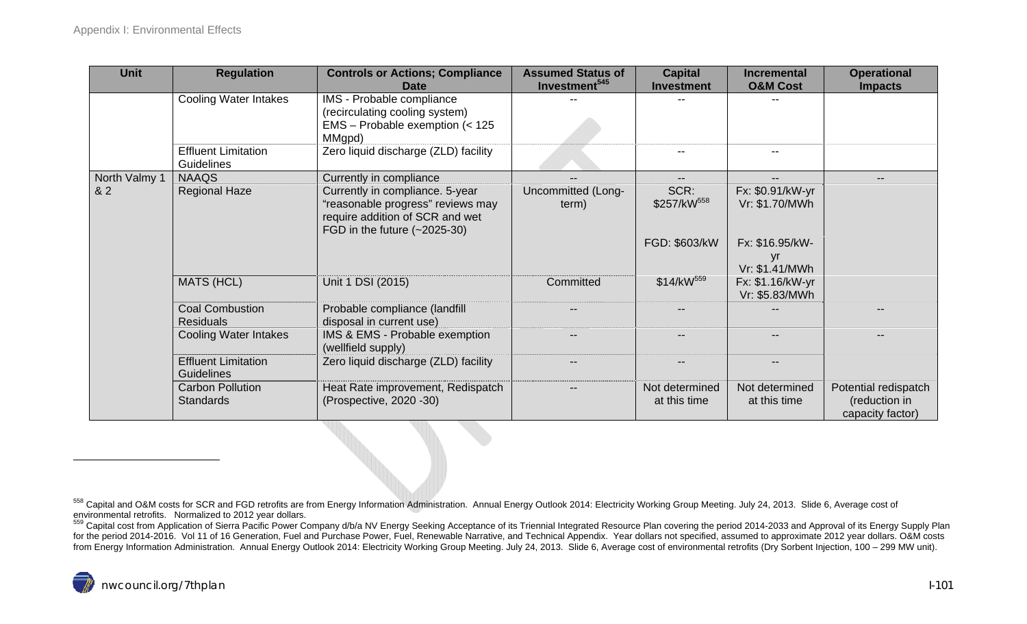| <b>Unit</b>   | <b>Regulation</b>                               | <b>Controls or Actions; Compliance</b><br><b>Date</b>                                                                                     | <b>Assumed Status of</b><br>Investment <sup>545</sup> | <b>Capital</b><br><b>Investment</b> | <b>Incremental</b><br><b>O&amp;M Cost</b> | <b>Operational</b><br><b>Impacts</b>                      |
|---------------|-------------------------------------------------|-------------------------------------------------------------------------------------------------------------------------------------------|-------------------------------------------------------|-------------------------------------|-------------------------------------------|-----------------------------------------------------------|
|               | <b>Cooling Water Intakes</b>                    | IMS - Probable compliance<br>(recirculating cooling system)<br>EMS - Probable exemption (< 125<br>MMgpd)                                  |                                                       |                                     |                                           |                                                           |
|               | <b>Effluent Limitation</b><br>Guidelines        | Zero liquid discharge (ZLD) facility                                                                                                      |                                                       | $\overline{\phantom{m}}$            | $\overline{\phantom{m}}$                  |                                                           |
| North Valmy 1 | <b>NAAQS</b>                                    | Currently in compliance                                                                                                                   |                                                       |                                     | $- -$                                     |                                                           |
| 82            | <b>Regional Haze</b>                            | Currently in compliance. 5-year<br>"reasonable progress" reviews may<br>require addition of SCR and wet<br>FGD in the future $(-2025-30)$ | Uncommitted (Long-<br>term)                           | SCR:<br>\$257/kW <sup>558</sup>     | Fx: \$0.91/kW-yr<br>Vr: \$1.70/MWh        |                                                           |
|               |                                                 |                                                                                                                                           |                                                       | FGD: \$603/kW                       | Fx: \$16.95/kW-<br>yr<br>Vr: \$1.41/MWh   |                                                           |
|               | <b>MATS (HCL)</b>                               | Unit 1 DSI (2015)                                                                                                                         | Committed                                             | \$14/kW <sup>559</sup>              | Fx: \$1.16/kW-yr<br>Vr: \$5.83/MWh        |                                                           |
|               | <b>Coal Combustion</b><br><b>Residuals</b>      | Probable compliance (landfill<br>disposal in current use)                                                                                 |                                                       |                                     |                                           |                                                           |
|               | <b>Cooling Water Intakes</b>                    | IMS & EMS - Probable exemption<br>(wellfield supply)                                                                                      |                                                       |                                     |                                           |                                                           |
|               | <b>Effluent Limitation</b><br><b>Guidelines</b> | Zero liquid discharge (ZLD) facility                                                                                                      | $\overline{\phantom{m}}$                              |                                     | $\overline{\phantom{a}}$                  |                                                           |
|               | <b>Carbon Pollution</b><br><b>Standards</b>     | Heat Rate improvement, Redispatch<br>(Prospective, 2020 - 30)                                                                             |                                                       | Not determined<br>at this time      | Not determined<br>at this time            | Potential redispatch<br>(reduction in<br>capacity factor) |

<sup>558</sup> Capital and O&M costs for SCR and FGD retrofits are from Energy Information Administration. Annual Energy Outlook 2014: Electricity Working Group Meeting. July 24, 2013. Slide 6, Average cost of environmental retrofits

<sup>559</sup> Capital cost from Application of Sierra Pacific Power Company d/b/a NV Energy Seeking Acceptance of its Triennial Integrated Resource Plan covering the period 2014-2033 and Approval of its Energy Supply Plan for the period 2014-2016. Vol 11 of 16 Generation, Fuel and Purchase Power, Fuel, Renewable Narrative, and Technical Appendix. Year dollars not specified, assumed to approximate 2012 year dollars. O&M costs from Energy Information Administration. Annual Energy Outlook 2014: Electricity Working Group Meeting. July 24, 2013. Slide 6, Average cost of environmental retrofits (Dry Sorbent Injection, 100 – 299 MW unit).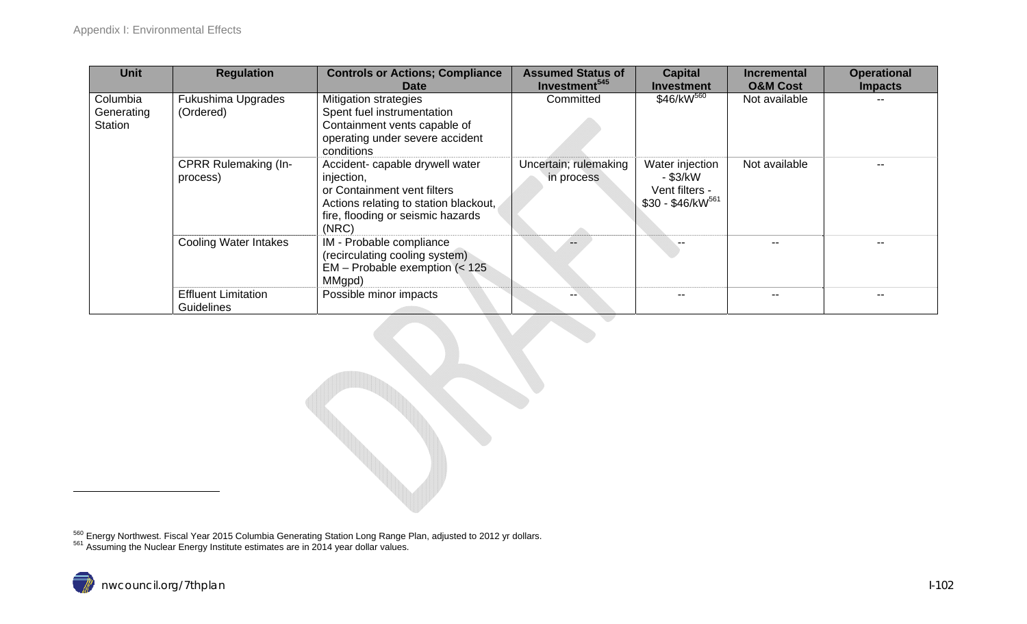| <b>Unit</b>                       | <b>Regulation</b>                        | <b>Controls or Actions; Compliance</b><br><b>Date</b>                                                                                                               | <b>Assumed Status of</b><br>Investment <sup>545</sup> | <b>Capital</b><br><b>Investment</b>                                   | <b>Incremental</b><br><b>O&amp;M Cost</b> | <b>Operational</b><br><b>Impacts</b> |
|-----------------------------------|------------------------------------------|---------------------------------------------------------------------------------------------------------------------------------------------------------------------|-------------------------------------------------------|-----------------------------------------------------------------------|-------------------------------------------|--------------------------------------|
| Columbia<br>Generating<br>Station | Fukushima Upgrades<br>(Ordered)          | Mitigation strategies<br>Spent fuel instrumentation<br>Containment vents capable of<br>operating under severe accident<br>conditions                                | Committed                                             | $$46/kW^{560}$                                                        | Not available                             |                                      |
|                                   | <b>CPRR Rulemaking (In-</b><br>process)  | Accident- capable drywell water<br>injection,<br>or Containment vent filters<br>Actions relating to station blackout,<br>fire, flooding or seismic hazards<br>(NRC) | Uncertain; rulemaking<br>in process                   | Water injection<br>- \$3/kW<br>Vent filters -<br>$$30 - $46/kW^{561}$ | Not available                             |                                      |
|                                   | <b>Cooling Water Intakes</b>             | IM - Probable compliance<br>(recirculating cooling system)<br>$EM$ – Probable exemption (< 125)<br>MMgpd)                                                           |                                                       |                                                                       |                                           |                                      |
|                                   | <b>Effluent Limitation</b><br>Guidelines | Possible minor impacts                                                                                                                                              |                                                       |                                                                       |                                           |                                      |

 $^{560}$  Energy Northwest. Fiscal Year 2015 Columbia Generating Station Long Range Plan, adjusted to 2012 yr dollars.<br><sup>561</sup> Assuming the Nuclear Energy Institute estimates are in 2014 year dollar values.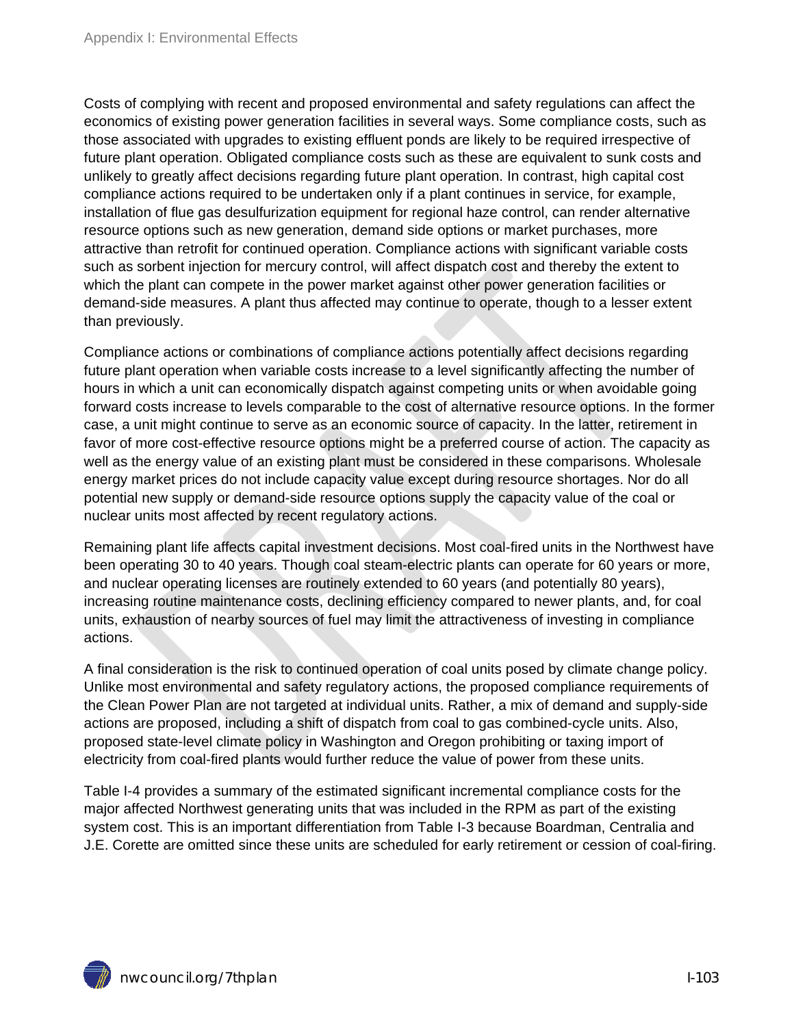Costs of complying with recent and proposed environmental and safety regulations can affect the economics of existing power generation facilities in several ways. Some compliance costs, such as those associated with upgrades to existing effluent ponds are likely to be required irrespective of future plant operation. Obligated compliance costs such as these are equivalent to sunk costs and unlikely to greatly affect decisions regarding future plant operation. In contrast, high capital cost compliance actions required to be undertaken only if a plant continues in service, for example, installation of flue gas desulfurization equipment for regional haze control, can render alternative resource options such as new generation, demand side options or market purchases, more attractive than retrofit for continued operation. Compliance actions with significant variable costs such as sorbent injection for mercury control, will affect dispatch cost and thereby the extent to which the plant can compete in the power market against other power generation facilities or demand-side measures. A plant thus affected may continue to operate, though to a lesser extent than previously.

Compliance actions or combinations of compliance actions potentially affect decisions regarding future plant operation when variable costs increase to a level significantly affecting the number of hours in which a unit can economically dispatch against competing units or when avoidable going forward costs increase to levels comparable to the cost of alternative resource options. In the former case, a unit might continue to serve as an economic source of capacity. In the latter, retirement in favor of more cost-effective resource options might be a preferred course of action. The capacity as well as the energy value of an existing plant must be considered in these comparisons. Wholesale energy market prices do not include capacity value except during resource shortages. Nor do all potential new supply or demand-side resource options supply the capacity value of the coal or nuclear units most affected by recent regulatory actions.

Remaining plant life affects capital investment decisions. Most coal-fired units in the Northwest have been operating 30 to 40 years. Though coal steam-electric plants can operate for 60 years or more, and nuclear operating licenses are routinely extended to 60 years (and potentially 80 years), increasing routine maintenance costs, declining efficiency compared to newer plants, and, for coal units, exhaustion of nearby sources of fuel may limit the attractiveness of investing in compliance actions.

A final consideration is the risk to continued operation of coal units posed by climate change policy. Unlike most environmental and safety regulatory actions, the proposed compliance requirements of the Clean Power Plan are not targeted at individual units. Rather, a mix of demand and supply-side actions are proposed, including a shift of dispatch from coal to gas combined-cycle units. Also, proposed state-level climate policy in Washington and Oregon prohibiting or taxing import of electricity from coal-fired plants would further reduce the value of power from these units.

Table I-4 provides a summary of the estimated significant incremental compliance costs for the major affected Northwest generating units that was included in the RPM as part of the existing system cost. This is an important differentiation from Table I-3 because Boardman, Centralia and J.E. Corette are omitted since these units are scheduled for early retirement or cession of coal-firing.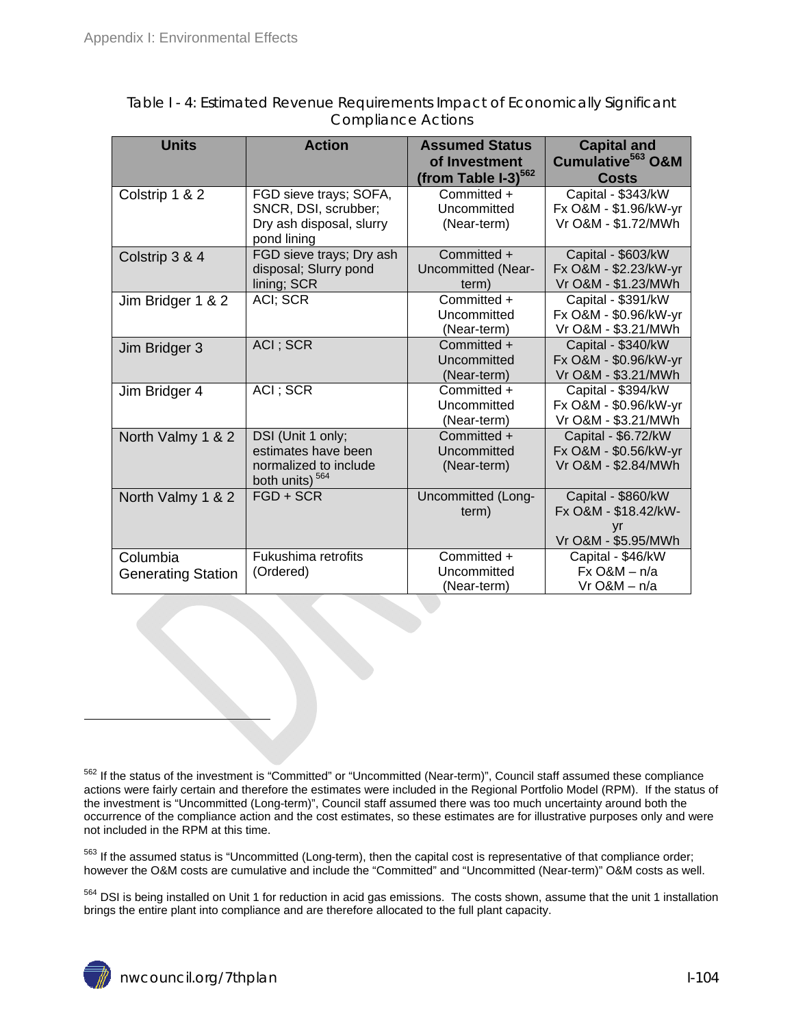| <b>Units</b>              | <b>Action</b>                                       | <b>Assumed Status</b><br>of Investment | <b>Capital and</b><br>Cumulative <sup>563</sup> O&M |
|---------------------------|-----------------------------------------------------|----------------------------------------|-----------------------------------------------------|
|                           |                                                     | (from Table $I-3$ ) <sup>562</sup>     | <b>Costs</b>                                        |
| Colstrip 1 & 2            | FGD sieve trays; SOFA,                              | Committed +                            | Capital - \$343/kW                                  |
|                           | SNCR, DSI, scrubber;                                | Uncommitted                            | Fx O&M - \$1.96/kW-yr                               |
|                           | Dry ash disposal, slurry<br>pond lining             | (Near-term)                            | Vr O&M - \$1.72/MWh                                 |
| Colstrip 3 & 4            | FGD sieve trays; Dry ash                            | Committed +                            | Capital - \$603/kW                                  |
|                           | disposal; Slurry pond                               | Uncommitted (Near-                     | Fx O&M - \$2.23/kW-yr                               |
|                           | lining; SCR                                         | term)                                  | Vr O&M - \$1.23/MWh                                 |
| Jim Bridger 1 & 2         | ACI; SCR                                            | Committed +                            | Capital - \$391/kW                                  |
|                           |                                                     | Uncommitted                            | Fx O&M - \$0.96/kW-yr                               |
|                           |                                                     | (Near-term)                            | Vr O&M - \$3.21/MWh                                 |
| Jim Bridger 3             | ACI; SCR                                            | Committed +                            | Capital - \$340/kW                                  |
|                           |                                                     | Uncommitted                            | Fx O&M - \$0.96/kW-yr                               |
|                           |                                                     | (Near-term)                            | Vr O&M - \$3.21/MWh                                 |
| Jim Bridger 4             | ACI; SCR                                            | Committed +                            | Capital - \$394/kW                                  |
|                           |                                                     | Uncommitted                            | Fx O&M - \$0.96/kW-yr                               |
|                           |                                                     | (Near-term)                            | Vr O&M - \$3.21/MWh                                 |
| North Valmy 1 & 2         | DSI (Unit 1 only;                                   | Committed +                            | Capital - \$6.72/kW                                 |
|                           | estimates have been                                 | Uncommitted                            | Fx O&M - \$0.56/kW-yr                               |
|                           | normalized to include<br>both units) <sup>564</sup> | (Near-term)                            | Vr O&M - \$2.84/MWh                                 |
| North Valmy 1 & 2         | $FGD + SCR$                                         | Uncommitted (Long-                     | Capital - \$860/kW                                  |
|                           |                                                     | term)                                  | Fx O&M - \$18.42/kW-                                |
|                           |                                                     |                                        | yr                                                  |
|                           |                                                     |                                        | Vr O&M - \$5.95/MWh                                 |
| Columbia                  | Fukushima retrofits                                 | Committed +                            | Capital - \$46/kW                                   |
| <b>Generating Station</b> | (Ordered)                                           | Uncommitted                            | $Fx$ O&M $- n/a$                                    |
|                           |                                                     | (Near-term)                            | $Vr$ O&M $-$ n/a                                    |

Table I - 4: Estimated Revenue Requirements Impact of Economically Significant Compliance Actions

<sup>563</sup> If the assumed status is "Uncommitted (Long-term), then the capital cost is representative of that compliance order; however the O&M costs are cumulative and include the "Committed" and "Uncommitted (Near-term)" O&M costs as well.

564 DSI is being installed on Unit 1 for reduction in acid gas emissions. The costs shown, assume that the unit 1 installation brings the entire plant into compliance and are therefore allocated to the full plant capacity.

<sup>&</sup>lt;sup>562</sup> If the status of the investment is "Committed" or "Uncommitted (Near-term)", Council staff assumed these compliance actions were fairly certain and therefore the estimates were included in the Regional Portfolio Model (RPM). If the status of the investment is "Uncommitted (Long-term)", Council staff assumed there was too much uncertainty around both the occurrence of the compliance action and the cost estimates, so these estimates are for illustrative purposes only and were not included in the RPM at this time.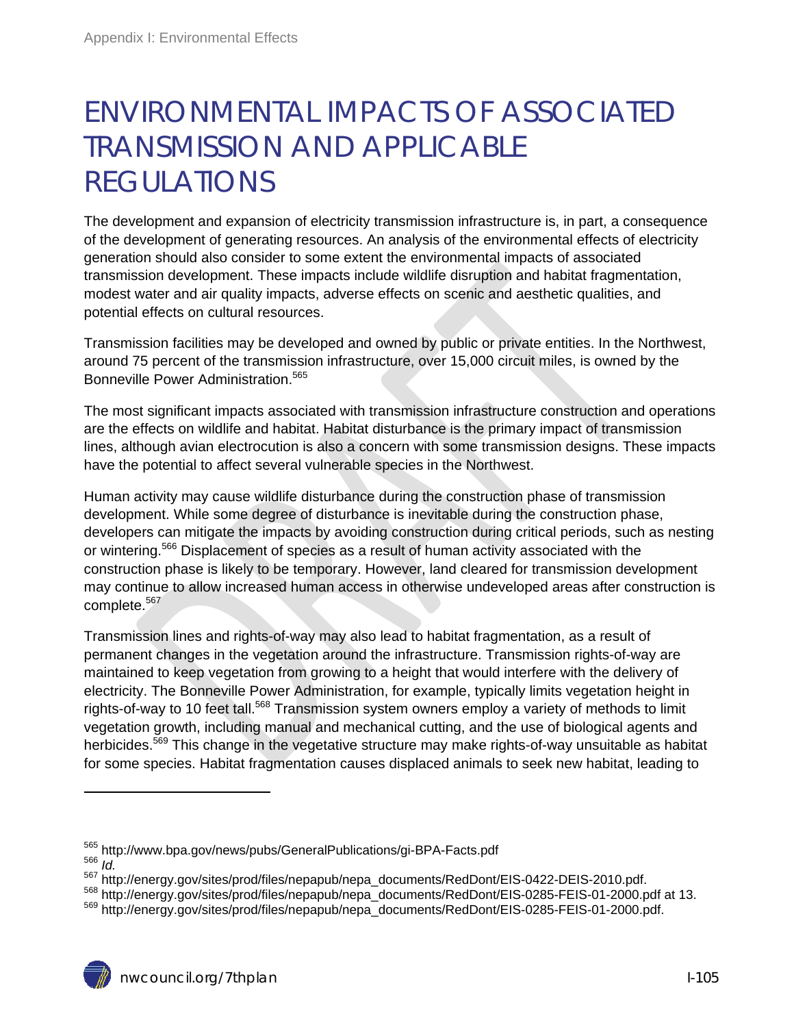# ENVIRONMENTAL IMPACTS OF ASSOCIATED TRANSMISSION AND APPLICABLE REGULATIONS

The development and expansion of electricity transmission infrastructure is, in part, a consequence of the development of generating resources. An analysis of the environmental effects of electricity generation should also consider to some extent the environmental impacts of associated transmission development. These impacts include wildlife disruption and habitat fragmentation, modest water and air quality impacts, adverse effects on scenic and aesthetic qualities, and potential effects on cultural resources.

Transmission facilities may be developed and owned by public or private entities. In the Northwest, around 75 percent of the transmission infrastructure, over 15,000 circuit miles, is owned by the Bonneville Power Administration.<sup>565</sup>

The most significant impacts associated with transmission infrastructure construction and operations are the effects on wildlife and habitat. Habitat disturbance is the primary impact of transmission lines, although avian electrocution is also a concern with some transmission designs. These impacts have the potential to affect several vulnerable species in the Northwest.

Human activity may cause wildlife disturbance during the construction phase of transmission development. While some degree of disturbance is inevitable during the construction phase, developers can mitigate the impacts by avoiding construction during critical periods, such as nesting or wintering.<sup>566</sup> Displacement of species as a result of human activity associated with the construction phase is likely to be temporary. However, land cleared for transmission development may continue to allow increased human access in otherwise undeveloped areas after construction is complete.<sup>567</sup>

Transmission lines and rights-of-way may also lead to habitat fragmentation, as a result of permanent changes in the vegetation around the infrastructure. Transmission rights-of-way are maintained to keep vegetation from growing to a height that would interfere with the delivery of electricity. The Bonneville Power Administration, for example, typically limits vegetation height in rights-of-way to 10 feet tall.<sup>568</sup> Transmission system owners employ a variety of methods to limit vegetation growth, including manual and mechanical cutting, and the use of biological agents and herbicides.<sup>569</sup> This change in the vegetative structure may make rights-of-way unsuitable as habitat for some species. Habitat fragmentation causes displaced animals to seek new habitat, leading to

<sup>&</sup>lt;sup>565</sup> http://www.bpa.gov/news/pubs/GeneralPublications/gi-BPA-Facts.pdf<br><sup>566</sup> *Id.*<br><sup>567</sup> http://energy.gov/sites/prod/files/nepapub/nepa\_documents/RedDont/EIS-0422-DEIS-2010.pdf.

<sup>568</sup> http://energy.gov/sites/prod/files/nepapub/nepa\_documents/RedDont/EIS-0285-FEIS-01-2000.pdf at 13.<br>569 http://energy.gov/sites/prod/files/nepapub/nepa\_documents/RedDont/EIS-0285-FEIS-01-2000.pdf.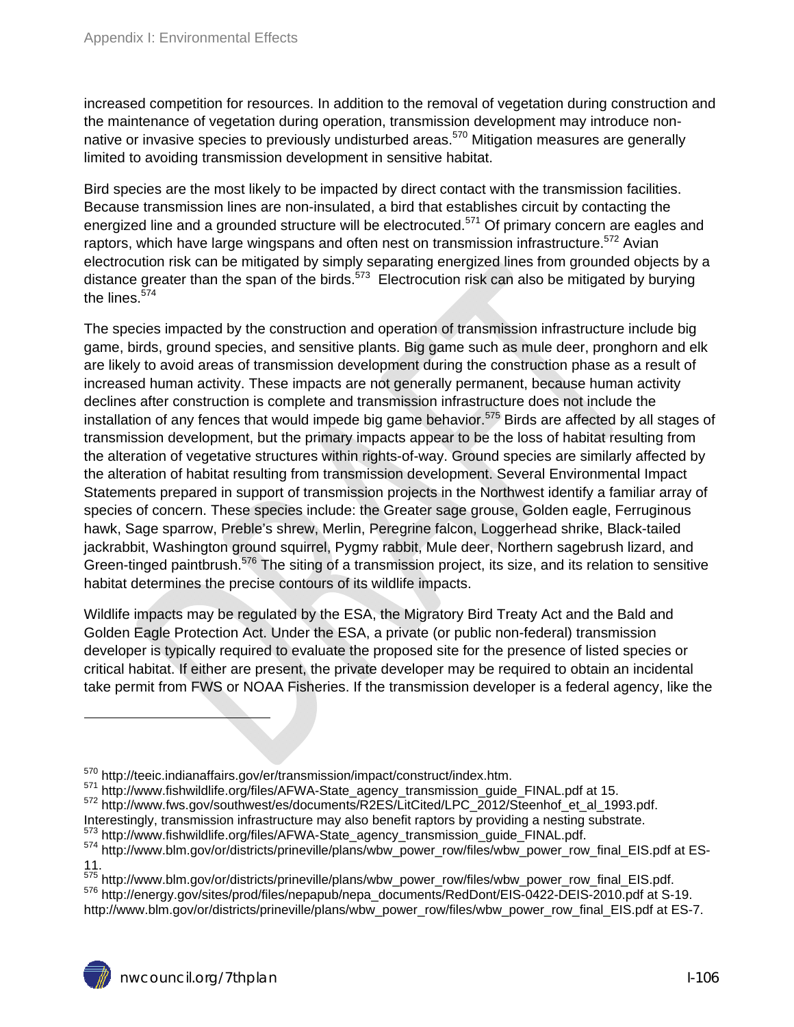increased competition for resources. In addition to the removal of vegetation during construction and the maintenance of vegetation during operation, transmission development may introduce nonnative or invasive species to previously undisturbed areas.<sup>570</sup> Mitigation measures are generally limited to avoiding transmission development in sensitive habitat.

Bird species are the most likely to be impacted by direct contact with the transmission facilities. Because transmission lines are non-insulated, a bird that establishes circuit by contacting the energized line and a grounded structure will be electrocuted.<sup>571</sup> Of primary concern are eagles and raptors, which have large wingspans and often nest on transmission infrastructure.<sup>572</sup> Avian electrocution risk can be mitigated by simply separating energized lines from grounded objects by a distance greater than the span of the birds.<sup>573</sup> Electrocution risk can also be mitigated by burying the lines. $574$ 

The species impacted by the construction and operation of transmission infrastructure include big game, birds, ground species, and sensitive plants. Big game such as mule deer, pronghorn and elk are likely to avoid areas of transmission development during the construction phase as a result of increased human activity. These impacts are not generally permanent, because human activity declines after construction is complete and transmission infrastructure does not include the installation of any fences that would impede big game behavior.<sup>575</sup> Birds are affected by all stages of transmission development, but the primary impacts appear to be the loss of habitat resulting from the alteration of vegetative structures within rights-of-way. Ground species are similarly affected by the alteration of habitat resulting from transmission development. Several Environmental Impact Statements prepared in support of transmission projects in the Northwest identify a familiar array of species of concern. These species include: the Greater sage grouse, Golden eagle, Ferruginous hawk, Sage sparrow, Preble's shrew, Merlin, Peregrine falcon, Loggerhead shrike, Black-tailed jackrabbit, Washington ground squirrel, Pygmy rabbit, Mule deer, Northern sagebrush lizard, and Green-tinged paintbrush.576 The siting of a transmission project, its size, and its relation to sensitive habitat determines the precise contours of its wildlife impacts.

Wildlife impacts may be regulated by the ESA, the Migratory Bird Treaty Act and the Bald and Golden Eagle Protection Act. Under the ESA, a private (or public non-federal) transmission developer is typically required to evaluate the proposed site for the presence of listed species or critical habitat. If either are present, the private developer may be required to obtain an incidental take permit from FWS or NOAA Fisheries. If the transmission developer is a federal agency, like the

<sup>570</sup> http://teeic.indianaffairs.gov/er/transmission/impact/construct/index.htm.<br><sup>571</sup> http://www.fishwildlife.org/files/AFWA-State\_agency\_transmission\_guide\_FINAL.pdf at 15.<br><sup>572</sup> http://www.fws.gov/southwest/es/documents

<sup>&</sup>lt;sup>573</sup> http://www.fishwildlife.org/files/AFWA-State\_agency\_transmission\_guide\_FINAL.pdf.<br><sup>574</sup> http://www.blm.gov/or/districts/prineville/plans/wbw\_power\_row/files/wbw\_power\_row\_final\_EIS.pdf at ES-11.<br><sup>575</sup> http://www.blm.gov/or/districts/prineville/plans/wbw\_power\_row/files/wbw\_power\_row\_final\_EIS.pdf.

<sup>576</sup> http://energy.gov/sites/prod/files/nepapub/nepa\_documents/RedDont/EIS-0422-DEIS-2010.pdf at S-19. http://www.blm.gov/or/districts/prineville/plans/wbw\_power\_row/files/wbw\_power\_row\_final\_EIS.pdf at ES-7.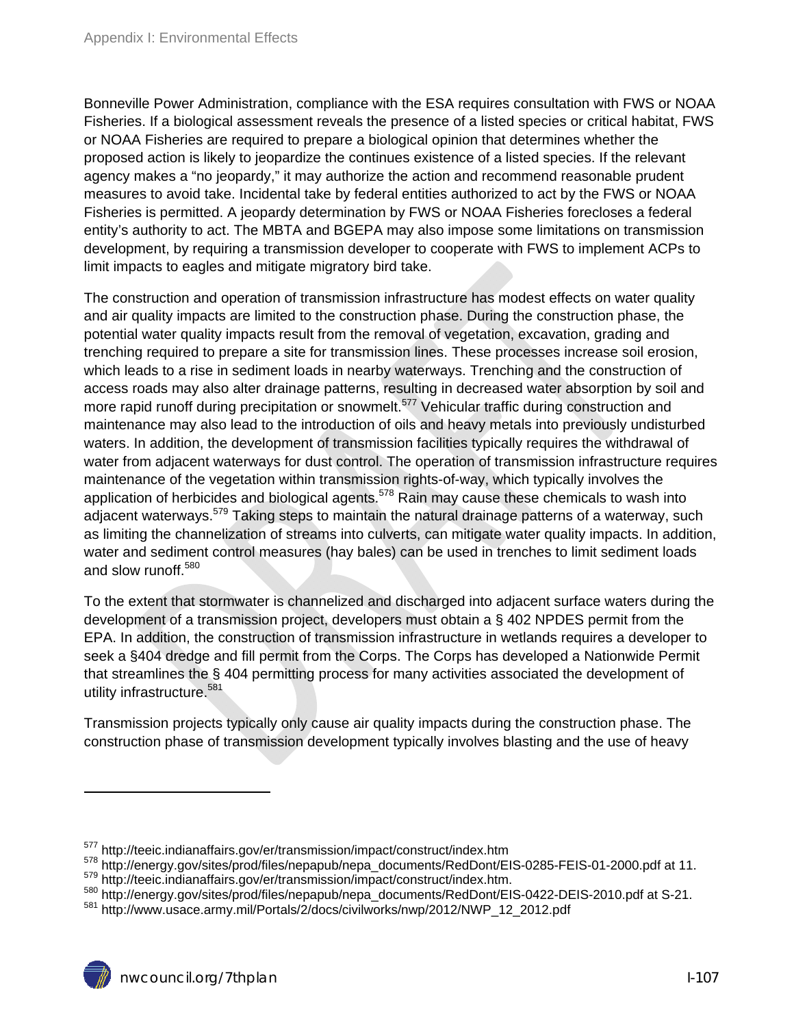Bonneville Power Administration, compliance with the ESA requires consultation with FWS or NOAA Fisheries. If a biological assessment reveals the presence of a listed species or critical habitat, FWS or NOAA Fisheries are required to prepare a biological opinion that determines whether the proposed action is likely to jeopardize the continues existence of a listed species. If the relevant agency makes a "no jeopardy," it may authorize the action and recommend reasonable prudent measures to avoid take. Incidental take by federal entities authorized to act by the FWS or NOAA Fisheries is permitted. A jeopardy determination by FWS or NOAA Fisheries forecloses a federal entity's authority to act. The MBTA and BGEPA may also impose some limitations on transmission development, by requiring a transmission developer to cooperate with FWS to implement ACPs to limit impacts to eagles and mitigate migratory bird take.

The construction and operation of transmission infrastructure has modest effects on water quality and air quality impacts are limited to the construction phase. During the construction phase, the potential water quality impacts result from the removal of vegetation, excavation, grading and trenching required to prepare a site for transmission lines. These processes increase soil erosion, which leads to a rise in sediment loads in nearby waterways. Trenching and the construction of access roads may also alter drainage patterns, resulting in decreased water absorption by soil and more rapid runoff during precipitation or snowmelt.<sup>577</sup> Vehicular traffic during construction and maintenance may also lead to the introduction of oils and heavy metals into previously undisturbed waters. In addition, the development of transmission facilities typically requires the withdrawal of water from adjacent waterways for dust control. The operation of transmission infrastructure requires maintenance of the vegetation within transmission rights-of-way, which typically involves the application of herbicides and biological agents.<sup>578</sup> Rain may cause these chemicals to wash into adjacent waterways.<sup>579</sup> Taking steps to maintain the natural drainage patterns of a waterway, such as limiting the channelization of streams into culverts, can mitigate water quality impacts. In addition, water and sediment control measures (hay bales) can be used in trenches to limit sediment loads and slow runoff.<sup>580</sup>

To the extent that stormwater is channelized and discharged into adjacent surface waters during the development of a transmission project, developers must obtain a § 402 NPDES permit from the EPA. In addition, the construction of transmission infrastructure in wetlands requires a developer to seek a §404 dredge and fill permit from the Corps. The Corps has developed a Nationwide Permit that streamlines the § 404 permitting process for many activities associated the development of utility infrastructure.<sup>581</sup>

Transmission projects typically only cause air quality impacts during the construction phase. The construction phase of transmission development typically involves blasting and the use of heavy

<sup>&</sup>lt;sup>577</sup> http://teeic.indianaffairs.gov/er/transmission/impact/construct/index.htm<br><sup>578</sup> http://energy.gov/sites/prod/files/nepapub/nepa\_documents/RedDont/EIS-0285-FEIS-01-2000.pdf at 11.<br><sup>579</sup> http://teeic.indianaffairs.gov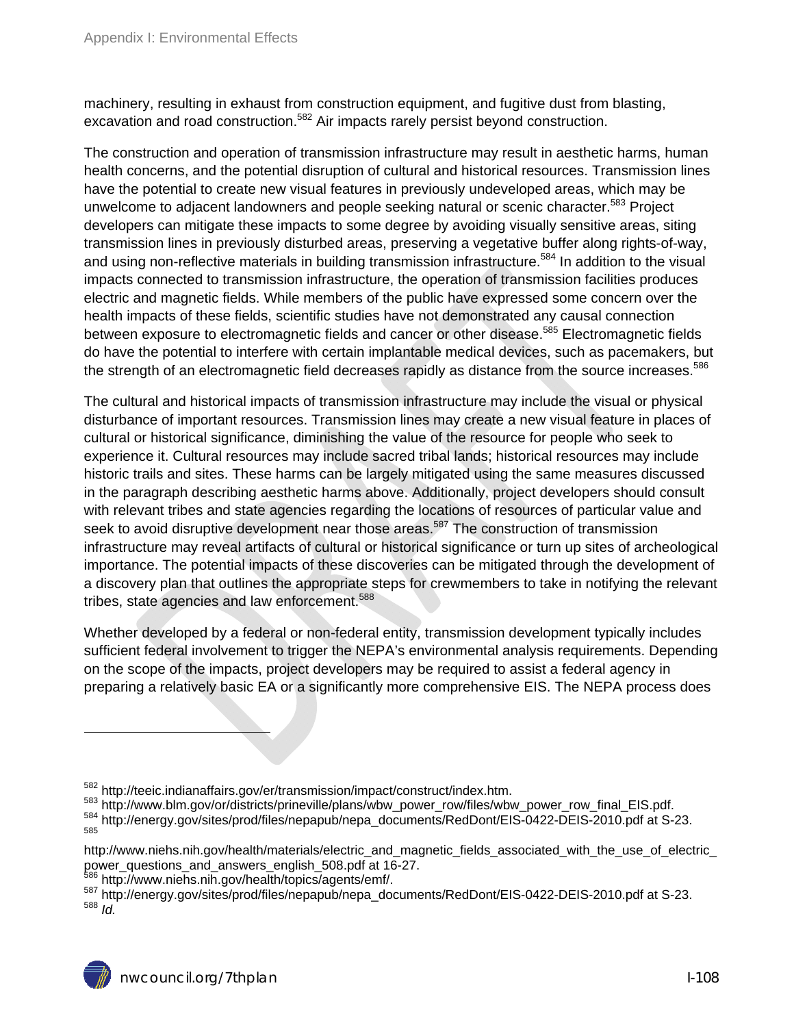machinery, resulting in exhaust from construction equipment, and fugitive dust from blasting, excavation and road construction.<sup>582</sup> Air impacts rarely persist beyond construction.

The construction and operation of transmission infrastructure may result in aesthetic harms, human health concerns, and the potential disruption of cultural and historical resources. Transmission lines have the potential to create new visual features in previously undeveloped areas, which may be unwelcome to adjacent landowners and people seeking natural or scenic character.<sup>583</sup> Project developers can mitigate these impacts to some degree by avoiding visually sensitive areas, siting transmission lines in previously disturbed areas, preserving a vegetative buffer along rights-of-way, and using non-reflective materials in building transmission infrastructure.<sup>584</sup> In addition to the visual impacts connected to transmission infrastructure, the operation of transmission facilities produces electric and magnetic fields. While members of the public have expressed some concern over the health impacts of these fields, scientific studies have not demonstrated any causal connection between exposure to electromagnetic fields and cancer or other disease.<sup>585</sup> Electromagnetic fields do have the potential to interfere with certain implantable medical devices, such as pacemakers, but the strength of an electromagnetic field decreases rapidly as distance from the source increases.<sup>586</sup>

The cultural and historical impacts of transmission infrastructure may include the visual or physical disturbance of important resources. Transmission lines may create a new visual feature in places of cultural or historical significance, diminishing the value of the resource for people who seek to experience it. Cultural resources may include sacred tribal lands; historical resources may include historic trails and sites. These harms can be largely mitigated using the same measures discussed in the paragraph describing aesthetic harms above. Additionally, project developers should consult with relevant tribes and state agencies regarding the locations of resources of particular value and seek to avoid disruptive development near those areas.<sup>587</sup> The construction of transmission infrastructure may reveal artifacts of cultural or historical significance or turn up sites of archeological importance. The potential impacts of these discoveries can be mitigated through the development of a discovery plan that outlines the appropriate steps for crewmembers to take in notifying the relevant tribes, state agencies and law enforcement.<sup>588</sup>

Whether developed by a federal or non-federal entity, transmission development typically includes sufficient federal involvement to trigger the NEPA's environmental analysis requirements. Depending on the scope of the impacts, project developers may be required to assist a federal agency in preparing a relatively basic EA or a significantly more comprehensive EIS. The NEPA process does

<sup>&</sup>lt;sup>582</sup> http://teeic.indianaffairs.gov/er/transmission/impact/construct/index.htm.<br><sup>583</sup> http://www.blm.gov/or/districts/prineville/plans/wbw\_power\_row/files/wbw\_power\_row\_final\_EIS.pdf.<br><sup>584</sup> http://energy.gov/sites/prod/fi

http://www.niehs.nih.gov/health/materials/electric\_and\_magnetic\_fields\_associated\_with\_the\_use\_of\_electric\_<br>power\_questions\_and\_answers\_english\_508.pdf at 16-27.

<sup>&</sup>lt;sup>586</sup> http://www.niehs.nih.gov/health/topics/agents/emf/.<br><sup>587</sup> http://energy.gov/sites/prod/files/nepapub/nepa\_documents/RedDont/EIS-0422-DEIS-2010.pdf at S-23.<br><sup>588</sup> Id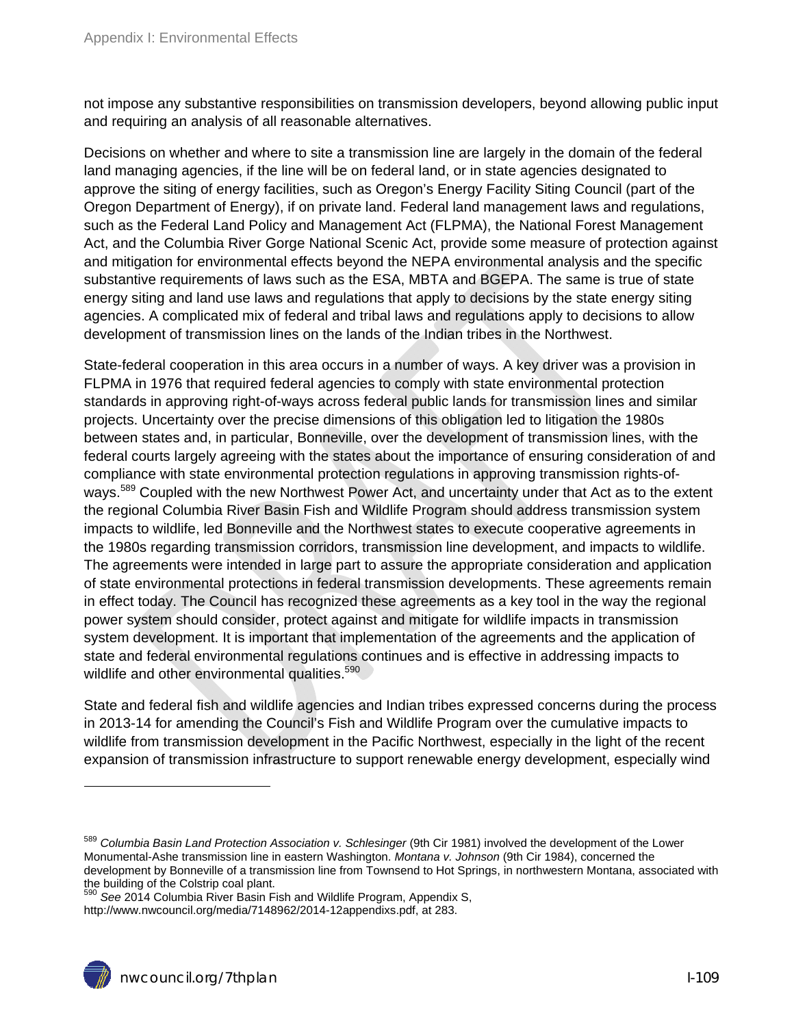not impose any substantive responsibilities on transmission developers, beyond allowing public input and requiring an analysis of all reasonable alternatives.

Decisions on whether and where to site a transmission line are largely in the domain of the federal land managing agencies, if the line will be on federal land, or in state agencies designated to approve the siting of energy facilities, such as Oregon's Energy Facility Siting Council (part of the Oregon Department of Energy), if on private land. Federal land management laws and regulations, such as the Federal Land Policy and Management Act (FLPMA), the National Forest Management Act, and the Columbia River Gorge National Scenic Act, provide some measure of protection against and mitigation for environmental effects beyond the NEPA environmental analysis and the specific substantive requirements of laws such as the ESA, MBTA and BGEPA. The same is true of state energy siting and land use laws and regulations that apply to decisions by the state energy siting agencies. A complicated mix of federal and tribal laws and regulations apply to decisions to allow development of transmission lines on the lands of the Indian tribes in the Northwest.

State-federal cooperation in this area occurs in a number of ways. A key driver was a provision in FLPMA in 1976 that required federal agencies to comply with state environmental protection standards in approving right-of-ways across federal public lands for transmission lines and similar projects. Uncertainty over the precise dimensions of this obligation led to litigation the 1980s between states and, in particular, Bonneville, over the development of transmission lines, with the federal courts largely agreeing with the states about the importance of ensuring consideration of and compliance with state environmental protection regulations in approving transmission rights-ofways.<sup>589</sup> Coupled with the new Northwest Power Act, and uncertainty under that Act as to the extent the regional Columbia River Basin Fish and Wildlife Program should address transmission system impacts to wildlife, led Bonneville and the Northwest states to execute cooperative agreements in the 1980s regarding transmission corridors, transmission line development, and impacts to wildlife. The agreements were intended in large part to assure the appropriate consideration and application of state environmental protections in federal transmission developments. These agreements remain in effect today. The Council has recognized these agreements as a key tool in the way the regional power system should consider, protect against and mitigate for wildlife impacts in transmission system development. It is important that implementation of the agreements and the application of state and federal environmental regulations continues and is effective in addressing impacts to wildlife and other environmental qualities.<sup>590</sup>

State and federal fish and wildlife agencies and Indian tribes expressed concerns during the process in 2013-14 for amending the Council's Fish and Wildlife Program over the cumulative impacts to wildlife from transmission development in the Pacific Northwest, especially in the light of the recent expansion of transmission infrastructure to support renewable energy development, especially wind

 $\overline{a}$ 

<sup>589</sup> *Columbia Basin Land Protection Association v. Schlesinger* (9th Cir 1981) involved the development of the Lower Monumental-Ashe transmission line in eastern Washington. *Montana v. Johnson* (9th Cir 1984), concerned the development by Bonneville of a transmission line from Townsend to Hot Springs, in northwestern Montana, associated with the building of the Colstrip coal plant.

<sup>590</sup> *See* 2014 Columbia River Basin Fish and Wildlife Program, Appendix S, http://www.nwcouncil.org/media/7148962/2014-12appendixs.pdf, at 283.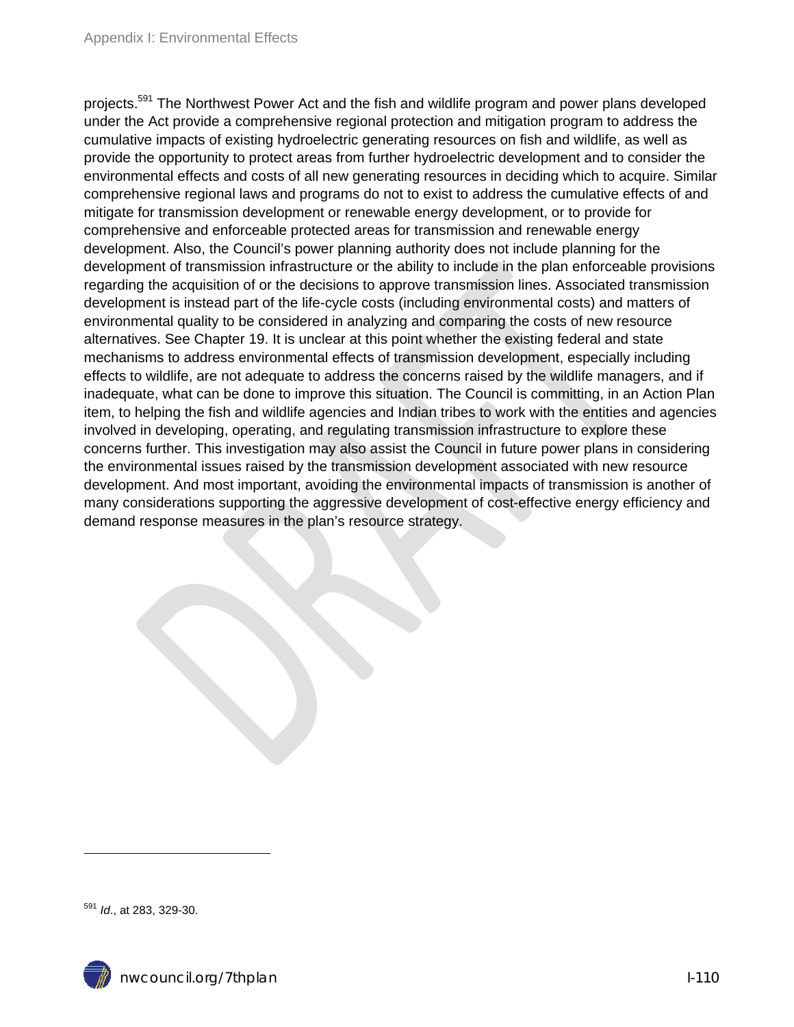projects.<sup>591</sup> The Northwest Power Act and the fish and wildlife program and power plans developed under the Act provide a comprehensive regional protection and mitigation program to address the cumulative impacts of existing hydroelectric generating resources on fish and wildlife, as well as provide the opportunity to protect areas from further hydroelectric development and to consider the environmental effects and costs of all new generating resources in deciding which to acquire. Similar comprehensive regional laws and programs do not to exist to address the cumulative effects of and mitigate for transmission development or renewable energy development, or to provide for comprehensive and enforceable protected areas for transmission and renewable energy development. Also, the Council's power planning authority does not include planning for the development of transmission infrastructure or the ability to include in the plan enforceable provisions regarding the acquisition of or the decisions to approve transmission lines. Associated transmission development is instead part of the life-cycle costs (including environmental costs) and matters of environmental quality to be considered in analyzing and comparing the costs of new resource alternatives. See Chapter 19. It is unclear at this point whether the existing federal and state mechanisms to address environmental effects of transmission development, especially including effects to wildlife, are not adequate to address the concerns raised by the wildlife managers, and if inadequate, what can be done to improve this situation. The Council is committing, in an Action Plan item, to helping the fish and wildlife agencies and Indian tribes to work with the entities and agencies involved in developing, operating, and regulating transmission infrastructure to explore these concerns further. This investigation may also assist the Council in future power plans in considering the environmental issues raised by the transmission development associated with new resource development. And most important, avoiding the environmental impacts of transmission is another of many considerations supporting the aggressive development of cost-effective energy efficiency and demand response measures in the plan's resource strategy.

 $\overline{a}$ 

<sup>591</sup> *Id*., at 283, 329-30.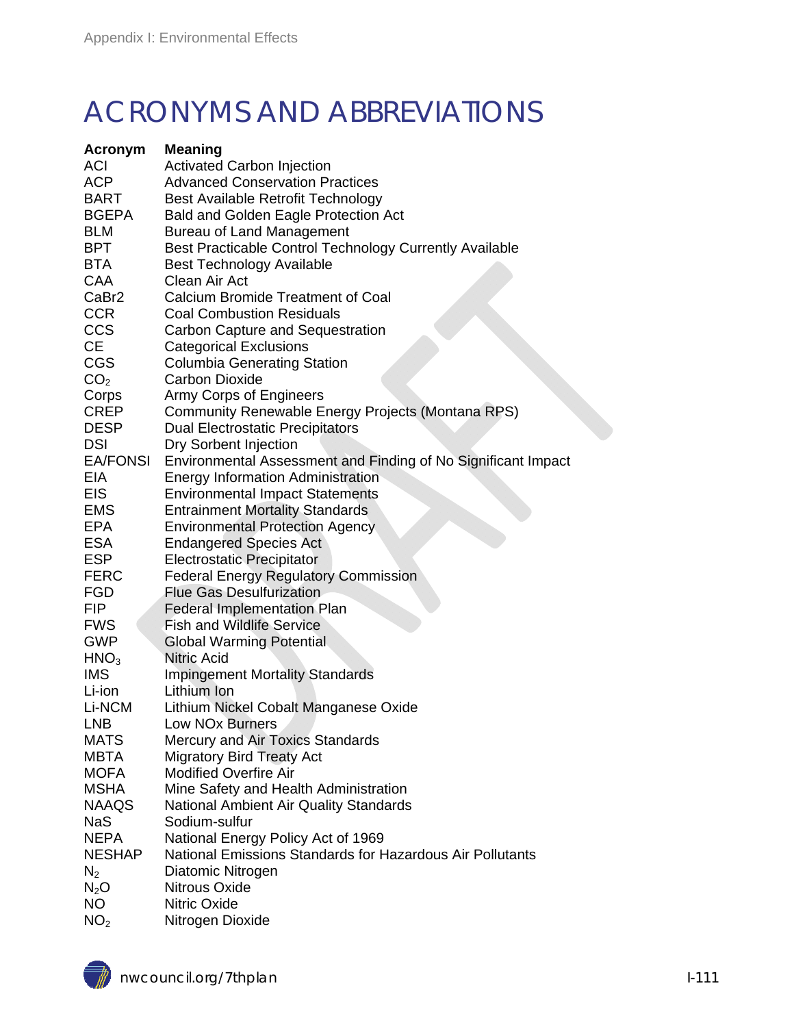## ACRONYMS AND ABBREVIATIONS

| <b>Acronym</b>    | <b>Meaning</b>                                                |
|-------------------|---------------------------------------------------------------|
| <b>ACI</b>        | <b>Activated Carbon Injection</b>                             |
| <b>ACP</b>        | <b>Advanced Conservation Practices</b>                        |
| <b>BART</b>       | Best Available Retrofit Technology                            |
| <b>BGEPA</b>      | <b>Bald and Golden Eagle Protection Act</b>                   |
| <b>BLM</b>        | <b>Bureau of Land Management</b>                              |
| BPT               | Best Practicable Control Technology Currently Available       |
| <b>BTA</b>        | <b>Best Technology Available</b>                              |
| <b>CAA</b>        | Clean Air Act                                                 |
| CaBr <sub>2</sub> | Calcium Bromide Treatment of Coal                             |
| <b>CCR</b>        | <b>Coal Combustion Residuals</b>                              |
| <b>CCS</b>        | <b>Carbon Capture and Sequestration</b>                       |
| CE.               | <b>Categorical Exclusions</b>                                 |
| <b>CGS</b>        | <b>Columbia Generating Station</b>                            |
|                   | <b>Carbon Dioxide</b>                                         |
| CO <sub>2</sub>   |                                                               |
| Corps             | Army Corps of Engineers                                       |
| <b>CREP</b>       | Community Renewable Energy Projects (Montana RPS)             |
| <b>DESP</b>       | <b>Dual Electrostatic Precipitators</b>                       |
| <b>DSI</b>        | Dry Sorbent Injection                                         |
| <b>EA/FONSI</b>   | Environmental Assessment and Finding of No Significant Impact |
| EIA               | <b>Energy Information Administration</b>                      |
| <b>EIS</b>        | <b>Environmental Impact Statements</b>                        |
| <b>EMS</b>        | <b>Entrainment Mortality Standards</b>                        |
| <b>EPA</b>        | <b>Environmental Protection Agency</b>                        |
| <b>ESA</b>        | <b>Endangered Species Act</b>                                 |
| <b>ESP</b>        | <b>Electrostatic Precipitator</b>                             |
| <b>FERC</b>       | <b>Federal Energy Regulatory Commission</b>                   |
| <b>FGD</b>        | <b>Flue Gas Desulfurization</b>                               |
| <b>FIP</b>        | <b>Federal Implementation Plan</b>                            |
| <b>FWS</b>        | <b>Fish and Wildlife Service</b>                              |
| <b>GWP</b>        | <b>Global Warming Potential</b>                               |
| HNO <sub>3</sub>  | <b>Nitric Acid</b>                                            |
| <b>IMS</b>        | <b>Impingement Mortality Standards</b>                        |
| Li-ion            | Lithium Ion                                                   |
| Li-NCM            | Lithium Nickel Cobalt Manganese Oxide                         |
| <b>LNB</b>        | Low NO <sub>x</sub> Burners                                   |
| <b>MATS</b>       | Mercury and Air Toxics Standards                              |
| <b>MBTA</b>       | <b>Migratory Bird Treaty Act</b>                              |
| <b>MOFA</b>       | <b>Modified Overfire Air</b>                                  |
| <b>MSHA</b>       | Mine Safety and Health Administration                         |
| <b>NAAQS</b>      | <b>National Ambient Air Quality Standards</b>                 |
| <b>NaS</b>        | Sodium-sulfur                                                 |
| <b>NEPA</b>       | National Energy Policy Act of 1969                            |
| <b>NESHAP</b>     | National Emissions Standards for Hazardous Air Pollutants     |
| $N_2$             | Diatomic Nitrogen                                             |
| $N_2O$            | <b>Nitrous Oxide</b>                                          |
| NO                | <b>Nitric Oxide</b>                                           |
| NO <sub>2</sub>   |                                                               |
|                   | Nitrogen Dioxide                                              |